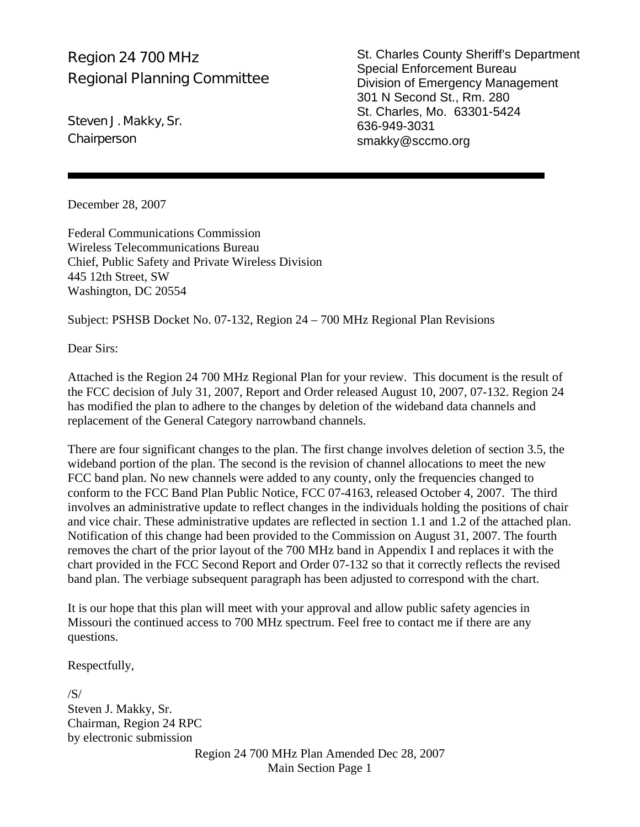### Region 24 700 MHz Regional Planning Committee

Steven J. Makky, Sr. **Chairperson** 

St. Charles County Sheriff's Department Special Enforcement Bureau Division of Emergency Management 301 N Second St., Rm. 280 St. Charles, Mo. 63301-5424 636-949-3031 smakky@sccmo.org

December 28, 2007

Federal Communications Commission Wireless Telecommunications Bureau Chief, Public Safety and Private Wireless Division 445 12th Street, SW Washington, DC 20554

Subject: PSHSB Docket No. 07-132, Region 24 – 700 MHz Regional Plan Revisions

Dear Sirs:

Attached is the Region 24 700 MHz Regional Plan for your review. This document is the result of the FCC decision of July 31, 2007, Report and Order released August 10, 2007, 07-132. Region 24 has modified the plan to adhere to the changes by deletion of the wideband data channels and replacement of the General Category narrowband channels.

There are four significant changes to the plan. The first change involves deletion of section 3.5, the wideband portion of the plan. The second is the revision of channel allocations to meet the new FCC band plan. No new channels were added to any county, only the frequencies changed to conform to the FCC Band Plan Public Notice, FCC 07-4163, released October 4, 2007. The third involves an administrative update to reflect changes in the individuals holding the positions of chair and vice chair. These administrative updates are reflected in section 1.1 and 1.2 of the attached plan. Notification of this change had been provided to the Commission on August 31, 2007. The fourth removes the chart of the prior layout of the 700 MHz band in Appendix I and replaces it with the chart provided in the FCC Second Report and Order 07-132 so that it correctly reflects the revised band plan. The verbiage subsequent paragraph has been adjusted to correspond with the chart.

It is our hope that this plan will meet with your approval and allow public safety agencies in Missouri the continued access to 700 MHz spectrum. Feel free to contact me if there are any questions.

Respectfully,

/S/ Steven J. Makky, Sr. Chairman, Region 24 RPC by electronic submission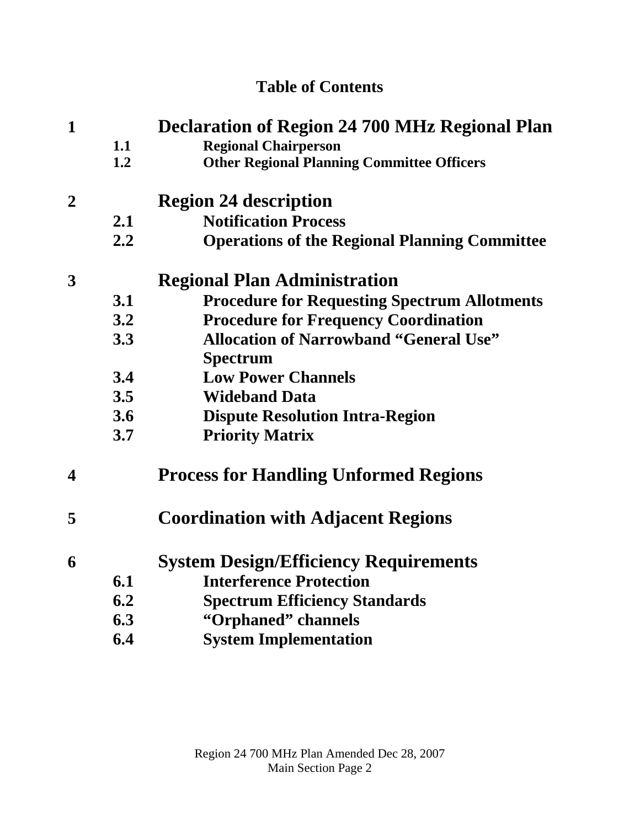# **Table of Contents**

| $\mathbf{1}$            | <b>Declaration of Region 24 700 MHz Regional Plan</b> |                                                      |  |
|-------------------------|-------------------------------------------------------|------------------------------------------------------|--|
|                         | 1.1                                                   | <b>Regional Chairperson</b>                          |  |
|                         | 1.2                                                   | <b>Other Regional Planning Committee Officers</b>    |  |
| $\overline{2}$          |                                                       | <b>Region 24 description</b>                         |  |
|                         | 2.1                                                   | <b>Notification Process</b>                          |  |
|                         | 2.2                                                   | <b>Operations of the Regional Planning Committee</b> |  |
| 3                       | <b>Regional Plan Administration</b>                   |                                                      |  |
|                         | 3.1                                                   | <b>Procedure for Requesting Spectrum Allotments</b>  |  |
|                         | 3.2                                                   | <b>Procedure for Frequency Coordination</b>          |  |
|                         | 3.3                                                   | <b>Allocation of Narrowband "General Use"</b>        |  |
|                         |                                                       | <b>Spectrum</b>                                      |  |
|                         | 3.4                                                   | <b>Low Power Channels</b>                            |  |
|                         | 3.5                                                   | <b>Wideband Data</b>                                 |  |
|                         | 3.6                                                   | <b>Dispute Resolution Intra-Region</b>               |  |
|                         | 3.7                                                   | <b>Priority Matrix</b>                               |  |
| $\overline{\mathbf{4}}$ |                                                       | <b>Process for Handling Unformed Regions</b>         |  |
| 5                       |                                                       | <b>Coordination with Adjacent Regions</b>            |  |
| 6                       |                                                       | <b>System Design/Efficiency Requirements</b>         |  |
|                         | 6.1                                                   | <b>Interference Protection</b>                       |  |
|                         | 6.2                                                   | <b>Spectrum Efficiency Standards</b>                 |  |
|                         | 6.3                                                   | "Orphaned" channels                                  |  |
|                         | 6.4                                                   | <b>System Implementation</b>                         |  |
|                         |                                                       |                                                      |  |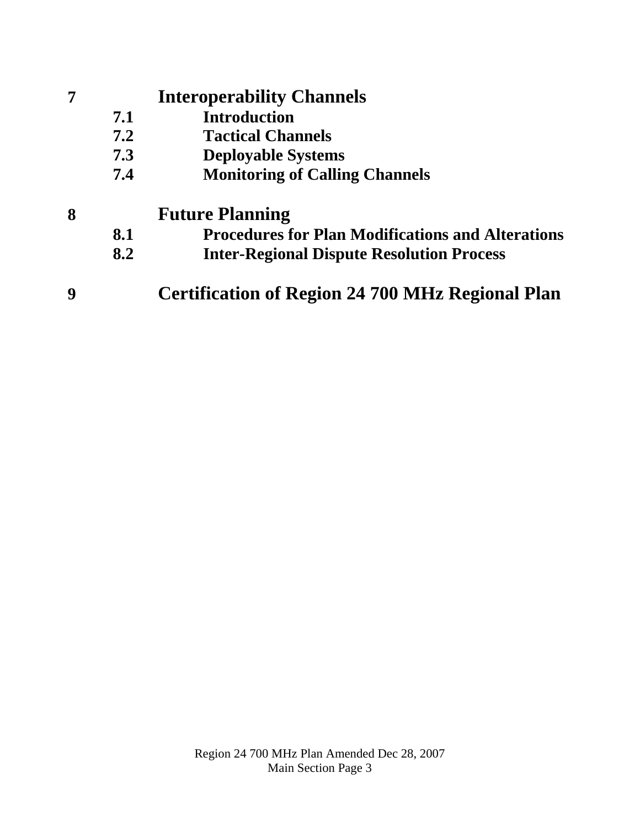# **7 Interoperability Channels**

- **7.1 Introduction**
- **7.2 Tactical Channels**
- **7.3 Deployable Systems**
- **7.4 Monitoring of Calling Channels**

# **8 Future Planning**

- **8.1 Procedures for Plan Modifications and Alterations**
- **8.2 Inter-Regional Dispute Resolution Process**
- **9 Certification of Region 24 700 MHz Regional Plan**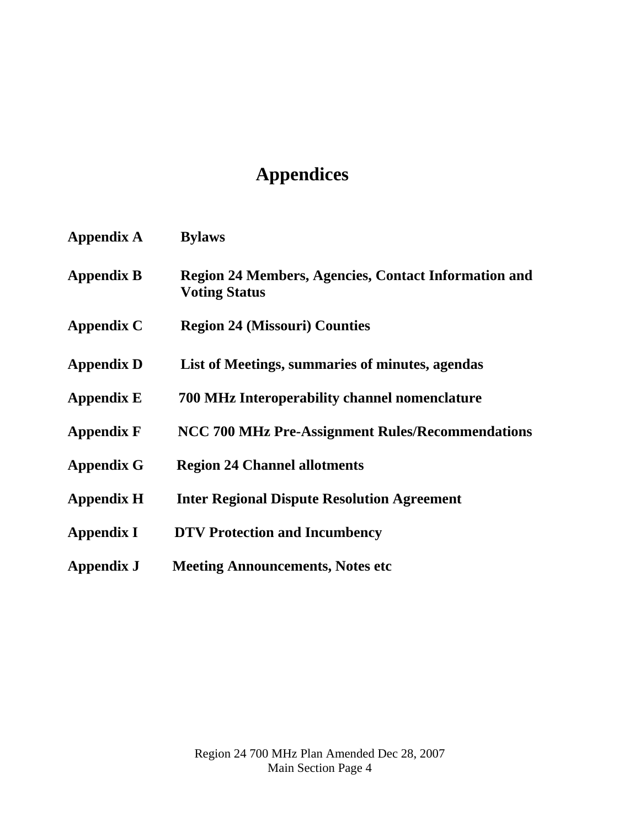# **Appendices**

| <b>Appendix A</b> | <b>Bylaws</b>                                                                |
|-------------------|------------------------------------------------------------------------------|
| <b>Appendix B</b> | Region 24 Members, Agencies, Contact Information and<br><b>Voting Status</b> |
| Appendix C        | <b>Region 24 (Missouri) Counties</b>                                         |
| <b>Appendix D</b> | List of Meetings, summaries of minutes, agendas                              |
| <b>Appendix E</b> | 700 MHz Interoperability channel nomenclature                                |
| <b>Appendix F</b> | NCC 700 MHz Pre-Assignment Rules/Recommendations                             |
| <b>Appendix G</b> | <b>Region 24 Channel allotments</b>                                          |
| <b>Appendix H</b> | <b>Inter Regional Dispute Resolution Agreement</b>                           |
| <b>Appendix I</b> | <b>DTV Protection and Incumbency</b>                                         |
| Appendix J        | <b>Meeting Announcements, Notes etc</b>                                      |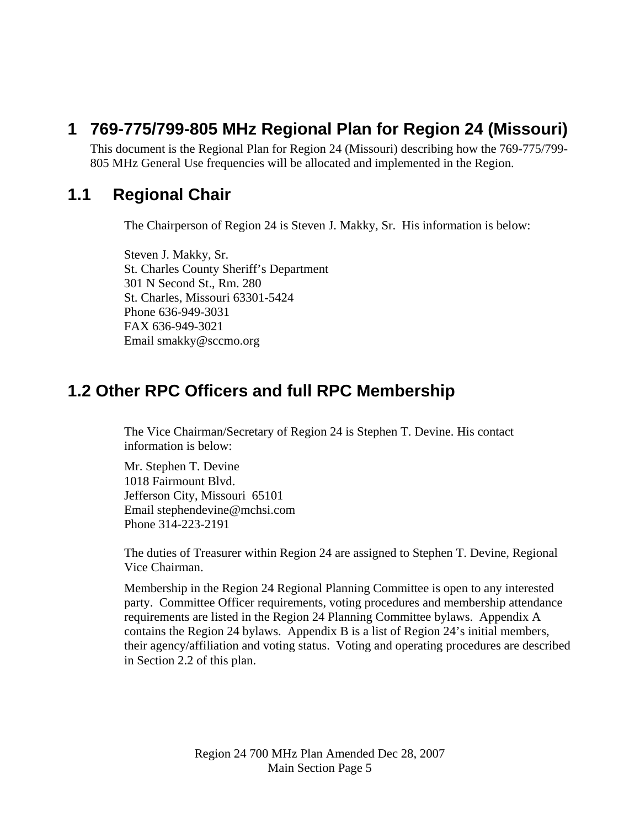# **1 769-775/799-805 MHz Regional Plan for Region 24 (Missouri)**

This document is the Regional Plan for Region 24 (Missouri) describing how the 769-775/799- 805 MHz General Use frequencies will be allocated and implemented in the Region.

### **1.1 Regional Chair**

The Chairperson of Region 24 is Steven J. Makky, Sr. His information is below:

Steven J. Makky, Sr. St. Charles County Sheriff's Department 301 N Second St., Rm. 280 St. Charles, Missouri 63301-5424 Phone 636-949-3031 FAX 636-949-3021 Email smakky@sccmo.org

### **1.2 Other RPC Officers and full RPC Membership**

The Vice Chairman/Secretary of Region 24 is Stephen T. Devine. His contact information is below:

Mr. Stephen T. Devine 1018 Fairmount Blvd. Jefferson City, Missouri 65101 Email stephendevine@mchsi.com Phone 314-223-2191

The duties of Treasurer within Region 24 are assigned to Stephen T. Devine, Regional Vice Chairman.

Membership in the Region 24 Regional Planning Committee is open to any interested party. Committee Officer requirements, voting procedures and membership attendance requirements are listed in the Region 24 Planning Committee bylaws. Appendix A contains the Region 24 bylaws. Appendix B is a list of Region 24's initial members, their agency/affiliation and voting status. Voting and operating procedures are described in Section 2.2 of this plan.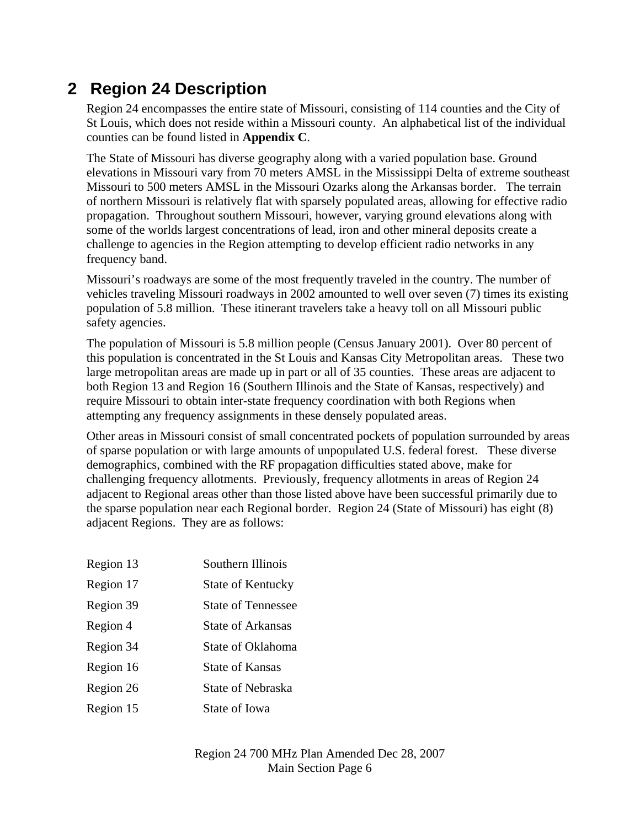# **2 Region 24 Description**

Region 24 encompasses the entire state of Missouri, consisting of 114 counties and the City of St Louis, which does not reside within a Missouri county. An alphabetical list of the individual counties can be found listed in **Appendix C**.

The State of Missouri has diverse geography along with a varied population base. Ground elevations in Missouri vary from 70 meters AMSL in the Mississippi Delta of extreme southeast Missouri to 500 meters AMSL in the Missouri Ozarks along the Arkansas border. The terrain of northern Missouri is relatively flat with sparsely populated areas, allowing for effective radio propagation. Throughout southern Missouri, however, varying ground elevations along with some of the worlds largest concentrations of lead, iron and other mineral deposits create a challenge to agencies in the Region attempting to develop efficient radio networks in any frequency band.

Missouri's roadways are some of the most frequently traveled in the country. The number of vehicles traveling Missouri roadways in 2002 amounted to well over seven (7) times its existing population of 5.8 million. These itinerant travelers take a heavy toll on all Missouri public safety agencies.

The population of Missouri is 5.8 million people (Census January 2001). Over 80 percent of this population is concentrated in the St Louis and Kansas City Metropolitan areas. These two large metropolitan areas are made up in part or all of 35 counties. These areas are adjacent to both Region 13 and Region 16 (Southern Illinois and the State of Kansas, respectively) and require Missouri to obtain inter-state frequency coordination with both Regions when attempting any frequency assignments in these densely populated areas.

Other areas in Missouri consist of small concentrated pockets of population surrounded by areas of sparse population or with large amounts of unpopulated U.S. federal forest. These diverse demographics, combined with the RF propagation difficulties stated above, make for challenging frequency allotments. Previously, frequency allotments in areas of Region 24 adjacent to Regional areas other than those listed above have been successful primarily due to the sparse population near each Regional border. Region 24 (State of Missouri) has eight (8) adjacent Regions. They are as follows:

Region 13 Southern Illinois Region 17 State of Kentucky Region 39 State of Tennessee Region 4 State of Arkansas Region 34 State of Oklahoma Region 16 State of Kansas Region 26 State of Nebraska Region 15 State of Iowa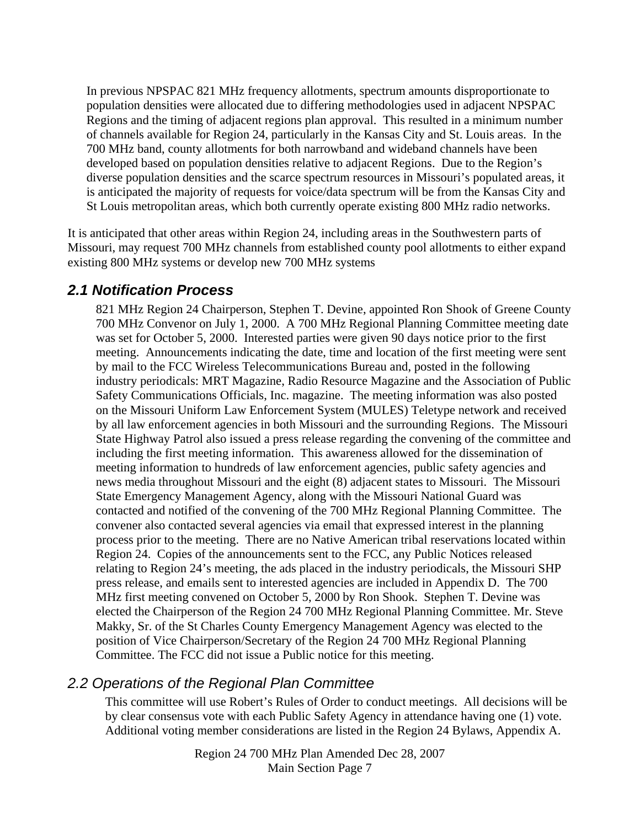In previous NPSPAC 821 MHz frequency allotments, spectrum amounts disproportionate to population densities were allocated due to differing methodologies used in adjacent NPSPAC Regions and the timing of adjacent regions plan approval. This resulted in a minimum number of channels available for Region 24, particularly in the Kansas City and St. Louis areas. In the 700 MHz band, county allotments for both narrowband and wideband channels have been developed based on population densities relative to adjacent Regions. Due to the Region's diverse population densities and the scarce spectrum resources in Missouri's populated areas, it is anticipated the majority of requests for voice/data spectrum will be from the Kansas City and St Louis metropolitan areas, which both currently operate existing 800 MHz radio networks.

It is anticipated that other areas within Region 24, including areas in the Southwestern parts of Missouri, may request 700 MHz channels from established county pool allotments to either expand existing 800 MHz systems or develop new 700 MHz systems

#### *2.1 Notification Process*

821 MHz Region 24 Chairperson, Stephen T. Devine, appointed Ron Shook of Greene County 700 MHz Convenor on July 1, 2000. A 700 MHz Regional Planning Committee meeting date was set for October 5, 2000. Interested parties were given 90 days notice prior to the first meeting. Announcements indicating the date, time and location of the first meeting were sent by mail to the FCC Wireless Telecommunications Bureau and, posted in the following industry periodicals: MRT Magazine, Radio Resource Magazine and the Association of Public Safety Communications Officials, Inc. magazine. The meeting information was also posted on the Missouri Uniform Law Enforcement System (MULES) Teletype network and received by all law enforcement agencies in both Missouri and the surrounding Regions. The Missouri State Highway Patrol also issued a press release regarding the convening of the committee and including the first meeting information. This awareness allowed for the dissemination of meeting information to hundreds of law enforcement agencies, public safety agencies and news media throughout Missouri and the eight (8) adjacent states to Missouri. The Missouri State Emergency Management Agency, along with the Missouri National Guard was contacted and notified of the convening of the 700 MHz Regional Planning Committee. The convener also contacted several agencies via email that expressed interest in the planning process prior to the meeting. There are no Native American tribal reservations located within Region 24. Copies of the announcements sent to the FCC, any Public Notices released relating to Region 24's meeting, the ads placed in the industry periodicals, the Missouri SHP press release, and emails sent to interested agencies are included in Appendix D. The 700 MHz first meeting convened on October 5, 2000 by Ron Shook. Stephen T. Devine was elected the Chairperson of the Region 24 700 MHz Regional Planning Committee. Mr. Steve Makky, Sr. of the St Charles County Emergency Management Agency was elected to the position of Vice Chairperson/Secretary of the Region 24 700 MHz Regional Planning Committee. The FCC did not issue a Public notice for this meeting.

### *2.2 Operations of the Regional Plan Committee*

This committee will use Robert's Rules of Order to conduct meetings. All decisions will be by clear consensus vote with each Public Safety Agency in attendance having one (1) vote. Additional voting member considerations are listed in the Region 24 Bylaws, Appendix A.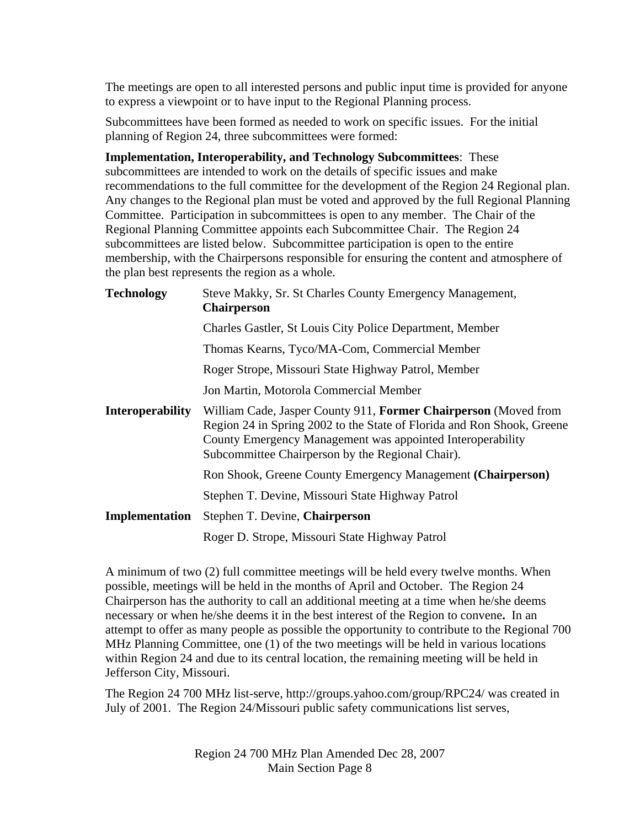The meetings are open to all interested persons and public input time is provided for anyone to express a viewpoint or to have input to the Regional Planning process.

Subcommittees have been formed as needed to work on specific issues. For the initial planning of Region 24, three subcommittees were formed:

**Implementation, Interoperability, and Technology Subcommittees**: These subcommittees are intended to work on the details of specific issues and make recommendations to the full committee for the development of the Region 24 Regional plan. Any changes to the Regional plan must be voted and approved by the full Regional Planning Committee. Participation in subcommittees is open to any member. The Chair of the Regional Planning Committee appoints each Subcommittee Chair. The Region 24 subcommittees are listed below. Subcommittee participation is open to the entire membership, with the Chairpersons responsible for ensuring the content and atmosphere of the plan best represents the region as a whole.

| <b>Technology</b>       | Steve Makky, Sr. St Charles County Emergency Management,<br><b>Chairperson</b>                                                                                                                                                                              |
|-------------------------|-------------------------------------------------------------------------------------------------------------------------------------------------------------------------------------------------------------------------------------------------------------|
|                         | Charles Gastler, St Louis City Police Department, Member                                                                                                                                                                                                    |
|                         | Thomas Kearns, Tyco/MA-Com, Commercial Member                                                                                                                                                                                                               |
|                         | Roger Strope, Missouri State Highway Patrol, Member                                                                                                                                                                                                         |
|                         | Jon Martin, Motorola Commercial Member                                                                                                                                                                                                                      |
| <b>Interoperability</b> | William Cade, Jasper County 911, Former Chairperson (Moved from<br>Region 24 in Spring 2002 to the State of Florida and Ron Shook, Greene<br>County Emergency Management was appointed Interoperability<br>Subcommittee Chairperson by the Regional Chair). |
|                         | Ron Shook, Greene County Emergency Management (Chairperson)                                                                                                                                                                                                 |
|                         | Stephen T. Devine, Missouri State Highway Patrol                                                                                                                                                                                                            |
| Implementation          | Stephen T. Devine, Chairperson                                                                                                                                                                                                                              |
|                         | Roger D. Strope, Missouri State Highway Patrol                                                                                                                                                                                                              |

A minimum of two (2) full committee meetings will be held every twelve months. When possible, meetings will be held in the months of April and October. The Region 24 Chairperson has the authority to call an additional meeting at a time when he/she deems necessary or when he/she deems it in the best interest of the Region to convene**.** In an attempt to offer as many people as possible the opportunity to contribute to the Regional 700 MHz Planning Committee, one (1) of the two meetings will be held in various locations within Region 24 and due to its central location, the remaining meeting will be held in Jefferson City, Missouri.

The Region 24 700 MHz list-serve, http://groups.yahoo.com/group/RPC24/ was created in July of 2001. The Region 24/Missouri public safety communications list serves,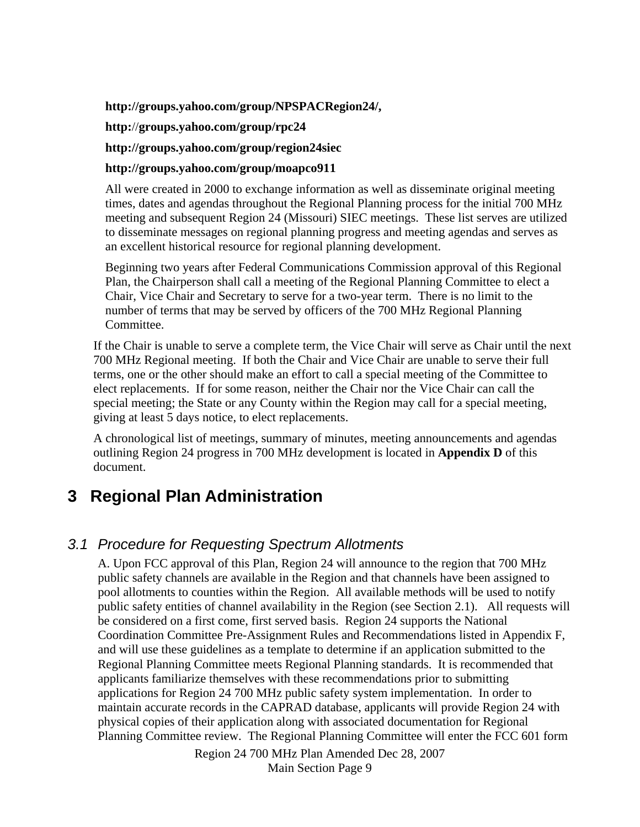#### **http://groups.yahoo.com/group/NPSPACRegion24/,**

**http:**//**groups.yahoo.com/group/rpc24** 

**http://groups.yahoo.com/group/region24siec** 

#### **http://groups.yahoo.com/group/moapco911**

All were created in 2000 to exchange information as well as disseminate original meeting times, dates and agendas throughout the Regional Planning process for the initial 700 MHz meeting and subsequent Region 24 (Missouri) SIEC meetings. These list serves are utilized to disseminate messages on regional planning progress and meeting agendas and serves as an excellent historical resource for regional planning development.

Beginning two years after Federal Communications Commission approval of this Regional Plan, the Chairperson shall call a meeting of the Regional Planning Committee to elect a Chair, Vice Chair and Secretary to serve for a two-year term. There is no limit to the number of terms that may be served by officers of the 700 MHz Regional Planning Committee.

If the Chair is unable to serve a complete term, the Vice Chair will serve as Chair until the next 700 MHz Regional meeting. If both the Chair and Vice Chair are unable to serve their full terms, one or the other should make an effort to call a special meeting of the Committee to elect replacements. If for some reason, neither the Chair nor the Vice Chair can call the special meeting; the State or any County within the Region may call for a special meeting, giving at least 5 days notice, to elect replacements.

A chronological list of meetings, summary of minutes, meeting announcements and agendas outlining Region 24 progress in 700 MHz development is located in **Appendix D** of this document.

# **3 Regional Plan Administration**

### *3.1 Procedure for Requesting Spectrum Allotments*

A. Upon FCC approval of this Plan, Region 24 will announce to the region that 700 MHz public safety channels are available in the Region and that channels have been assigned to pool allotments to counties within the Region. All available methods will be used to notify public safety entities of channel availability in the Region (see Section 2.1). All requests will be considered on a first come, first served basis. Region 24 supports the National Coordination Committee Pre-Assignment Rules and Recommendations listed in Appendix F, and will use these guidelines as a template to determine if an application submitted to the Regional Planning Committee meets Regional Planning standards. It is recommended that applicants familiarize themselves with these recommendations prior to submitting applications for Region 24 700 MHz public safety system implementation. In order to maintain accurate records in the CAPRAD database, applicants will provide Region 24 with physical copies of their application along with associated documentation for Regional Planning Committee review. The Regional Planning Committee will enter the FCC 601 form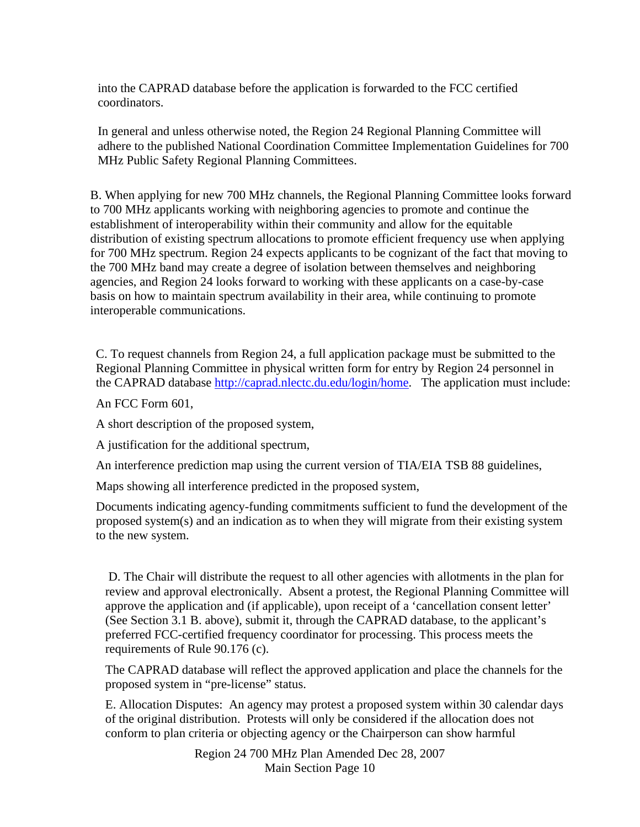into the CAPRAD database before the application is forwarded to the FCC certified coordinators.

In general and unless otherwise noted, the Region 24 Regional Planning Committee will adhere to the published National Coordination Committee Implementation Guidelines for 700 MHz Public Safety Regional Planning Committees.

B. When applying for new 700 MHz channels, the Regional Planning Committee looks forward to 700 MHz applicants working with neighboring agencies to promote and continue the establishment of interoperability within their community and allow for the equitable distribution of existing spectrum allocations to promote efficient frequency use when applying for 700 MHz spectrum. Region 24 expects applicants to be cognizant of the fact that moving to the 700 MHz band may create a degree of isolation between themselves and neighboring agencies, and Region 24 looks forward to working with these applicants on a case-by-case basis on how to maintain spectrum availability in their area, while continuing to promote interoperable communications.

C. To request channels from Region 24, a full application package must be submitted to the Regional Planning Committee in physical written form for entry by Region 24 personnel in the CAPRAD database<http://caprad.nlectc.du.edu/login/home>. The application must include:

An FCC Form 601,

A short description of the proposed system,

A justification for the additional spectrum,

An interference prediction map using the current version of TIA/EIA TSB 88 guidelines,

Maps showing all interference predicted in the proposed system,

Documents indicating agency-funding commitments sufficient to fund the development of the proposed system(s) and an indication as to when they will migrate from their existing system to the new system.

 D. The Chair will distribute the request to all other agencies with allotments in the plan for review and approval electronically. Absent a protest, the Regional Planning Committee will approve the application and (if applicable), upon receipt of a 'cancellation consent letter' (See Section 3.1 B. above), submit it, through the CAPRAD database, to the applicant's preferred FCC-certified frequency coordinator for processing. This process meets the requirements of Rule 90.176 (c).

The CAPRAD database will reflect the approved application and place the channels for the proposed system in "pre-license" status.

E. Allocation Disputes: An agency may protest a proposed system within 30 calendar days of the original distribution. Protests will only be considered if the allocation does not conform to plan criteria or objecting agency or the Chairperson can show harmful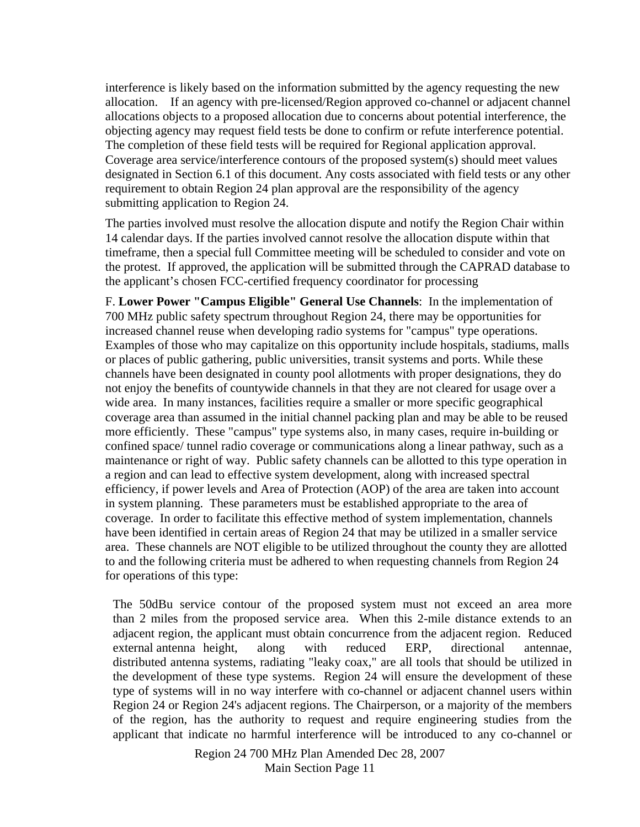interference is likely based on the information submitted by the agency requesting the new allocation. If an agency with pre-licensed/Region approved co-channel or adjacent channel allocations objects to a proposed allocation due to concerns about potential interference, the objecting agency may request field tests be done to confirm or refute interference potential. The completion of these field tests will be required for Regional application approval. Coverage area service/interference contours of the proposed system(s) should meet values designated in Section 6.1 of this document. Any costs associated with field tests or any other requirement to obtain Region 24 plan approval are the responsibility of the agency submitting application to Region 24.

The parties involved must resolve the allocation dispute and notify the Region Chair within 14 calendar days. If the parties involved cannot resolve the allocation dispute within that timeframe, then a special full Committee meeting will be scheduled to consider and vote on the protest. If approved, the application will be submitted through the CAPRAD database to the applicant's chosen FCC-certified frequency coordinator for processing

F. **Lower Power "Campus Eligible" General Use Channels**: In the implementation of 700 MHz public safety spectrum throughout Region 24, there may be opportunities for increased channel reuse when developing radio systems for "campus" type operations. Examples of those who may capitalize on this opportunity include hospitals, stadiums, malls or places of public gathering, public universities, transit systems and ports. While these channels have been designated in county pool allotments with proper designations, they do not enjoy the benefits of countywide channels in that they are not cleared for usage over a wide area. In many instances, facilities require a smaller or more specific geographical coverage area than assumed in the initial channel packing plan and may be able to be reused more efficiently. These "campus" type systems also, in many cases, require in-building or confined space/ tunnel radio coverage or communications along a linear pathway, such as a maintenance or right of way. Public safety channels can be allotted to this type operation in a region and can lead to effective system development, along with increased spectral efficiency, if power levels and Area of Protection (AOP) of the area are taken into account in system planning. These parameters must be established appropriate to the area of coverage. In order to facilitate this effective method of system implementation, channels have been identified in certain areas of Region 24 that may be utilized in a smaller service area. These channels are NOT eligible to be utilized throughout the county they are allotted to and the following criteria must be adhered to when requesting channels from Region 24 for operations of this type:

 The 50dBu service contour of the proposed system must not exceed an area more than 2 miles from the proposed service area. When this 2-mile distance extends to an adjacent region, the applicant must obtain concurrence from the adjacent region. Reduced external antenna height, along with reduced ERP, directional antennae, distributed antenna systems, radiating "leaky coax," are all tools that should be utilized in the development of these type systems. Region 24 will ensure the development of these type of systems will in no way interfere with co-channel or adjacent channel users within Region 24 or Region 24's adjacent regions. The Chairperson, or a majority of the members of the region, has the authority to request and require engineering studies from the applicant that indicate no harmful interference will be introduced to any co-channel or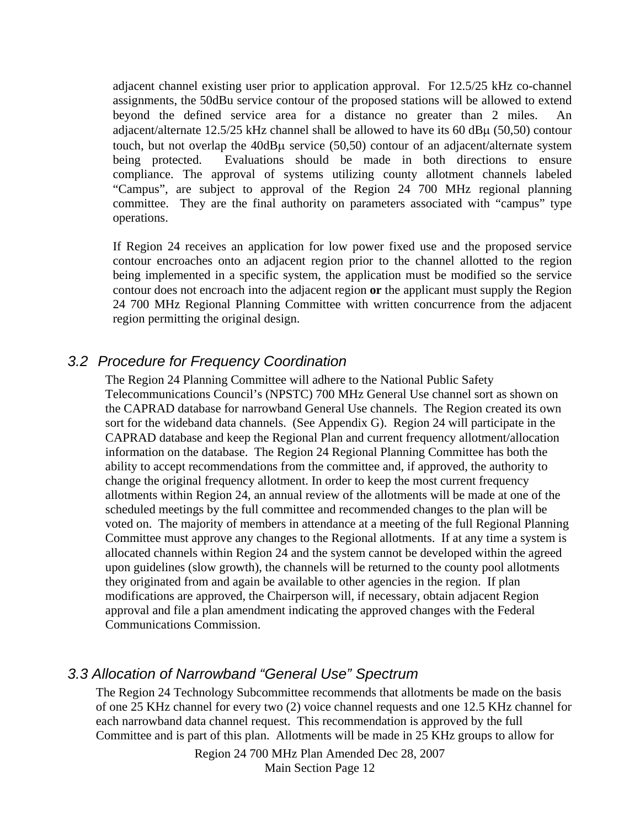adjacent channel existing user prior to application approval. For 12.5/25 kHz co-channel assignments, the 50dBu service contour of the proposed stations will be allowed to extend beyond the defined service area for a distance no greater than 2 miles. An adjacent/alternate 12.5/25 kHz channel shall be allowed to have its 60  $d$ B $\mu$  (50,50) contour touch, but not overlap the 40dBμ service (50,50) contour of an adjacent/alternate system being protected. Evaluations should be made in both directions to ensure compliance. The approval of systems utilizing county allotment channels labeled "Campus", are subject to approval of the Region 24 700 MHz regional planning committee. They are the final authority on parameters associated with "campus" type operations.

 If Region 24 receives an application for low power fixed use and the proposed service contour encroaches onto an adjacent region prior to the channel allotted to the region being implemented in a specific system, the application must be modified so the service contour does not encroach into the adjacent region **or** the applicant must supply the Region 24 700 MHz Regional Planning Committee with written concurrence from the adjacent region permitting the original design.

### *3.2 Procedure for Frequency Coordination*

The Region 24 Planning Committee will adhere to the National Public Safety Telecommunications Council's (NPSTC) 700 MHz General Use channel sort as shown on the CAPRAD database for narrowband General Use channels. The Region created its own sort for the wideband data channels. (See Appendix G). Region 24 will participate in the CAPRAD database and keep the Regional Plan and current frequency allotment/allocation information on the database. The Region 24 Regional Planning Committee has both the ability to accept recommendations from the committee and, if approved, the authority to change the original frequency allotment. In order to keep the most current frequency allotments within Region 24, an annual review of the allotments will be made at one of the scheduled meetings by the full committee and recommended changes to the plan will be voted on. The majority of members in attendance at a meeting of the full Regional Planning Committee must approve any changes to the Regional allotments. If at any time a system is allocated channels within Region 24 and the system cannot be developed within the agreed upon guidelines (slow growth), the channels will be returned to the county pool allotments they originated from and again be available to other agencies in the region. If plan modifications are approved, the Chairperson will, if necessary, obtain adjacent Region approval and file a plan amendment indicating the approved changes with the Federal Communications Commission.

#### *3.3 Allocation of Narrowband "General Use" Spectrum*

The Region 24 Technology Subcommittee recommends that allotments be made on the basis of one 25 KHz channel for every two (2) voice channel requests and one 12.5 KHz channel for each narrowband data channel request. This recommendation is approved by the full Committee and is part of this plan. Allotments will be made in 25 KHz groups to allow for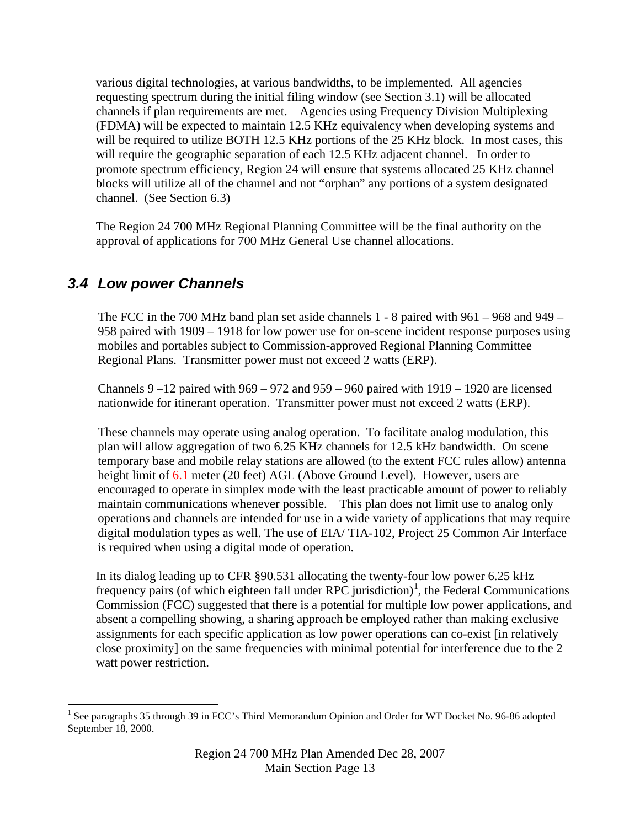various digital technologies, at various bandwidths, to be implemented. All agencies requesting spectrum during the initial filing window (see Section 3.1) will be allocated channels if plan requirements are met. Agencies using Frequency Division Multiplexing (FDMA) will be expected to maintain 12.5 KHz equivalency when developing systems and will be required to utilize BOTH 12.5 KHz portions of the 25 KHz block. In most cases, this will require the geographic separation of each 12.5 KHz adjacent channel. In order to promote spectrum efficiency, Region 24 will ensure that systems allocated 25 KHz channel blocks will utilize all of the channel and not "orphan" any portions of a system designated channel. (See Section 6.3)

The Region 24 700 MHz Regional Planning Committee will be the final authority on the approval of applications for 700 MHz General Use channel allocations.

### *3.4 Low power Channels*

The FCC in the 700 MHz band plan set aside channels 1 - 8 paired with 961 – 968 and 949 – 958 paired with 1909 – 1918 for low power use for on-scene incident response purposes using mobiles and portables subject to Commission-approved Regional Planning Committee Regional Plans. Transmitter power must not exceed 2 watts (ERP).

Channels  $9 - 12$  paired with  $969 - 972$  and  $959 - 960$  paired with  $1919 - 1920$  are licensed nationwide for itinerant operation. Transmitter power must not exceed 2 watts (ERP).

These channels may operate using analog operation. To facilitate analog modulation, this plan will allow aggregation of two 6.25 KHz channels for 12.5 kHz bandwidth. On scene temporary base and mobile relay stations are allowed (to the extent FCC rules allow) antenna height limit of 6.1 meter (20 feet) AGL (Above Ground Level). However, users are encouraged to operate in simplex mode with the least practicable amount of power to reliably maintain communications whenever possible.This plan does not limit use to analog only operations and channels are intended for use in a wide variety of applications that may require digital modulation types as well. The use of EIA/ TIA-102, Project 25 Common Air Interface is required when using a digital mode of operation.

In its dialog leading up to CFR §90.531 allocating the twenty-four low power 6.25 kHz frequency pairs (of which eighteen fall under RPC jurisdiction)<sup>[1](#page-12-0)</sup>, the Federal Communications Commission (FCC) suggested that there is a potential for multiple low power applications, and absent a compelling showing, a sharing approach be employed rather than making exclusive assignments for each specific application as low power operations can co-exist [in relatively close proximity] on the same frequencies with minimal potential for interference due to the 2 watt power restriction.

<span id="page-12-0"></span> $\overline{a}$ <sup>1</sup> See paragraphs 35 through 39 in FCC's Third Memorandum Opinion and Order for WT Docket No. 96-86 adopted September 18, 2000.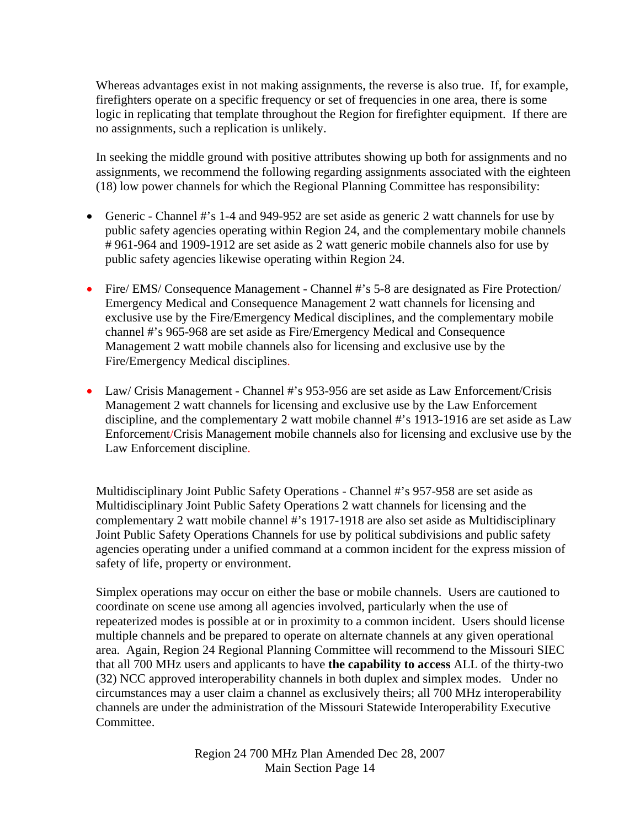Whereas advantages exist in not making assignments, the reverse is also true. If, for example, firefighters operate on a specific frequency or set of frequencies in one area, there is some logic in replicating that template throughout the Region for firefighter equipment. If there are no assignments, such a replication is unlikely.

In seeking the middle ground with positive attributes showing up both for assignments and no assignments, we recommend the following regarding assignments associated with the eighteen (18) low power channels for which the Regional Planning Committee has responsibility:

- Generic Channel #'s 1-4 and 949-952 are set aside as generic 2 watt channels for use by public safety agencies operating within Region 24, and the complementary mobile channels # 961-964 and 1909-1912 are set aside as 2 watt generic mobile channels also for use by public safety agencies likewise operating within Region 24.
- Fire/ EMS/ Consequence Management Channel #'s 5-8 are designated as Fire Protection/ Emergency Medical and Consequence Management 2 watt channels for licensing and exclusive use by the Fire/Emergency Medical disciplines, and the complementary mobile channel #'s 965-968 are set aside as Fire/Emergency Medical and Consequence Management 2 watt mobile channels also for licensing and exclusive use by the Fire/Emergency Medical disciplines.
- Law/ Crisis Management Channel #'s 953-956 are set aside as Law Enforcement/Crisis Management 2 watt channels for licensing and exclusive use by the Law Enforcement discipline, and the complementary 2 watt mobile channel #'s 1913-1916 are set aside as Law Enforcement/Crisis Management mobile channels also for licensing and exclusive use by the Law Enforcement discipline.

Multidisciplinary Joint Public Safety Operations - Channel #'s 957-958 are set aside as Multidisciplinary Joint Public Safety Operations 2 watt channels for licensing and the complementary 2 watt mobile channel #'s 1917-1918 are also set aside as Multidisciplinary Joint Public Safety Operations Channels for use by political subdivisions and public safety agencies operating under a unified command at a common incident for the express mission of safety of life, property or environment.

Simplex operations may occur on either the base or mobile channels. Users are cautioned to coordinate on scene use among all agencies involved, particularly when the use of repeaterized modes is possible at or in proximity to a common incident. Users should license multiple channels and be prepared to operate on alternate channels at any given operational area. Again, Region 24 Regional Planning Committee will recommend to the Missouri SIEC that all 700 MHz users and applicants to have **the capability to access** ALL of the thirty-two (32) NCC approved interoperability channels in both duplex and simplex modes. Under no circumstances may a user claim a channel as exclusively theirs; all 700 MHz interoperability channels are under the administration of the Missouri Statewide Interoperability Executive Committee.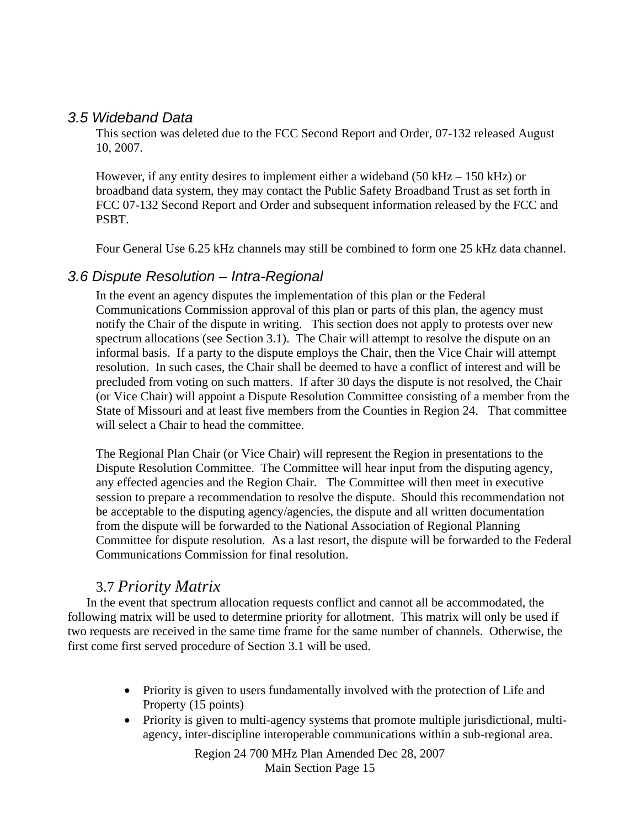#### *3.5 Wideband Data*

This section was deleted due to the FCC Second Report and Order, 07-132 released August 10, 2007.

However, if any entity desires to implement either a wideband  $(50 \text{ kHz} - 150 \text{ kHz})$  or broadband data system, they may contact the Public Safety Broadband Trust as set forth in FCC 07-132 Second Report and Order and subsequent information released by the FCC and PSBT.

Four General Use 6.25 kHz channels may still be combined to form one 25 kHz data channel.

#### *3.6 Dispute Resolution – Intra-Regional*

In the event an agency disputes the implementation of this plan or the Federal Communications Commission approval of this plan or parts of this plan, the agency must notify the Chair of the dispute in writing. This section does not apply to protests over new spectrum allocations (see Section 3.1). The Chair will attempt to resolve the dispute on an informal basis. If a party to the dispute employs the Chair, then the Vice Chair will attempt resolution. In such cases, the Chair shall be deemed to have a conflict of interest and will be precluded from voting on such matters. If after 30 days the dispute is not resolved, the Chair (or Vice Chair) will appoint a Dispute Resolution Committee consisting of a member from the State of Missouri and at least five members from the Counties in Region 24. That committee will select a Chair to head the committee.

The Regional Plan Chair (or Vice Chair) will represent the Region in presentations to the Dispute Resolution Committee. The Committee will hear input from the disputing agency, any effected agencies and the Region Chair. The Committee will then meet in executive session to prepare a recommendation to resolve the dispute. Should this recommendation not be acceptable to the disputing agency/agencies, the dispute and all written documentation from the dispute will be forwarded to the National Association of Regional Planning Committee for dispute resolution. As a last resort, the dispute will be forwarded to the Federal Communications Commission for final resolution.

### 3.7 *Priority Matrix*

In the event that spectrum allocation requests conflict and cannot all be accommodated, the following matrix will be used to determine priority for allotment. This matrix will only be used if two requests are received in the same time frame for the same number of channels. Otherwise, the first come first served procedure of Section 3.1 will be used.

- Priority is given to users fundamentally involved with the protection of Life and Property (15 points)
- Priority is given to multi-agency systems that promote multiple jurisdictional, multiagency, inter-discipline interoperable communications within a sub-regional area.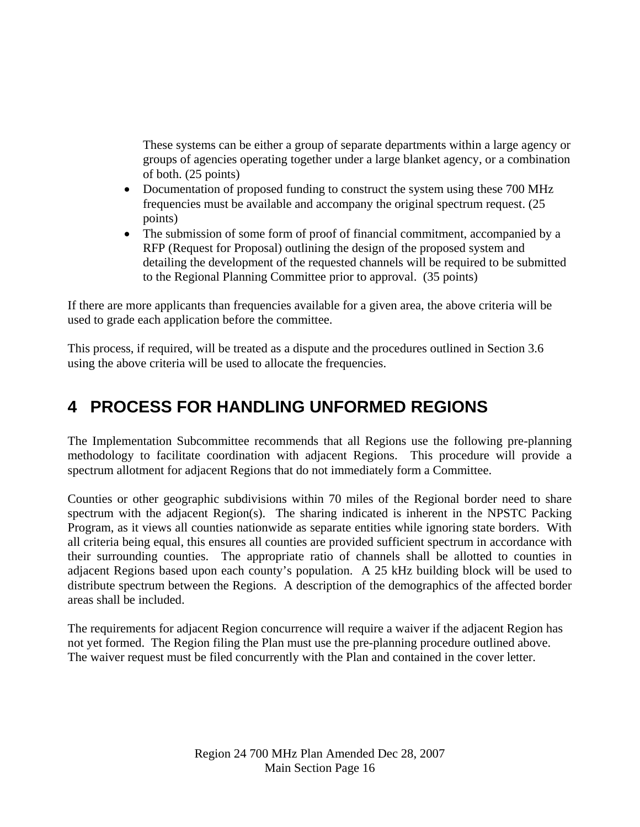These systems can be either a group of separate departments within a large agency or groups of agencies operating together under a large blanket agency, or a combination of both. (25 points)

- Documentation of proposed funding to construct the system using these 700 MHz frequencies must be available and accompany the original spectrum request. (25 points)
- The submission of some form of proof of financial commitment, accompanied by a RFP (Request for Proposal) outlining the design of the proposed system and detailing the development of the requested channels will be required to be submitted to the Regional Planning Committee prior to approval. (35 points)

If there are more applicants than frequencies available for a given area, the above criteria will be used to grade each application before the committee.

This process, if required, will be treated as a dispute and the procedures outlined in Section 3.6 using the above criteria will be used to allocate the frequencies.

# **4 PROCESS FOR HANDLING UNFORMED REGIONS**

The Implementation Subcommittee recommends that all Regions use the following pre-planning methodology to facilitate coordination with adjacent Regions. This procedure will provide a spectrum allotment for adjacent Regions that do not immediately form a Committee.

Counties or other geographic subdivisions within 70 miles of the Regional border need to share spectrum with the adjacent Region(s). The sharing indicated is inherent in the NPSTC Packing Program, as it views all counties nationwide as separate entities while ignoring state borders. With all criteria being equal, this ensures all counties are provided sufficient spectrum in accordance with their surrounding counties. The appropriate ratio of channels shall be allotted to counties in adjacent Regions based upon each county's population. A 25 kHz building block will be used to distribute spectrum between the Regions. A description of the demographics of the affected border areas shall be included.

The requirements for adjacent Region concurrence will require a waiver if the adjacent Region has not yet formed. The Region filing the Plan must use the pre-planning procedure outlined above. The waiver request must be filed concurrently with the Plan and contained in the cover letter.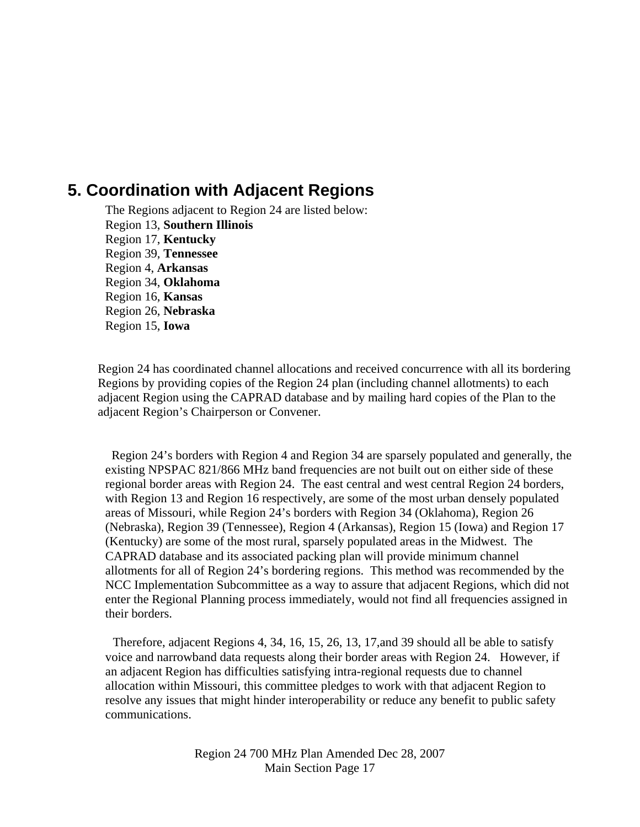### **5. Coordination with Adjacent Regions**

The Regions adjacent to Region 24 are listed below: Region 13, **Southern Illinois** Region 17, **Kentucky** Region 39, **Tennessee**  Region 4, **Arkansas** Region 34, **Oklahoma** Region 16, **Kansas** Region 26, **Nebraska** Region 15, **Iowa** 

Region 24 has coordinated channel allocations and received concurrence with all its bordering Regions by providing copies of the Region 24 plan (including channel allotments) to each adjacent Region using the CAPRAD database and by mailing hard copies of the Plan to the adjacent Region's Chairperson or Convener.

 Region 24's borders with Region 4 and Region 34 are sparsely populated and generally, the existing NPSPAC 821/866 MHz band frequencies are not built out on either side of these regional border areas with Region 24. The east central and west central Region 24 borders, with Region 13 and Region 16 respectively, are some of the most urban densely populated areas of Missouri, while Region 24's borders with Region 34 (Oklahoma), Region 26 (Nebraska), Region 39 (Tennessee), Region 4 (Arkansas), Region 15 (Iowa) and Region 17 (Kentucky) are some of the most rural, sparsely populated areas in the Midwest. The CAPRAD database and its associated packing plan will provide minimum channel allotments for all of Region 24's bordering regions. This method was recommended by the NCC Implementation Subcommittee as a way to assure that adjacent Regions, which did not enter the Regional Planning process immediately, would not find all frequencies assigned in their borders.

 Therefore, adjacent Regions 4, 34, 16, 15, 26, 13, 17,and 39 should all be able to satisfy voice and narrowband data requests along their border areas with Region 24. However, if an adjacent Region has difficulties satisfying intra-regional requests due to channel allocation within Missouri, this committee pledges to work with that adjacent Region to resolve any issues that might hinder interoperability or reduce any benefit to public safety communications.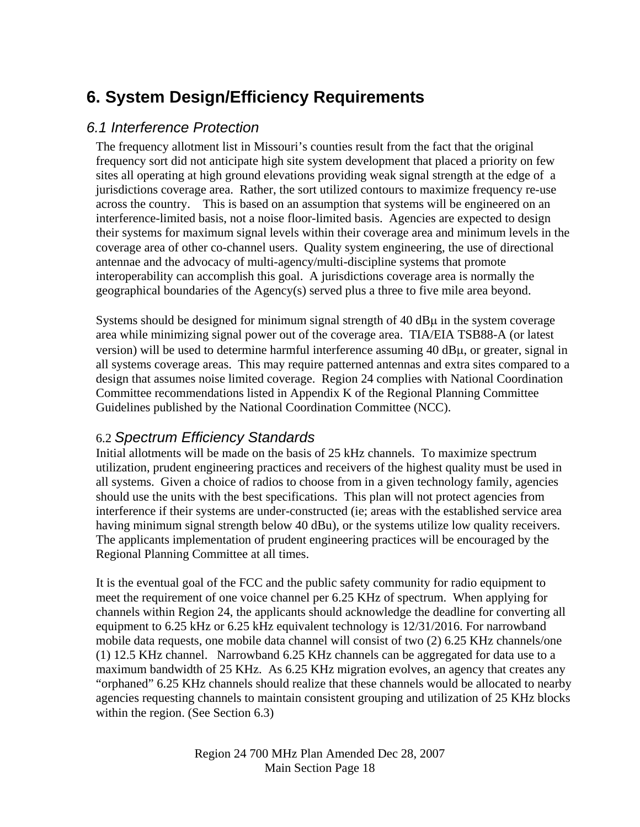# **6. System Design/Efficiency Requirements**

### *6.1 Interference Protection*

The frequency allotment list in Missouri's counties result from the fact that the original frequency sort did not anticipate high site system development that placed a priority on few sites all operating at high ground elevations providing weak signal strength at the edge of a jurisdictions coverage area. Rather, the sort utilized contours to maximize frequency re-use across the country. This is based on an assumption that systems will be engineered on an interference-limited basis, not a noise floor-limited basis. Agencies are expected to design their systems for maximum signal levels within their coverage area and minimum levels in the coverage area of other co-channel users. Quality system engineering, the use of directional antennae and the advocacy of multi-agency/multi-discipline systems that promote interoperability can accomplish this goal. A jurisdictions coverage area is normally the geographical boundaries of the Agency(s) served plus a three to five mile area beyond.

Systems should be designed for minimum signal strength of  $40 \text{ dB} \mu$  in the system coverage area while minimizing signal power out of the coverage area. TIA/EIA TSB88-A (or latest version) will be used to determine harmful interference assuming  $40 \text{ dB}\mu$ , or greater, signal in all systems coverage areas. This may require patterned antennas and extra sites compared to a design that assumes noise limited coverage. Region 24 complies with National Coordination Committee recommendations listed in Appendix K of the Regional Planning Committee Guidelines published by the National Coordination Committee (NCC).

### 6.2 *Spectrum Efficiency Standards*

Initial allotments will be made on the basis of 25 kHz channels. To maximize spectrum utilization, prudent engineering practices and receivers of the highest quality must be used in all systems. Given a choice of radios to choose from in a given technology family, agencies should use the units with the best specifications. This plan will not protect agencies from interference if their systems are under-constructed (ie; areas with the established service area having minimum signal strength below 40 dBu), or the systems utilize low quality receivers. The applicants implementation of prudent engineering practices will be encouraged by the Regional Planning Committee at all times.

It is the eventual goal of the FCC and the public safety community for radio equipment to meet the requirement of one voice channel per 6.25 KHz of spectrum. When applying for channels within Region 24, the applicants should acknowledge the deadline for converting all equipment to 6.25 kHz or 6.25 kHz equivalent technology is 12/31/2016. For narrowband mobile data requests, one mobile data channel will consist of two (2) 6.25 KHz channels/one (1) 12.5 KHz channel. Narrowband 6.25 KHz channels can be aggregated for data use to a maximum bandwidth of 25 KHz. As 6.25 KHz migration evolves, an agency that creates any "orphaned" 6.25 KHz channels should realize that these channels would be allocated to nearby agencies requesting channels to maintain consistent grouping and utilization of 25 KHz blocks within the region. (See Section 6.3)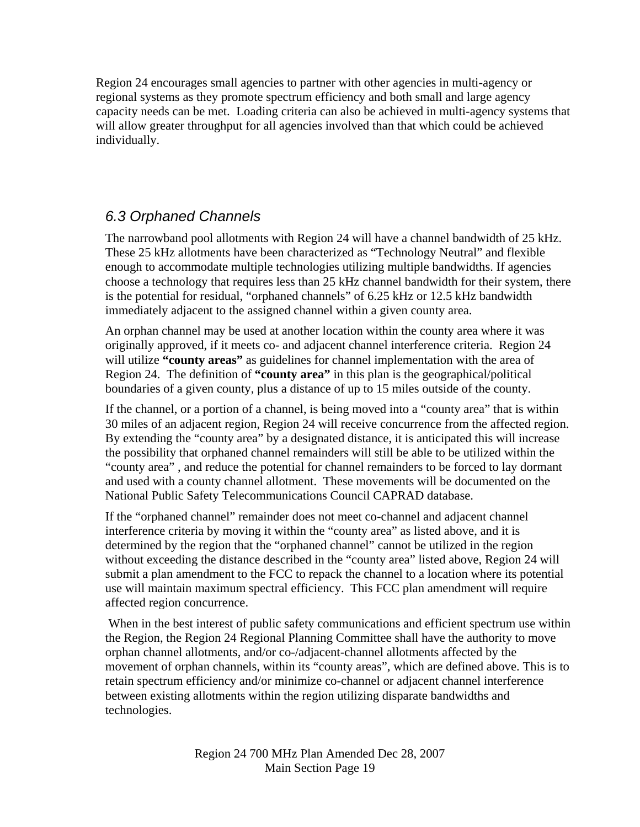Region 24 encourages small agencies to partner with other agencies in multi-agency or regional systems as they promote spectrum efficiency and both small and large agency capacity needs can be met. Loading criteria can also be achieved in multi-agency systems that will allow greater throughput for all agencies involved than that which could be achieved individually.

### *6.3 Orphaned Channels*

The narrowband pool allotments with Region 24 will have a channel bandwidth of 25 kHz. These 25 kHz allotments have been characterized as "Technology Neutral" and flexible enough to accommodate multiple technologies utilizing multiple bandwidths. If agencies choose a technology that requires less than 25 kHz channel bandwidth for their system, there is the potential for residual, "orphaned channels" of 6.25 kHz or 12.5 kHz bandwidth immediately adjacent to the assigned channel within a given county area.

An orphan channel may be used at another location within the county area where it was originally approved, if it meets co- and adjacent channel interference criteria. Region 24 will utilize **"county areas"** as guidelines for channel implementation with the area of Region 24. The definition of **"county area"** in this plan is the geographical/political boundaries of a given county, plus a distance of up to 15 miles outside of the county.

If the channel, or a portion of a channel, is being moved into a "county area" that is within 30 miles of an adjacent region, Region 24 will receive concurrence from the affected region. By extending the "county area" by a designated distance, it is anticipated this will increase the possibility that orphaned channel remainders will still be able to be utilized within the "county area" , and reduce the potential for channel remainders to be forced to lay dormant and used with a county channel allotment. These movements will be documented on the National Public Safety Telecommunications Council CAPRAD database.

If the "orphaned channel" remainder does not meet co-channel and adjacent channel interference criteria by moving it within the "county area" as listed above, and it is determined by the region that the "orphaned channel" cannot be utilized in the region without exceeding the distance described in the "county area" listed above, Region 24 will submit a plan amendment to the FCC to repack the channel to a location where its potential use will maintain maximum spectral efficiency. This FCC plan amendment will require affected region concurrence.

 When in the best interest of public safety communications and efficient spectrum use within the Region, the Region 24 Regional Planning Committee shall have the authority to move orphan channel allotments, and/or co-/adjacent-channel allotments affected by the movement of orphan channels, within its "county areas", which are defined above. This is to retain spectrum efficiency and/or minimize co-channel or adjacent channel interference between existing allotments within the region utilizing disparate bandwidths and technologies.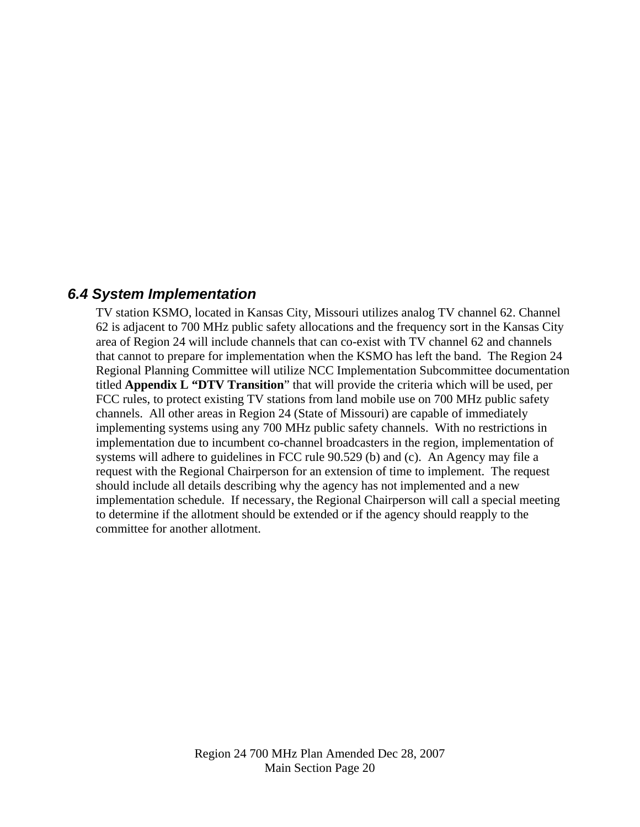#### *6.4 System Implementation*

TV station KSMO, located in Kansas City, Missouri utilizes analog TV channel 62. Channel 62 is adjacent to 700 MHz public safety allocations and the frequency sort in the Kansas City area of Region 24 will include channels that can co-exist with TV channel 62 and channels that cannot to prepare for implementation when the KSMO has left the band. The Region 24 Regional Planning Committee will utilize NCC Implementation Subcommittee documentation titled **Appendix L "DTV Transition**" that will provide the criteria which will be used, per FCC rules, to protect existing TV stations from land mobile use on 700 MHz public safety channels. All other areas in Region 24 (State of Missouri) are capable of immediately implementing systems using any 700 MHz public safety channels. With no restrictions in implementation due to incumbent co-channel broadcasters in the region, implementation of systems will adhere to guidelines in FCC rule 90.529 (b) and (c). An Agency may file a request with the Regional Chairperson for an extension of time to implement. The request should include all details describing why the agency has not implemented and a new implementation schedule. If necessary, the Regional Chairperson will call a special meeting to determine if the allotment should be extended or if the agency should reapply to the committee for another allotment.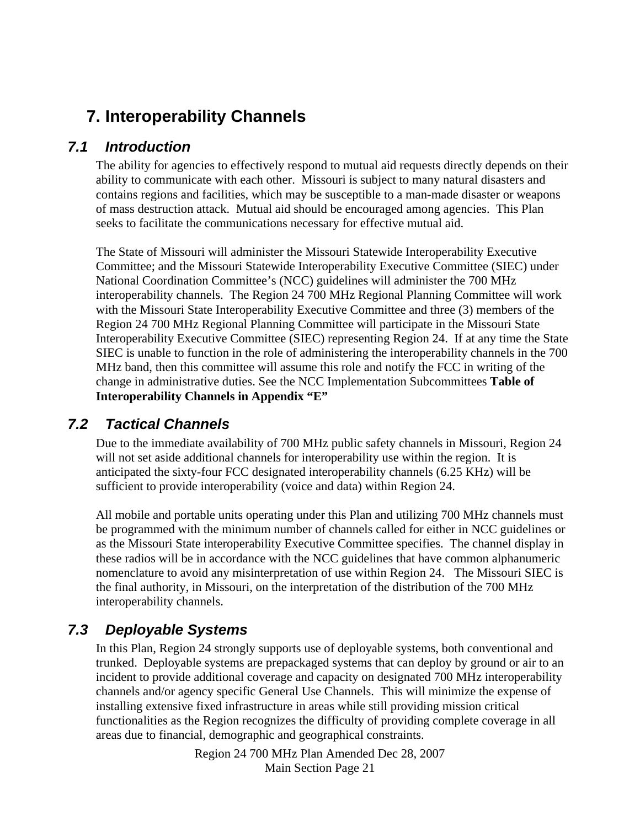# **7. Interoperability Channels**

### *7.1 Introduction*

The ability for agencies to effectively respond to mutual aid requests directly depends on their ability to communicate with each other. Missouri is subject to many natural disasters and contains regions and facilities, which may be susceptible to a man-made disaster or weapons of mass destruction attack. Mutual aid should be encouraged among agencies. This Plan seeks to facilitate the communications necessary for effective mutual aid.

The State of Missouri will administer the Missouri Statewide Interoperability Executive Committee; and the Missouri Statewide Interoperability Executive Committee (SIEC) under National Coordination Committee's (NCC) guidelines will administer the 700 MHz interoperability channels. The Region 24 700 MHz Regional Planning Committee will work with the Missouri State Interoperability Executive Committee and three (3) members of the Region 24 700 MHz Regional Planning Committee will participate in the Missouri State Interoperability Executive Committee (SIEC) representing Region 24. If at any time the State SIEC is unable to function in the role of administering the interoperability channels in the 700 MHz band, then this committee will assume this role and notify the FCC in writing of the change in administrative duties. See the NCC Implementation Subcommittees **Table of Interoperability Channels in Appendix "E"**

### *7.2 Tactical Channels*

Due to the immediate availability of 700 MHz public safety channels in Missouri, Region 24 will not set aside additional channels for interoperability use within the region. It is anticipated the sixty-four FCC designated interoperability channels (6.25 KHz) will be sufficient to provide interoperability (voice and data) within Region 24.

All mobile and portable units operating under this Plan and utilizing 700 MHz channels must be programmed with the minimum number of channels called for either in NCC guidelines or as the Missouri State interoperability Executive Committee specifies. The channel display in these radios will be in accordance with the NCC guidelines that have common alphanumeric nomenclature to avoid any misinterpretation of use within Region 24. The Missouri SIEC is the final authority, in Missouri, on the interpretation of the distribution of the 700 MHz interoperability channels.

### *7.3 Deployable Systems*

In this Plan, Region 24 strongly supports use of deployable systems, both conventional and trunked. Deployable systems are prepackaged systems that can deploy by ground or air to an incident to provide additional coverage and capacity on designated 700 MHz interoperability channels and/or agency specific General Use Channels. This will minimize the expense of installing extensive fixed infrastructure in areas while still providing mission critical functionalities as the Region recognizes the difficulty of providing complete coverage in all areas due to financial, demographic and geographical constraints.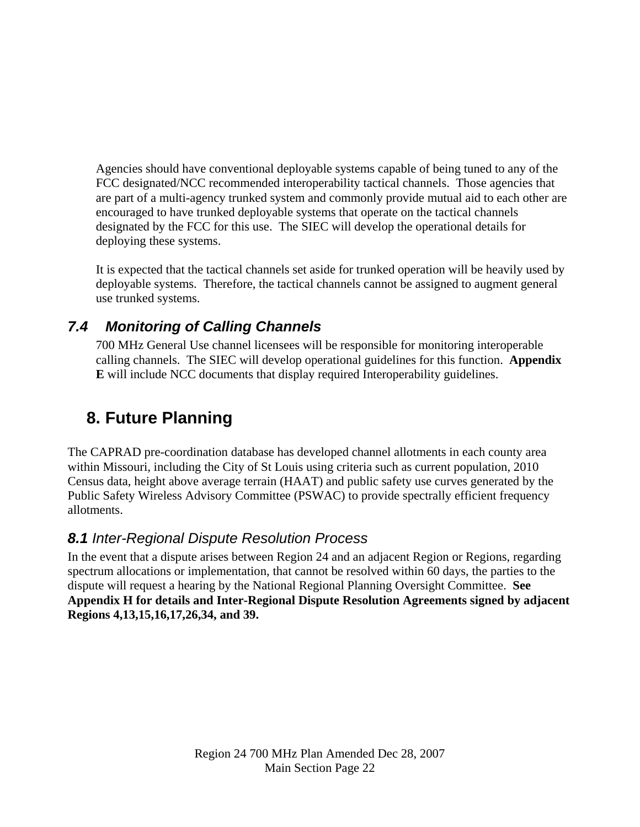Agencies should have conventional deployable systems capable of being tuned to any of the FCC designated/NCC recommended interoperability tactical channels. Those agencies that are part of a multi-agency trunked system and commonly provide mutual aid to each other are encouraged to have trunked deployable systems that operate on the tactical channels designated by the FCC for this use. The SIEC will develop the operational details for deploying these systems.

It is expected that the tactical channels set aside for trunked operation will be heavily used by deployable systems. Therefore, the tactical channels cannot be assigned to augment general use trunked systems.

### *7.4 Monitoring of Calling Channels*

700 MHz General Use channel licensees will be responsible for monitoring interoperable calling channels. The SIEC will develop operational guidelines for this function. **Appendix E** will include NCC documents that display required Interoperability guidelines.

# **8. Future Planning**

The CAPRAD pre-coordination database has developed channel allotments in each county area within Missouri, including the City of St Louis using criteria such as current population, 2010 Census data, height above average terrain (HAAT) and public safety use curves generated by the Public Safety Wireless Advisory Committee (PSWAC) to provide spectrally efficient frequency allotments.

### *8.1 Inter-Regional Dispute Resolution Process*

In the event that a dispute arises between Region 24 and an adjacent Region or Regions, regarding spectrum allocations or implementation, that cannot be resolved within 60 days, the parties to the dispute will request a hearing by the National Regional Planning Oversight Committee. **See Appendix H for details and Inter-Regional Dispute Resolution Agreements signed by adjacent Regions 4,13,15,16,17,26,34, and 39.**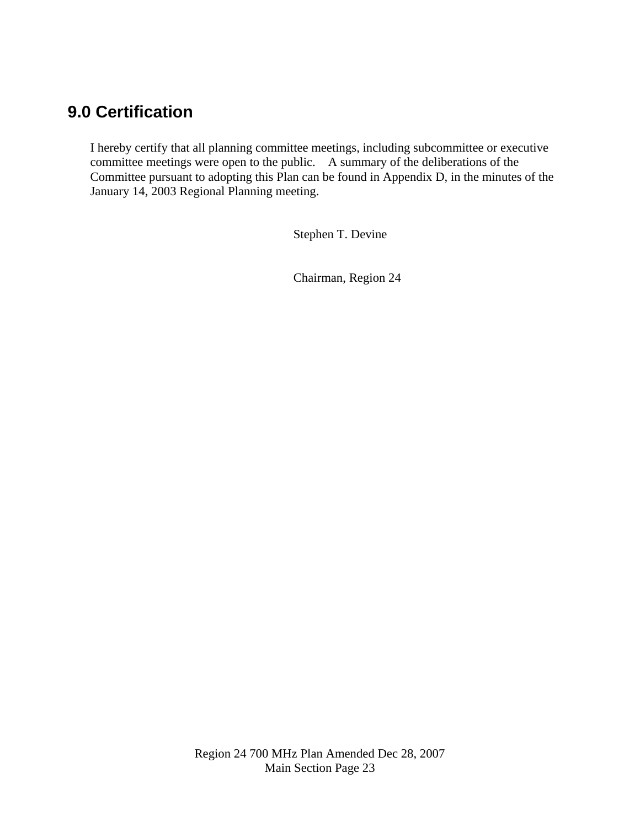## **9.0 Certification**

I hereby certify that all planning committee meetings, including subcommittee or executive committee meetings were open to the public. A summary of the deliberations of the Committee pursuant to adopting this Plan can be found in Appendix D, in the minutes of the January 14, 2003 Regional Planning meeting.

Stephen T. Devine

Chairman, Region 24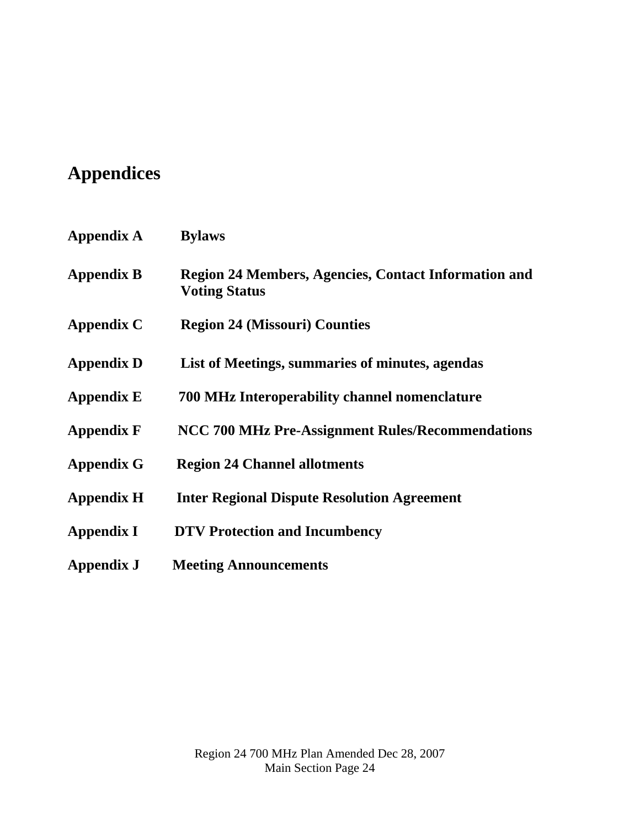# **Appendices**

| <b>Appendix A</b> | <b>Bylaws</b>                                                                       |
|-------------------|-------------------------------------------------------------------------------------|
| <b>Appendix B</b> | <b>Region 24 Members, Agencies, Contact Information and</b><br><b>Voting Status</b> |
| <b>Appendix C</b> | <b>Region 24 (Missouri) Counties</b>                                                |
| <b>Appendix D</b> | List of Meetings, summaries of minutes, agendas                                     |
| <b>Appendix E</b> | 700 MHz Interoperability channel nomenclature                                       |
| <b>Appendix F</b> | NCC 700 MHz Pre-Assignment Rules/Recommendations                                    |
| <b>Appendix G</b> | <b>Region 24 Channel allotments</b>                                                 |
| <b>Appendix H</b> | <b>Inter Regional Dispute Resolution Agreement</b>                                  |
| <b>Appendix I</b> | <b>DTV Protection and Incumbency</b>                                                |
| Appendix J        | <b>Meeting Announcements</b>                                                        |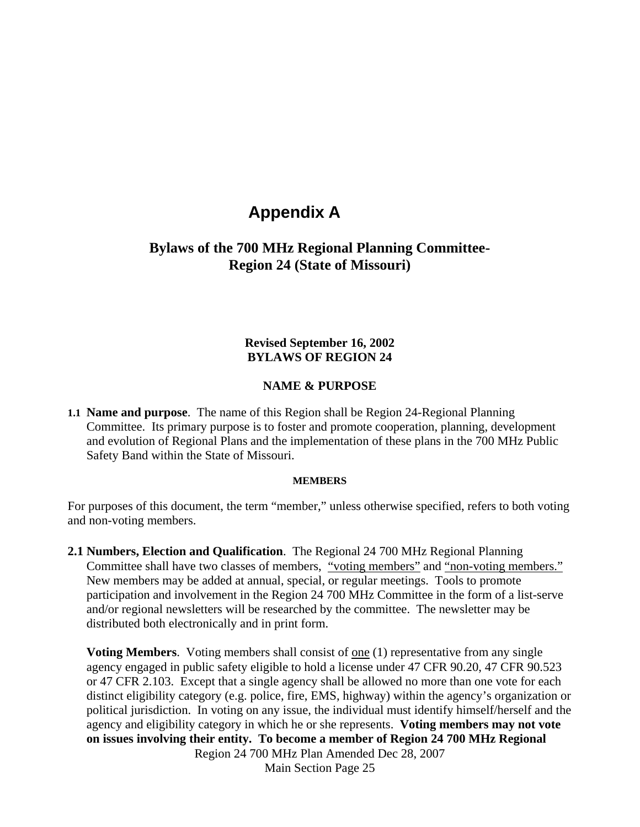### **Appendix A**

#### **Bylaws of the 700 MHz Regional Planning Committee-Region 24 (State of Missouri)**

#### **Revised September 16, 2002 BYLAWS OF REGION 24**

#### **NAME & PURPOSE**

**1.1 Name and purpose**. The name of this Region shall be Region 24-Regional Planning Committee. Its primary purpose is to foster and promote cooperation, planning, development and evolution of Regional Plans and the implementation of these plans in the 700 MHz Public Safety Band within the State of Missouri.

#### **MEMBERS**

For purposes of this document, the term "member," unless otherwise specified, refers to both voting and non-voting members.

**2.1 Numbers, Election and Qualification**. The Regional 24 700 MHz Regional Planning Committee shall have two classes of members, "voting members" and "non-voting members." New members may be added at annual, special, or regular meetings. Tools to promote participation and involvement in the Region 24 700 MHz Committee in the form of a list-serve and/or regional newsletters will be researched by the committee. The newsletter may be distributed both electronically and in print form.

Region 24 700 MHz Plan Amended Dec 28, 2007 **Voting Members.** Voting members shall consist of one (1) representative from any single agency engaged in public safety eligible to hold a license under 47 CFR 90.20, 47 CFR 90.523 or 47 CFR 2.103. Except that a single agency shall be allowed no more than one vote for each distinct eligibility category (e.g. police, fire, EMS, highway) within the agency's organization or political jurisdiction. In voting on any issue, the individual must identify himself/herself and the agency and eligibility category in which he or she represents. **Voting members may not vote on issues involving their entity. To become a member of Region 24 700 MHz Regional** 

Main Section Page 25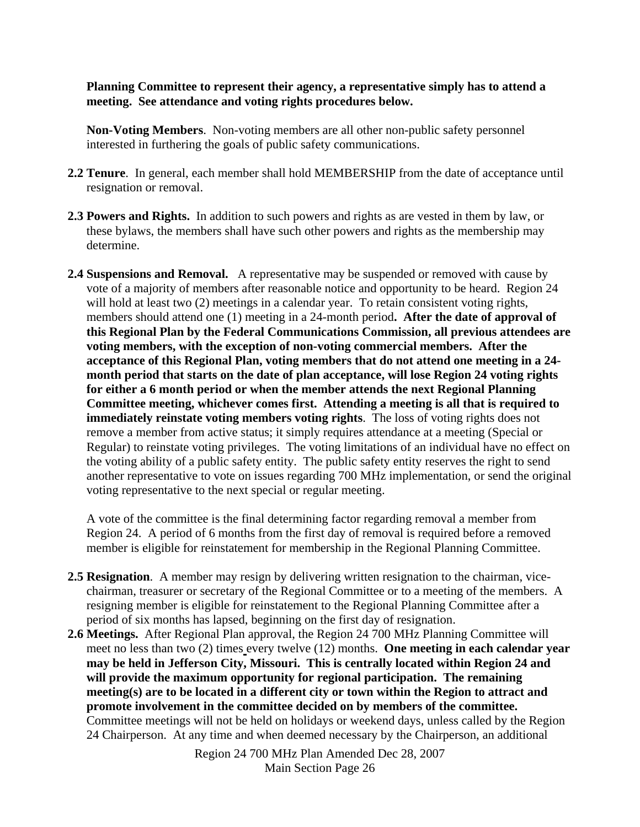**Planning Committee to represent their agency, a representative simply has to attend a meeting. See attendance and voting rights procedures below.** 

**Non-Voting Members**. Non-voting members are all other non-public safety personnel interested in furthering the goals of public safety communications.

- **2.2 Tenure**. In general, each member shall hold MEMBERSHIP from the date of acceptance until resignation or removal.
- **2.3 Powers and Rights.** In addition to such powers and rights as are vested in them by law, or these bylaws, the members shall have such other powers and rights as the membership may determine.
- **2.4 Suspensions and Removal.** A representative may be suspended or removed with cause by vote of a majority of members after reasonable notice and opportunity to be heard. Region 24 will hold at least two  $(2)$  meetings in a calendar year. To retain consistent voting rights, members should attend one (1) meeting in a 24-month period**. After the date of approval of this Regional Plan by the Federal Communications Commission, all previous attendees are voting members, with the exception of non-voting commercial members. After the acceptance of this Regional Plan, voting members that do not attend one meeting in a 24 month period that starts on the date of plan acceptance, will lose Region 24 voting rights for either a 6 month period or when the member attends the next Regional Planning Committee meeting, whichever comes first. Attending a meeting is all that is required to immediately reinstate voting members voting rights**. The loss of voting rights does not remove a member from active status; it simply requires attendance at a meeting (Special or Regular) to reinstate voting privileges. The voting limitations of an individual have no effect on the voting ability of a public safety entity. The public safety entity reserves the right to send another representative to vote on issues regarding 700 MHz implementation, or send the original voting representative to the next special or regular meeting.

 A vote of the committee is the final determining factor regarding removal a member from Region 24. A period of 6 months from the first day of removal is required before a removed member is eligible for reinstatement for membership in the Regional Planning Committee.

- **2.5 Resignation**. A member may resign by delivering written resignation to the chairman, vicechairman, treasurer or secretary of the Regional Committee or to a meeting of the members. A resigning member is eligible for reinstatement to the Regional Planning Committee after a period of six months has lapsed, beginning on the first day of resignation.
- **2.6 Meetings.** After Regional Plan approval, the Region 24 700 MHz Planning Committee will meet no less than two (2) times every twelve (12) months. **One meeting in each calendar year may be held in Jefferson City, Missouri. This is centrally located within Region 24 and will provide the maximum opportunity for regional participation. The remaining meeting(s) are to be located in a different city or town within the Region to attract and promote involvement in the committee decided on by members of the committee.**  Committee meetings will not be held on holidays or weekend days, unless called by the Region 24 Chairperson. At any time and when deemed necessary by the Chairperson, an additional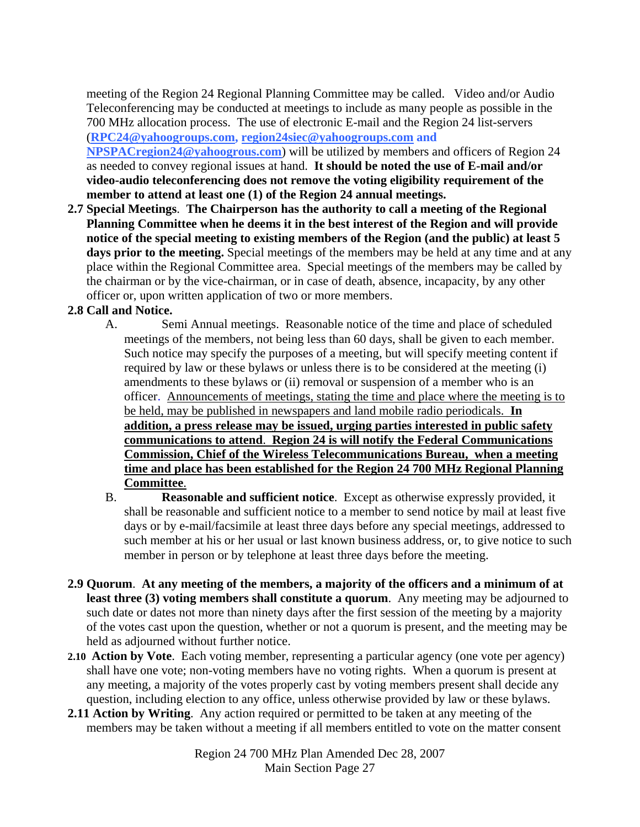meeting of the Region 24 Regional Planning Committee may be called. Video and/or Audio Teleconferencing may be conducted at meetings to include as many people as possible in the 700 MHz allocation process. The use of electronic E-mail and the Region 24 list-servers (**[RPC24@yahoogroups.com](mailto:RPC24@yahoogroups.com), region24siec@yahoogroups.com and** 

**NPSPACregion24@yahoogrous.com**) will be utilized by members and officers of Region 24 as needed to convey regional issues at hand. **It should be noted the use of E-mail and/or video-audio teleconferencing does not remove the voting eligibility requirement of the member to attend at least one (1) of the Region 24 annual meetings.** 

**2.7 Special Meetings**. **The Chairperson has the authority to call a meeting of the Regional Planning Committee when he deems it in the best interest of the Region and will provide notice of the special meeting to existing members of the Region (and the public) at least 5**  days prior to the meeting. Special meetings of the members may be held at any time and at any place within the Regional Committee area. Special meetings of the members may be called by the chairman or by the vice-chairman, or in case of death, absence, incapacity, by any other officer or, upon written application of two or more members.

#### **2.8 Call and Notice.**

- A. Semi Annual meetings. Reasonable notice of the time and place of scheduled meetings of the members, not being less than 60 days, shall be given to each member. Such notice may specify the purposes of a meeting, but will specify meeting content if required by law or these bylaws or unless there is to be considered at the meeting (i) amendments to these bylaws or (ii) removal or suspension of a member who is an officer. Announcements of meetings, stating the time and place where the meeting is to be held, may be published in newspapers and land mobile radio periodicals. **In addition, a press release may be issued, urging parties interested in public safety communications to attend**. **Region 24 is will notify the Federal Communications Commission, Chief of the Wireless Telecommunications Bureau, when a meeting time and place has been established for the Region 24 700 MHz Regional Planning Committee**.
- B. **Reasonable and sufficient notice**. Except as otherwise expressly provided, it shall be reasonable and sufficient notice to a member to send notice by mail at least five days or by e-mail/facsimile at least three days before any special meetings, addressed to such member at his or her usual or last known business address, or, to give notice to such member in person or by telephone at least three days before the meeting.
- **2.9 Quorum**. **At any meeting of the members, a majority of the officers and a minimum of at least three (3) voting members shall constitute a quorum**. Any meeting may be adjourned to such date or dates not more than ninety days after the first session of the meeting by a majority of the votes cast upon the question, whether or not a quorum is present, and the meeting may be held as adjourned without further notice.
- **2.10 Action by Vote**. Each voting member, representing a particular agency (one vote per agency) shall have one vote; non-voting members have no voting rights. When a quorum is present at any meeting, a majority of the votes properly cast by voting members present shall decide any question, including election to any office, unless otherwise provided by law or these bylaws.
- **2.11 Action by Writing**. Any action required or permitted to be taken at any meeting of the members may be taken without a meeting if all members entitled to vote on the matter consent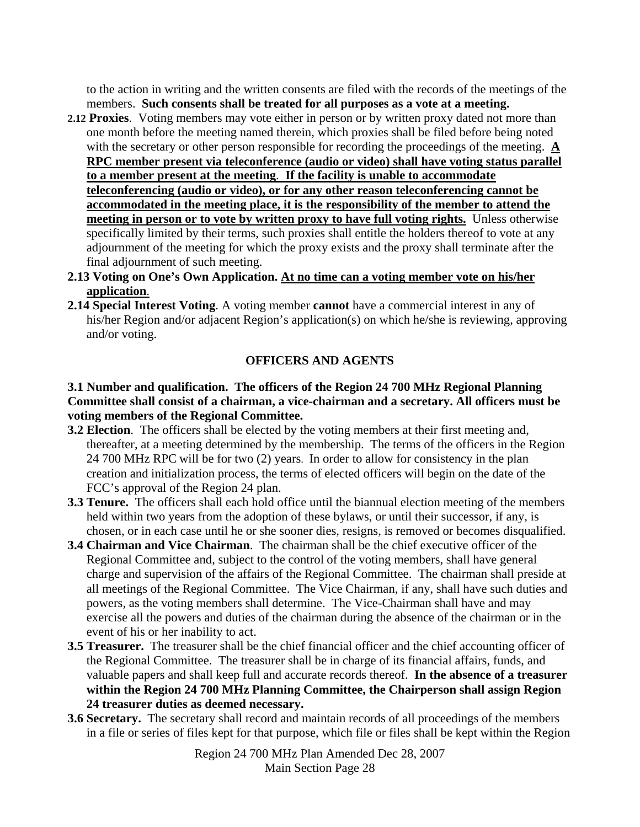to the action in writing and the written consents are filed with the records of the meetings of the members. **Such consents shall be treated for all purposes as a vote at a meeting.** 

- **2.12 Proxies**. Voting members may vote either in person or by written proxy dated not more than one month before the meeting named therein, which proxies shall be filed before being noted with the secretary or other person responsible for recording the proceedings of the meeting. **A RPC member present via teleconference (audio or video) shall have voting status parallel to a member present at the meeting**. **If the facility is unable to accommodate teleconferencing (audio or video), or for any other reason teleconferencing cannot be accommodated in the meeting place, it is the responsibility of the member to attend the meeting in person or to vote by written proxy to have full voting rights.** Unless otherwise specifically limited by their terms, such proxies shall entitle the holders thereof to vote at any adjournment of the meeting for which the proxy exists and the proxy shall terminate after the final adjournment of such meeting.
- **2.13 Voting on One's Own Application. At no time can a voting member vote on his/her application**.
- **2.14 Special Interest Voting**. A voting member **cannot** have a commercial interest in any of his/her Region and/or adjacent Region's application(s) on which he/she is reviewing, approving and/or voting.

#### **OFFICERS AND AGENTS**

#### **3.1 Number and qualification. The officers of the Region 24 700 MHz Regional Planning Committee shall consist of a chairman, a vice-chairman and a secretary. All officers must be voting members of the Regional Committee.**

- **3.2 Election**. The officers shall be elected by the voting members at their first meeting and, thereafter, at a meeting determined by the membership. The terms of the officers in the Region 24 700 MHz RPC will be for two (2) years. In order to allow for consistency in the plan creation and initialization process, the terms of elected officers will begin on the date of the FCC's approval of the Region 24 plan.
- **3.3 Tenure.** The officers shall each hold office until the biannual election meeting of the members held within two years from the adoption of these bylaws, or until their successor, if any, is chosen, or in each case until he or she sooner dies, resigns, is removed or becomes disqualified.
- **3.4 Chairman and Vice Chairman**. The chairman shall be the chief executive officer of the Regional Committee and, subject to the control of the voting members, shall have general charge and supervision of the affairs of the Regional Committee. The chairman shall preside at all meetings of the Regional Committee. The Vice Chairman, if any, shall have such duties and powers, as the voting members shall determine. The Vice-Chairman shall have and may exercise all the powers and duties of the chairman during the absence of the chairman or in the event of his or her inability to act.
- **3.5 Treasurer.** The treasurer shall be the chief financial officer and the chief accounting officer of the Regional Committee. The treasurer shall be in charge of its financial affairs, funds, and valuable papers and shall keep full and accurate records thereof. **In the absence of a treasurer within the Region 24 700 MHz Planning Committee, the Chairperson shall assign Region 24 treasurer duties as deemed necessary.**
- **3.6 Secretary.** The secretary shall record and maintain records of all proceedings of the members in a file or series of files kept for that purpose, which file or files shall be kept within the Region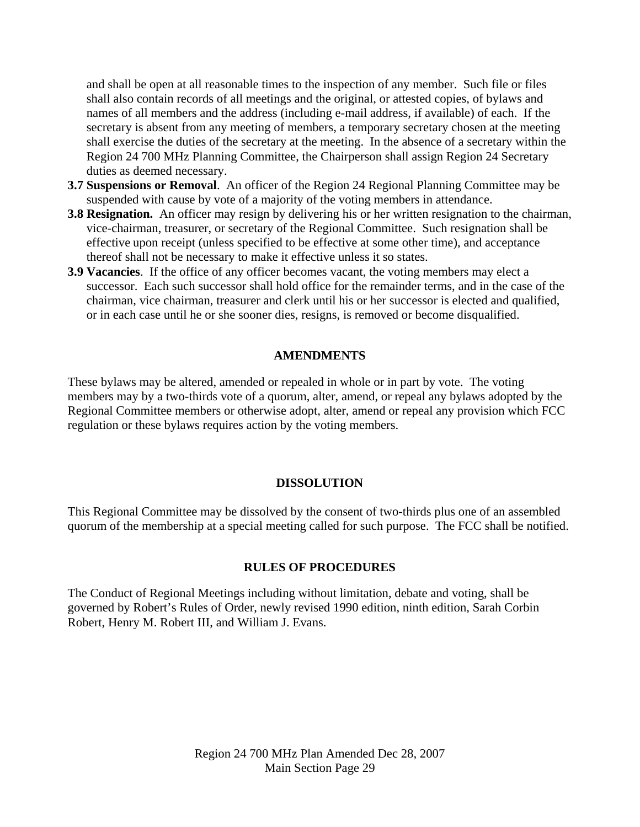and shall be open at all reasonable times to the inspection of any member. Such file or files shall also contain records of all meetings and the original, or attested copies, of bylaws and names of all members and the address (including e-mail address, if available) of each. If the secretary is absent from any meeting of members, a temporary secretary chosen at the meeting shall exercise the duties of the secretary at the meeting. In the absence of a secretary within the Region 24 700 MHz Planning Committee, the Chairperson shall assign Region 24 Secretary duties as deemed necessary.

- **3.7 Suspensions or Removal**. An officer of the Region 24 Regional Planning Committee may be suspended with cause by vote of a majority of the voting members in attendance.
- **3.8 Resignation.** An officer may resign by delivering his or her written resignation to the chairman, vice-chairman, treasurer, or secretary of the Regional Committee. Such resignation shall be effective upon receipt (unless specified to be effective at some other time), and acceptance thereof shall not be necessary to make it effective unless it so states.
- **3.9 Vacancies**. If the office of any officer becomes vacant, the voting members may elect a successor. Each such successor shall hold office for the remainder terms, and in the case of the chairman, vice chairman, treasurer and clerk until his or her successor is elected and qualified, or in each case until he or she sooner dies, resigns, is removed or become disqualified.

#### **AMENDMENTS**

These bylaws may be altered, amended or repealed in whole or in part by vote. The voting members may by a two-thirds vote of a quorum, alter, amend, or repeal any bylaws adopted by the Regional Committee members or otherwise adopt, alter, amend or repeal any provision which FCC regulation or these bylaws requires action by the voting members.

#### **DISSOLUTION**

This Regional Committee may be dissolved by the consent of two-thirds plus one of an assembled quorum of the membership at a special meeting called for such purpose. The FCC shall be notified.

#### **RULES OF PROCEDURES**

The Conduct of Regional Meetings including without limitation, debate and voting, shall be governed by Robert's Rules of Order, newly revised 1990 edition, ninth edition, Sarah Corbin Robert, Henry M. Robert III, and William J. Evans.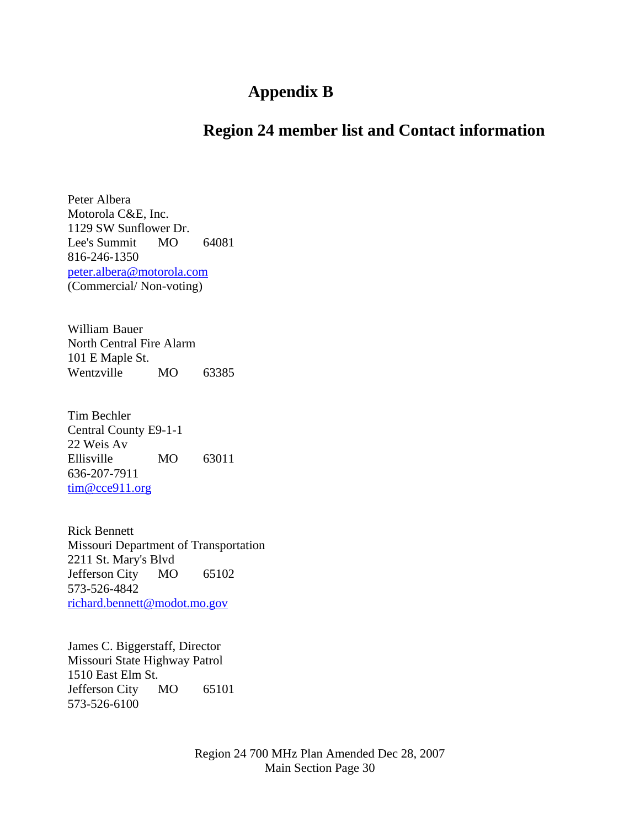## **Appendix B**

## **Region 24 member list and Contact information**

Peter Albera Motorola C&E, Inc. 1129 SW Sunflower Dr. Lee's Summit MO 64081 816-246-1350 [peter.albera@motorola.com](mailto:peter.albera@motorola.com) (Commercial/ Non-voting)

William Bauer North Central Fire Alarm 101 E Maple St. Wentzville MO 63385

Tim Bechler Central County E9-1-1 22 Weis Av Ellisville MO 63011 636-207-7911 [tim@cce911.org](mailto:tim@cce911.org)

Rick Bennett Missouri Department of Transportation 2211 St. Mary's Blvd Jefferson City MO 65102 573-526-4842 [richard.bennett@modot.mo.gov](mailto:richard.bennett@modot.mo.gov)

James C. Biggerstaff, Director Missouri State Highway Patrol 1510 East Elm St. Jefferson City MO 65101 573-526-6100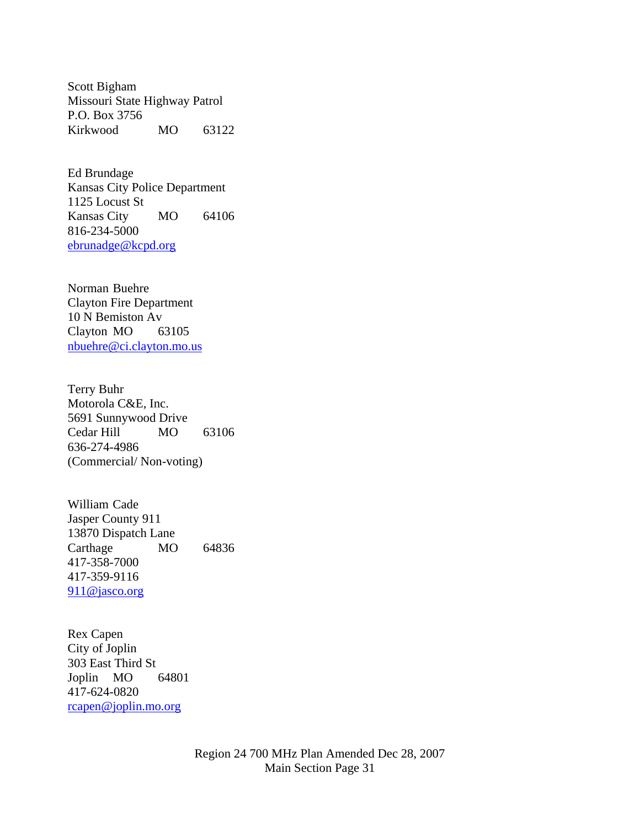Scott Bigham Missouri State Highway Patrol P.O. Box 3756 Kirkwood MO 63122

Ed Brundage Kansas City Police Department 1125 Locust St Kansas City MO 64106 816-234-5000 [ebrunadge@kcpd.org](mailto:ebrunadge@kcpd.org)

Norman Buehre Clayton Fire Department 10 N Bemiston Av Clayton MO 63105 [nbuehre@ci.clayton.mo.us](mailto:nbuehre@ci.clayton.mo.us)

Terry Buhr Motorola C&E, Inc. 5691 Sunnywood Drive Cedar Hill MO 63106 636-274-4986 (Commercial/ Non-voting)

William Cade Jasper County 911 13870 Dispatch Lane Carthage MO 64836 417-358-7000 417-359-9116 [911@jasco.org](mailto:911@jasco.org)

Rex Capen City of Joplin 303 East Third St Joplin MO 64801 417-624-0820 [rcapen@joplin.mo.org](mailto:rcapen@joplin.mo.org)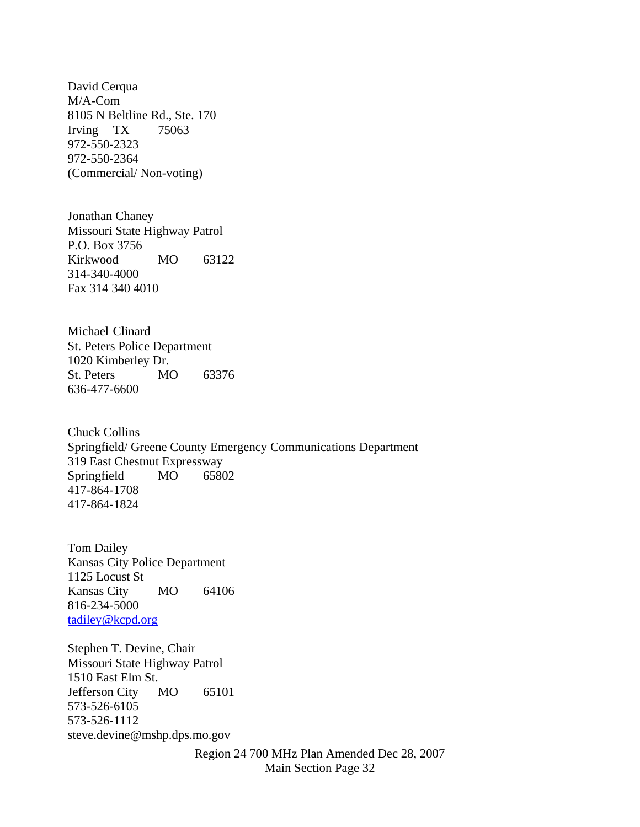David Cerqua M/A-Com 8105 N Beltline Rd., Ste. 170 Irving TX 75063 972-550-2323 972-550-2364 (Commercial/ Non-voting)

Jonathan Chaney Missouri State Highway Patrol P.O. Box 3756 Kirkwood MO 63122 314-340-4000 Fax 314 340 4010

Michael Clinard St. Peters Police Department 1020 Kimberley Dr. St. Peters MO 63376 636-477-6600

Chuck Collins Springfield/ Greene County Emergency Communications Department 319 East Chestnut Expressway Springfield MO 65802 417-864-1708 417-864-1824

Tom Dailey Kansas City Police Department 1125 Locust St Kansas City MO 64106 816-234-5000 [tadiley@kcpd.org](mailto:tadiley@kcpd.org)

Stephen T. Devine, Chair Missouri State Highway Patrol 1510 East Elm St. Jefferson City MO 65101 573-526-6105 573-526-1112 steve.devine@mshp.dps.mo.gov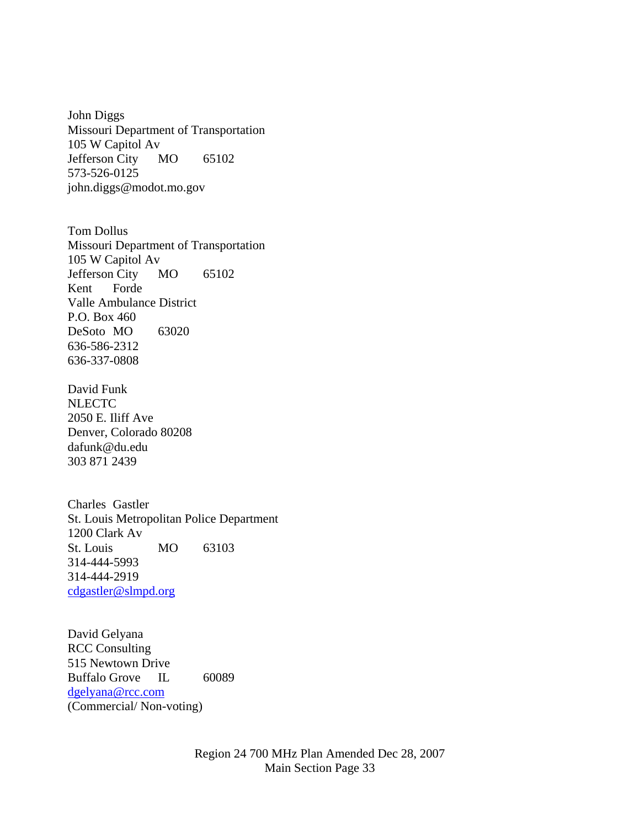John Diggs Missouri Department of Transportation 105 W Capitol Av Jefferson City MO 65102 573-526-0125 john.diggs@modot.mo.gov

Tom Dollus Missouri Department of Transportation 105 W Capitol Av Jefferson City MO 65102 Kent Forde Valle Ambulance District P.O. Box 460 DeSoto MO 63020 636-586-2312 636-337-0808

David Funk **NLECTC** 2050 E. Iliff Ave Denver, Colorado 80208 dafunk@du.edu 303 871 2439

Charles Gastler St. Louis Metropolitan Police Department 1200 Clark Av St. Louis MO 63103 314-444-5993 314-444-2919 [cdgastler@slmpd.org](mailto:cdgastler@slmpd.org)

David Gelyana RCC Consulting 515 Newtown Drive Buffalo Grove IL 60089 [dgelyana@rcc.com](mailto:dgelyana@rcc.com) (Commercial/ Non-voting)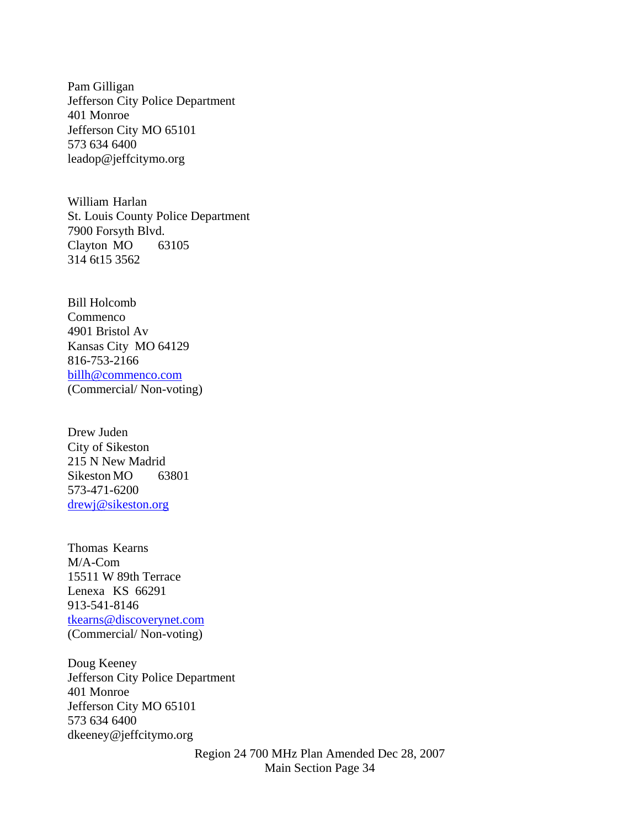Pam Gilligan Jefferson City Police Department 401 Monroe Jefferson City MO 65101 573 634 6400 leadop@jeffcitymo.org

William Harlan St. Louis County Police Department 7900 Forsyth Blvd. Clayton MO 63105 314 6t15 3562

Bill Holcomb Commenco 4901 Bristol Av Kansas City MO 64129 816-753-2166 [billh@commenco.com](mailto:billh@commenco.com) (Commercial/ Non-voting)

Drew Juden City of Sikeston 215 N New Madrid Sikeston MO 63801 573-471-6200 [drewj@sikeston.org](mailto:drewj@sikeston.org)

Thomas Kearns M/A-Com 15511 W 89th Terrace Lenexa KS 66291 913-541-8146 [tkearns@discoverynet.com](mailto:tkearns@discoverynet.com) (Commercial/ Non-voting)

Doug Keeney Jefferson City Police Department 401 Monroe Jefferson City MO 65101 573 634 6400 dkeeney@jeffcitymo.org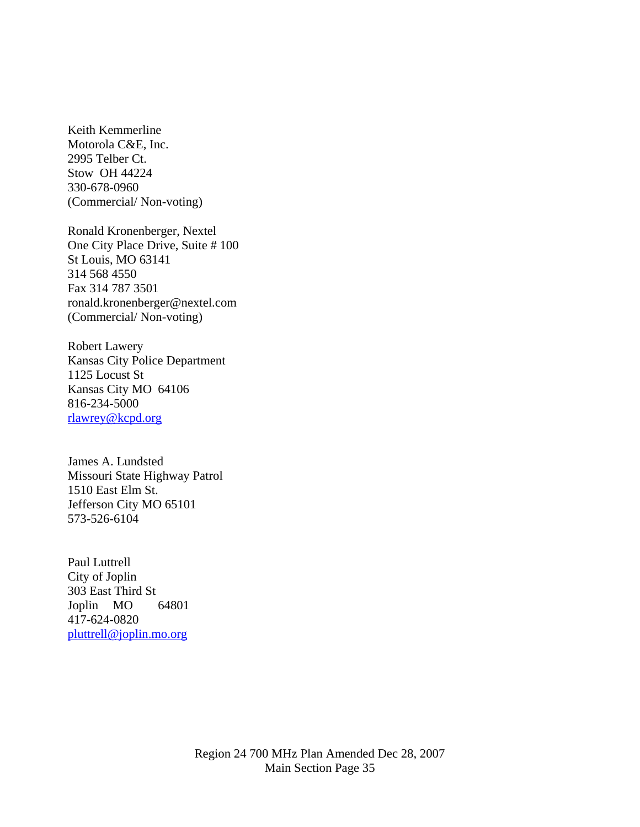Keith Kemmerline Motorola C&E, Inc. 2995 Telber Ct. Stow OH 44224 330-678-0960 (Commercial/ Non-voting)

Ronald Kronenberger, Nextel One City Place Drive, Suite # 100 St Louis, MO 63141 314 568 4550 Fax 314 787 3501 ronald.kronenberger@nextel.com (Commercial/ Non-voting)

Robert Lawery Kansas City Police Department 1125 Locust St Kansas City MO 64106 816-234-5000 [rlawrey@kcpd.org](mailto:rlawrey@kcpd.org)

James A. Lundsted Missouri State Highway Patrol 1510 East Elm St. Jefferson City MO 65101 573-526-6104

Paul Luttrell City of Joplin 303 East Third St Joplin MO 64801 417-624-0820 [pluttrell@joplin.mo.org](mailto:pluttrell@joplin.mo.org)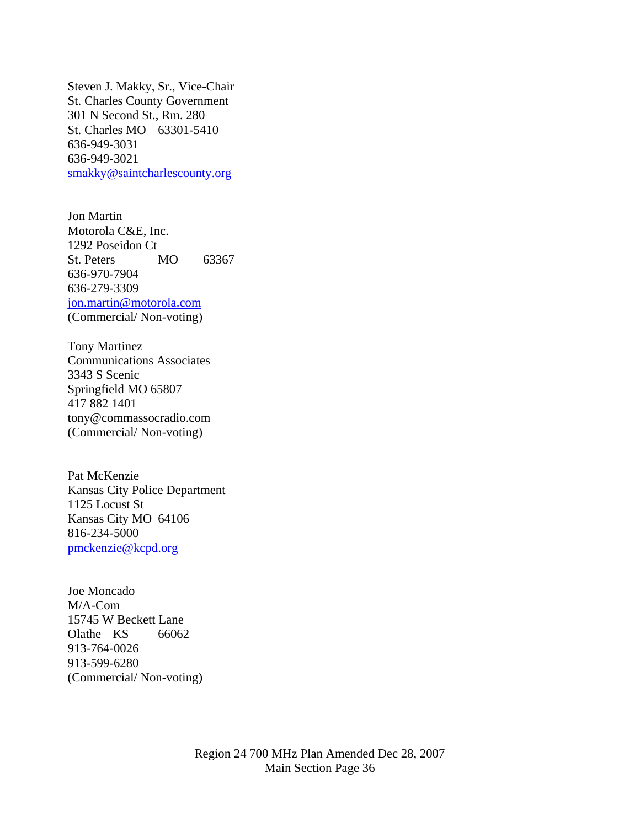Steven J. Makky, Sr., Vice-Chair St. Charles County Government 301 N Second St., Rm. 280 St. Charles MO 63301-5410 636-949-3031 636-949-3021 [smakky@saintcharlescounty.org](mailto:smakky@saintcharlescounty.org)

Jon Martin Motorola C&E, Inc. 1292 Poseidon Ct St. Peters MO 63367 636-970-7904 636-279-3309 [jon.martin@motorola.com](mailto:jon.martin@motorola.com) (Commercial/ Non-voting)

Tony Martinez Communications Associates 3343 S Scenic Springfield MO 65807 417 882 1401 tony@commassocradio.com (Commercial/ Non-voting)

Pat McKenzie Kansas City Police Department 1125 Locust St Kansas City MO 64106 816-234-5000 [pmckenzie@kcpd.org](mailto:pmckenzie@kcpd.org)

Joe Moncado M/A-Com 15745 W Beckett Lane Olathe KS 66062 913-764-0026 913-599-6280 (Commercial/ Non-voting)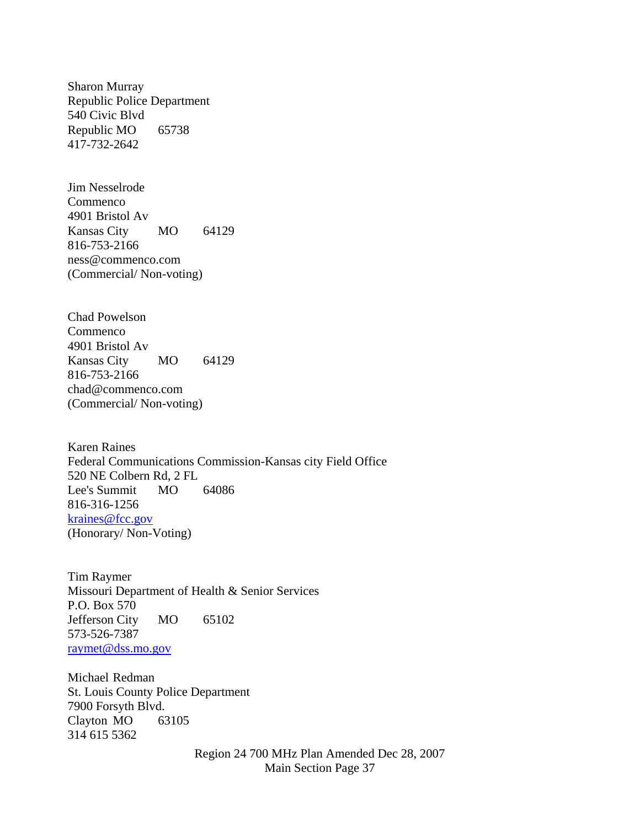Sharon Murray Republic Police Department 540 Civic Blvd Republic MO 65738 417-732-2642

Jim Nesselrode Commenco 4901 Bristol Av Kansas City MO 64129 816-753-2166 ness@commenco.com (Commercial/ Non-voting)

Chad Powelson Commenco 4901 Bristol Av Kansas City MO 64129 816-753-2166 chad@commenco.com (Commercial/ Non-voting)

Karen Raines Federal Communications Commission-Kansas city Field Office 520 NE Colbern Rd, 2 FL Lee's Summit MO 64086 816-316-1256 [kraines@fcc.gov](mailto:kraines@fcc.gov) (Honorary/ Non-Voting)

Tim Raymer Missouri Department of Health & Senior Services P.O. Box 570 Jefferson City MO 65102 573-526-7387 [raymet@dss.mo.gov](mailto:raymet@dss.mo.gov)

Michael Redman St. Louis County Police Department 7900 Forsyth Blvd. Clayton MO 63105 314 615 5362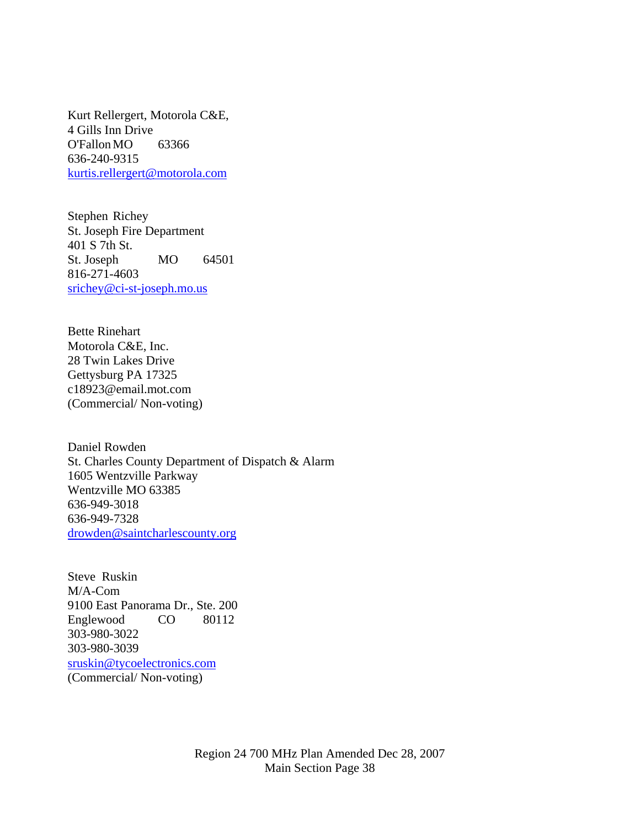Kurt Rellergert, Motorola C&E, 4 Gills Inn Drive O'Fallon MO 63366 636-240-9315 [kurtis.rellergert@motorola.com](mailto:kurtis.rellergert@motorola.com)

Stephen Richey St. Joseph Fire Department 401 S 7th St. St. Joseph MO 64501 816-271-4603 [srichey@ci-st-joseph.mo.us](mailto:srichey@ci-st-joseph.mo.us)

Bette Rinehart Motorola C&E, Inc. 28 Twin Lakes Drive Gettysburg PA 17325 c18923@email.mot.com (Commercial/ Non-voting)

Daniel Rowden St. Charles County Department of Dispatch & Alarm 1605 Wentzville Parkway Wentzville MO 63385 636-949-3018 636-949-7328 [drowden@saintcharlescounty.org](mailto:drowden@saintcharlescounty.org)

Steve Ruskin M/A-Com 9100 East Panorama Dr., Ste. 200 Englewood CO 80112 303-980-3022 303-980-3039 [sruskin@tycoelectronics.com](mailto:sruskin@tycoelectronics.com) (Commercial/ Non-voting)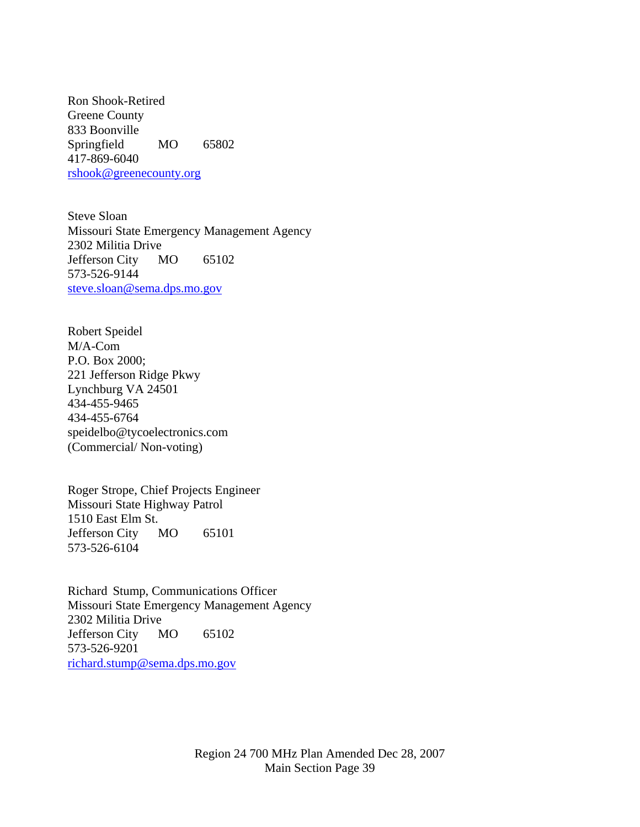Ron Shook-Retired Greene County 833 Boonville Springfield MO 65802 417-869-6040 [rshook@greenecounty.org](mailto:rshook@greenecounty.org)

Steve Sloan Missouri State Emergency Management Agency 2302 Militia Drive Jefferson City MO 65102 573-526-9144 [steve.sloan@sema.dps.mo.gov](mailto:steve.sloan@sema.dps.mo.gov)

Robert Speidel M/A-Com P.O. Box 2000; 221 Jefferson Ridge Pkwy Lynchburg VA 24501 434-455-9465 434-455-6764 speidelbo@tycoelectronics.com (Commercial/ Non-voting)

Roger Strope, Chief Projects Engineer Missouri State Highway Patrol 1510 East Elm St. Jefferson City MO 65101 573-526-6104

Richard Stump, Communications Officer Missouri State Emergency Management Agency 2302 Militia Drive Jefferson City MO 65102 573-526-9201 [richard.stump@sema.dps.mo.gov](mailto:richard.stump@sema.dps.mo.gov)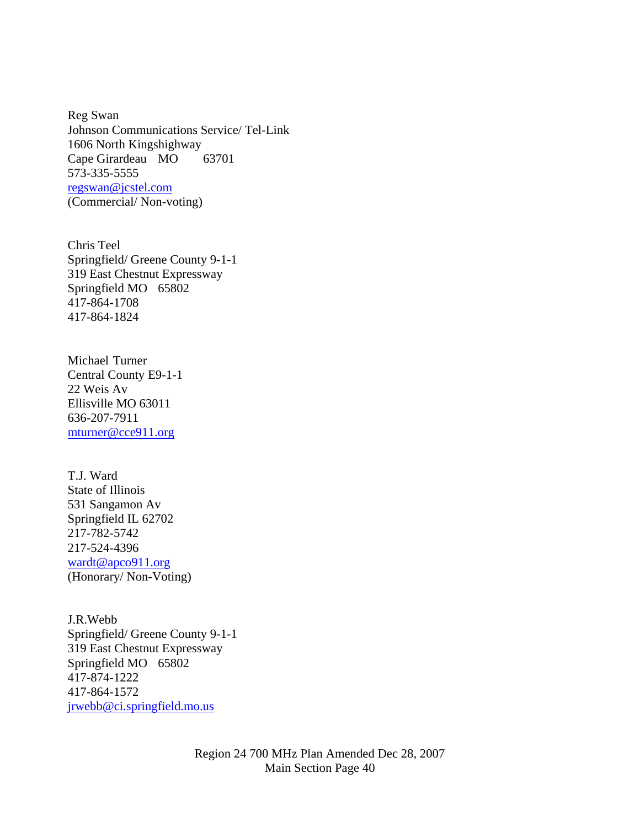Reg Swan Johnson Communications Service/ Tel-Link 1606 North Kingshighway Cape Girardeau MO 63701 573-335-5555 [regswan@jcstel.com](mailto:regswan@jcstel.com) (Commercial/ Non-voting)

Chris Teel Springfield/ Greene County 9-1-1 319 East Chestnut Expressway Springfield MO 65802 417-864-1708 417-864-1824

Michael Turner Central County E9-1-1 22 Weis Av Ellisville MO 63011 636-207-7911 [mturner@cce911.org](mailto:mturner@cce911.org)

T.J. Ward State of Illinois 531 Sangamon Av Springfield IL 62702 217-782-5742 217-524-4396 [wardt@apco911.org](mailto:wardt@apco911.org) (Honorary/ Non-Voting)

J.R.Webb Springfield/ Greene County 9-1-1 319 East Chestnut Expressway Springfield MO 65802 417-874-1222 417-864-1572 [jrwebb@ci.springfield.mo.us](mailto:jrwebb@ci.springfield.mo.us)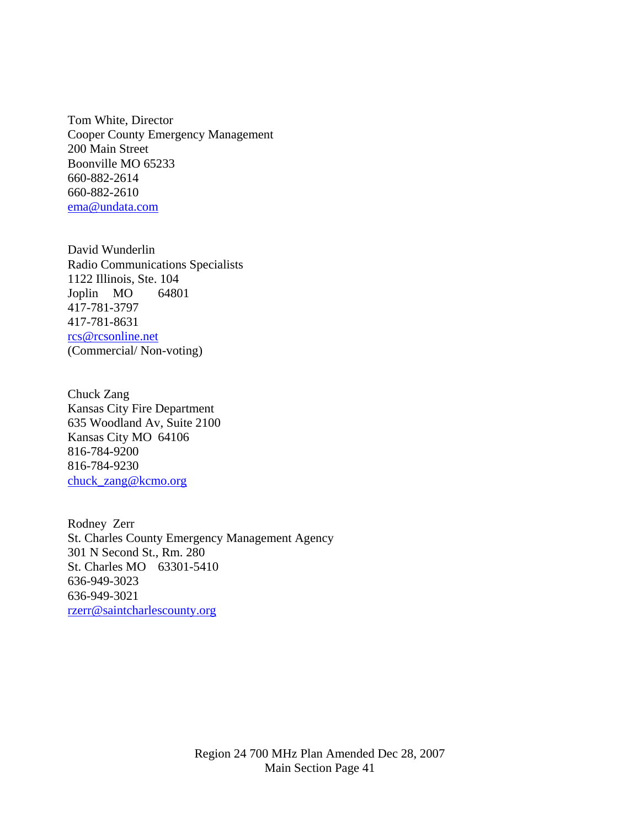Tom White, Director Cooper County Emergency Management 200 Main Street Boonville MO 65233 660-882-2614 660-882-2610 [ema@undata.com](mailto:ema@undata.com)

David Wunderlin Radio Communications Specialists 1122 Illinois, Ste. 104 Joplin MO 64801 417-781-3797 417-781-8631 [rcs@rcsonline.net](mailto:rcs@rcsonline.net) (Commercial/ Non-voting)

Chuck Zang Kansas City Fire Department 635 Woodland Av, Suite 2100 Kansas City MO 64106 816-784-9200 816-784-9230 [chuck\\_zang@kcmo.org](mailto:chuck_zang@kcmo.org)

Rodney Zerr St. Charles County Emergency Management Agency 301 N Second St., Rm. 280 St. Charles MO 63301-5410 636-949-3023 636-949-3021 [rzerr@saintcharlescounty.org](mailto:rzerr@saintcharlescounty.org)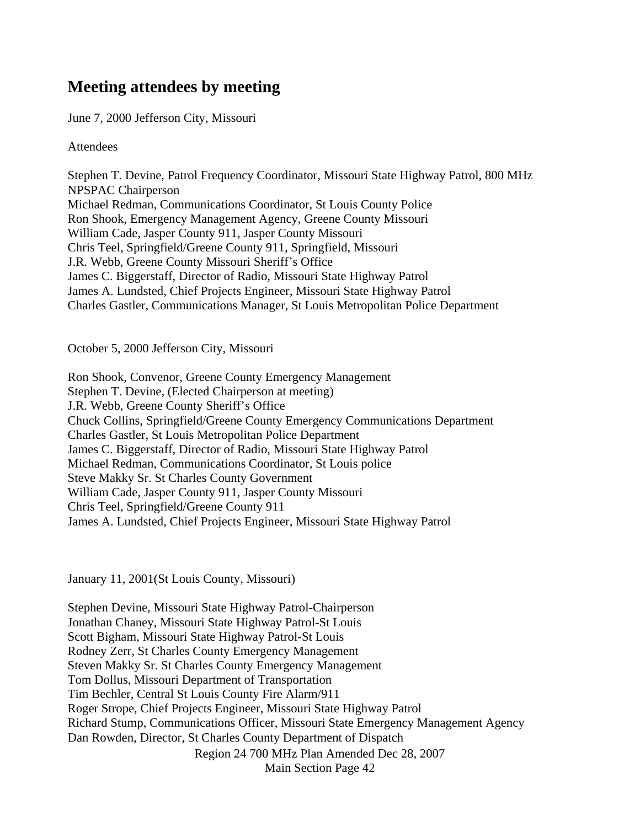# **Meeting attendees by meeting**

June 7, 2000 Jefferson City, Missouri

**Attendees** 

Stephen T. Devine, Patrol Frequency Coordinator, Missouri State Highway Patrol, 800 MHz NPSPAC Chairperson Michael Redman, Communications Coordinator, St Louis County Police Ron Shook, Emergency Management Agency, Greene County Missouri William Cade, Jasper County 911, Jasper County Missouri Chris Teel, Springfield/Greene County 911, Springfield, Missouri J.R. Webb, Greene County Missouri Sheriff's Office James C. Biggerstaff, Director of Radio, Missouri State Highway Patrol James A. Lundsted, Chief Projects Engineer, Missouri State Highway Patrol Charles Gastler, Communications Manager, St Louis Metropolitan Police Department

October 5, 2000 Jefferson City, Missouri

Ron Shook, Convenor, Greene County Emergency Management Stephen T. Devine, (Elected Chairperson at meeting) J.R. Webb, Greene County Sheriff's Office Chuck Collins, Springfield/Greene County Emergency Communications Department Charles Gastler, St Louis Metropolitan Police Department James C. Biggerstaff, Director of Radio, Missouri State Highway Patrol Michael Redman, Communications Coordinator, St Louis police Steve Makky Sr. St Charles County Government William Cade, Jasper County 911, Jasper County Missouri Chris Teel, Springfield/Greene County 911 James A. Lundsted, Chief Projects Engineer, Missouri State Highway Patrol

January 11, 2001(St Louis County, Missouri)

Region 24 700 MHz Plan Amended Dec 28, 2007 Main Section Page 42 Stephen Devine, Missouri State Highway Patrol-Chairperson Jonathan Chaney, Missouri State Highway Patrol-St Louis Scott Bigham, Missouri State Highway Patrol-St Louis Rodney Zerr, St Charles County Emergency Management Steven Makky Sr. St Charles County Emergency Management Tom Dollus, Missouri Department of Transportation Tim Bechler, Central St Louis County Fire Alarm/911 Roger Strope, Chief Projects Engineer, Missouri State Highway Patrol Richard Stump, Communications Officer, Missouri State Emergency Management Agency Dan Rowden, Director, St Charles County Department of Dispatch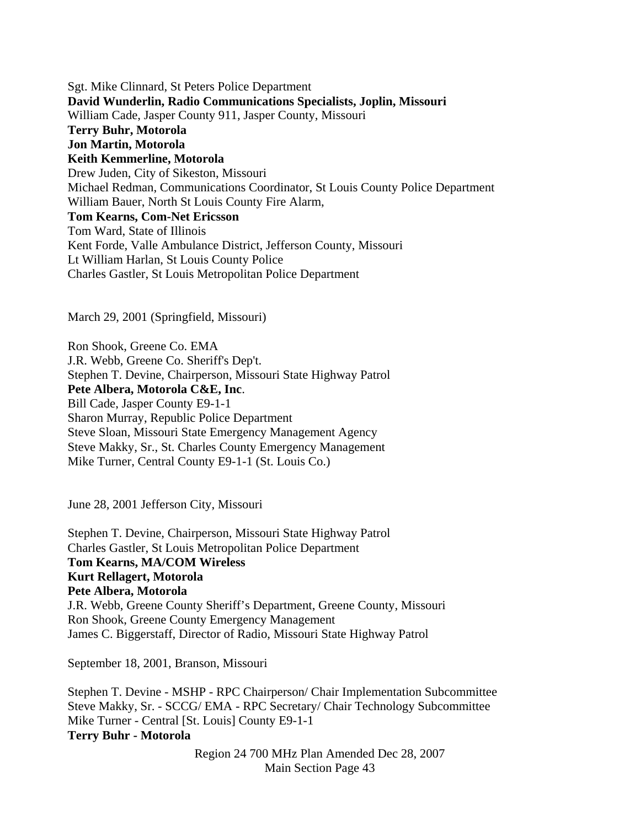Sgt. Mike Clinnard, St Peters Police Department **David Wunderlin, Radio Communications Specialists, Joplin, Missouri**  William Cade, Jasper County 911, Jasper County, Missouri **Terry Buhr, Motorola Jon Martin, Motorola Keith Kemmerline, Motorola** Drew Juden, City of Sikeston, Missouri Michael Redman, Communications Coordinator, St Louis County Police Department William Bauer, North St Louis County Fire Alarm, **Tom Kearns, Com-Net Ericsson**  Tom Ward, State of Illinois Kent Forde, Valle Ambulance District, Jefferson County, Missouri Lt William Harlan, St Louis County Police Charles Gastler, St Louis Metropolitan Police Department

March 29, 2001 (Springfield, Missouri)

Ron Shook, Greene Co. EMA J.R. Webb, Greene Co. Sheriff's Dep't. Stephen T. Devine, Chairperson, Missouri State Highway Patrol **Pete Albera, Motorola C&E, Inc**. Bill Cade, Jasper County E9-1-1 Sharon Murray, Republic Police Department Steve Sloan, Missouri State Emergency Management Agency Steve Makky, Sr., St. Charles County Emergency Management Mike Turner, Central County E9-1-1 (St. Louis Co.)

June 28, 2001 Jefferson City, Missouri

Stephen T. Devine, Chairperson, Missouri State Highway Patrol Charles Gastler, St Louis Metropolitan Police Department **Tom Kearns, MA/COM Wireless Kurt Rellagert, Motorola Pete Albera, Motorola** J.R. Webb, Greene County Sheriff's Department, Greene County, Missouri Ron Shook, Greene County Emergency Management James C. Biggerstaff, Director of Radio, Missouri State Highway Patrol

September 18, 2001, Branson, Missouri

Stephen T. Devine - MSHP - RPC Chairperson/ Chair Implementation Subcommittee Steve Makky, Sr. - SCCG/ EMA - RPC Secretary/ Chair Technology Subcommittee Mike Turner - Central [St. Louis] County E9-1-1 **Terry Buhr - Motorola**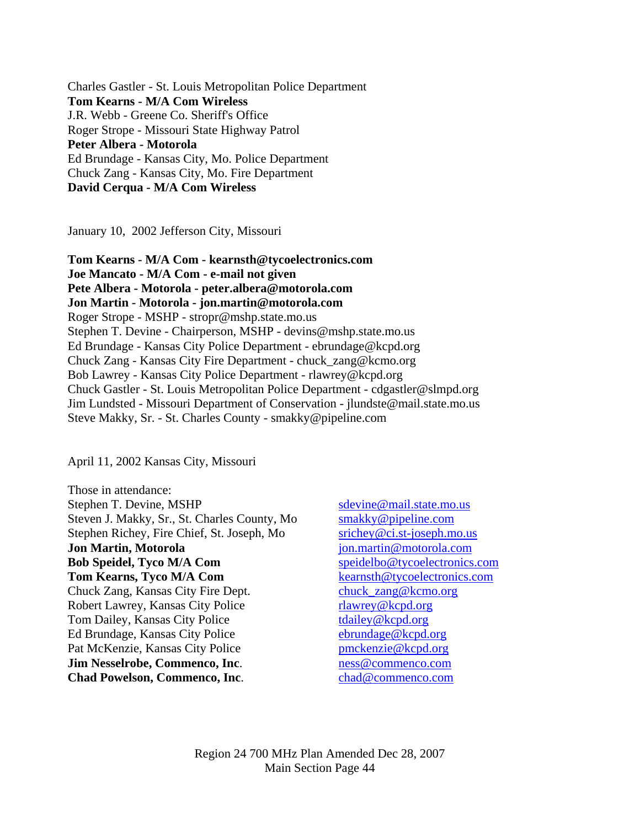Charles Gastler - St. Louis Metropolitan Police Department **Tom Kearns - M/A Com Wireless**  J.R. Webb - Greene Co. Sheriff's Office Roger Strope - Missouri State Highway Patrol **Peter Albera - Motorola**  Ed Brundage - Kansas City, Mo. Police Department Chuck Zang - Kansas City, Mo. Fire Department **David Cerqua - M/A Com Wireless** 

January 10, 2002 Jefferson City, Missouri

**Tom Kearns - M/A Com - kearnsth@tycoelectronics.com Joe Mancato - M/A Com - e-mail not given Pete Albera - Motorola - peter.albera@motorola.com Jon Martin - Motorola - jon.martin@motorola.com**  Roger Strope - MSHP - stropr@mshp.state.mo.us Stephen T. Devine - Chairperson, MSHP - devins@mshp.state.mo.us Ed Brundage - Kansas City Police Department - ebrundage@kcpd.org Chuck Zang - Kansas City Fire Department - chuck\_zang@kcmo.org Bob Lawrey - Kansas City Police Department - rlawrey@kcpd.org Chuck Gastler - St. Louis Metropolitan Police Department - cdgastler@slmpd.org Jim Lundsted - Missouri Department of Conservation - jlundste@mail.state.mo.us Steve Makky, Sr. - St. Charles County - smakky@pipeline.com

April 11, 2002 Kansas City, Missouri

Those in attendance: Stephen T. Devine, MSHP [sdevine@mail.state.mo.us](mailto:sdevine@mail.state.mo.us) Steven J. Makky, Sr., St. Charles County, Mo [smakky@pipeline.com](mailto:smakky@pipeline.com) Stephen Richey, Fire Chief, St. Joseph, Mo [srichey@ci.st-joseph.mo.us](mailto:srichey@ci.st-joseph.mo.us) **Jon Martin, Motorola** *[jon.martin@motorola.com](mailto:jon.martin@motorola.com)* **Bob Speidel, Tyco M/A Com** [speidelbo@tycoelectronics.com](mailto:speidelbo@tycoelectronics.com) **Tom Kearns, Tyco M/A Com** [kearnsth@tycoelectronics.com](mailto:kearnsth@tycoelectronics.com) Chuck Zang, Kansas City Fire Dept. [chuck\\_zang@kcmo.org](mailto:chuck_zang@kcmo.org) Robert Lawrey, Kansas City Police [rlawrey@kcpd.org](mailto:rlawrey@kcpd.org) Tom Dailey, Kansas City Police [tdailey@kcpd.org](mailto:tdailey@kcpd.org) Ed Brundage, Kansas City Police [ebrundage@kcpd.org](mailto:ebrundage@kcpd.org) Pat McKenzie, Kansas City Police [pmckenzie@kcpd.org](mailto:pmckenzie@kcpd.org) **Jim Nesselrobe, Commenco, Inc.** [ness@commenco.com](mailto:ness@commenco.com) **Chad Powelson, Commenco, Inc.** [chad@commenco.com](mailto:chad@commenco.com)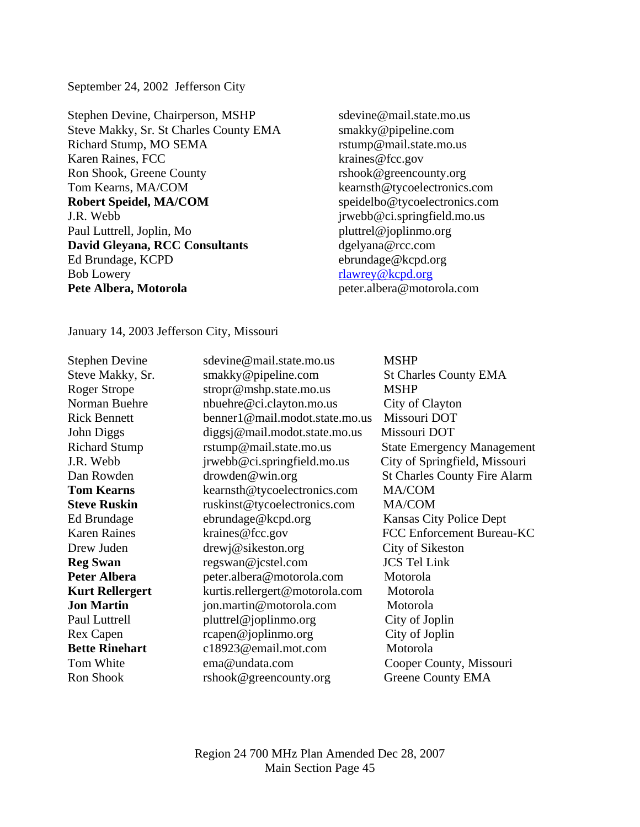September 24, 2002 Jefferson City

Stephen Devine, Chairperson, MSHP sdevine@mail.state.mo.us Steve Makky, Sr. St Charles County EMA smakky@pipeline.com Richard Stump, MO SEMA rstump@mail.state.mo.us Karen Raines, FCC kraines@fcc.gov Ron Shook, Greene County The Shook @greencounty.org Tom Kearns, MA/COM kearnsth@tycoelectronics.com **Robert Speidel, MA/COM** speidelbo@tycoelectronics.com J.R. Webb jrwebb@ci.springfield.mo.us Paul Luttrell, Joplin, Mo pluttrel@joplinmo.org **David Gleyana, RCC Consultants** dgelyana@rcc.com Ed Brundage, KCPD ebrundage@kcpd.org Bob Lowery [rlawrey@kcpd.org](mailto:rlawrey@kcpd.org) **Pete Albera, Motorola peter.albera@motorola.com** 

January 14, 2003 Jefferson City, Missouri

Stephen Devine sdevine@mail.state.mo.us MSHP Steve Makky, Sr. Smakky@pipeline.com St Charles County EMA Roger Strope stropr@mshp.state.mo.us MSHP Norman Buehre nbuehre@ci.clayton.mo.us City of Clayton Rick Bennett benner1@mail.modot.state.mo.us Missouri DOT John Diggs diggsj@mail.modot.state.mo.us Missouri DOT Richard Stump rstump@mail.state.mo.us State Emergency Management J.R. Webb jrwebb@ci.springfield.mo.us City of Springfield, Missouri Dan Rowden drowden ewin.org St Charles County Fire Alarm **Tom Kearns** kearnsth@tycoelectronics.com MA/COM **Steve Ruskin** ruskinst@tycoelectronics.com MA/COM Ed Brundage ebrundage@kcpd.org Kansas City Police Dept Karen Raines **Kraines@fcc.gov** FCC Enforcement Bureau-KC Drew Juden drewj@sikeston.org City of Sikeston **Reg Swan** regswan@jcstel.com **JCS** Tel Link **Peter Albera peter.albera@motorola.com** Motorola **Kurt Rellergert** kurtis.rellergert@motorola.com Motorola **Jon Martin** *jon.martin@motorola.com* Motorola Paul Luttrell pluttrel@joplinmo.org City of Joplin Rex Capen rcapen@joplinmo.org City of Joplin **Bette Rinehart** c18923@email.mot.com Motorola Tom White ema@undata.com Cooper County, Missouri Ron Shook rshook@greencounty.org Greene County EMA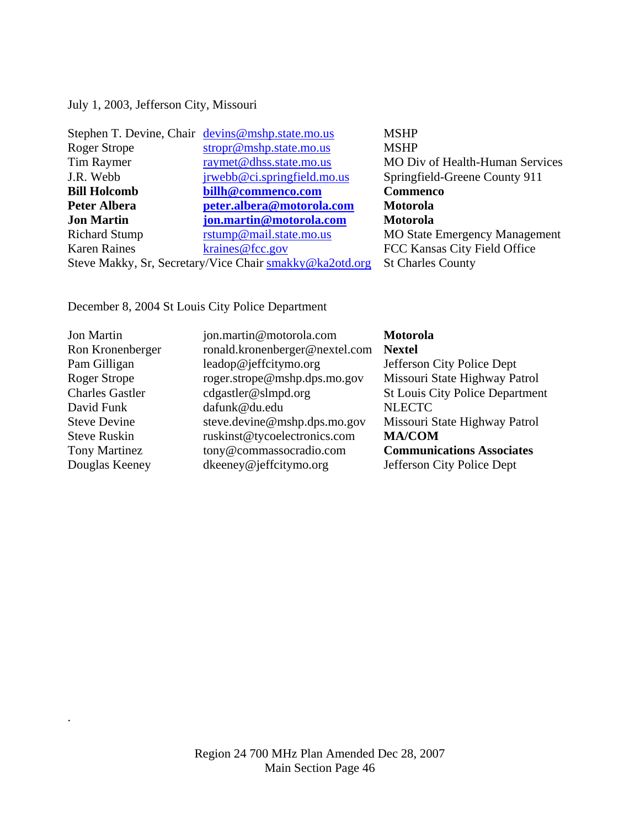July 1, 2003, Jefferson City, Missouri

|                      | Stephen T. Devine, Chair devins@mshp.state.mo.us        | <b>MSHP</b>                            |
|----------------------|---------------------------------------------------------|----------------------------------------|
| Roger Strope         | stropr@mshp.state.mo.us                                 | <b>MSHP</b>                            |
| Tim Raymer           | raymet@dhss.state.mo.us                                 | <b>MO Div of Health-Human Services</b> |
| J.R. Webb            | jrwebb@ci.springfield.mo.us                             | Springfield-Greene County 911          |
| <b>Bill Holcomb</b>  | billh@commenco.com                                      | Commenco                               |
| <b>Peter Albera</b>  | peter.albera@motorola.com                               | Motorola                               |
| <b>Jon Martin</b>    | jon.martin@motorola.com                                 | Motorola                               |
| <b>Richard Stump</b> | rstump@mail.state.mo.us                                 | <b>MO State Emergency Management</b>   |
| <b>Karen Raines</b>  | kraines@fcc.gov                                         | FCC Kansas City Field Office           |
|                      | Steve Makky, Sr, Secretary/Vice Chair smakky@ka2otd.org | <b>St Charles County</b>               |

December 8, 2004 St Louis City Police Department

.

| <b>Jon Martin</b>      | jon.martin@motorola.com        | <b>Motorola</b>                        |
|------------------------|--------------------------------|----------------------------------------|
| Ron Kronenberger       | ronald.kronenberger@nextel.com | <b>Nextel</b>                          |
| Pam Gilligan           | leadop@jeffcitymo.org          | Jefferson City Police Dept             |
| <b>Roger Strope</b>    | roger.strope@mshp.dps.mo.gov   | Missouri State Highway Patrol          |
| <b>Charles Gastler</b> | cdgastler@slmpd.org            | <b>St Louis City Police Department</b> |
| David Funk             | dafunk@du.edu                  | <b>NLECTC</b>                          |
| <b>Steve Devine</b>    | steve.devine@mshp.dps.mo.gov   | Missouri State Highway Patrol          |
| <b>Steve Ruskin</b>    | ruskinst@tycoelectronics.com   | <b>MA/COM</b>                          |
| <b>Tony Martinez</b>   | tony@commassocradio.com        | <b>Communications Associates</b>       |
| Douglas Keeney         | dkeeney@jeffcitymo.org         | Jefferson City Police Dept             |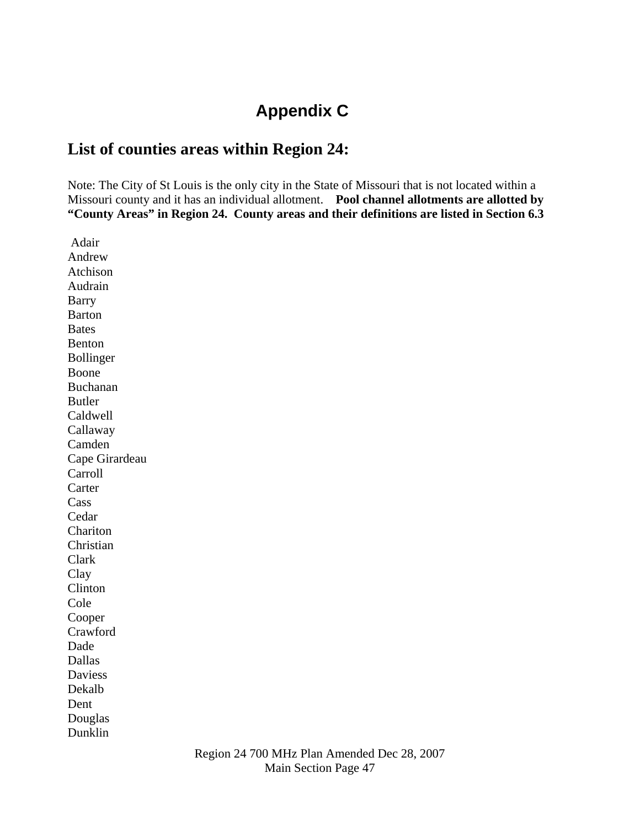# **Appendix C**

## **List of counties areas within Region 24:**

Note: The City of St Louis is the only city in the State of Missouri that is not located within a Missouri county and it has an individual allotment. **Pool channel allotments are allotted by "County Areas" in Region 24. County areas and their definitions are listed in Section 6.3** 

 Adair Andrew Atchison Audrain Barry Barton **Bates** Benton Bollinger Boone Buchanan Butler Caldwell Callaway Camden Cape Girardeau Carroll **Carter** Cass Cedar Chariton Christian Clark Clay Clinton Cole Cooper Crawford Dade Dallas Daviess Dekalb Dent Douglas Dunklin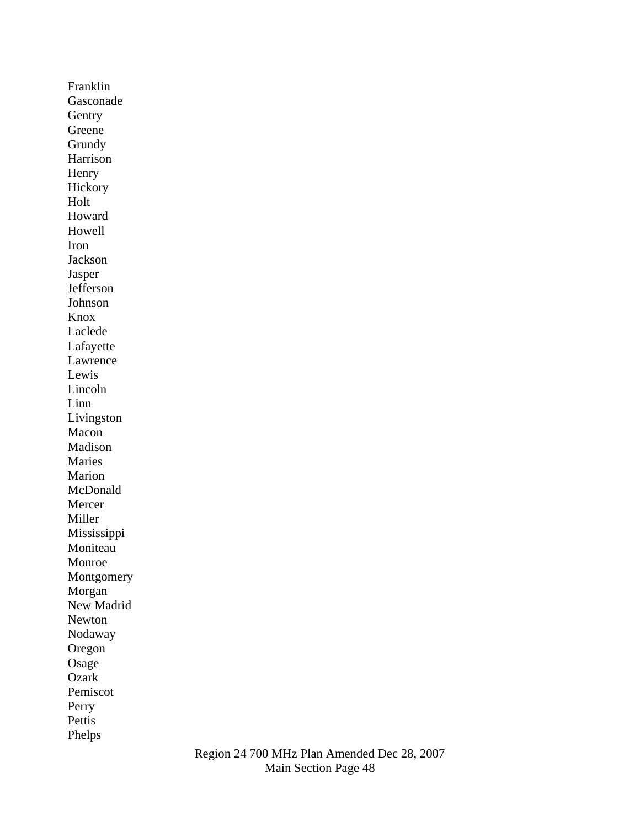Franklin Gasconade Gentry Greene Grundy Harrison Henry Hickory Holt Howard Howell Iron Jackson Jasper Jefferson Johnson Knox Laclede Lafayette Lawrence Lewis Lincoln Linn Livingston Macon Madison Maries Marion McDonald Mercer Miller Mississippi Moniteau Monroe Montgomery Morgan New Madrid Newton Nodaway Oregon Osage Ozark Pemiscot Perry Pettis Phelps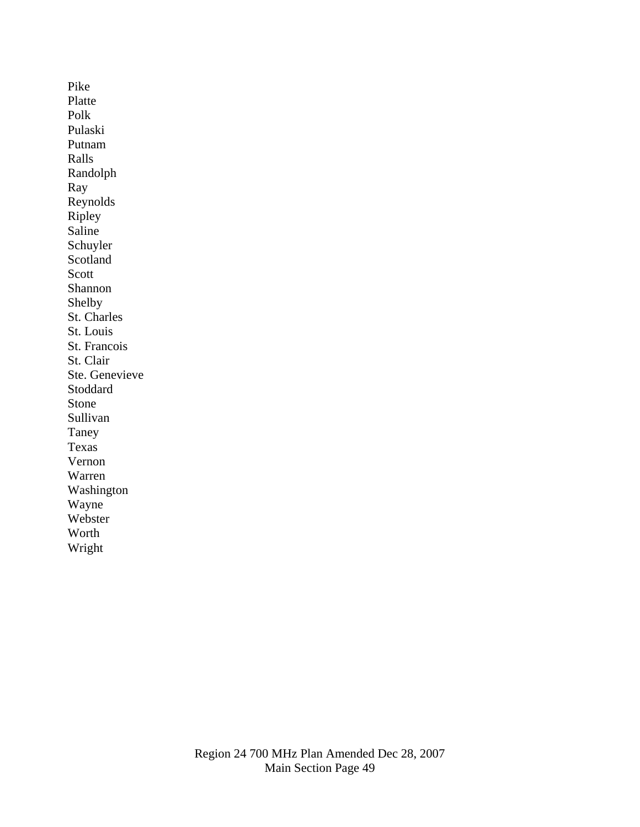Pike Platte Polk Pulaski Putnam Ralls Randolph Ray Reynolds Ripley Saline Schuyler Scotland Scott Shannon Shelby St. Charles St. Louis St. Francois St. Clair Ste. Genevieve Stoddard Stone Sullivan Taney Texas Vernon Warren Washington Wayne Webster Worth Wright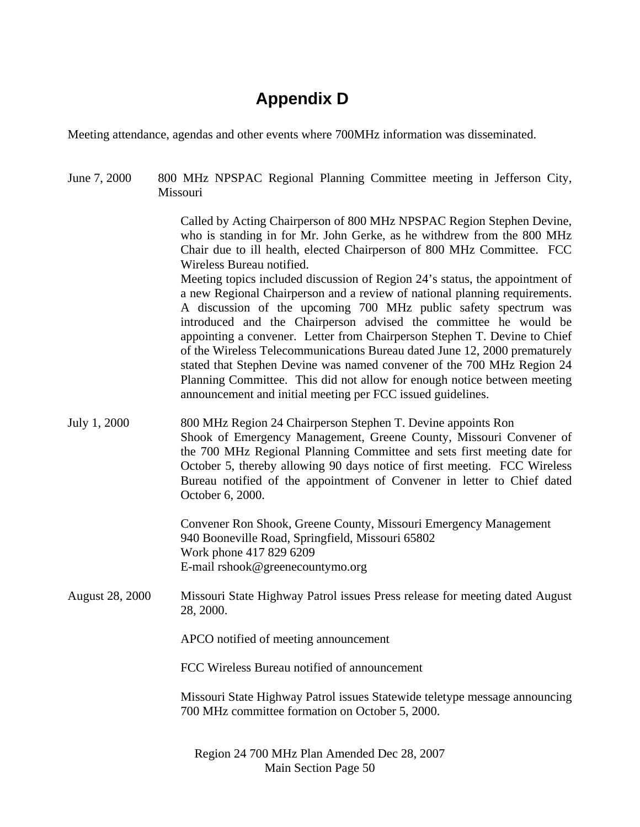# **Appendix D**

Meeting attendance, agendas and other events where 700MHz information was disseminated.

June 7, 2000 800 MHz NPSPAC Regional Planning Committee meeting in Jefferson City, Missouri Called by Acting Chairperson of 800 MHz NPSPAC Region Stephen Devine, who is standing in for Mr. John Gerke, as he withdrew from the 800 MHz Chair due to ill health, elected Chairperson of 800 MHz Committee. FCC Wireless Bureau notified. Meeting topics included discussion of Region 24's status, the appointment of a new Regional Chairperson and a review of national planning requirements. A discussion of the upcoming 700 MHz public safety spectrum was introduced and the Chairperson advised the committee he would be appointing a convener. Letter from Chairperson Stephen T. Devine to Chief of the Wireless Telecommunications Bureau dated June 12, 2000 prematurely stated that Stephen Devine was named convener of the 700 MHz Region 24 Planning Committee. This did not allow for enough notice between meeting announcement and initial meeting per FCC issued guidelines. July 1, 2000 800 MHz Region 24 Chairperson Stephen T. Devine appoints Ron Shook of Emergency Management, Greene County, Missouri Convener of the 700 MHz Regional Planning Committee and sets first meeting date for October 5, thereby allowing 90 days notice of first meeting. FCC Wireless Bureau notified of the appointment of Convener in letter to Chief dated October 6, 2000. Convener Ron Shook, Greene County, Missouri Emergency Management 940 Booneville Road, Springfield, Missouri 65802 Work phone 417 829 6209 E-mail rshook@greenecountymo.org August 28, 2000 Missouri State Highway Patrol issues Press release for meeting dated August 28, 2000. APCO notified of meeting announcement FCC Wireless Bureau notified of announcement Missouri State Highway Patrol issues Statewide teletype message announcing 700 MHz committee formation on October 5, 2000.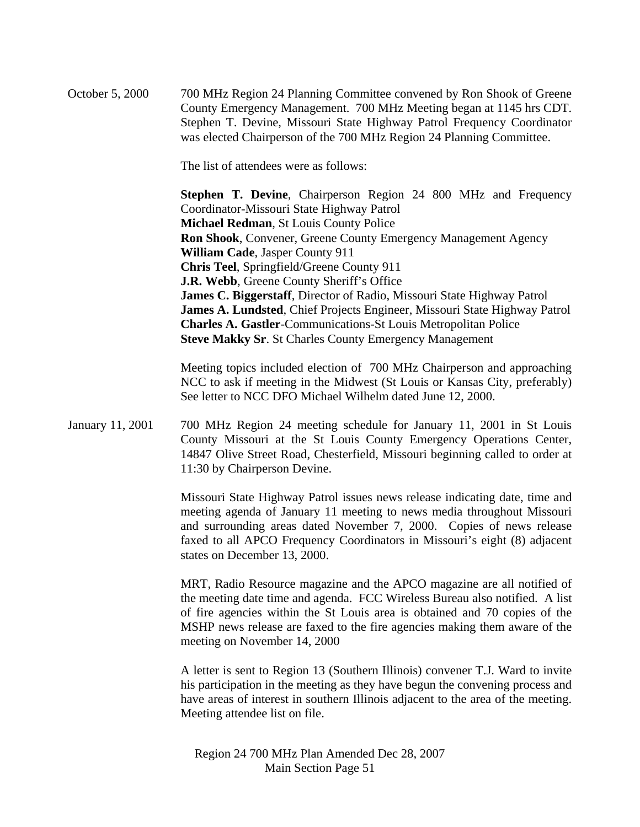October 5, 2000 700 MHz Region 24 Planning Committee convened by Ron Shook of Greene County Emergency Management. 700 MHz Meeting began at 1145 hrs CDT. Stephen T. Devine, Missouri State Highway Patrol Frequency Coordinator was elected Chairperson of the 700 MHz Region 24 Planning Committee.

The list of attendees were as follows:

**Stephen T. Devine**, Chairperson Region 24 800 MHz and Frequency Coordinator-Missouri State Highway Patrol **Michael Redman**, St Louis County Police **Ron Shook**, Convener, Greene County Emergency Management Agency **William Cade**, Jasper County 911 **Chris Teel**, Springfield/Greene County 911 **J.R. Webb**, Greene County Sheriff's Office **James C. Biggerstaff**, Director of Radio, Missouri State Highway Patrol **James A. Lundsted**, Chief Projects Engineer, Missouri State Highway Patrol **Charles A. Gastler**-Communications-St Louis Metropolitan Police **Steve Makky Sr**. St Charles County Emergency Management

Meeting topics included election of 700 MHz Chairperson and approaching NCC to ask if meeting in the Midwest (St Louis or Kansas City, preferably) See letter to NCC DFO Michael Wilhelm dated June 12, 2000.

January 11, 2001 700 MHz Region 24 meeting schedule for January 11, 2001 in St Louis County Missouri at the St Louis County Emergency Operations Center, 14847 Olive Street Road, Chesterfield, Missouri beginning called to order at 11:30 by Chairperson Devine.

> Missouri State Highway Patrol issues news release indicating date, time and meeting agenda of January 11 meeting to news media throughout Missouri and surrounding areas dated November 7, 2000. Copies of news release faxed to all APCO Frequency Coordinators in Missouri's eight (8) adjacent states on December 13, 2000.

> MRT, Radio Resource magazine and the APCO magazine are all notified of the meeting date time and agenda. FCC Wireless Bureau also notified. A list of fire agencies within the St Louis area is obtained and 70 copies of the MSHP news release are faxed to the fire agencies making them aware of the meeting on November 14, 2000

> A letter is sent to Region 13 (Southern Illinois) convener T.J. Ward to invite his participation in the meeting as they have begun the convening process and have areas of interest in southern Illinois adjacent to the area of the meeting. Meeting attendee list on file.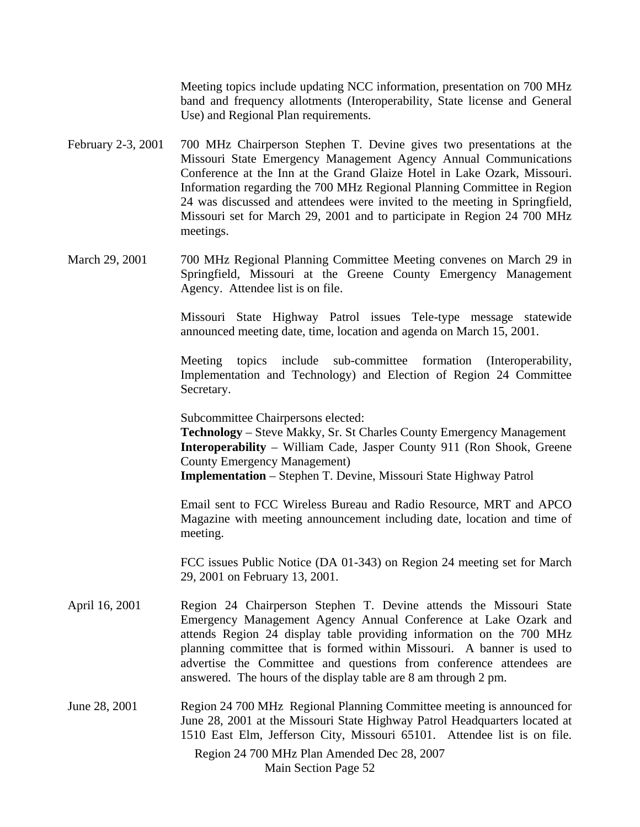Meeting topics include updating NCC information, presentation on 700 MHz band and frequency allotments (Interoperability, State license and General Use) and Regional Plan requirements.

- February 2-3, 2001 700 MHz Chairperson Stephen T. Devine gives two presentations at the Missouri State Emergency Management Agency Annual Communications Conference at the Inn at the Grand Glaize Hotel in Lake Ozark, Missouri. Information regarding the 700 MHz Regional Planning Committee in Region 24 was discussed and attendees were invited to the meeting in Springfield, Missouri set for March 29, 2001 and to participate in Region 24 700 MHz meetings.
- March 29, 2001 700 MHz Regional Planning Committee Meeting convenes on March 29 in Springfield, Missouri at the Greene County Emergency Management Agency. Attendee list is on file.

Missouri State Highway Patrol issues Tele-type message statewide announced meeting date, time, location and agenda on March 15, 2001.

Meeting topics include sub-committee formation (Interoperability, Implementation and Technology) and Election of Region 24 Committee Secretary.

Subcommittee Chairpersons elected:

**Technology** – Steve Makky, Sr. St Charles County Emergency Management **Interoperability** – William Cade, Jasper County 911 (Ron Shook, Greene County Emergency Management)

**Implementation** – Stephen T. Devine, Missouri State Highway Patrol

Email sent to FCC Wireless Bureau and Radio Resource, MRT and APCO Magazine with meeting announcement including date, location and time of meeting.

FCC issues Public Notice (DA 01-343) on Region 24 meeting set for March 29, 2001 on February 13, 2001.

- April 16, 2001 Region 24 Chairperson Stephen T. Devine attends the Missouri State Emergency Management Agency Annual Conference at Lake Ozark and attends Region 24 display table providing information on the 700 MHz planning committee that is formed within Missouri. A banner is used to advertise the Committee and questions from conference attendees are answered. The hours of the display table are 8 am through 2 pm.
- June 28, 2001 Region 24 700 MHz Regional Planning Committee meeting is announced for June 28, 2001 at the Missouri State Highway Patrol Headquarters located at 1510 East Elm, Jefferson City, Missouri 65101. Attendee list is on file.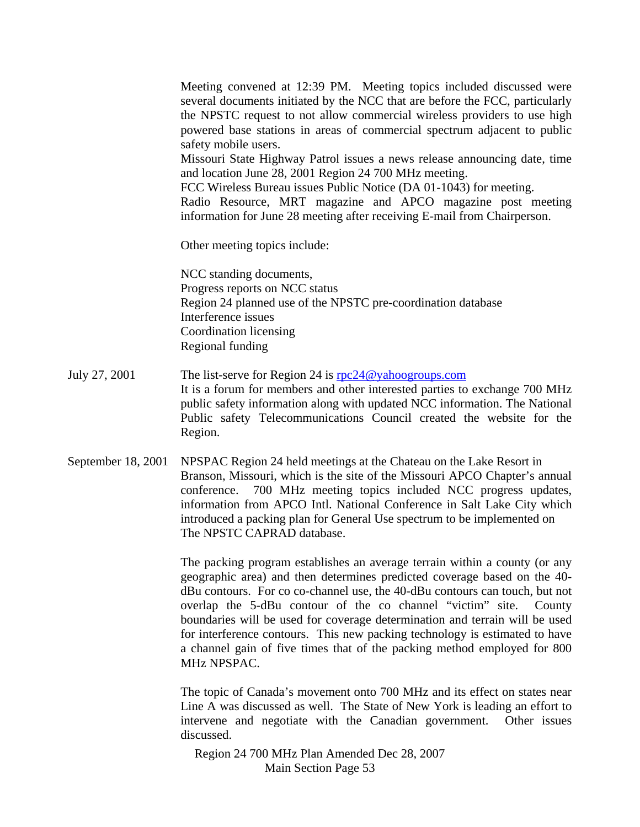Meeting convened at 12:39 PM. Meeting topics included discussed were several documents initiated by the NCC that are before the FCC, particularly the NPSTC request to not allow commercial wireless providers to use high powered base stations in areas of commercial spectrum adjacent to public safety mobile users.

Missouri State Highway Patrol issues a news release announcing date, time and location June 28, 2001 Region 24 700 MHz meeting.

FCC Wireless Bureau issues Public Notice (DA 01-1043) for meeting.

Radio Resource, MRT magazine and APCO magazine post meeting information for June 28 meeting after receiving E-mail from Chairperson.

Other meeting topics include:

NCC standing documents, Progress reports on NCC status Region 24 planned use of the NPSTC pre-coordination database Interference issues Coordination licensing Regional funding

- July 27, 2001 The list-serve for Region 24 is rpc 24 @yahoogroups.com It is a forum for members and other interested parties to exchange 700 MHz public safety information along with updated NCC information. The National Public safety Telecommunications Council created the website for the Region.
- September 18, 2001 NPSPAC Region 24 held meetings at the Chateau on the Lake Resort in Branson, Missouri, which is the site of the Missouri APCO Chapter's annual conference. 700 MHz meeting topics included NCC progress updates, information from APCO Intl. National Conference in Salt Lake City which introduced a packing plan for General Use spectrum to be implemented on The NPSTC CAPRAD database.

The packing program establishes an average terrain within a county (or any geographic area) and then determines predicted coverage based on the 40 dBu contours. For co co-channel use, the 40-dBu contours can touch, but not overlap the 5-dBu contour of the co channel "victim" site. County boundaries will be used for coverage determination and terrain will be used for interference contours. This new packing technology is estimated to have a channel gain of five times that of the packing method employed for 800 MHz NPSPAC.

The topic of Canada's movement onto 700 MHz and its effect on states near Line A was discussed as well. The State of New York is leading an effort to intervene and negotiate with the Canadian government. Other issues discussed.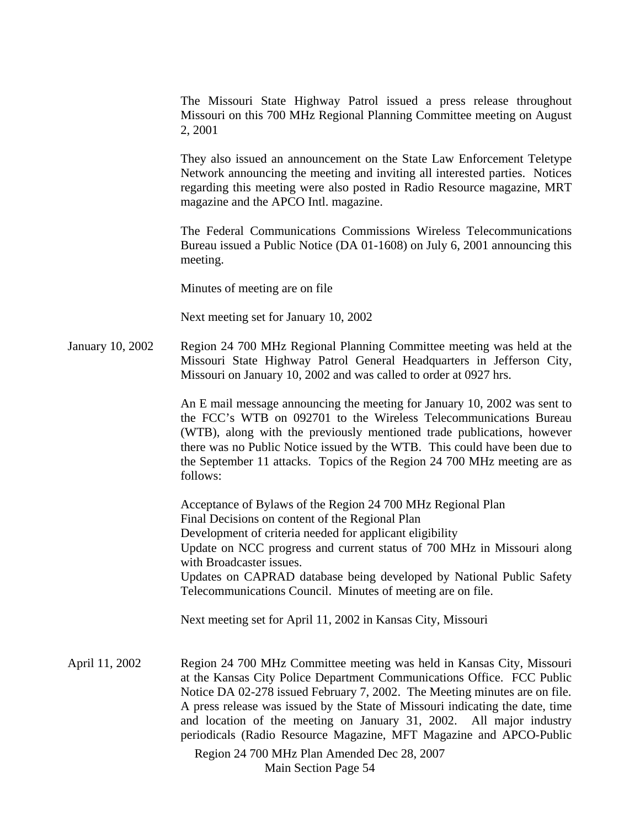The Missouri State Highway Patrol issued a press release throughout Missouri on this 700 MHz Regional Planning Committee meeting on August 2, 2001

They also issued an announcement on the State Law Enforcement Teletype Network announcing the meeting and inviting all interested parties. Notices regarding this meeting were also posted in Radio Resource magazine, MRT magazine and the APCO Intl. magazine.

The Federal Communications Commissions Wireless Telecommunications Bureau issued a Public Notice (DA 01-1608) on July 6, 2001 announcing this meeting.

Minutes of meeting are on file

Next meeting set for January 10, 2002

January 10, 2002 Region 24 700 MHz Regional Planning Committee meeting was held at the Missouri State Highway Patrol General Headquarters in Jefferson City, Missouri on January 10, 2002 and was called to order at 0927 hrs.

> An E mail message announcing the meeting for January 10, 2002 was sent to the FCC's WTB on 092701 to the Wireless Telecommunications Bureau (WTB), along with the previously mentioned trade publications, however there was no Public Notice issued by the WTB. This could have been due to the September 11 attacks. Topics of the Region 24 700 MHz meeting are as follows:

> Acceptance of Bylaws of the Region 24 700 MHz Regional Plan Final Decisions on content of the Regional Plan Development of criteria needed for applicant eligibility Update on NCC progress and current status of 700 MHz in Missouri along with Broadcaster issues. Updates on CAPRAD database being developed by National Public Safety Telecommunications Council. Minutes of meeting are on file.

Next meeting set for April 11, 2002 in Kansas City, Missouri

April 11, 2002 Region 24 700 MHz Committee meeting was held in Kansas City, Missouri at the Kansas City Police Department Communications Office. FCC Public Notice DA 02-278 issued February 7, 2002. The Meeting minutes are on file. A press release was issued by the State of Missouri indicating the date, time and location of the meeting on January 31, 2002. All major industry periodicals (Radio Resource Magazine, MFT Magazine and APCO-Public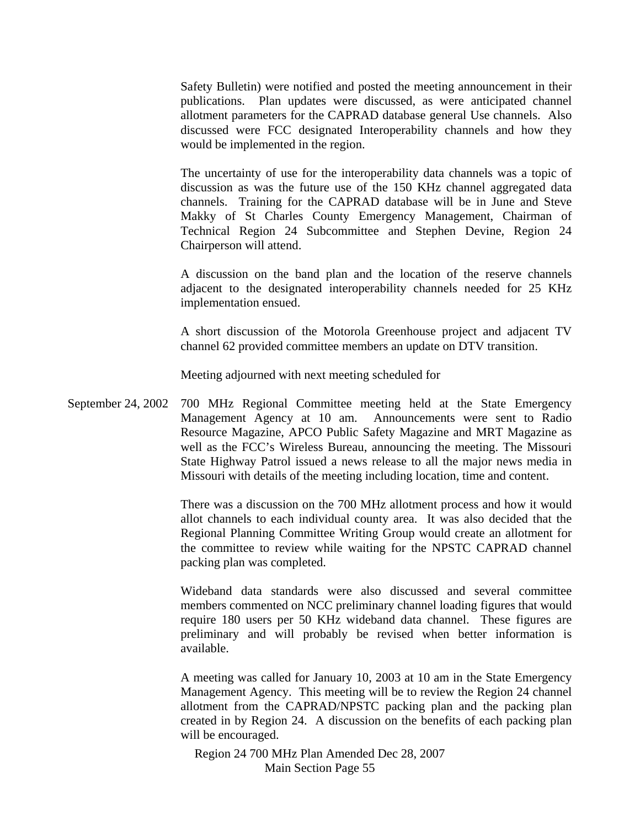Safety Bulletin) were notified and posted the meeting announcement in their publications. Plan updates were discussed, as were anticipated channel allotment parameters for the CAPRAD database general Use channels. Also discussed were FCC designated Interoperability channels and how they would be implemented in the region.

The uncertainty of use for the interoperability data channels was a topic of discussion as was the future use of the 150 KHz channel aggregated data channels. Training for the CAPRAD database will be in June and Steve Makky of St Charles County Emergency Management, Chairman of Technical Region 24 Subcommittee and Stephen Devine, Region 24 Chairperson will attend.

A discussion on the band plan and the location of the reserve channels adjacent to the designated interoperability channels needed for 25 KHz implementation ensued.

A short discussion of the Motorola Greenhouse project and adjacent TV channel 62 provided committee members an update on DTV transition.

Meeting adjourned with next meeting scheduled for

September 24, 2002 700 MHz Regional Committee meeting held at the State Emergency Management Agency at 10 am. Announcements were sent to Radio Resource Magazine, APCO Public Safety Magazine and MRT Magazine as well as the FCC's Wireless Bureau, announcing the meeting. The Missouri State Highway Patrol issued a news release to all the major news media in Missouri with details of the meeting including location, time and content.

> There was a discussion on the 700 MHz allotment process and how it would allot channels to each individual county area. It was also decided that the Regional Planning Committee Writing Group would create an allotment for the committee to review while waiting for the NPSTC CAPRAD channel packing plan was completed.

> Wideband data standards were also discussed and several committee members commented on NCC preliminary channel loading figures that would require 180 users per 50 KHz wideband data channel. These figures are preliminary and will probably be revised when better information is available.

> A meeting was called for January 10, 2003 at 10 am in the State Emergency Management Agency. This meeting will be to review the Region 24 channel allotment from the CAPRAD/NPSTC packing plan and the packing plan created in by Region 24. A discussion on the benefits of each packing plan will be encouraged.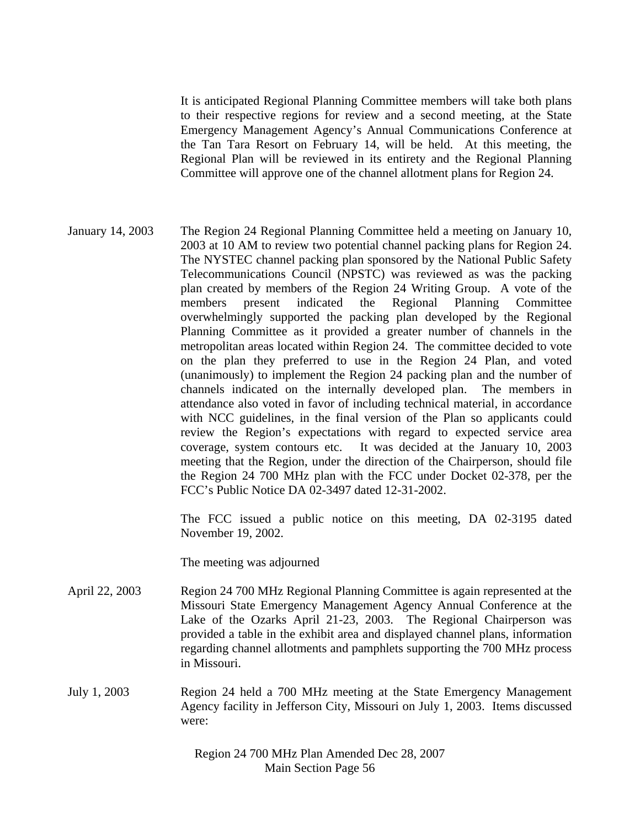It is anticipated Regional Planning Committee members will take both plans to their respective regions for review and a second meeting, at the State Emergency Management Agency's Annual Communications Conference at the Tan Tara Resort on February 14, will be held. At this meeting, the Regional Plan will be reviewed in its entirety and the Regional Planning Committee will approve one of the channel allotment plans for Region 24.

January 14, 2003 The Region 24 Regional Planning Committee held a meeting on January 10, 2003 at 10 AM to review two potential channel packing plans for Region 24. The NYSTEC channel packing plan sponsored by the National Public Safety Telecommunications Council (NPSTC) was reviewed as was the packing plan created by members of the Region 24 Writing Group. A vote of the members present indicated the Regional Planning Committee overwhelmingly supported the packing plan developed by the Regional Planning Committee as it provided a greater number of channels in the metropolitan areas located within Region 24. The committee decided to vote on the plan they preferred to use in the Region 24 Plan, and voted (unanimously) to implement the Region 24 packing plan and the number of channels indicated on the internally developed plan. The members in attendance also voted in favor of including technical material, in accordance with NCC guidelines, in the final version of the Plan so applicants could review the Region's expectations with regard to expected service area coverage, system contours etc. It was decided at the January 10, 2003 meeting that the Region, under the direction of the Chairperson, should file the Region 24 700 MHz plan with the FCC under Docket 02-378, per the FCC's Public Notice DA 02-3497 dated 12-31-2002.

> The FCC issued a public notice on this meeting, DA 02-3195 dated November 19, 2002.

The meeting was adjourned

- April 22, 2003 Region 24 700 MHz Regional Planning Committee is again represented at the Missouri State Emergency Management Agency Annual Conference at the Lake of the Ozarks April 21-23, 2003. The Regional Chairperson was provided a table in the exhibit area and displayed channel plans, information regarding channel allotments and pamphlets supporting the 700 MHz process in Missouri.
- July 1, 2003 Region 24 held a 700 MHz meeting at the State Emergency Management Agency facility in Jefferson City, Missouri on July 1, 2003. Items discussed were: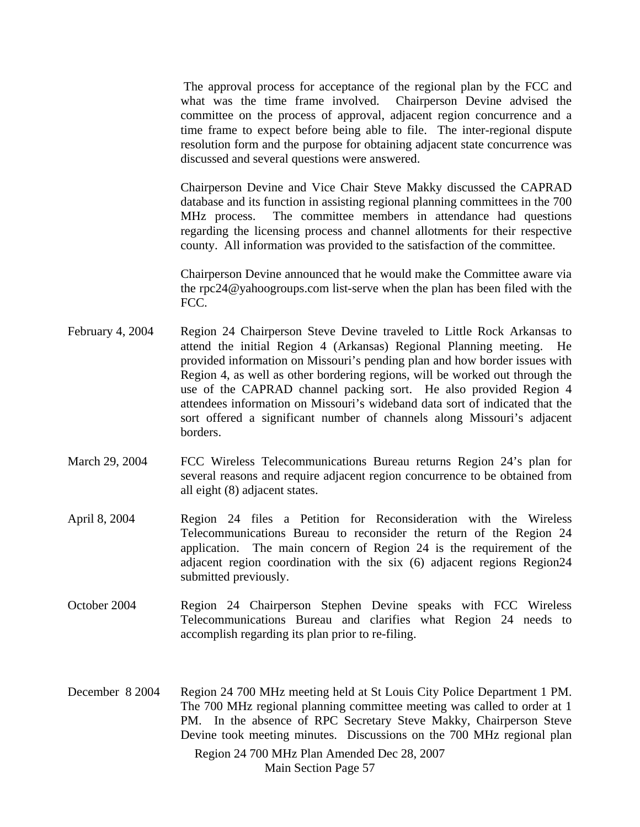The approval process for acceptance of the regional plan by the FCC and what was the time frame involved. Chairperson Devine advised the committee on the process of approval, adjacent region concurrence and a time frame to expect before being able to file. The inter-regional dispute resolution form and the purpose for obtaining adjacent state concurrence was discussed and several questions were answered.

Chairperson Devine and Vice Chair Steve Makky discussed the CAPRAD database and its function in assisting regional planning committees in the 700 MHz process. The committee members in attendance had questions regarding the licensing process and channel allotments for their respective county. All information was provided to the satisfaction of the committee.

Chairperson Devine announced that he would make the Committee aware via the rpc24@yahoogroups.com list-serve when the plan has been filed with the FCC.

- February 4, 2004 Region 24 Chairperson Steve Devine traveled to Little Rock Arkansas to attend the initial Region 4 (Arkansas) Regional Planning meeting. He provided information on Missouri's pending plan and how border issues with Region 4, as well as other bordering regions, will be worked out through the use of the CAPRAD channel packing sort. He also provided Region 4 attendees information on Missouri's wideband data sort of indicated that the sort offered a significant number of channels along Missouri's adjacent borders.
- March 29, 2004 FCC Wireless Telecommunications Bureau returns Region 24's plan for several reasons and require adjacent region concurrence to be obtained from all eight (8) adjacent states.
- April 8, 2004 Region 24 files a Petition for Reconsideration with the Wireless Telecommunications Bureau to reconsider the return of the Region 24 application. The main concern of Region 24 is the requirement of the adjacent region coordination with the six (6) adjacent regions Region24 submitted previously.
- October 2004 Region 24 Chairperson Stephen Devine speaks with FCC Wireless Telecommunications Bureau and clarifies what Region 24 needs to accomplish regarding its plan prior to re-filing.
- Region 24 700 MHz Plan Amended Dec 28, 2007 December 8 2004 Region 24 700 MHz meeting held at St Louis City Police Department 1 PM. The 700 MHz regional planning committee meeting was called to order at 1 PM. In the absence of RPC Secretary Steve Makky, Chairperson Steve Devine took meeting minutes. Discussions on the 700 MHz regional plan

Main Section Page 57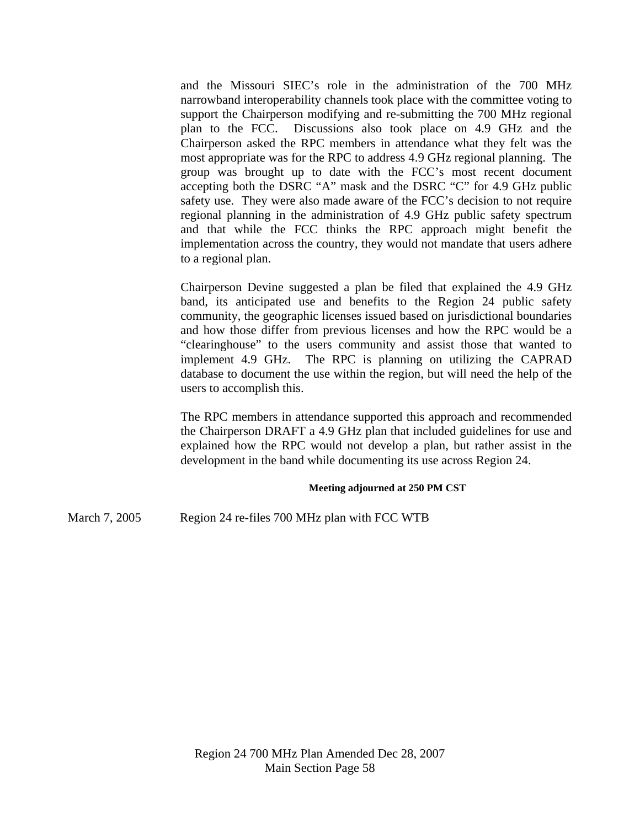and the Missouri SIEC's role in the administration of the 700 MHz narrowband interoperability channels took place with the committee voting to support the Chairperson modifying and re-submitting the 700 MHz regional plan to the FCC. Discussions also took place on 4.9 GHz and the Chairperson asked the RPC members in attendance what they felt was the most appropriate was for the RPC to address 4.9 GHz regional planning. The group was brought up to date with the FCC's most recent document accepting both the DSRC "A" mask and the DSRC "C" for 4.9 GHz public safety use. They were also made aware of the FCC's decision to not require regional planning in the administration of 4.9 GHz public safety spectrum and that while the FCC thinks the RPC approach might benefit the implementation across the country, they would not mandate that users adhere to a regional plan.

 Chairperson Devine suggested a plan be filed that explained the 4.9 GHz band, its anticipated use and benefits to the Region 24 public safety community, the geographic licenses issued based on jurisdictional boundaries and how those differ from previous licenses and how the RPC would be a "clearinghouse" to the users community and assist those that wanted to implement 4.9 GHz. The RPC is planning on utilizing the CAPRAD database to document the use within the region, but will need the help of the users to accomplish this.

 The RPC members in attendance supported this approach and recommended the Chairperson DRAFT a 4.9 GHz plan that included guidelines for use and explained how the RPC would not develop a plan, but rather assist in the development in the band while documenting its use across Region 24.

#### **Meeting adjourned at 250 PM CST**

March 7, 2005 Region 24 re-files 700 MHz plan with FCC WTB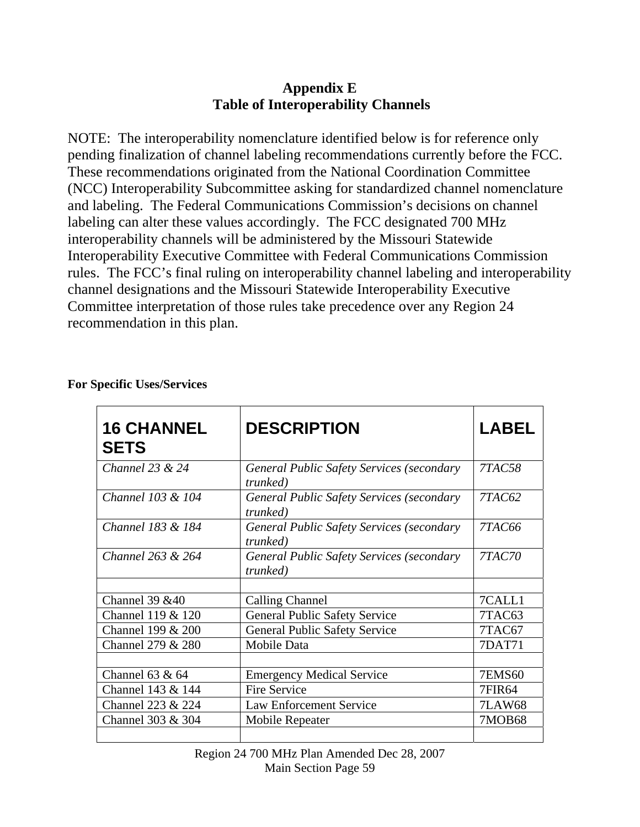## **Appendix E Table of Interoperability Channels**

NOTE: The interoperability nomenclature identified below is for reference only pending finalization of channel labeling recommendations currently before the FCC. These recommendations originated from the National Coordination Committee (NCC) Interoperability Subcommittee asking for standardized channel nomenclature and labeling. The Federal Communications Commission's decisions on channel labeling can alter these values accordingly. The FCC designated 700 MHz interoperability channels will be administered by the Missouri Statewide Interoperability Executive Committee with Federal Communications Commission rules. The FCC's final ruling on interoperability channel labeling and interoperability channel designations and the Missouri Statewide Interoperability Executive Committee interpretation of those rules take precedence over any Region 24 recommendation in this plan.

| <b>16 CHANNEL</b><br><b>SETS</b> | <b>DESCRIPTION</b>                                                   | <b>LABEL</b>  |
|----------------------------------|----------------------------------------------------------------------|---------------|
| Channel $23 & 24$                | General Public Safety Services (secondary<br><i>trunked</i> )        | <b>7TAC58</b> |
| Channel 103 & 104                | General Public Safety Services (secondary<br><i>trunked</i> )        | 7TAC62        |
| Channel 183 & 184                | <b>General Public Safety Services (secondary</b><br><i>trunked</i> ) | 7TAC66        |
| Channel 263 & 264                | <b>General Public Safety Services (secondary</b><br>trunked)         | <b>7TAC70</b> |
|                                  |                                                                      |               |
| Channel 39 & 40                  | <b>Calling Channel</b>                                               | 7CALL1        |
| Channel 119 & 120                | <b>General Public Safety Service</b>                                 | 7TAC63        |
| Channel 199 & 200                | <b>General Public Safety Service</b>                                 | 7TAC67        |
| Channel 279 & 280                | Mobile Data                                                          | 7DAT71        |
|                                  |                                                                      |               |
| Channel $63 & 64$                | <b>Emergency Medical Service</b>                                     | <b>7EMS60</b> |
| Channel 143 & 144                | <b>Fire Service</b>                                                  | <b>7FIR64</b> |
| Channel 223 & 224                | <b>Law Enforcement Service</b>                                       | <b>7LAW68</b> |
| Channel 303 & 304                | Mobile Repeater                                                      | 7MOB68        |
|                                  |                                                                      |               |

**For Specific Uses/Services**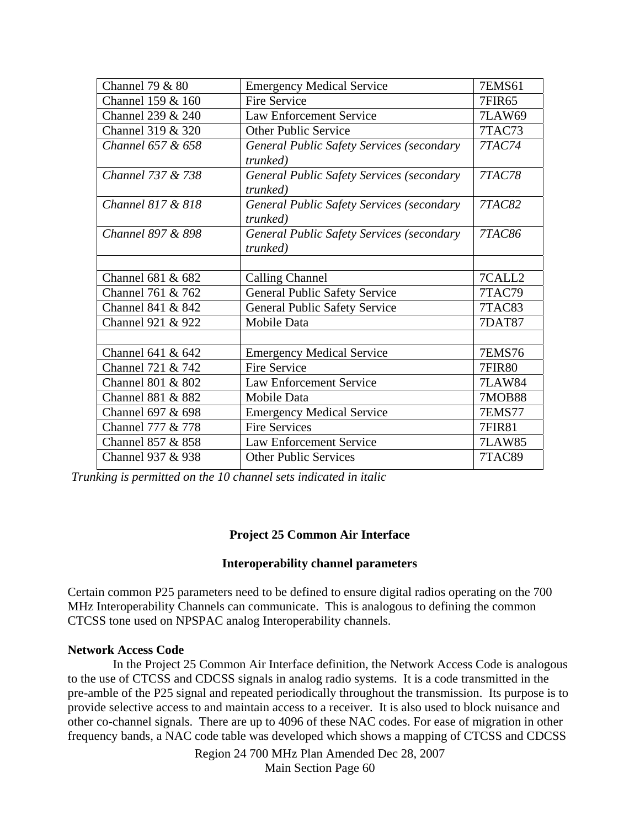| Channel 79 & 80   | <b>Emergency Medical Service</b>                                     | <b>7EMS61</b> |
|-------------------|----------------------------------------------------------------------|---------------|
| Channel 159 & 160 | <b>Fire Service</b>                                                  | <b>7FIR65</b> |
| Channel 239 & 240 | <b>Law Enforcement Service</b>                                       | <b>7LAW69</b> |
| Channel 319 & 320 | <b>Other Public Service</b>                                          | 7TAC73        |
| Channel 657 & 658 | <b>General Public Safety Services (secondary</b><br><i>trunked</i> ) | <b>7TAC74</b> |
| Channel 737 & 738 | <b>General Public Safety Services (secondary</b><br><i>trunked</i> ) | <b>7TAC78</b> |
| Channel 817 & 818 | <b>General Public Safety Services (secondary</b><br>trunked)         | <b>7TAC82</b> |
| Channel 897 & 898 | <b>General Public Safety Services (secondary</b><br>trunked)         | <b>7TAC86</b> |
|                   |                                                                      |               |
| Channel 681 & 682 | <b>Calling Channel</b>                                               | 7CALL2        |
| Channel 761 & 762 | <b>General Public Safety Service</b>                                 | 7TAC79        |
| Channel 841 & 842 | <b>General Public Safety Service</b>                                 | 7TAC83        |
| Channel 921 & 922 | Mobile Data                                                          | <b>7DAT87</b> |
|                   |                                                                      |               |
| Channel 641 & 642 | <b>Emergency Medical Service</b>                                     | <b>7EMS76</b> |
| Channel 721 & 742 | Fire Service                                                         | <b>7FIR80</b> |
| Channel 801 & 802 | <b>Law Enforcement Service</b>                                       | <b>7LAW84</b> |
| Channel 881 & 882 | Mobile Data                                                          | <b>7MOB88</b> |
| Channel 697 & 698 | <b>Emergency Medical Service</b>                                     | <b>7EMS77</b> |
| Channel 777 & 778 | <b>Fire Services</b>                                                 | <b>7FIR81</b> |
| Channel 857 & 858 | <b>Law Enforcement Service</b>                                       | <b>7LAW85</b> |
| Channel 937 & 938 | <b>Other Public Services</b>                                         | 7TAC89        |
|                   |                                                                      |               |

*Trunking is permitted on the 10 channel sets indicated in italic*

### **Project 25 Common Air Interface**

#### **Interoperability channel parameters**

Certain common P25 parameters need to be defined to ensure digital radios operating on the 700 MHz Interoperability Channels can communicate. This is analogous to defining the common CTCSS tone used on NPSPAC analog Interoperability channels.

#### **Network Access Code**

 In the Project 25 Common Air Interface definition, the Network Access Code is analogous to the use of CTCSS and CDCSS signals in analog radio systems. It is a code transmitted in the pre-amble of the P25 signal and repeated periodically throughout the transmission. Its purpose is to provide selective access to and maintain access to a receiver. It is also used to block nuisance and other co-channel signals. There are up to 4096 of these NAC codes. For ease of migration in other frequency bands, a NAC code table was developed which shows a mapping of CTCSS and CDCSS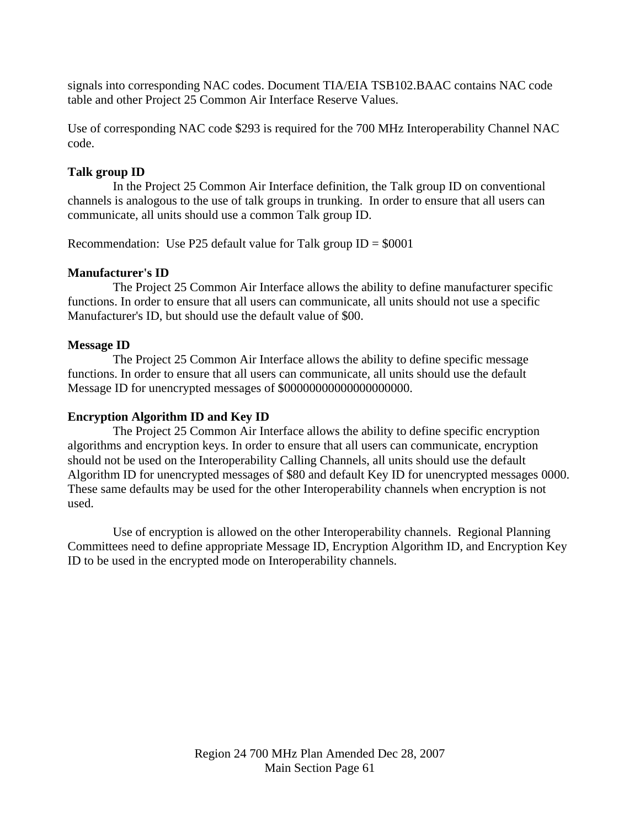signals into corresponding NAC codes. Document TIA/EIA TSB102.BAAC contains NAC code table and other Project 25 Common Air Interface Reserve Values.

Use of corresponding NAC code \$293 is required for the 700 MHz Interoperability Channel NAC code.

#### **Talk group ID**

 In the Project 25 Common Air Interface definition, the Talk group ID on conventional channels is analogous to the use of talk groups in trunking. In order to ensure that all users can communicate, all units should use a common Talk group ID.

Recommendation: Use P25 default value for Talk group  $ID = $0001$ 

#### **Manufacturer's ID**

 The Project 25 Common Air Interface allows the ability to define manufacturer specific functions. In order to ensure that all users can communicate, all units should not use a specific Manufacturer's ID, but should use the default value of \$00.

#### **Message ID**

 The Project 25 Common Air Interface allows the ability to define specific message functions. In order to ensure that all users can communicate, all units should use the default Message ID for unencrypted messages of \$00000000000000000000.

#### **Encryption Algorithm ID and Key ID**

 The Project 25 Common Air Interface allows the ability to define specific encryption algorithms and encryption keys. In order to ensure that all users can communicate, encryption should not be used on the Interoperability Calling Channels, all units should use the default Algorithm ID for unencrypted messages of \$80 and default Key ID for unencrypted messages 0000. These same defaults may be used for the other Interoperability channels when encryption is not used.

Use of encryption is allowed on the other Interoperability channels. Regional Planning Committees need to define appropriate Message ID, Encryption Algorithm ID, and Encryption Key ID to be used in the encrypted mode on Interoperability channels.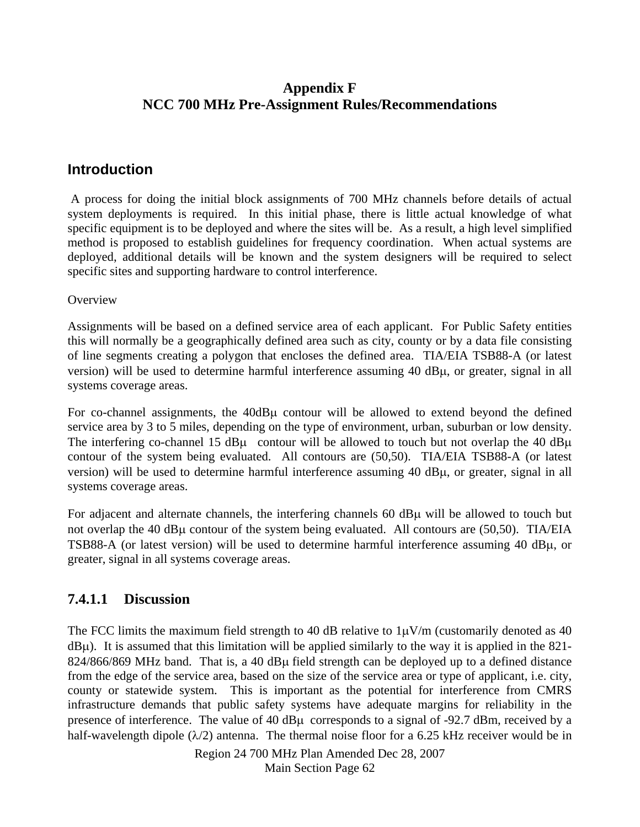## **Appendix F NCC 700 MHz Pre-Assignment Rules/Recommendations**

## **Introduction**

 A process for doing the initial block assignments of 700 MHz channels before details of actual system deployments is required. In this initial phase, there is little actual knowledge of what specific equipment is to be deployed and where the sites will be. As a result, a high level simplified method is proposed to establish guidelines for frequency coordination. When actual systems are deployed, additional details will be known and the system designers will be required to select specific sites and supporting hardware to control interference.

**Overview** 

Assignments will be based on a defined service area of each applicant. For Public Safety entities this will normally be a geographically defined area such as city, county or by a data file consisting of line segments creating a polygon that encloses the defined area. TIA/EIA TSB88-A (or latest version) will be used to determine harmful interference assuming 40 dBμ, or greater, signal in all systems coverage areas.

For co-channel assignments, the 40dBμ contour will be allowed to extend beyond the defined service area by 3 to 5 miles, depending on the type of environment, urban, suburban or low density. The interfering co-channel 15  $d$ B $\mu$  contour will be allowed to touch but not overlap the 40  $d$ B $\mu$ contour of the system being evaluated. All contours are (50,50). TIA/EIA TSB88-A (or latest version) will be used to determine harmful interference assuming 40 dBμ, or greater, signal in all systems coverage areas.

For adjacent and alternate channels, the interfering channels 60 dBμ will be allowed to touch but not overlap the 40 dBμ contour of the system being evaluated. All contours are (50,50). TIA/EIA TSB88-A (or latest version) will be used to determine harmful interference assuming 40 dBμ, or greater, signal in all systems coverage areas.

## **7.4.1.1 Discussion**

The FCC limits the maximum field strength to 40 dB relative to  $1\mu$ V/m (customarily denoted as 40  $dB\mu$ ). It is assumed that this limitation will be applied similarly to the way it is applied in the 821-824/866/869 MHz band. That is, a 40 dBμ field strength can be deployed up to a defined distance from the edge of the service area, based on the size of the service area or type of applicant, i.e. city, county or statewide system. This is important as the potential for interference from CMRS infrastructure demands that public safety systems have adequate margins for reliability in the presence of interference. The value of 40 dBμ corresponds to a signal of -92.7 dBm, received by a half-wavelength dipole  $(\lambda/2)$  antenna. The thermal noise floor for a 6.25 kHz receiver would be in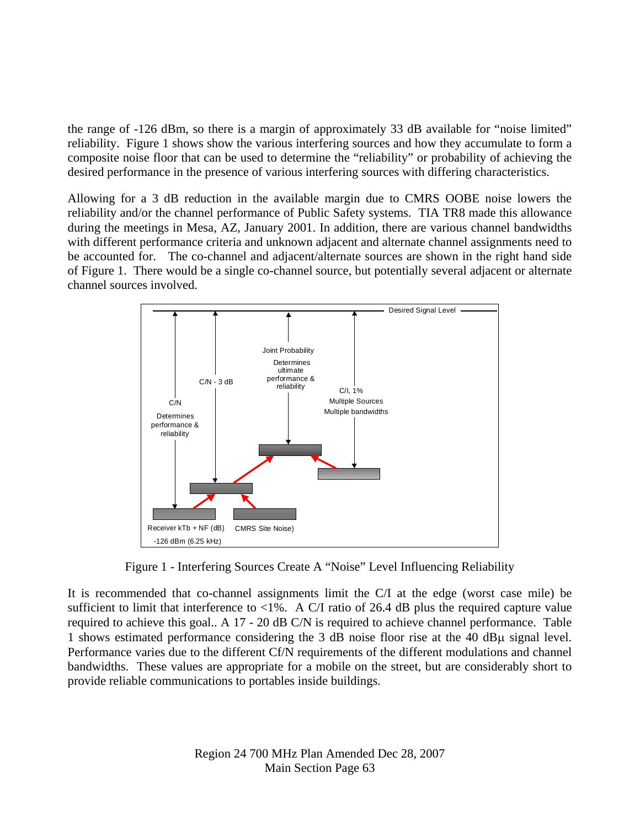the range of -126 dBm, so there is a margin of approximately 33 dB available for "noise limited" reliability. Figure 1 shows show the various interfering sources and how they accumulate to form a composite noise floor that can be used to determine the "reliability" or probability of achieving the desired performance in the presence of various interfering sources with differing characteristics.

Allowing for a 3 dB reduction in the available margin due to CMRS OOBE noise lowers the reliability and/or the channel performance of Public Safety systems. TIA TR8 made this allowance during the meetings in Mesa, AZ, January 2001. In addition, there are various channel bandwidths with different performance criteria and unknown adjacent and alternate channel assignments need to be accounted for. The co-channel and adjacent/alternate sources are shown in the right hand side of Figure 1. There would be a single co-channel source, but potentially several adjacent or alternate channel sources involved.



Figure 1 - Interfering Sources Create A "Noise" Level Influencing Reliability

It is recommended that co-channel assignments limit the C/I at the edge (worst case mile) be sufficient to limit that interference to  $\langle 1\% \rangle$ . A C/I ratio of 26.4 dB plus the required capture value required to achieve this goal.. A 17 - 20 dB C/N is required to achieve channel performance. Table 1 shows estimated performance considering the 3 dB noise floor rise at the 40 dBμ signal level. Performance varies due to the different Cf/N requirements of the different modulations and channel bandwidths. These values are appropriate for a mobile on the street, but are considerably short to provide reliable communications to portables inside buildings.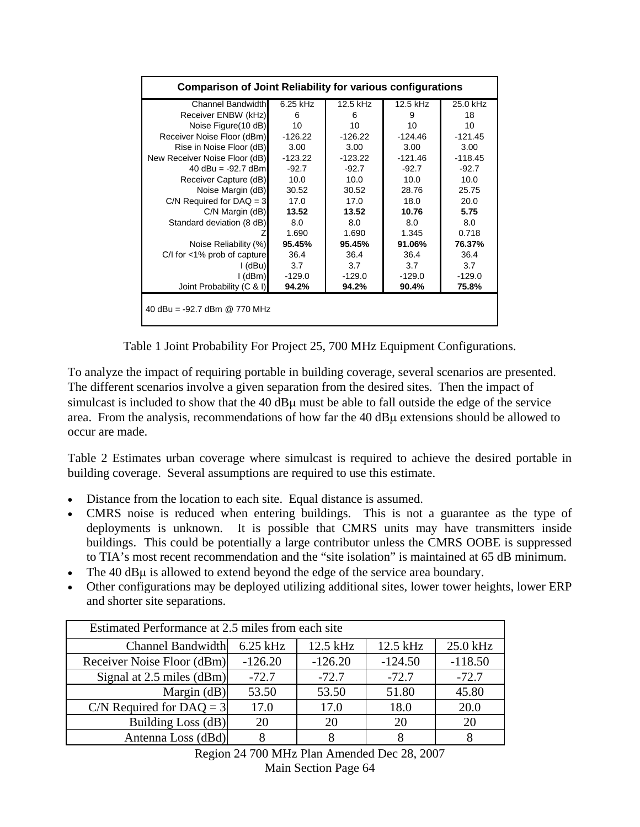| <b>Comparison of Joint Reliability for various configurations</b> |            |           |           |           |
|-------------------------------------------------------------------|------------|-----------|-----------|-----------|
| <b>Channel Bandwidth</b>                                          | $6.25$ kHz | 12.5 kHz  | 12.5 kHz  | 25.0 kHz  |
| Receiver ENBW (kHz)                                               | 6          | 6         | 9         | 18        |
| Noise Figure (10 dB)                                              | 10         | 10        | 10        | 10        |
| Receiver Noise Floor (dBm)                                        | $-126.22$  | $-126.22$ | $-124.46$ | $-121.45$ |
| Rise in Noise Floor (dB)                                          | 3.00       | 3.00      | 3.00      | 3.00      |
| New Receiver Noise Floor (dB)                                     | $-123.22$  | $-123.22$ | $-121.46$ | $-118.45$ |
| 40 $dBu = -92.7$ dBm                                              | $-92.7$    | $-92.7$   | $-92.7$   | $-92.7$   |
| Receiver Capture (dB)                                             | 10.0       | 10.0      | 10.0      | 10.0      |
| Noise Margin (dB)                                                 | 30.52      | 30.52     | 28.76     | 25.75     |
| $C/N$ Required for DAQ = 3                                        | 17.0       | 17.0      | 18.0      | 20.0      |
| C/N Margin (dB)                                                   | 13.52      | 13.52     | 10.76     | 5.75      |
| Standard deviation (8 dB)                                         | 8.0        | 8.0       | 8.0       | 8.0       |
|                                                                   | 1.690      | 1.690     | 1.345     | 0.718     |
| Noise Reliability (%)                                             | 95.45%     | 95.45%    | 91.06%    | 76.37%    |
| $C/I$ for $<$ 1% prob of capture                                  | 36.4       | 36.4      | 36.4      | 36.4      |
| I (dBu)                                                           | 3.7        | 3.7       | 3.7       | 3.7       |
| I (dBm)                                                           | $-129.0$   | $-129.0$  | $-129.0$  | $-129.0$  |
| Joint Probability (C & I)                                         | 94.2%      | 94.2%     | 90.4%     | 75.8%     |
| 40 dBu = -92.7 dBm @ 770 MHz                                      |            |           |           |           |

Table 1 Joint Probability For Project 25, 700 MHz Equipment Configurations.

To analyze the impact of requiring portable in building coverage, several scenarios are presented. The different scenarios involve a given separation from the desired sites. Then the impact of simulcast is included to show that the 40 dBμ must be able to fall outside the edge of the service area. From the analysis, recommendations of how far the 40 dBμ extensions should be allowed to occur are made.

Table 2 Estimates urban coverage where simulcast is required to achieve the desired portable in building coverage. Several assumptions are required to use this estimate.

- Distance from the location to each site. Equal distance is assumed.
- CMRS noise is reduced when entering buildings. This is not a guarantee as the type of deployments is unknown. It is possible that CMRS units may have transmitters inside buildings. This could be potentially a large contributor unless the CMRS OOBE is suppressed to TIA's most recent recommendation and the "site isolation" is maintained at 65 dB minimum.
- The 40 dBμ is allowed to extend beyond the edge of the service area boundary.
- Other configurations may be deployed utilizing additional sites, lower tower heights, lower ERP and shorter site separations.

| Estimated Performance at 2.5 miles from each site |            |           |           |           |
|---------------------------------------------------|------------|-----------|-----------|-----------|
| <b>Channel Bandwidth</b>                          | $6.25$ kHz | 12.5 kHz  | 12.5 kHz  | 25.0 kHz  |
| Receiver Noise Floor (dBm)                        | $-126.20$  | $-126.20$ | $-124.50$ | $-118.50$ |
| Signal at 2.5 miles (dBm)                         | $-72.7$    | $-72.7$   | $-72.7$   | $-72.7$   |
| Margin $(dB)$                                     | 53.50      | 53.50     | 51.80     | 45.80     |
| C/N Required for DAQ = $3$                        | 17.0       | 17.0      | 18.0      | 20.0      |
| Building Loss (dB)                                | 20         | 20        | 20        | 20        |
| Antenna Loss (dBd)                                |            |           |           |           |

Region 24 700 MHz Plan Amended Dec 28, 2007 Main Section Page 64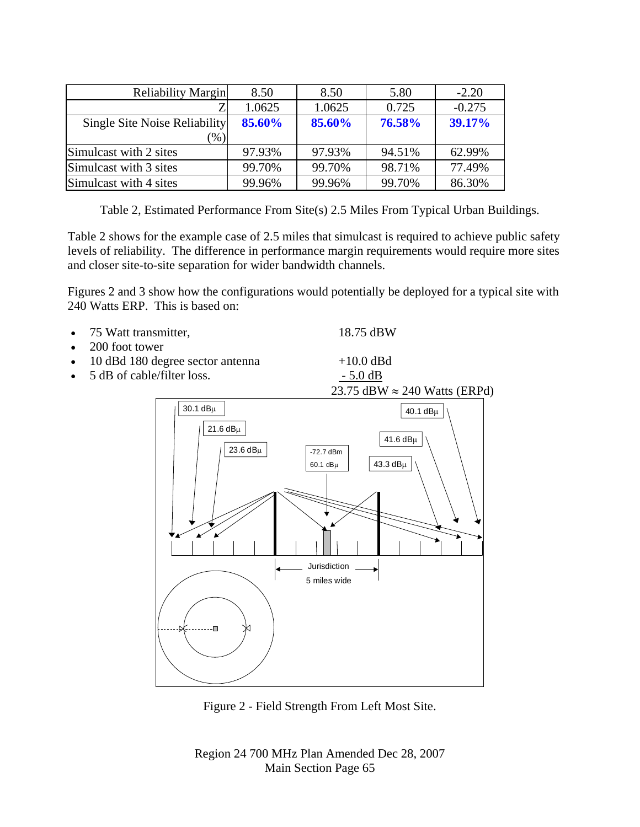| <b>Reliability Margin</b>     | 8.50   | 8.50   | 5.80   | $-2.20$  |
|-------------------------------|--------|--------|--------|----------|
|                               | 1.0625 | 1.0625 | 0.725  | $-0.275$ |
| Single Site Noise Reliability | 85.60% | 85.60% | 76.58% | 39.17%   |
| $\left( \% \right)$           |        |        |        |          |
| Simulcast with 2 sites        | 97.93% | 97.93% | 94.51% | 62.99%   |
| Simulcast with 3 sites        | 99.70% | 99.70% | 98.71% | 77.49%   |
| Simulcast with 4 sites        | 99.96% | 99.96% | 99.70% | 86.30%   |

Table 2, Estimated Performance From Site(s) 2.5 Miles From Typical Urban Buildings.

Table 2 shows for the example case of 2.5 miles that simulcast is required to achieve public safety levels of reliability. The difference in performance margin requirements would require more sites and closer site-to-site separation for wider bandwidth channels.

Figures 2 and 3 show how the configurations would potentially be deployed for a typical site with 240 Watts ERP. This is based on:

| • 75 Watt transmitter,                                                                     | 18.75 dBW |
|--------------------------------------------------------------------------------------------|-----------|
| $0.00$ $\ell$ $\rightarrow$ $\ell$ $\rightarrow$ $\rightarrow$ $\rightarrow$ $\rightarrow$ |           |

- 200 foot tower
- 10 dBd 180 degree sector antenna +10.0 dBd
- 5 dB of cable/filter loss.  $-$  5.0 dB



Figure 2 - Field Strength From Left Most Site.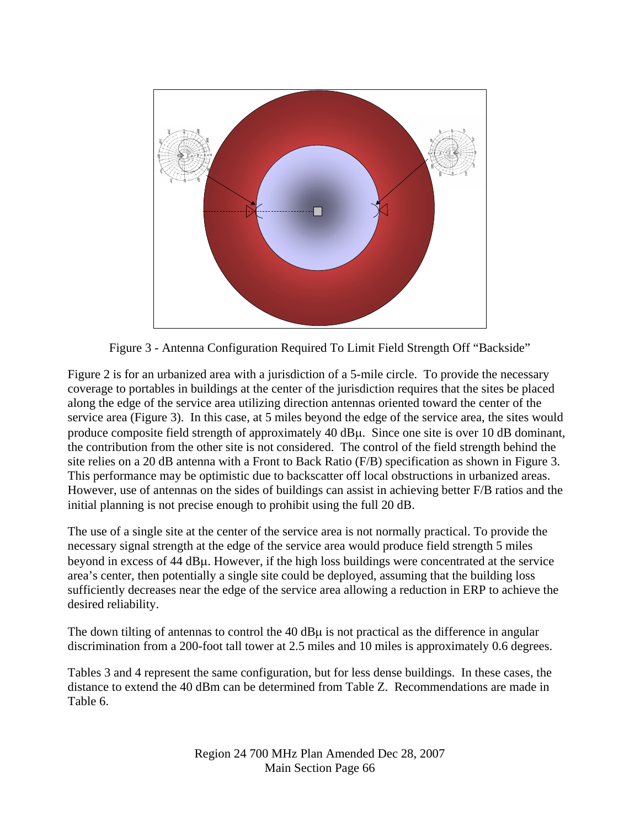

Figure 3 - Antenna Configuration Required To Limit Field Strength Off "Backside"

Figure 2 is for an urbanized area with a jurisdiction of a 5-mile circle. To provide the necessary coverage to portables in buildings at the center of the jurisdiction requires that the sites be placed along the edge of the service area utilizing direction antennas oriented toward the center of the service area (Figure 3). In this case, at 5 miles beyond the edge of the service area, the sites would produce composite field strength of approximately 40 dBμ. Since one site is over 10 dB dominant, the contribution from the other site is not considered. The control of the field strength behind the site relies on a 20 dB antenna with a Front to Back Ratio (F/B) specification as shown in Figure 3. This performance may be optimistic due to backscatter off local obstructions in urbanized areas. However, use of antennas on the sides of buildings can assist in achieving better F/B ratios and the initial planning is not precise enough to prohibit using the full 20 dB.

The use of a single site at the center of the service area is not normally practical. To provide the necessary signal strength at the edge of the service area would produce field strength 5 miles beyond in excess of 44 dBμ. However, if the high loss buildings were concentrated at the service area's center, then potentially a single site could be deployed, assuming that the building loss sufficiently decreases near the edge of the service area allowing a reduction in ERP to achieve the desired reliability.

The down tilting of antennas to control the 40 dBμ is not practical as the difference in angular discrimination from a 200-foot tall tower at 2.5 miles and 10 miles is approximately 0.6 degrees.

Tables 3 and 4 represent the same configuration, but for less dense buildings. In these cases, the distance to extend the 40 dBm can be determined from Table Z. Recommendations are made in Table 6.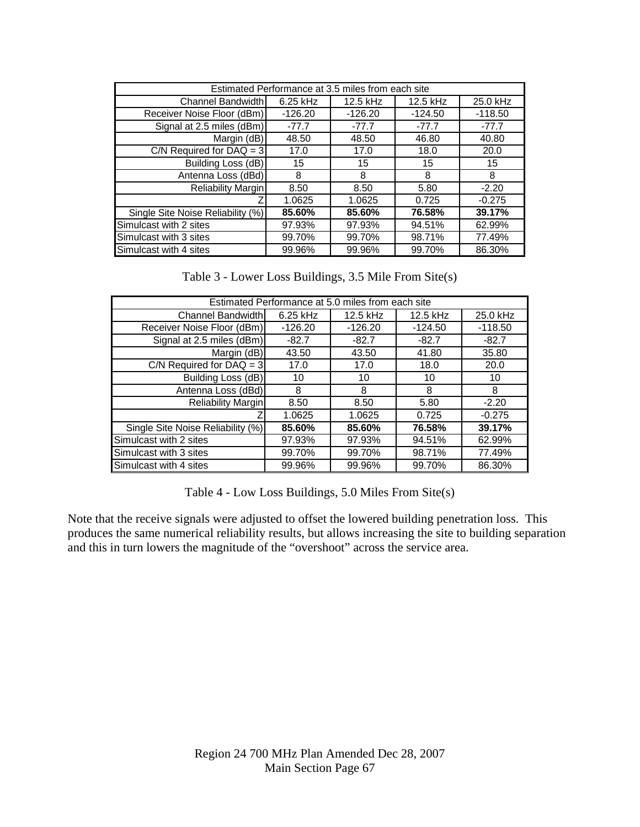| Estimated Performance at 3.5 miles from each site |            |           |           |           |
|---------------------------------------------------|------------|-----------|-----------|-----------|
| Channel Bandwidth                                 | $6.25$ kHz | 12.5 kHz  | 12.5 kHz  | 25.0 kHz  |
| Receiver Noise Floor (dBm)                        | $-126.20$  | $-126.20$ | $-124.50$ | $-118.50$ |
| Signal at 2.5 miles (dBm)                         | $-77.7$    | $-77.7$   | $-77.7$   | $-77.7$   |
| Margin (dB)                                       | 48.50      | 48.50     | 46.80     | 40.80     |
| C/N Required for $DAQ = 3$                        | 17.0       | 17.0      | 18.0      | 20.0      |
| Building Loss (dB)                                | 15         | 15        | 15        | 15        |
| Antenna Loss (dBd)                                | 8          | 8         | 8         | 8         |
| <b>Reliability Margin</b>                         | 8.50       | 8.50      | 5.80      | $-2.20$   |
|                                                   | 1.0625     | 1.0625    | 0.725     | $-0.275$  |
| Single Site Noise Reliability (%)                 | 85.60%     | 85.60%    | 76.58%    | 39.17%    |
| Simulcast with 2 sites                            | 97.93%     | 97.93%    | 94.51%    | 62.99%    |
| Simulcast with 3 sites                            | 99.70%     | 99.70%    | 98.71%    | 77.49%    |
| Simulcast with 4 sites                            | 99.96%     | 99.96%    | 99.70%    | 86.30%    |

Table 3 - Lower Loss Buildings, 3.5 Mile From Site(s)

| Estimated Performance at 5.0 miles from each site |            |           |           |           |
|---------------------------------------------------|------------|-----------|-----------|-----------|
| Channel Bandwidth                                 | $6.25$ kHz | 12.5 kHz  | 12.5 kHz  | 25.0 kHz  |
| Receiver Noise Floor (dBm)                        | $-126.20$  | $-126.20$ | $-124.50$ | $-118.50$ |
| Signal at 2.5 miles (dBm)                         | $-82.7$    | $-82.7$   | $-82.7$   | $-82.7$   |
| Margin (dB)                                       | 43.50      | 43.50     | 41.80     | 35.80     |
| $C/N$ Required for $DAQ = 3$                      | 17.0       | 17.0      | 18.0      | 20.0      |
| Building Loss (dB)                                | 10         | 10        | 10        | 10        |
| Antenna Loss (dBd)                                | 8          | 8         | 8         | 8         |
| Reliability Margin                                | 8.50       | 8.50      | 5.80      | $-2.20$   |
|                                                   | 1.0625     | 1.0625    | 0.725     | $-0.275$  |
| Single Site Noise Reliability (%)                 | 85.60%     | 85.60%    | 76.58%    | 39.17%    |
| Simulcast with 2 sites                            | 97.93%     | 97.93%    | 94.51%    | 62.99%    |
| Simulcast with 3 sites                            | 99.70%     | 99.70%    | 98.71%    | 77.49%    |
| Simulcast with 4 sites                            | 99.96%     | 99.96%    | 99.70%    | 86.30%    |

Table 4 - Low Loss Buildings, 5.0 Miles From Site(s)

Note that the receive signals were adjusted to offset the lowered building penetration loss. This produces the same numerical reliability results, but allows increasing the site to building separation and this in turn lowers the magnitude of the "overshoot" across the service area.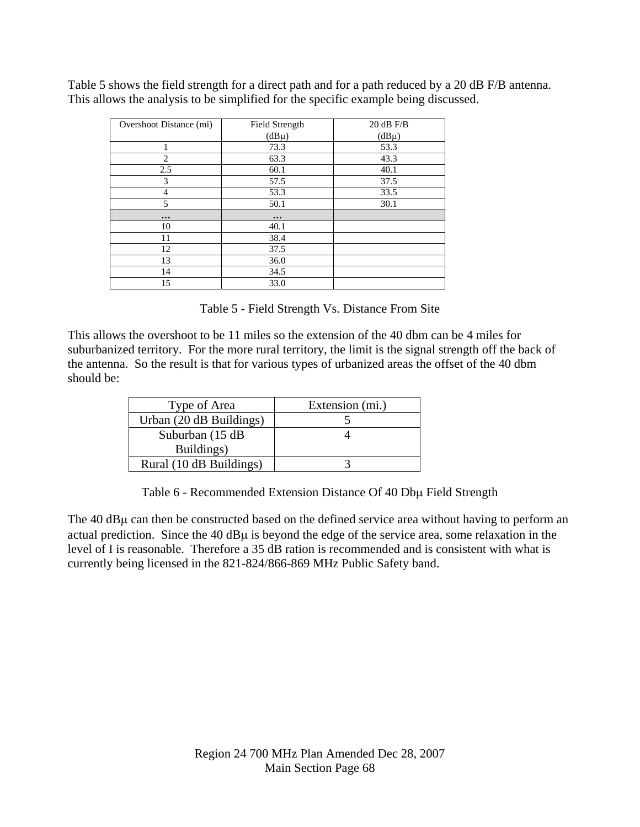| Overshoot Distance (mi) | Field Strength | $20$ dB F/B |
|-------------------------|----------------|-------------|
|                         | $(dB\mu)$      | $(dB\mu)$   |
| 1                       | 73.3           | 53.3        |
| $\overline{c}$          | 63.3           | 43.3        |
| 2.5                     | 60.1           | 40.1        |
| 3                       | 57.5           | 37.5        |
| 4                       | 53.3           | 33.5        |
| 5                       | 50.1           | 30.1        |
| $\ddotsc$               | $\cdots$       |             |
| 10                      | 40.1           |             |
| 11                      | 38.4           |             |
| 12                      | 37.5           |             |
| 13                      | 36.0           |             |
| 14                      | 34.5           |             |
| 15                      | 33.0           |             |

Table 5 shows the field strength for a direct path and for a path reduced by a 20 dB F/B antenna. This allows the analysis to be simplified for the specific example being discussed.

Table 5 - Field Strength Vs. Distance From Site

This allows the overshoot to be 11 miles so the extension of the 40 dbm can be 4 miles for suburbanized territory. For the more rural territory, the limit is the signal strength off the back of the antenna. So the result is that for various types of urbanized areas the offset of the 40 dbm should be:

| Type of Area            | Extension (mi.) |
|-------------------------|-----------------|
| Urban (20 dB Buildings) |                 |
| Suburban (15 dB)        |                 |
| Buildings)              |                 |
| Rural (10 dB Buildings) |                 |

Table 6 - Recommended Extension Distance Of 40 Dbμ Field Strength

The 40 dBμ can then be constructed based on the defined service area without having to perform an actual prediction. Since the 40 dBμ is beyond the edge of the service area, some relaxation in the level of I is reasonable. Therefore a 35 dB ration is recommended and is consistent with what is currently being licensed in the 821-824/866-869 MHz Public Safety band.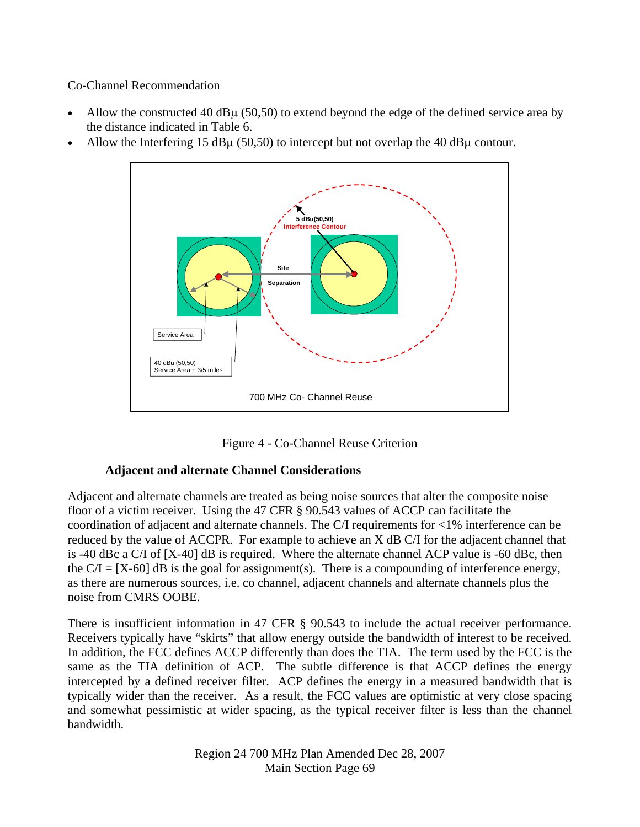Co-Channel Recommendation

- Allow the constructed 40 dB $\mu$  (50,50) to extend beyond the edge of the defined service area by the distance indicated in Table 6.
- Allow the Interfering 15 dB $\mu$  (50,50) to intercept but not overlap the 40 dB $\mu$  contour.





### **Adjacent and alternate Channel Considerations**

Adjacent and alternate channels are treated as being noise sources that alter the composite noise floor of a victim receiver. Using the 47 CFR § 90.543 values of ACCP can facilitate the coordination of adjacent and alternate channels. The C/I requirements for <1% interference can be reduced by the value of ACCPR. For example to achieve an X dB C/I for the adjacent channel that is -40 dBc a C/I of [X-40] dB is required. Where the alternate channel ACP value is -60 dBc, then the  $C/I = [X-60]$  dB is the goal for assignment(s). There is a compounding of interference energy, as there are numerous sources, i.e. co channel, adjacent channels and alternate channels plus the noise from CMRS OOBE.

There is insufficient information in 47 CFR  $\S$  90.543 to include the actual receiver performance. Receivers typically have "skirts" that allow energy outside the bandwidth of interest to be received. In addition, the FCC defines ACCP differently than does the TIA. The term used by the FCC is the same as the TIA definition of ACP. The subtle difference is that ACCP defines the energy intercepted by a defined receiver filter. ACP defines the energy in a measured bandwidth that is typically wider than the receiver. As a result, the FCC values are optimistic at very close spacing and somewhat pessimistic at wider spacing, as the typical receiver filter is less than the channel bandwidth.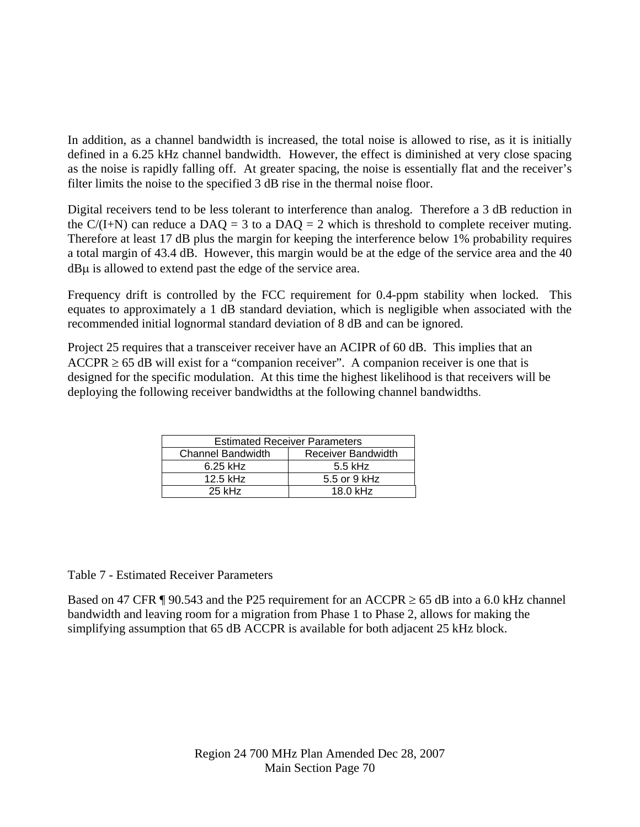In addition, as a channel bandwidth is increased, the total noise is allowed to rise, as it is initially defined in a 6.25 kHz channel bandwidth. However, the effect is diminished at very close spacing as the noise is rapidly falling off. At greater spacing, the noise is essentially flat and the receiver's filter limits the noise to the specified 3 dB rise in the thermal noise floor.

Digital receivers tend to be less tolerant to interference than analog. Therefore a 3 dB reduction in the  $C/(I+N)$  can reduce a DAQ = 3 to a DAQ = 2 which is threshold to complete receiver muting. Therefore at least 17 dB plus the margin for keeping the interference below 1% probability requires a total margin of 43.4 dB. However, this margin would be at the edge of the service area and the 40 dBμ is allowed to extend past the edge of the service area.

Frequency drift is controlled by the FCC requirement for 0.4-ppm stability when locked. This equates to approximately a 1 dB standard deviation, which is negligible when associated with the recommended initial lognormal standard deviation of 8 dB and can be ignored.

Project 25 requires that a transceiver receiver have an ACIPR of 60 dB. This implies that an  $ACCPR \ge 65$  dB will exist for a "companion receiver". A companion receiver is one that is designed for the specific modulation. At this time the highest likelihood is that receivers will be deploying the following receiver bandwidths at the following channel bandwidths.

| <b>Estimated Receiver Parameters</b> |                    |
|--------------------------------------|--------------------|
| <b>Channel Bandwidth</b>             | Receiver Bandwidth |
| $6.25$ kHz                           | $5.5$ kHz          |
| $12.5$ kHz                           | 5.5 or 9 kHz       |
| $25$ kHz                             | 18.0 kHz           |

#### Table 7 - Estimated Receiver Parameters

Based on 47 CFR ¶ 90.543 and the P25 requirement for an ACCPR  $\geq$  65 dB into a 6.0 kHz channel bandwidth and leaving room for a migration from Phase 1 to Phase 2, allows for making the simplifying assumption that 65 dB ACCPR is available for both adjacent 25 kHz block.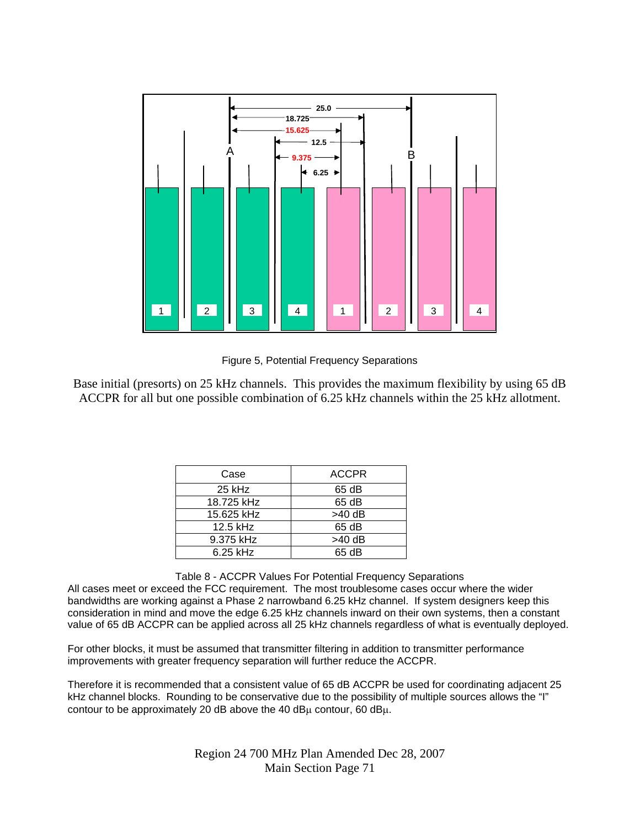

Figure 5, Potential Frequency Separations

Base initial (presorts) on 25 kHz channels. This provides the maximum flexibility by using 65 dB ACCPR for all but one possible combination of 6.25 kHz channels within the 25 kHz allotment.

| Case       | <b>ACCPR</b> |
|------------|--------------|
| $25$ kHz   | 65 dB        |
| 18.725 kHz | 65 dB        |
| 15.625 kHz | $>40$ dB     |
| 12.5 kHz   | 65 dB        |
| 9.375 kHz  | $>40$ dB     |
| $6.25$ kHz | 65 dB        |

Table 8 - ACCPR Values For Potential Frequency Separations

All cases meet or exceed the FCC requirement. The most troublesome cases occur where the wider bandwidths are working against a Phase 2 narrowband 6.25 kHz channel. If system designers keep this consideration in mind and move the edge 6.25 kHz channels inward on their own systems, then a constant value of 65 dB ACCPR can be applied across all 25 kHz channels regardless of what is eventually deployed.

For other blocks, it must be assumed that transmitter filtering in addition to transmitter performance improvements with greater frequency separation will further reduce the ACCPR.

Therefore it is recommended that a consistent value of 65 dB ACCPR be used for coordinating adjacent 25 kHz channel blocks. Rounding to be conservative due to the possibility of multiple sources allows the "I" contour to be approximately 20 dB above the 40 dB $\mu$  contour, 60 dB $\mu$ .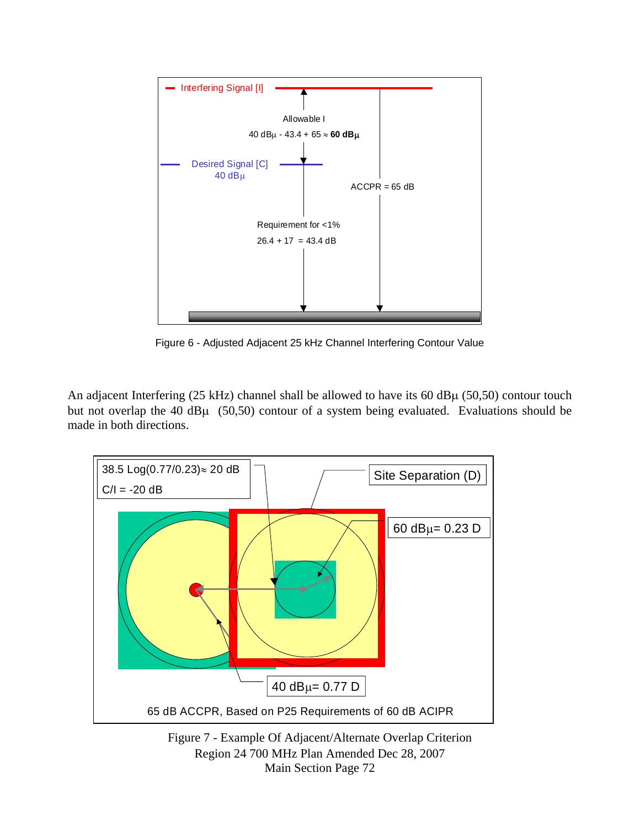

Figure 6 - Adjusted Adjacent 25 kHz Channel Interfering Contour Value

An adjacent Interfering (25 kHz) channel shall be allowed to have its 60 dBμ (50,50) contour touch but not overlap the 40 dBμ (50,50) contour of a system being evaluated. Evaluations should be made in both directions.



Region 24 700 MHz Plan Amended Dec 28, 2007 Main Section Page 72 Figure 7 - Example Of Adjacent/Alternate Overlap Criterion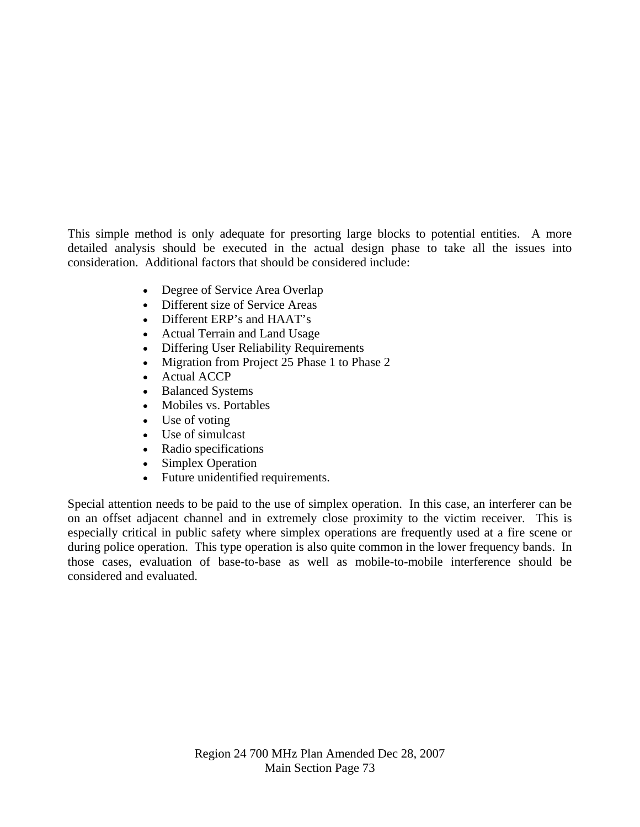This simple method is only adequate for presorting large blocks to potential entities. A more detailed analysis should be executed in the actual design phase to take all the issues into consideration. Additional factors that should be considered include:

- Degree of Service Area Overlap
- Different size of Service Areas
- Different ERP's and HAAT's
- Actual Terrain and Land Usage
- Differing User Reliability Requirements
- Migration from Project 25 Phase 1 to Phase 2
- Actual ACCP
- Balanced Systems
- Mobiles vs. Portables
- Use of voting
- Use of simulcast
- Radio specifications
- Simplex Operation
- Future unidentified requirements.

Special attention needs to be paid to the use of simplex operation. In this case, an interferer can be on an offset adjacent channel and in extremely close proximity to the victim receiver. This is especially critical in public safety where simplex operations are frequently used at a fire scene or during police operation. This type operation is also quite common in the lower frequency bands. In those cases, evaluation of base-to-base as well as mobile-to-mobile interference should be considered and evaluated.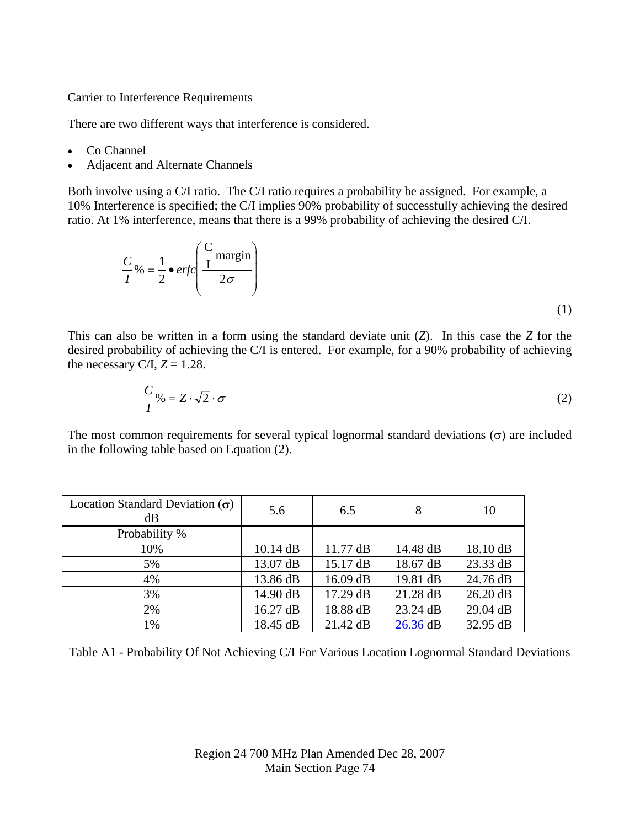Carrier to Interference Requirements

There are two different ways that interference is considered.

- Co Channel
- Adjacent and Alternate Channels

Both involve using a C/I ratio. The C/I ratio requires a probability be assigned. For example, a 10% Interference is specified; the C/I implies 90% probability of successfully achieving the desired ratio. At 1% interference, means that there is a 99% probability of achieving the desired C/I.

$$
\frac{C}{I}\% = \frac{1}{2} \cdot \text{erfc}\left(\frac{C}{I} \text{margin}\right)
$$
\n(1)

This can also be written in a form using the standard deviate unit (*Z*). In this case the *Z* for the desired probability of achieving the C/I is entered. For example, for a 90% probability of achieving the necessary C/I,  $Z = 1.28$ .

$$
\frac{C}{I}\% = Z \cdot \sqrt{2} \cdot \sigma \tag{2}
$$

The most common requirements for several typical lognormal standard deviations  $(\sigma)$  are included in the following table based on Equation (2).

| Location Standard Deviation $(\sigma)$<br>dB | 5.6        | 6.5      | 8          | 10         |
|----------------------------------------------|------------|----------|------------|------------|
| Probability %                                |            |          |            |            |
| 10%                                          | $10.14$ dB | 11.77 dB | 14.48 dB   | 18.10 dB   |
| 5%                                           | 13.07 dB   | 15.17 dB | 18.67 dB   | 23.33 dB   |
| 4%                                           | 13.86 dB   | 16.09 dB | 19.81 dB   | 24.76 dB   |
| 3%                                           | 14.90 dB   | 17.29 dB | 21.28 dB   | $26.20$ dB |
| 2%                                           | 16.27 dB   | 18.88 dB | 23.24 dB   | 29.04 dB   |
| 1%                                           | 18.45 dB   | 21.42 dB | $26.36$ dB | 32.95 dB   |

Table A1 - Probability Of Not Achieving C/I For Various Location Lognormal Standard Deviations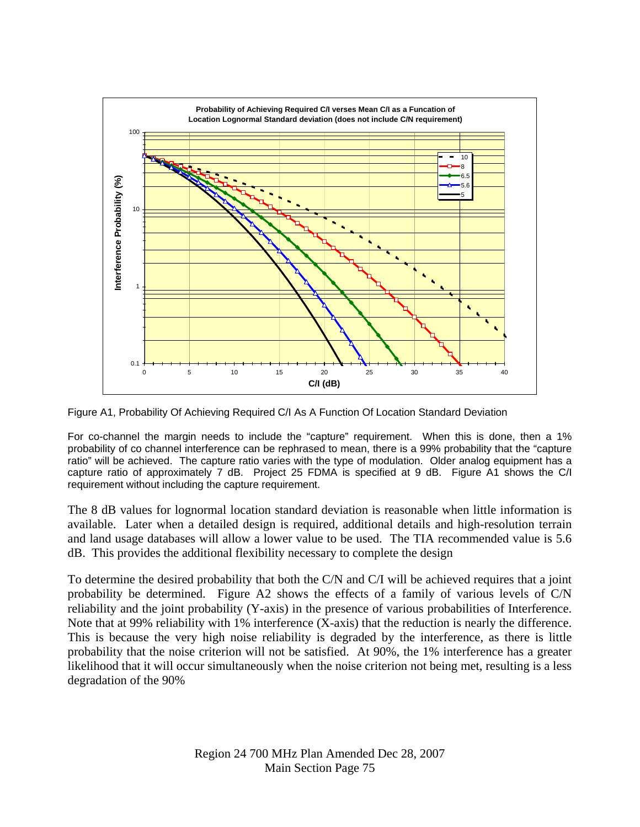

Figure A1, Probability Of Achieving Required C/I As A Function Of Location Standard Deviation

For co-channel the margin needs to include the "capture" requirement. When this is done, then a 1% probability of co channel interference can be rephrased to mean, there is a 99% probability that the "capture ratio" will be achieved. The capture ratio varies with the type of modulation. Older analog equipment has a capture ratio of approximately 7 dB. Project 25 FDMA is specified at 9 dB. Figure A1 shows the C/I requirement without including the capture requirement.

The 8 dB values for lognormal location standard deviation is reasonable when little information is available. Later when a detailed design is required, additional details and high-resolution terrain and land usage databases will allow a lower value to be used. The TIA recommended value is 5.6 dB. This provides the additional flexibility necessary to complete the design

To determine the desired probability that both the C/N and C/I will be achieved requires that a joint probability be determined. Figure A2 shows the effects of a family of various levels of C/N reliability and the joint probability (Y-axis) in the presence of various probabilities of Interference. Note that at 99% reliability with 1% interference (X-axis) that the reduction is nearly the difference. This is because the very high noise reliability is degraded by the interference, as there is little probability that the noise criterion will not be satisfied. At 90%, the 1% interference has a greater likelihood that it will occur simultaneously when the noise criterion not being met, resulting is a less degradation of the 90%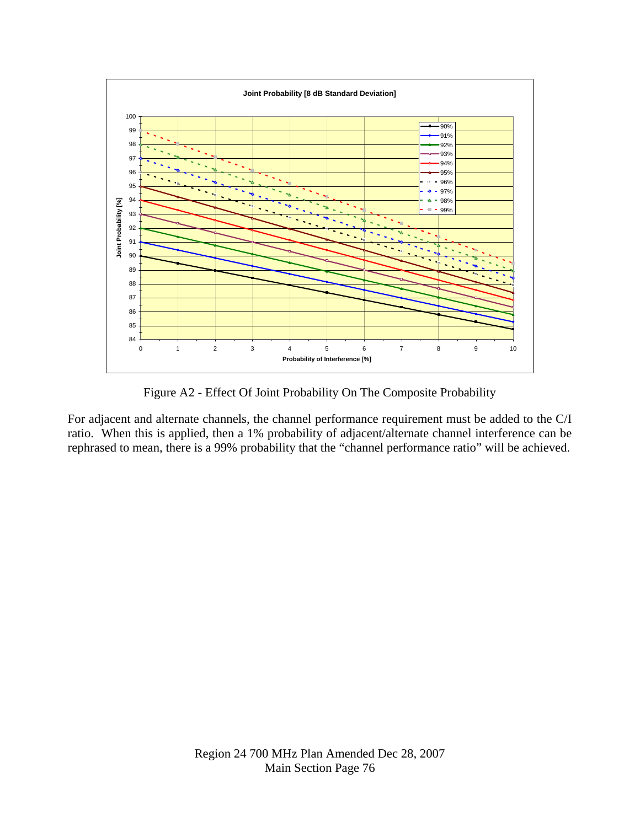

Figure A2 - Effect Of Joint Probability On The Composite Probability

For adjacent and alternate channels, the channel performance requirement must be added to the C/I ratio. When this is applied, then a 1% probability of adjacent/alternate channel interference can be rephrased to mean, there is a 99% probability that the "channel performance ratio" will be achieved.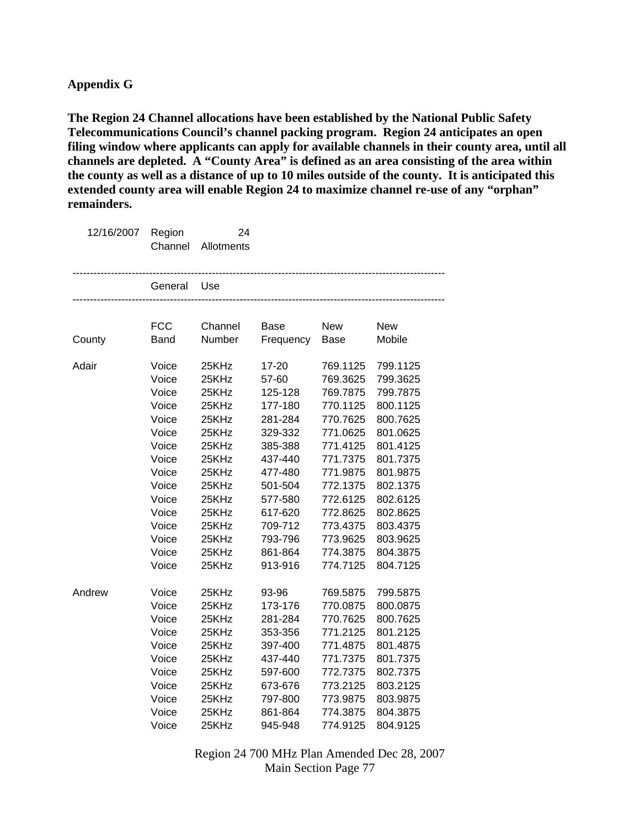**The Region 24 Channel allocations have been established by the National Public Safety Telecommunications Council's channel packing program. Region 24 anticipates an open filing window where applicants can apply for available channels in their county area, until all channels are depleted. A "County Area" is defined as an area consisting of the area within the county as well as a distance of up to 10 miles outside of the county. It is anticipated this extended county area will enable Region 24 to maximize channel re-use of any "orphan" remainders.** 

| 12/16/2007 | Region<br>Channel | 24<br>Allotments |             |             |            |
|------------|-------------------|------------------|-------------|-------------|------------|
|            | General           | Use              |             |             |            |
|            |                   |                  |             |             |            |
|            | <b>FCC</b>        | Channel          | <b>Base</b> | <b>New</b>  | <b>New</b> |
| County     | <b>Band</b>       | Number           | Frequency   | <b>Base</b> | Mobile     |
| Adair      | Voice             | 25KHz            | 17-20       | 769.1125    | 799.1125   |
|            | Voice             | 25KHz            | 57-60       | 769.3625    | 799.3625   |
|            | Voice             | 25KHz            | 125-128     | 769.7875    | 799.7875   |
|            | Voice             | 25KHz            | 177-180     | 770.1125    | 800.1125   |
|            | Voice             | 25KHz            | 281-284     | 770.7625    | 800.7625   |
|            | Voice             | 25KHz            | 329-332     | 771.0625    | 801.0625   |
|            | Voice             | 25KHz            | 385-388     | 771.4125    | 801.4125   |
|            | Voice             | 25KHz            | 437-440     | 771.7375    | 801.7375   |
|            | Voice             | 25KHz            | 477-480     | 771.9875    | 801.9875   |
|            | Voice             | 25KHz            | 501-504     | 772.1375    | 802.1375   |
|            | Voice             | 25KHz            | 577-580     | 772.6125    | 802.6125   |
|            | Voice             | 25KHz            | 617-620     | 772.8625    | 802.8625   |
|            | Voice             | 25KHz            | 709-712     | 773.4375    | 803.4375   |
|            | Voice             | 25KHz            | 793-796     | 773.9625    | 803.9625   |
|            | Voice             | 25KHz            | 861-864     | 774.3875    | 804.3875   |
|            | Voice             | 25KHz            | 913-916     | 774.7125    | 804.7125   |
| Andrew     | Voice             | 25KHz            | 93-96       | 769.5875    | 799.5875   |
|            | Voice             | 25KHz            | 173-176     | 770.0875    | 800.0875   |
|            | Voice             | 25KHz            | 281-284     | 770.7625    | 800.7625   |
|            | Voice             | 25KHz            | 353-356     | 771.2125    | 801.2125   |
|            | Voice             | 25KHz            | 397-400     | 771.4875    | 801.4875   |
|            | Voice             | 25KHz            | 437-440     | 771.7375    | 801.7375   |
|            | Voice             | 25KHz            | 597-600     | 772.7375    | 802.7375   |
|            | Voice             | 25KHz            | 673-676     | 773.2125    | 803.2125   |
|            | Voice             | 25KHz            | 797-800     | 773.9875    | 803.9875   |
|            | Voice             | 25KHz            | 861-864     | 774.3875    | 804.3875   |
|            | Voice             | 25KHz            | 945-948     | 774.9125    | 804.9125   |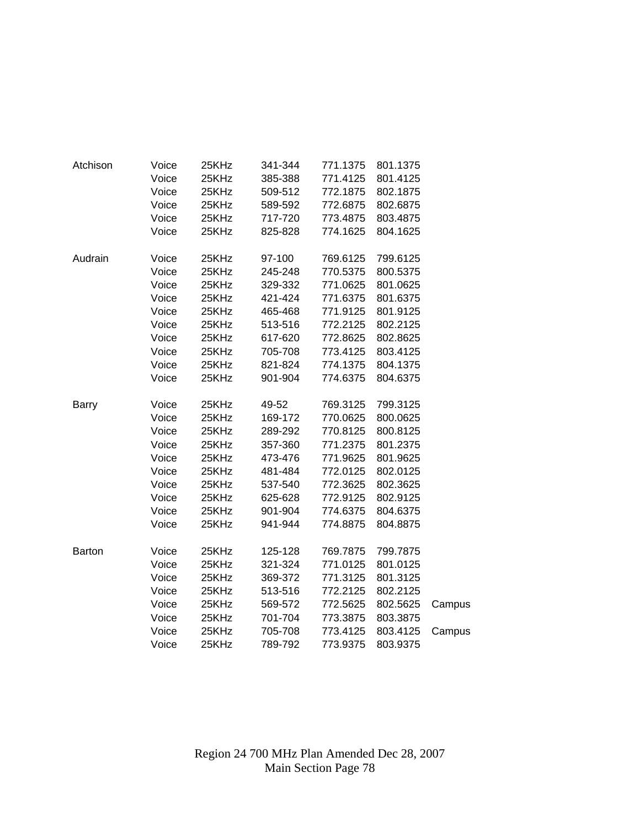| Atchison      | Voice | 25KHz | 341-344 | 771.1375 | 801.1375 |        |
|---------------|-------|-------|---------|----------|----------|--------|
|               | Voice | 25KHz | 385-388 | 771.4125 | 801.4125 |        |
|               | Voice | 25KHz | 509-512 | 772.1875 | 802.1875 |        |
|               | Voice | 25KHz | 589-592 | 772.6875 | 802.6875 |        |
|               | Voice | 25KHz | 717-720 | 773.4875 | 803.4875 |        |
|               | Voice | 25KHz | 825-828 | 774.1625 | 804.1625 |        |
| Audrain       | Voice | 25KHz | 97-100  | 769.6125 | 799.6125 |        |
|               | Voice | 25KHz | 245-248 | 770.5375 | 800.5375 |        |
|               | Voice | 25KHz | 329-332 | 771.0625 | 801.0625 |        |
|               | Voice | 25KHz | 421-424 | 771.6375 | 801.6375 |        |
|               | Voice | 25KHz | 465-468 | 771.9125 | 801.9125 |        |
|               | Voice | 25KHz | 513-516 | 772.2125 | 802.2125 |        |
|               | Voice | 25KHz | 617-620 | 772.8625 | 802.8625 |        |
|               | Voice | 25KHz | 705-708 | 773.4125 | 803.4125 |        |
|               | Voice | 25KHz | 821-824 | 774.1375 | 804.1375 |        |
|               | Voice | 25KHz | 901-904 | 774.6375 | 804.6375 |        |
| <b>Barry</b>  | Voice | 25KHz | 49-52   | 769.3125 | 799.3125 |        |
|               | Voice | 25KHz | 169-172 | 770.0625 | 800.0625 |        |
|               | Voice | 25KHz | 289-292 | 770.8125 | 800.8125 |        |
|               | Voice | 25KHz | 357-360 | 771.2375 | 801.2375 |        |
|               | Voice | 25KHz | 473-476 | 771.9625 | 801.9625 |        |
|               | Voice | 25KHz | 481-484 | 772.0125 | 802.0125 |        |
|               | Voice | 25KHz | 537-540 | 772.3625 | 802.3625 |        |
|               | Voice | 25KHz | 625-628 | 772.9125 | 802.9125 |        |
|               | Voice | 25KHz | 901-904 | 774.6375 | 804.6375 |        |
|               | Voice | 25KHz | 941-944 | 774.8875 | 804.8875 |        |
| <b>Barton</b> | Voice | 25KHz | 125-128 | 769.7875 | 799.7875 |        |
|               | Voice | 25KHz | 321-324 | 771.0125 | 801.0125 |        |
|               | Voice | 25KHz | 369-372 | 771.3125 | 801.3125 |        |
|               | Voice | 25KHz | 513-516 | 772.2125 | 802.2125 |        |
|               | Voice | 25KHz | 569-572 | 772.5625 | 802.5625 | Campus |
|               | Voice | 25KHz | 701-704 | 773.3875 | 803.3875 |        |
|               | Voice | 25KHz | 705-708 | 773.4125 | 803.4125 | Campus |
|               | Voice | 25KHz | 789-792 | 773.9375 | 803.9375 |        |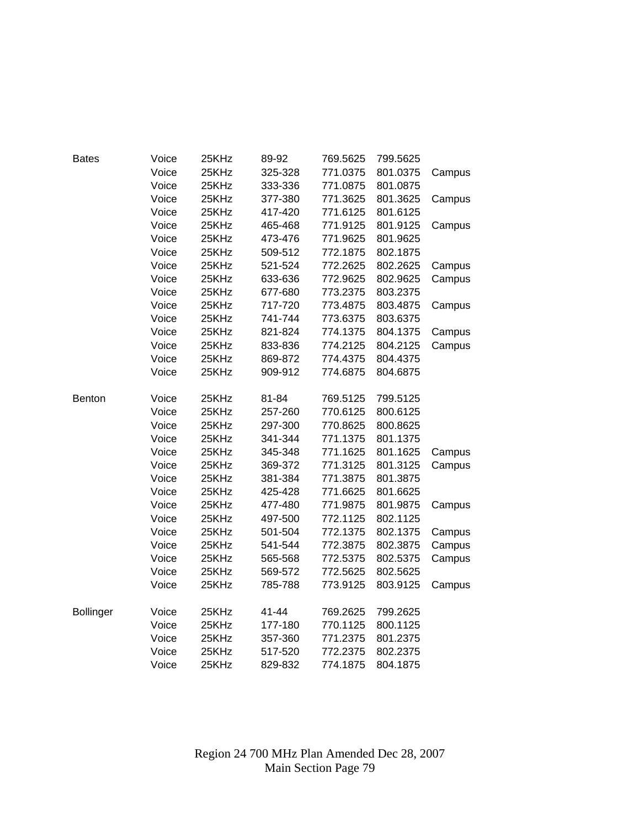| <b>Bates</b>     | Voice | 25KHz | 89-92   | 769.5625 | 799.5625 |        |
|------------------|-------|-------|---------|----------|----------|--------|
|                  | Voice | 25KHz | 325-328 | 771.0375 | 801.0375 | Campus |
|                  | Voice | 25KHz | 333-336 | 771.0875 | 801.0875 |        |
|                  | Voice | 25KHz | 377-380 | 771.3625 | 801.3625 | Campus |
|                  | Voice | 25KHz | 417-420 | 771.6125 | 801.6125 |        |
|                  | Voice | 25KHz | 465-468 | 771.9125 | 801.9125 | Campus |
|                  | Voice | 25KHz | 473-476 | 771.9625 | 801.9625 |        |
|                  | Voice | 25KHz | 509-512 | 772.1875 | 802.1875 |        |
|                  | Voice | 25KHz | 521-524 | 772.2625 | 802.2625 | Campus |
|                  | Voice | 25KHz | 633-636 | 772.9625 | 802.9625 | Campus |
|                  | Voice | 25KHz | 677-680 | 773.2375 | 803.2375 |        |
|                  | Voice | 25KHz | 717-720 | 773.4875 | 803.4875 | Campus |
|                  | Voice | 25KHz | 741-744 | 773.6375 | 803.6375 |        |
|                  | Voice | 25KHz | 821-824 | 774.1375 | 804.1375 | Campus |
|                  | Voice | 25KHz | 833-836 | 774.2125 | 804.2125 | Campus |
|                  | Voice | 25KHz | 869-872 | 774.4375 | 804.4375 |        |
|                  | Voice | 25KHz | 909-912 | 774.6875 | 804.6875 |        |
|                  |       |       |         |          |          |        |
| Benton           | Voice | 25KHz | 81-84   | 769.5125 | 799.5125 |        |
|                  | Voice | 25KHz | 257-260 | 770.6125 | 800.6125 |        |
|                  | Voice | 25KHz | 297-300 | 770.8625 | 800.8625 |        |
|                  | Voice | 25KHz | 341-344 | 771.1375 | 801.1375 |        |
|                  | Voice | 25KHz | 345-348 | 771.1625 | 801.1625 | Campus |
|                  | Voice | 25KHz | 369-372 | 771.3125 | 801.3125 | Campus |
|                  | Voice | 25KHz | 381-384 | 771.3875 | 801.3875 |        |
|                  | Voice | 25KHz | 425-428 | 771.6625 | 801.6625 |        |
|                  | Voice | 25KHz | 477-480 | 771.9875 | 801.9875 | Campus |
|                  | Voice | 25KHz | 497-500 | 772.1125 | 802.1125 |        |
|                  | Voice | 25KHz | 501-504 | 772.1375 | 802.1375 | Campus |
|                  | Voice | 25KHz | 541-544 | 772.3875 | 802.3875 | Campus |
|                  | Voice | 25KHz | 565-568 | 772.5375 | 802.5375 | Campus |
|                  | Voice | 25KHz | 569-572 | 772.5625 | 802.5625 |        |
|                  | Voice | 25KHz | 785-788 | 773.9125 | 803.9125 | Campus |
|                  |       |       |         |          |          |        |
| <b>Bollinger</b> | Voice | 25KHz | 41-44   | 769.2625 | 799.2625 |        |
|                  | Voice | 25KHz | 177-180 | 770.1125 | 800.1125 |        |
|                  | Voice | 25KHz | 357-360 | 771.2375 | 801.2375 |        |
|                  | Voice | 25KHz | 517-520 | 772.2375 | 802.2375 |        |
|                  | Voice | 25KHz | 829-832 | 774.1875 | 804.1875 |        |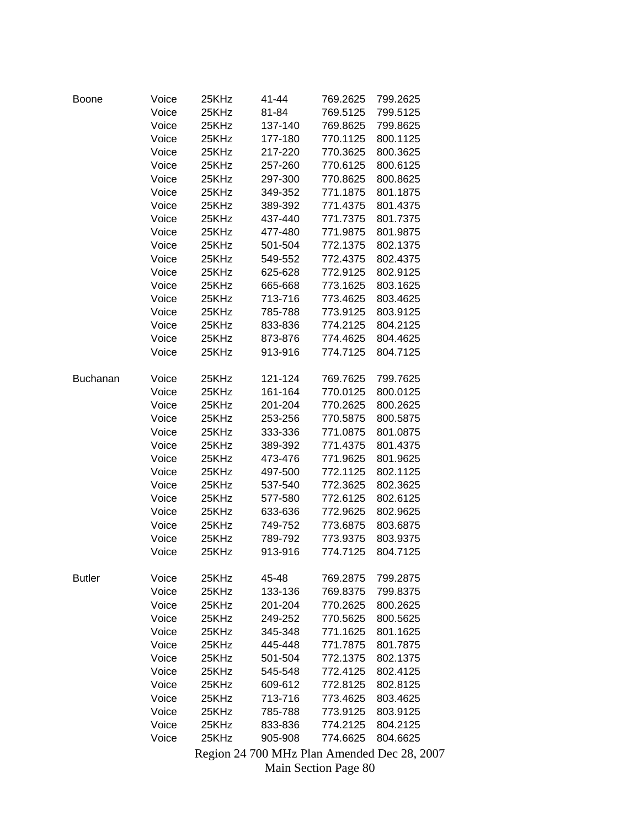| Boone           | Voice | 25KHz | 41-44                | 769.2625 | 799.2625                                    |
|-----------------|-------|-------|----------------------|----------|---------------------------------------------|
|                 | Voice | 25KHz | 81-84                | 769.5125 | 799.5125                                    |
|                 | Voice | 25KHz | 137-140              | 769.8625 | 799.8625                                    |
|                 | Voice | 25KHz | 177-180              | 770.1125 | 800.1125                                    |
|                 | Voice | 25KHz | 217-220              | 770.3625 | 800.3625                                    |
|                 | Voice | 25KHz | 257-260              | 770.6125 | 800.6125                                    |
|                 | Voice | 25KHz | 297-300              | 770.8625 | 800.8625                                    |
|                 | Voice | 25KHz | 349-352              | 771.1875 | 801.1875                                    |
|                 | Voice | 25KHz | 389-392              | 771.4375 | 801.4375                                    |
|                 | Voice | 25KHz | 437-440              | 771.7375 | 801.7375                                    |
|                 | Voice | 25KHz | 477-480              | 771.9875 | 801.9875                                    |
|                 | Voice | 25KHz | 501-504              | 772.1375 | 802.1375                                    |
|                 | Voice | 25KHz | 549-552              | 772.4375 | 802.4375                                    |
|                 | Voice | 25KHz | 625-628              | 772.9125 | 802.9125                                    |
|                 | Voice | 25KHz | 665-668              | 773.1625 | 803.1625                                    |
|                 | Voice | 25KHz | 713-716              | 773.4625 | 803.4625                                    |
|                 | Voice | 25KHz | 785-788              | 773.9125 | 803.9125                                    |
|                 | Voice | 25KHz | 833-836              | 774.2125 | 804.2125                                    |
|                 | Voice | 25KHz | 873-876              | 774.4625 | 804.4625                                    |
|                 | Voice | 25KHz | 913-916              | 774.7125 | 804.7125                                    |
|                 |       |       |                      |          |                                             |
| <b>Buchanan</b> | Voice | 25KHz | 121-124              | 769.7625 | 799.7625                                    |
|                 | Voice | 25KHz | 161-164              | 770.0125 | 800.0125                                    |
|                 | Voice | 25KHz | 201-204              | 770.2625 | 800.2625                                    |
|                 | Voice | 25KHz | 253-256              | 770.5875 | 800.5875                                    |
|                 | Voice | 25KHz | 333-336              | 771.0875 | 801.0875                                    |
|                 | Voice | 25KHz | 389-392              | 771.4375 | 801.4375                                    |
|                 | Voice | 25KHz | 473-476              | 771.9625 | 801.9625                                    |
|                 | Voice | 25KHz | 497-500              | 772.1125 | 802.1125                                    |
|                 | Voice | 25KHz | 537-540              | 772.3625 | 802.3625                                    |
|                 | Voice | 25KHz | 577-580              | 772.6125 | 802.6125                                    |
|                 | Voice | 25KHz | 633-636              | 772.9625 | 802.9625                                    |
|                 | Voice | 25KHz | 749-752              | 773.6875 | 803.6875                                    |
|                 | Voice | 25KHz | 789-792              | 773.9375 | 803.9375                                    |
|                 | Voice | 25KHz | 913-916              | 774.7125 | 804.7125                                    |
|                 |       |       |                      |          |                                             |
| <b>Butler</b>   | Voice | 25KHz | 45-48                | 769.2875 | 799.2875                                    |
|                 | Voice | 25KHz | 133-136              | 769.8375 | 799.8375                                    |
|                 | Voice | 25KHz | 201-204              | 770.2625 | 800.2625                                    |
|                 | Voice | 25KHz | 249-252              | 770.5625 | 800.5625                                    |
|                 | Voice | 25KHz | 345-348              | 771.1625 | 801.1625                                    |
|                 | Voice | 25KHz | 445-448              | 771.7875 | 801.7875                                    |
|                 | Voice | 25KHz | 501-504              | 772.1375 | 802.1375                                    |
|                 | Voice | 25KHz | 545-548              | 772.4125 | 802.4125                                    |
|                 | Voice | 25KHz | 609-612              | 772.8125 | 802.8125                                    |
|                 | Voice | 25KHz | 713-716              | 773.4625 | 803.4625                                    |
|                 | Voice | 25KHz | 785-788              | 773.9125 | 803.9125                                    |
|                 | Voice | 25KHz | 833-836              | 774.2125 | 804.2125                                    |
|                 | Voice | 25KHz | 905-908              | 774.6625 | 804.6625                                    |
|                 |       |       |                      |          | Region 24 700 MHz Plan Amended Dec 28, 2007 |
|                 |       |       | Main Section Page 80 |          |                                             |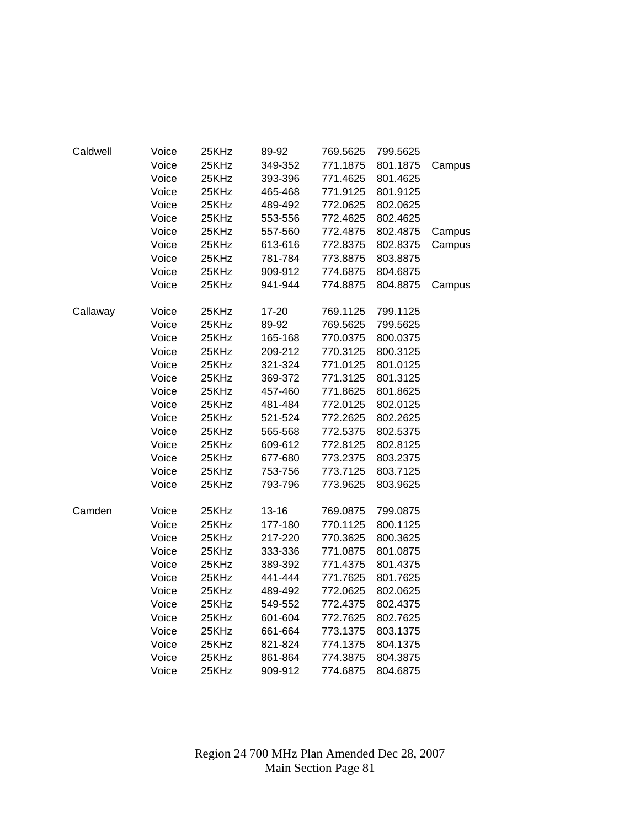| Caldwell | Voice | 25KHz | 89-92     | 769.5625 | 799.5625 |        |
|----------|-------|-------|-----------|----------|----------|--------|
|          | Voice | 25KHz | 349-352   | 771.1875 | 801.1875 | Campus |
|          | Voice | 25KHz | 393-396   | 771.4625 | 801.4625 |        |
|          | Voice | 25KHz | 465-468   | 771.9125 | 801.9125 |        |
|          | Voice | 25KHz | 489-492   | 772.0625 | 802.0625 |        |
|          | Voice | 25KHz | 553-556   | 772.4625 | 802.4625 |        |
|          | Voice | 25KHz | 557-560   | 772.4875 | 802.4875 | Campus |
|          | Voice | 25KHz | 613-616   | 772.8375 | 802.8375 | Campus |
|          | Voice | 25KHz | 781-784   | 773.8875 | 803.8875 |        |
|          | Voice | 25KHz | 909-912   | 774.6875 | 804.6875 |        |
|          | Voice | 25KHz | 941-944   | 774.8875 | 804.8875 | Campus |
| Callaway | Voice | 25KHz | 17-20     | 769.1125 | 799.1125 |        |
|          | Voice | 25KHz | 89-92     | 769.5625 | 799.5625 |        |
|          | Voice | 25KHz | 165-168   | 770.0375 | 800.0375 |        |
|          | Voice | 25KHz | 209-212   | 770.3125 | 800.3125 |        |
|          | Voice | 25KHz | 321-324   | 771.0125 | 801.0125 |        |
|          | Voice | 25KHz | 369-372   | 771.3125 | 801.3125 |        |
|          | Voice | 25KHz | 457-460   | 771.8625 | 801.8625 |        |
|          | Voice | 25KHz | 481-484   | 772.0125 | 802.0125 |        |
|          | Voice | 25KHz | 521-524   | 772.2625 | 802.2625 |        |
|          | Voice | 25KHz | 565-568   | 772.5375 | 802.5375 |        |
|          | Voice | 25KHz | 609-612   | 772.8125 | 802.8125 |        |
|          | Voice | 25KHz | 677-680   | 773.2375 | 803.2375 |        |
|          | Voice | 25KHz | 753-756   | 773.7125 | 803.7125 |        |
|          | Voice | 25KHz | 793-796   | 773.9625 | 803.9625 |        |
| Camden   | Voice | 25KHz | $13 - 16$ | 769.0875 | 799.0875 |        |
|          | Voice | 25KHz | 177-180   | 770.1125 | 800.1125 |        |
|          | Voice | 25KHz | 217-220   | 770.3625 | 800.3625 |        |
|          | Voice | 25KHz | 333-336   | 771.0875 | 801.0875 |        |
|          | Voice | 25KHz | 389-392   | 771.4375 | 801.4375 |        |
|          | Voice | 25KHz | 441-444   | 771.7625 | 801.7625 |        |
|          | Voice | 25KHz | 489-492   | 772.0625 | 802.0625 |        |
|          | Voice | 25KHz | 549-552   | 772.4375 | 802.4375 |        |
|          | Voice | 25KHz | 601-604   | 772.7625 | 802.7625 |        |
|          | Voice | 25KHz | 661-664   | 773.1375 | 803.1375 |        |
|          | Voice | 25KHz | 821-824   | 774.1375 | 804.1375 |        |
|          | Voice | 25KHz | 861-864   | 774.3875 | 804.3875 |        |
|          | Voice | 25KHz | 909-912   | 774.6875 | 804.6875 |        |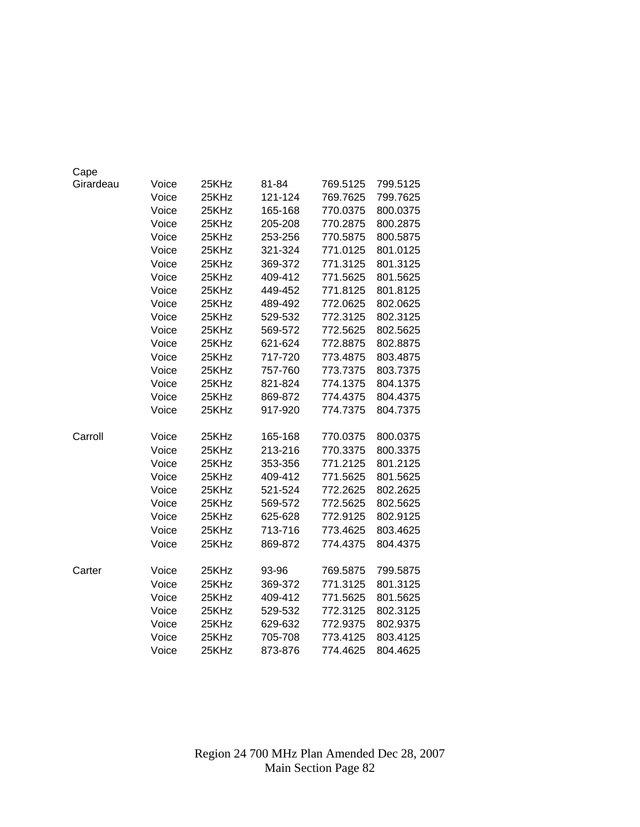| Cape      |       |       |         |          |          |
|-----------|-------|-------|---------|----------|----------|
| Girardeau | Voice | 25KHz | 81-84   | 769.5125 | 799.5125 |
|           | Voice | 25KHz | 121-124 | 769.7625 | 799.7625 |
|           | Voice | 25KHz | 165-168 | 770.0375 | 800.0375 |
|           | Voice | 25KHz | 205-208 | 770.2875 | 800.2875 |
|           | Voice | 25KHz | 253-256 | 770.5875 | 800.5875 |
|           | Voice | 25KHz | 321-324 | 771.0125 | 801.0125 |
|           | Voice | 25KHz | 369-372 | 771.3125 | 801.3125 |
|           | Voice | 25KHz | 409-412 | 771.5625 | 801.5625 |
|           | Voice | 25KHz | 449-452 | 771.8125 | 801.8125 |
|           | Voice | 25KHz | 489-492 | 772.0625 | 802.0625 |
|           | Voice | 25KHz | 529-532 | 772.3125 | 802.3125 |
|           | Voice | 25KHz | 569-572 | 772.5625 | 802.5625 |
|           | Voice | 25KHz | 621-624 | 772.8875 | 802.8875 |
|           | Voice | 25KHz | 717-720 | 773.4875 | 803.4875 |
|           | Voice | 25KHz | 757-760 | 773.7375 | 803.7375 |
|           | Voice | 25KHz | 821-824 | 774.1375 | 804.1375 |
|           | Voice | 25KHz | 869-872 | 774.4375 | 804.4375 |
|           | Voice | 25KHz | 917-920 | 774.7375 | 804.7375 |
|           |       |       |         |          |          |
| Carroll   | Voice | 25KHz | 165-168 | 770.0375 | 800.0375 |
|           | Voice | 25KHz | 213-216 | 770.3375 | 800.3375 |
|           | Voice | 25KHz | 353-356 | 771.2125 | 801.2125 |
|           | Voice | 25KHz | 409-412 | 771.5625 | 801.5625 |
|           | Voice | 25KHz | 521-524 | 772.2625 | 802.2625 |
|           | Voice | 25KHz | 569-572 | 772.5625 | 802.5625 |
|           | Voice | 25KHz | 625-628 | 772.9125 | 802.9125 |
|           | Voice | 25KHz | 713-716 | 773.4625 | 803.4625 |
|           | Voice | 25KHz | 869-872 | 774.4375 | 804.4375 |
|           |       |       |         |          |          |
| Carter    | Voice | 25KHz | 93-96   | 769.5875 | 799.5875 |
|           | Voice | 25KHz | 369-372 | 771.3125 | 801.3125 |
|           | Voice | 25KHz | 409-412 | 771.5625 | 801.5625 |
|           | Voice | 25KHz | 529-532 | 772.3125 | 802.3125 |
|           | Voice | 25KHz | 629-632 | 772.9375 | 802.9375 |
|           | Voice | 25KHz | 705-708 | 773.4125 | 803.4125 |
|           | Voice | 25KHz | 873-876 | 774.4625 | 804.4625 |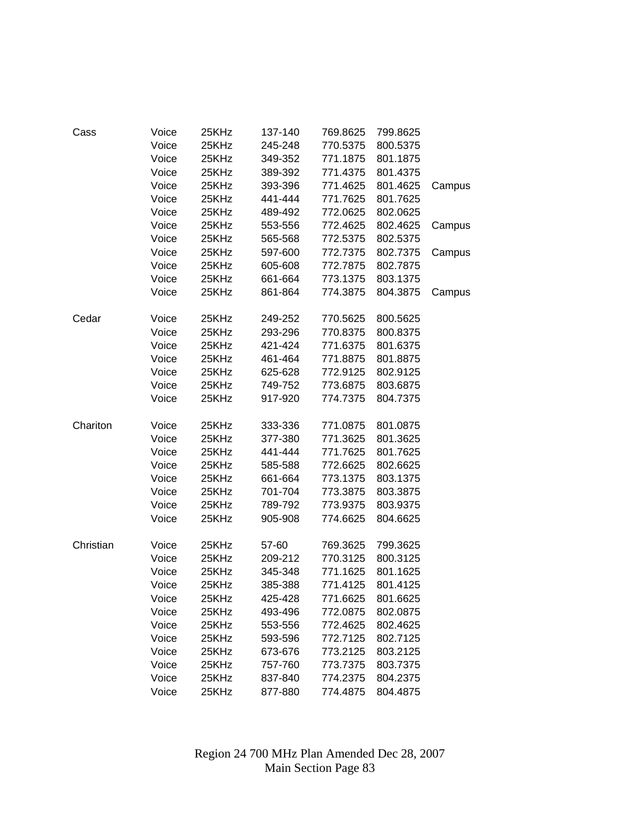| Cass      | Voice | 25KHz | 137-140 | 769.8625 | 799.8625 |        |
|-----------|-------|-------|---------|----------|----------|--------|
|           | Voice | 25KHz | 245-248 | 770.5375 | 800.5375 |        |
|           | Voice | 25KHz | 349-352 | 771.1875 | 801.1875 |        |
|           | Voice | 25KHz | 389-392 | 771.4375 | 801.4375 |        |
|           | Voice | 25KHz | 393-396 | 771.4625 | 801.4625 | Campus |
|           | Voice | 25KHz | 441-444 | 771.7625 | 801.7625 |        |
|           | Voice | 25KHz | 489-492 | 772.0625 | 802.0625 |        |
|           | Voice | 25KHz | 553-556 | 772.4625 | 802.4625 | Campus |
|           | Voice | 25KHz | 565-568 | 772.5375 | 802.5375 |        |
|           | Voice | 25KHz | 597-600 | 772.7375 | 802.7375 | Campus |
|           | Voice | 25KHz | 605-608 | 772.7875 | 802.7875 |        |
|           | Voice | 25KHz | 661-664 | 773.1375 | 803.1375 |        |
|           | Voice | 25KHz | 861-864 | 774.3875 | 804.3875 | Campus |
| Cedar     | Voice | 25KHz | 249-252 | 770.5625 | 800.5625 |        |
|           | Voice | 25KHz | 293-296 | 770.8375 | 800.8375 |        |
|           | Voice | 25KHz | 421-424 | 771.6375 | 801.6375 |        |
|           | Voice | 25KHz | 461-464 | 771.8875 | 801.8875 |        |
|           | Voice | 25KHz | 625-628 | 772.9125 | 802.9125 |        |
|           | Voice | 25KHz | 749-752 | 773.6875 | 803.6875 |        |
|           | Voice | 25KHz | 917-920 | 774.7375 | 804.7375 |        |
| Chariton  | Voice | 25KHz | 333-336 | 771.0875 | 801.0875 |        |
|           | Voice | 25KHz | 377-380 | 771.3625 | 801.3625 |        |
|           | Voice | 25KHz | 441-444 | 771.7625 | 801.7625 |        |
|           | Voice | 25KHz | 585-588 | 772.6625 | 802.6625 |        |
|           | Voice | 25KHz | 661-664 | 773.1375 | 803.1375 |        |
|           | Voice | 25KHz | 701-704 | 773.3875 | 803.3875 |        |
|           | Voice | 25KHz | 789-792 | 773.9375 | 803.9375 |        |
|           | Voice | 25KHz | 905-908 | 774.6625 | 804.6625 |        |
| Christian | Voice | 25KHz | 57-60   | 769.3625 | 799.3625 |        |
|           | Voice | 25KHz | 209-212 | 770.3125 | 800.3125 |        |
|           | Voice | 25KHz | 345-348 | 771.1625 | 801.1625 |        |
|           | Voice | 25KHz | 385-388 | 771.4125 | 801.4125 |        |
|           | Voice | 25KHz | 425-428 | 771.6625 | 801.6625 |        |
|           | Voice | 25KHz | 493-496 | 772.0875 | 802.0875 |        |
|           | Voice | 25KHz | 553-556 | 772.4625 | 802.4625 |        |
|           | Voice | 25KHz | 593-596 | 772.7125 | 802.7125 |        |
|           | Voice | 25KHz | 673-676 | 773.2125 | 803.2125 |        |
|           | Voice | 25KHz | 757-760 | 773.7375 | 803.7375 |        |
|           | Voice | 25KHz | 837-840 | 774.2375 | 804.2375 |        |
|           | Voice | 25KHz | 877-880 | 774.4875 | 804.4875 |        |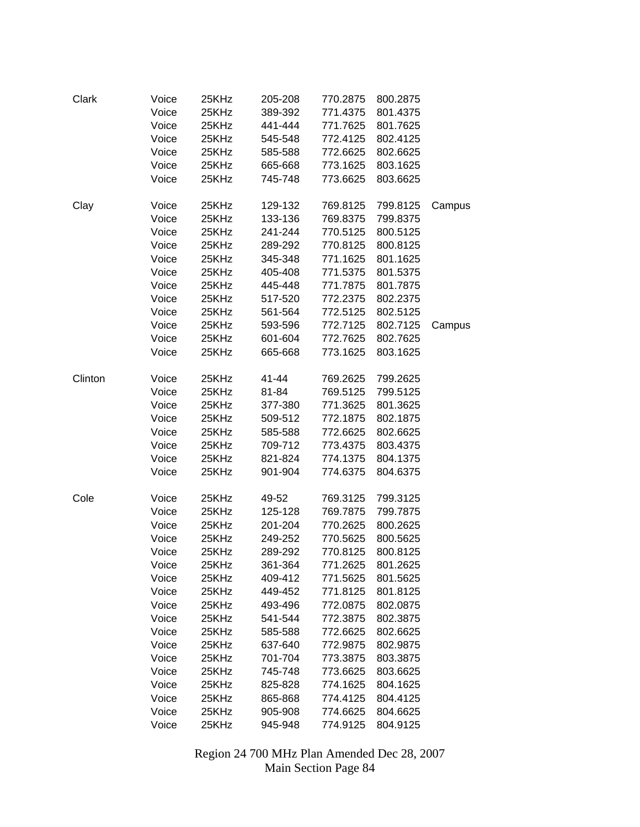| Clark   | Voice | 25KHz | 205-208 | 770.2875 | 800.2875 |        |
|---------|-------|-------|---------|----------|----------|--------|
|         | Voice | 25KHz | 389-392 | 771.4375 | 801.4375 |        |
|         | Voice | 25KHz | 441-444 | 771.7625 | 801.7625 |        |
|         | Voice | 25KHz | 545-548 | 772.4125 | 802.4125 |        |
|         | Voice | 25KHz | 585-588 | 772.6625 | 802.6625 |        |
|         | Voice | 25KHz | 665-668 | 773.1625 | 803.1625 |        |
|         | Voice | 25KHz | 745-748 | 773.6625 | 803.6625 |        |
|         |       |       |         |          |          |        |
| Clay    | Voice | 25KHz | 129-132 | 769.8125 | 799.8125 | Campus |
|         | Voice | 25KHz | 133-136 | 769.8375 | 799.8375 |        |
|         | Voice | 25KHz | 241-244 | 770.5125 | 800.5125 |        |
|         | Voice | 25KHz | 289-292 | 770.8125 | 800.8125 |        |
|         | Voice | 25KHz | 345-348 | 771.1625 | 801.1625 |        |
|         | Voice | 25KHz | 405-408 | 771.5375 | 801.5375 |        |
|         | Voice | 25KHz | 445-448 | 771.7875 | 801.7875 |        |
|         | Voice | 25KHz | 517-520 | 772.2375 | 802.2375 |        |
|         | Voice | 25KHz | 561-564 | 772.5125 | 802.5125 |        |
|         | Voice | 25KHz | 593-596 | 772.7125 | 802.7125 | Campus |
|         | Voice | 25KHz | 601-604 | 772.7625 | 802.7625 |        |
|         | Voice | 25KHz | 665-668 | 773.1625 | 803.1625 |        |
|         |       |       |         |          |          |        |
| Clinton | Voice | 25KHz | 41-44   | 769.2625 | 799.2625 |        |
|         | Voice | 25KHz | 81-84   | 769.5125 | 799.5125 |        |
|         | Voice | 25KHz | 377-380 | 771.3625 | 801.3625 |        |
|         | Voice | 25KHz | 509-512 | 772.1875 | 802.1875 |        |
|         | Voice | 25KHz | 585-588 | 772.6625 | 802.6625 |        |
|         | Voice | 25KHz | 709-712 | 773.4375 | 803.4375 |        |
|         | Voice | 25KHz | 821-824 | 774.1375 | 804.1375 |        |
|         | Voice | 25KHz | 901-904 | 774.6375 | 804.6375 |        |
|         |       |       |         |          |          |        |
| Cole    | Voice | 25KHz | 49-52   | 769.3125 | 799.3125 |        |
|         | Voice | 25KHz | 125-128 | 769.7875 | 799.7875 |        |
|         | Voice | 25KHz | 201-204 | 770.2625 | 800.2625 |        |
|         | Voice | 25KHz | 249-252 | 770.5625 | 800.5625 |        |
|         | Voice | 25KHz | 289-292 | 770.8125 | 800.8125 |        |
|         | Voice | 25KHz | 361-364 | 771.2625 | 801.2625 |        |
|         | Voice | 25KHz | 409-412 | 771.5625 | 801.5625 |        |
|         | Voice | 25KHz | 449-452 | 771.8125 | 801.8125 |        |
|         | Voice | 25KHz | 493-496 | 772.0875 | 802.0875 |        |
|         | Voice | 25KHz | 541-544 | 772.3875 | 802.3875 |        |
|         | Voice | 25KHz | 585-588 | 772.6625 | 802.6625 |        |
|         | Voice | 25KHz | 637-640 | 772.9875 | 802.9875 |        |
|         | Voice | 25KHz | 701-704 | 773.3875 | 803.3875 |        |
|         | Voice | 25KHz | 745-748 | 773.6625 | 803.6625 |        |
|         | Voice | 25KHz | 825-828 | 774.1625 | 804.1625 |        |
|         | Voice | 25KHz | 865-868 | 774.4125 | 804.4125 |        |
|         | Voice | 25KHz | 905-908 | 774.6625 | 804.6625 |        |
|         | Voice | 25KHz | 945-948 | 774.9125 | 804.9125 |        |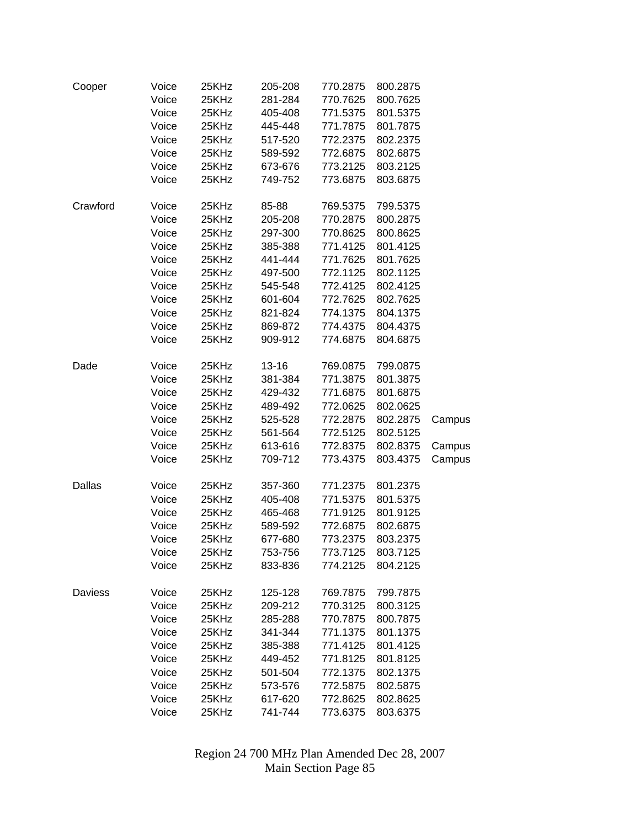| Cooper   | Voice | 25KHz | 205-208   | 770.2875 | 800.2875 |        |
|----------|-------|-------|-----------|----------|----------|--------|
|          | Voice | 25KHz | 281-284   | 770.7625 | 800.7625 |        |
|          | Voice | 25KHz | 405-408   | 771.5375 | 801.5375 |        |
|          | Voice | 25KHz | 445-448   | 771.7875 | 801.7875 |        |
|          | Voice | 25KHz | 517-520   | 772.2375 | 802.2375 |        |
|          | Voice | 25KHz | 589-592   | 772.6875 | 802.6875 |        |
|          | Voice | 25KHz | 673-676   | 773.2125 | 803.2125 |        |
|          | Voice | 25KHz | 749-752   | 773.6875 | 803.6875 |        |
|          |       |       |           |          |          |        |
| Crawford | Voice | 25KHz | 85-88     | 769.5375 | 799.5375 |        |
|          | Voice | 25KHz | 205-208   | 770.2875 | 800.2875 |        |
|          | Voice | 25KHz | 297-300   | 770.8625 | 800.8625 |        |
|          | Voice | 25KHz | 385-388   | 771.4125 | 801.4125 |        |
|          | Voice | 25KHz | 441-444   | 771.7625 | 801.7625 |        |
|          | Voice | 25KHz | 497-500   | 772.1125 | 802.1125 |        |
|          | Voice | 25KHz | 545-548   | 772.4125 | 802.4125 |        |
|          | Voice | 25KHz | 601-604   | 772.7625 | 802.7625 |        |
|          | Voice | 25KHz | 821-824   | 774.1375 | 804.1375 |        |
|          | Voice | 25KHz | 869-872   | 774.4375 | 804.4375 |        |
|          | Voice | 25KHz | 909-912   | 774.6875 | 804.6875 |        |
|          |       |       |           |          |          |        |
| Dade     | Voice | 25KHz | $13 - 16$ | 769.0875 | 799.0875 |        |
|          | Voice | 25KHz | 381-384   | 771.3875 | 801.3875 |        |
|          | Voice | 25KHz | 429-432   | 771.6875 | 801.6875 |        |
|          | Voice | 25KHz | 489-492   | 772.0625 | 802.0625 |        |
|          | Voice | 25KHz | 525-528   | 772.2875 | 802.2875 | Campus |
|          | Voice | 25KHz | 561-564   | 772.5125 | 802.5125 |        |
|          | Voice | 25KHz | 613-616   | 772.8375 | 802.8375 | Campus |
|          | Voice | 25KHz | 709-712   | 773.4375 | 803.4375 | Campus |
|          |       |       |           |          |          |        |
| Dallas   | Voice | 25KHz | 357-360   | 771.2375 | 801.2375 |        |
|          | Voice | 25KHz | 405-408   | 771.5375 | 801.5375 |        |
|          | Voice | 25KHz | 465-468   | 771.9125 | 801.9125 |        |
|          | Voice | 25KHz | 589-592   | 772.6875 | 802.6875 |        |
|          | Voice | 25KHz | 677-680   | 773.2375 | 803.2375 |        |
|          | Voice | 25KHz | 753-756   | 773.7125 | 803.7125 |        |
|          | Voice | 25KHz | 833-836   | 774.2125 | 804.2125 |        |
|          |       |       |           |          |          |        |
| Daviess  | Voice | 25KHz | 125-128   | 769.7875 | 799.7875 |        |
|          | Voice | 25KHz | 209-212   | 770.3125 | 800.3125 |        |
|          | Voice | 25KHz | 285-288   | 770.7875 | 800.7875 |        |
|          | Voice | 25KHz | 341-344   | 771.1375 | 801.1375 |        |
|          | Voice | 25KHz | 385-388   | 771.4125 | 801.4125 |        |
|          | Voice | 25KHz | 449-452   | 771.8125 | 801.8125 |        |
|          | Voice | 25KHz | 501-504   | 772.1375 | 802.1375 |        |
|          | Voice | 25KHz | 573-576   | 772.5875 | 802.5875 |        |
|          | Voice | 25KHz | 617-620   | 772.8625 | 802.8625 |        |
|          | Voice | 25KHz | 741-744   | 773.6375 | 803.6375 |        |
|          |       |       |           |          |          |        |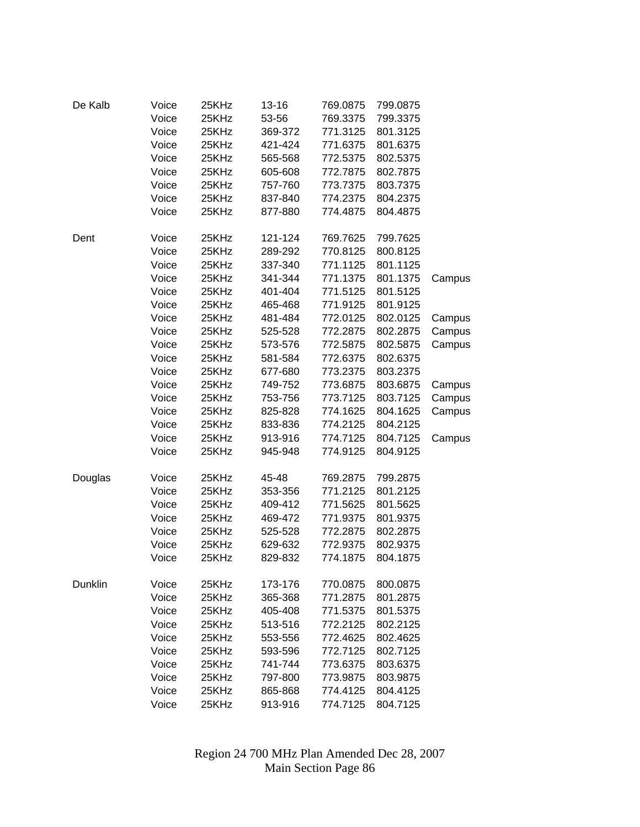| De Kalb | Voice | 25KHz | 13-16   | 769.0875 | 799.0875 |        |
|---------|-------|-------|---------|----------|----------|--------|
|         | Voice | 25KHz | 53-56   | 769.3375 | 799.3375 |        |
|         | Voice | 25KHz | 369-372 | 771.3125 | 801.3125 |        |
|         | Voice | 25KHz | 421-424 | 771.6375 | 801.6375 |        |
|         | Voice | 25KHz | 565-568 | 772.5375 | 802.5375 |        |
|         | Voice | 25KHz | 605-608 | 772.7875 | 802.7875 |        |
|         | Voice | 25KHz | 757-760 | 773.7375 | 803.7375 |        |
|         | Voice | 25KHz | 837-840 | 774.2375 | 804.2375 |        |
|         | Voice | 25KHz | 877-880 | 774.4875 | 804.4875 |        |
| Dent    | Voice | 25KHz | 121-124 | 769.7625 | 799.7625 |        |
|         | Voice | 25KHz | 289-292 | 770.8125 | 800.8125 |        |
|         | Voice | 25KHz | 337-340 | 771.1125 | 801.1125 |        |
|         | Voice | 25KHz | 341-344 | 771.1375 | 801.1375 | Campus |
|         | Voice | 25KHz | 401-404 | 771.5125 | 801.5125 |        |
|         | Voice | 25KHz | 465-468 | 771.9125 | 801.9125 |        |
|         | Voice | 25KHz | 481-484 | 772.0125 | 802.0125 | Campus |
|         | Voice | 25KHz | 525-528 | 772.2875 | 802.2875 | Campus |
|         | Voice | 25KHz | 573-576 | 772.5875 | 802.5875 | Campus |
|         | Voice | 25KHz | 581-584 | 772.6375 | 802.6375 |        |
|         | Voice | 25KHz | 677-680 | 773.2375 | 803.2375 |        |
|         | Voice | 25KHz | 749-752 | 773.6875 | 803.6875 | Campus |
|         | Voice | 25KHz | 753-756 | 773.7125 | 803.7125 | Campus |
|         | Voice | 25KHz | 825-828 | 774.1625 | 804.1625 | Campus |
|         | Voice | 25KHz | 833-836 | 774.2125 | 804.2125 |        |
|         | Voice | 25KHz | 913-916 | 774.7125 | 804.7125 | Campus |
|         | Voice | 25KHz | 945-948 | 774.9125 | 804.9125 |        |
|         |       |       |         |          |          |        |
| Douglas | Voice | 25KHz | 45-48   | 769.2875 | 799.2875 |        |
|         | Voice | 25KHz | 353-356 | 771.2125 | 801.2125 |        |
|         | Voice | 25KHz | 409-412 | 771.5625 | 801.5625 |        |
|         | Voice | 25KHz | 469-472 | 771.9375 | 801.9375 |        |
|         | Voice | 25KHz | 525-528 | 772.2875 | 802.2875 |        |
|         | Voice | 25KHz | 629-632 | 772.9375 | 802.9375 |        |
|         | Voice | 25KHz | 829-832 | 774.1875 | 804.1875 |        |
| Dunklin | Voice | 25KHz | 173-176 | 770.0875 | 800.0875 |        |
|         | Voice | 25KHz | 365-368 | 771.2875 | 801.2875 |        |
|         | Voice | 25KHz | 405-408 | 771.5375 | 801.5375 |        |
|         | Voice | 25KHz | 513-516 | 772.2125 | 802.2125 |        |
|         | Voice | 25KHz | 553-556 | 772.4625 | 802.4625 |        |
|         | Voice | 25KHz | 593-596 | 772.7125 | 802.7125 |        |
|         | Voice | 25KHz | 741-744 | 773.6375 | 803.6375 |        |
|         | Voice | 25KHz | 797-800 | 773.9875 | 803.9875 |        |
|         | Voice | 25KHz | 865-868 | 774.4125 | 804.4125 |        |
|         | Voice | 25KHz | 913-916 | 774.7125 | 804.7125 |        |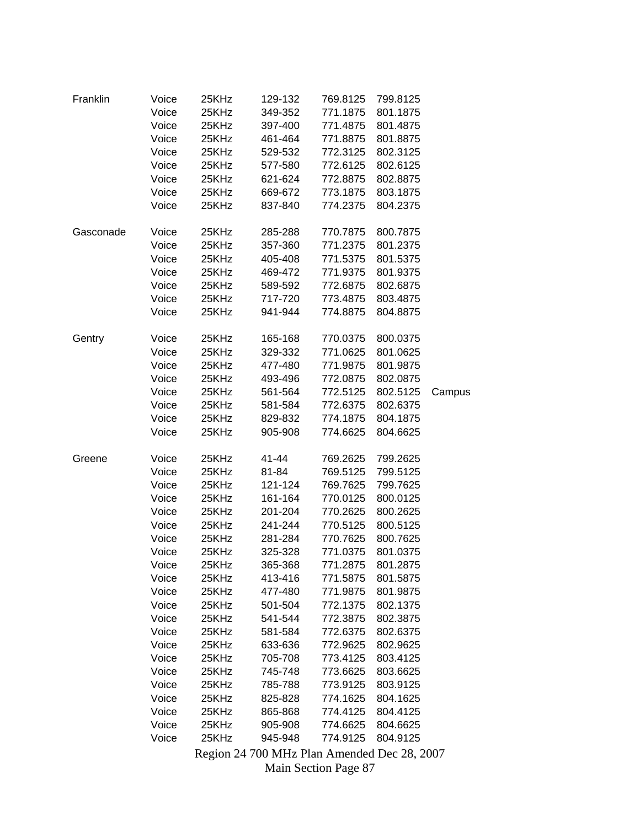| Franklin  | Voice | 25KHz | 129-132                                     | 769.8125 | 799.8125 |        |
|-----------|-------|-------|---------------------------------------------|----------|----------|--------|
|           | Voice | 25KHz | 349-352                                     | 771.1875 | 801.1875 |        |
|           | Voice | 25KHz | 397-400                                     | 771.4875 | 801.4875 |        |
|           | Voice | 25KHz | 461-464                                     | 771.8875 | 801.8875 |        |
|           | Voice | 25KHz | 529-532                                     | 772.3125 | 802.3125 |        |
|           | Voice | 25KHz | 577-580                                     | 772.6125 | 802.6125 |        |
|           | Voice | 25KHz | 621-624                                     | 772.8875 | 802.8875 |        |
|           | Voice | 25KHz | 669-672                                     | 773.1875 | 803.1875 |        |
|           | Voice | 25KHz | 837-840                                     | 774.2375 | 804.2375 |        |
|           |       |       |                                             |          |          |        |
| Gasconade | Voice | 25KHz | 285-288                                     | 770.7875 | 800.7875 |        |
|           | Voice | 25KHz | 357-360                                     | 771.2375 | 801.2375 |        |
|           | Voice | 25KHz | 405-408                                     | 771.5375 | 801.5375 |        |
|           | Voice | 25KHz | 469-472                                     | 771.9375 | 801.9375 |        |
|           | Voice | 25KHz | 589-592                                     | 772.6875 | 802.6875 |        |
|           | Voice | 25KHz | 717-720                                     | 773.4875 | 803.4875 |        |
|           | Voice | 25KHz | 941-944                                     | 774.8875 | 804.8875 |        |
|           |       |       |                                             |          |          |        |
| Gentry    | Voice | 25KHz | 165-168                                     | 770.0375 | 800.0375 |        |
|           | Voice | 25KHz | 329-332                                     | 771.0625 | 801.0625 |        |
|           | Voice | 25KHz | 477-480                                     | 771.9875 | 801.9875 |        |
|           | Voice | 25KHz | 493-496                                     | 772.0875 | 802.0875 |        |
|           | Voice | 25KHz | 561-564                                     | 772.5125 | 802.5125 | Campus |
|           | Voice | 25KHz | 581-584                                     | 772.6375 | 802.6375 |        |
|           | Voice | 25KHz | 829-832                                     | 774.1875 | 804.1875 |        |
|           | Voice | 25KHz | 905-908                                     | 774.6625 | 804.6625 |        |
| Greene    | Voice | 25KHz | 41-44                                       | 769.2625 | 799.2625 |        |
|           | Voice | 25KHz | 81-84                                       | 769.5125 | 799.5125 |        |
|           |       |       |                                             |          |          |        |
|           | Voice | 25KHz | 121-124                                     | 769.7625 | 799.7625 |        |
|           | Voice | 25KHz | 161-164                                     | 770.0125 | 800.0125 |        |
|           | Voice | 25KHz | 201-204                                     | 770.2625 | 800.2625 |        |
|           | Voice | 25KHz | 241-244                                     | 770.5125 | 800.5125 |        |
|           | Voice | 25KHz | 281-284                                     | 770.7625 | 800.7625 |        |
|           | Voice | 25KHz | 325-328                                     | 771.0375 | 801.0375 |        |
|           | Voice | 25KHz | 365-368                                     | 771.2875 | 801.2875 |        |
|           | Voice | 25KHz | 413-416                                     | 771.5875 | 801.5875 |        |
|           | Voice | 25KHz | 477-480                                     | 771.9875 | 801.9875 |        |
|           | Voice | 25KHz | 501-504                                     | 772.1375 | 802.1375 |        |
|           | Voice | 25KHz | 541-544                                     | 772.3875 | 802.3875 |        |
|           | Voice | 25KHz | 581-584                                     | 772.6375 | 802.6375 |        |
|           | Voice | 25KHz | 633-636                                     | 772.9625 | 802.9625 |        |
|           | Voice | 25KHz | 705-708                                     | 773.4125 | 803.4125 |        |
|           | Voice | 25KHz | 745-748                                     | 773.6625 | 803.6625 |        |
|           | Voice | 25KHz | 785-788                                     | 773.9125 | 803.9125 |        |
|           | Voice | 25KHz | 825-828                                     | 774.1625 | 804.1625 |        |
|           | Voice | 25KHz | 865-868                                     | 774.4125 | 804.4125 |        |
|           | Voice | 25KHz | 905-908                                     | 774.6625 | 804.6625 |        |
|           | Voice | 25KHz | 945-948                                     | 774.9125 | 804.9125 |        |
|           |       |       | Region 24 700 MHz Plan Amended Dec 28, 2007 |          |          |        |

Main Section Page 87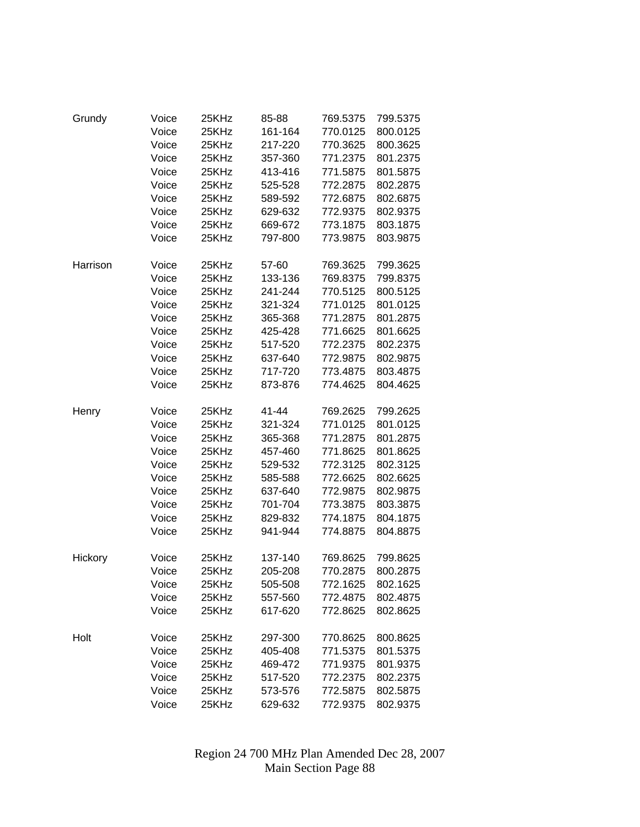| Grundy   | Voice | 25KHz | 85-88   | 769.5375 | 799.5375 |
|----------|-------|-------|---------|----------|----------|
|          | Voice | 25KHz | 161-164 | 770.0125 | 800.0125 |
|          | Voice | 25KHz | 217-220 | 770.3625 | 800.3625 |
|          | Voice | 25KHz | 357-360 | 771.2375 | 801.2375 |
|          | Voice | 25KHz | 413-416 | 771.5875 | 801.5875 |
|          | Voice | 25KHz | 525-528 | 772.2875 | 802.2875 |
|          | Voice | 25KHz | 589-592 | 772.6875 | 802.6875 |
|          | Voice | 25KHz | 629-632 | 772.9375 | 802.9375 |
|          | Voice | 25KHz | 669-672 | 773.1875 | 803.1875 |
|          | Voice | 25KHz | 797-800 | 773.9875 | 803.9875 |
|          |       |       |         |          |          |
| Harrison | Voice | 25KHz | 57-60   | 769.3625 | 799.3625 |
|          | Voice | 25KHz | 133-136 | 769.8375 | 799.8375 |
|          | Voice | 25KHz | 241-244 | 770.5125 | 800.5125 |
|          | Voice | 25KHz | 321-324 | 771.0125 | 801.0125 |
|          | Voice | 25KHz | 365-368 | 771.2875 | 801.2875 |
|          | Voice | 25KHz | 425-428 | 771.6625 | 801.6625 |
|          | Voice | 25KHz | 517-520 | 772.2375 | 802.2375 |
|          | Voice | 25KHz | 637-640 | 772.9875 | 802.9875 |
|          | Voice | 25KHz | 717-720 | 773.4875 | 803.4875 |
|          | Voice | 25KHz | 873-876 | 774.4625 | 804.4625 |
|          |       |       |         |          |          |
| Henry    | Voice | 25KHz | 41-44   | 769.2625 | 799.2625 |
|          | Voice | 25KHz | 321-324 | 771.0125 | 801.0125 |
|          | Voice | 25KHz | 365-368 | 771.2875 | 801.2875 |
|          | Voice | 25KHz | 457-460 | 771.8625 | 801.8625 |
|          | Voice | 25KHz | 529-532 | 772.3125 | 802.3125 |
|          | Voice | 25KHz | 585-588 | 772.6625 | 802.6625 |
|          | Voice | 25KHz | 637-640 | 772.9875 | 802.9875 |
|          | Voice | 25KHz | 701-704 | 773.3875 | 803.3875 |
|          | Voice | 25KHz | 829-832 | 774.1875 | 804.1875 |
|          | Voice | 25KHz | 941-944 | 774.8875 | 804.8875 |
| Hickory  | Voice | 25KHz | 137-140 | 769.8625 | 799.8625 |
|          | Voice | 25KHz | 205-208 | 770.2875 | 800.2875 |
|          | Voice | 25KHz | 505-508 | 772.1625 | 802.1625 |
|          | Voice | 25KHz | 557-560 | 772.4875 | 802.4875 |
|          | Voice | 25KHz | 617-620 | 772.8625 | 802.8625 |
|          |       |       |         |          |          |
| Holt     | Voice | 25KHz | 297-300 | 770.8625 | 800.8625 |
|          | Voice | 25KHz | 405-408 | 771.5375 | 801.5375 |
|          | Voice | 25KHz | 469-472 | 771.9375 | 801.9375 |
|          | Voice | 25KHz | 517-520 | 772.2375 | 802.2375 |
|          | Voice | 25KHz | 573-576 | 772.5875 | 802.5875 |
|          | Voice | 25KHz | 629-632 | 772.9375 | 802.9375 |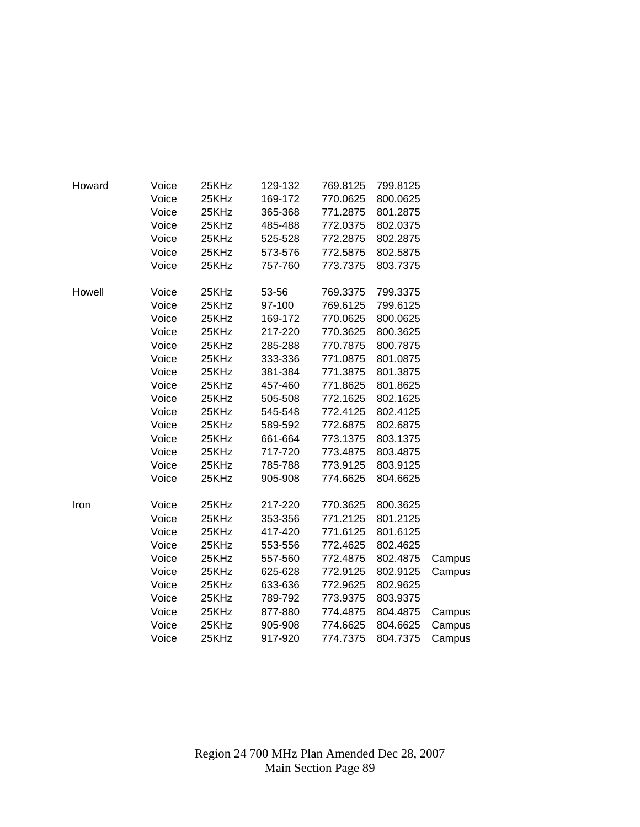| Howard | Voice | 25KHz | 129-132 | 769.8125 | 799.8125 |        |
|--------|-------|-------|---------|----------|----------|--------|
|        | Voice | 25KHz | 169-172 | 770.0625 | 800.0625 |        |
|        | Voice | 25KHz | 365-368 | 771.2875 | 801.2875 |        |
|        | Voice | 25KHz | 485-488 | 772.0375 | 802.0375 |        |
|        | Voice | 25KHz | 525-528 | 772.2875 | 802.2875 |        |
|        | Voice | 25KHz | 573-576 | 772.5875 | 802.5875 |        |
|        | Voice | 25KHz | 757-760 | 773.7375 | 803.7375 |        |
| Howell | Voice | 25KHz | 53-56   | 769.3375 | 799.3375 |        |
|        | Voice | 25KHz | 97-100  | 769.6125 | 799.6125 |        |
|        | Voice | 25KHz | 169-172 | 770.0625 | 800.0625 |        |
|        | Voice | 25KHz | 217-220 | 770.3625 | 800.3625 |        |
|        | Voice | 25KHz | 285-288 | 770.7875 | 800.7875 |        |
|        | Voice | 25KHz | 333-336 | 771.0875 | 801.0875 |        |
|        | Voice | 25KHz | 381-384 | 771.3875 | 801.3875 |        |
|        | Voice | 25KHz | 457-460 | 771.8625 | 801.8625 |        |
|        | Voice | 25KHz | 505-508 | 772.1625 | 802.1625 |        |
|        | Voice | 25KHz | 545-548 | 772.4125 | 802.4125 |        |
|        | Voice | 25KHz | 589-592 | 772.6875 | 802.6875 |        |
|        | Voice | 25KHz | 661-664 | 773.1375 | 803.1375 |        |
|        | Voice | 25KHz | 717-720 | 773.4875 | 803.4875 |        |
|        | Voice | 25KHz | 785-788 | 773.9125 | 803.9125 |        |
|        | Voice | 25KHz | 905-908 | 774.6625 | 804.6625 |        |
| Iron   | Voice | 25KHz | 217-220 | 770.3625 | 800.3625 |        |
|        | Voice | 25KHz | 353-356 | 771.2125 | 801.2125 |        |
|        | Voice | 25KHz | 417-420 | 771.6125 | 801.6125 |        |
|        | Voice | 25KHz | 553-556 | 772.4625 | 802.4625 |        |
|        | Voice | 25KHz | 557-560 | 772.4875 | 802.4875 | Campus |
|        | Voice | 25KHz | 625-628 | 772.9125 | 802.9125 | Campus |
|        | Voice | 25KHz | 633-636 | 772.9625 | 802.9625 |        |
|        | Voice | 25KHz | 789-792 | 773.9375 | 803.9375 |        |
|        | Voice | 25KHz | 877-880 | 774.4875 | 804.4875 | Campus |
|        | Voice | 25KHz | 905-908 | 774.6625 | 804.6625 | Campus |
|        | Voice | 25KHz | 917-920 | 774.7375 | 804.7375 | Campus |
|        |       |       |         |          |          |        |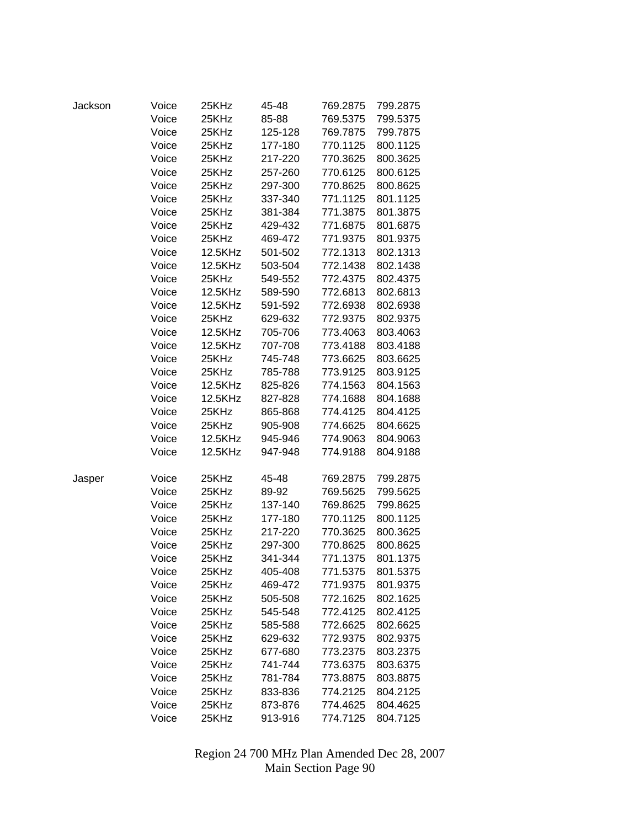| Jackson | Voice | 25KHz   | 45-48   | 769.2875 | 799.2875 |
|---------|-------|---------|---------|----------|----------|
|         | Voice | 25KHz   | 85-88   | 769.5375 | 799.5375 |
|         | Voice | 25KHz   | 125-128 | 769.7875 | 799.7875 |
|         | Voice | 25KHz   | 177-180 | 770.1125 | 800.1125 |
|         | Voice | 25KHz   | 217-220 | 770.3625 | 800.3625 |
|         | Voice | 25KHz   | 257-260 | 770.6125 | 800.6125 |
|         | Voice | 25KHz   | 297-300 | 770.8625 | 800.8625 |
|         | Voice | 25KHz   | 337-340 | 771.1125 | 801.1125 |
|         | Voice | 25KHz   | 381-384 | 771.3875 | 801.3875 |
|         | Voice | 25KHz   | 429-432 | 771.6875 | 801.6875 |
|         | Voice | 25KHz   | 469-472 | 771.9375 | 801.9375 |
|         | Voice | 12.5KHz | 501-502 | 772.1313 | 802.1313 |
|         | Voice | 12.5KHz | 503-504 | 772.1438 | 802.1438 |
|         | Voice | 25KHz   | 549-552 | 772.4375 | 802.4375 |
|         | Voice | 12.5KHz | 589-590 | 772.6813 | 802.6813 |
|         | Voice | 12.5KHz | 591-592 | 772.6938 | 802.6938 |
|         | Voice | 25KHz   | 629-632 | 772.9375 | 802.9375 |
|         | Voice | 12.5KHz | 705-706 | 773.4063 | 803.4063 |
|         | Voice | 12.5KHz | 707-708 | 773.4188 | 803.4188 |
|         | Voice | 25KHz   | 745-748 | 773.6625 | 803.6625 |
|         | Voice | 25KHz   | 785-788 | 773.9125 | 803.9125 |
|         | Voice | 12.5KHz | 825-826 | 774.1563 | 804.1563 |
|         | Voice | 12.5KHz | 827-828 | 774.1688 | 804.1688 |
|         | Voice | 25KHz   | 865-868 | 774.4125 | 804.4125 |
|         | Voice | 25KHz   | 905-908 | 774.6625 | 804.6625 |
|         | Voice | 12.5KHz | 945-946 | 774.9063 | 804.9063 |
|         | Voice | 12.5KHz | 947-948 | 774.9188 | 804.9188 |
| Jasper  | Voice | 25KHz   | 45-48   | 769.2875 | 799.2875 |
|         | Voice | 25KHz   | 89-92   | 769.5625 | 799.5625 |
|         | Voice | 25KHz   | 137-140 | 769.8625 | 799.8625 |
|         | Voice | 25KHz   | 177-180 | 770.1125 | 800.1125 |
|         | Voice | 25KHz   | 217-220 | 770.3625 | 800.3625 |
|         | Voice | 25KHz   | 297-300 | 770.8625 | 800.8625 |
|         | Voice | 25KHz   | 341-344 | 771.1375 | 801.1375 |
|         | Voice | 25KHz   | 405-408 | 771.5375 | 801.5375 |
|         | Voice | 25KHz   | 469-472 | 771.9375 | 801.9375 |
|         | Voice | 25KHz   | 505-508 | 772.1625 | 802.1625 |
|         | Voice | 25KHz   | 545-548 | 772.4125 | 802.4125 |
|         | Voice | 25KHz   | 585-588 | 772.6625 | 802.6625 |
|         | Voice | 25KHz   | 629-632 | 772.9375 | 802.9375 |
|         | Voice | 25KHz   | 677-680 | 773.2375 | 803.2375 |
|         | Voice | 25KHz   | 741-744 | 773.6375 | 803.6375 |
|         | Voice | 25KHz   | 781-784 | 773.8875 | 803.8875 |
|         | Voice | 25KHz   | 833-836 | 774.2125 | 804.2125 |
|         | Voice | 25KHz   | 873-876 | 774.4625 | 804.4625 |
|         | Voice | 25KHz   | 913-916 | 774.7125 | 804.7125 |
|         |       |         |         |          |          |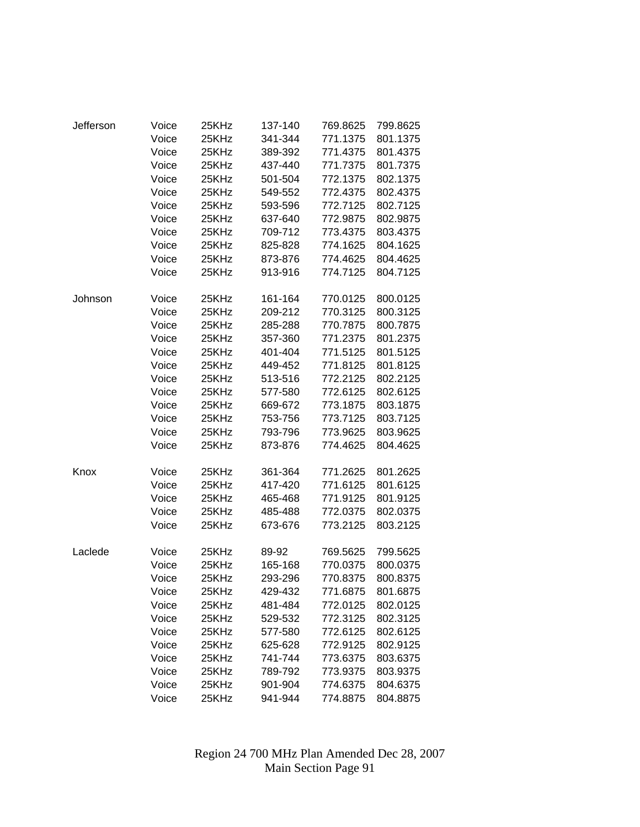| Jefferson | Voice | 25KHz | 137-140 | 769.8625 | 799.8625 |
|-----------|-------|-------|---------|----------|----------|
|           | Voice | 25KHz | 341-344 | 771.1375 | 801.1375 |
|           | Voice | 25KHz | 389-392 | 771.4375 | 801.4375 |
|           | Voice | 25KHz | 437-440 | 771.7375 | 801.7375 |
|           | Voice | 25KHz | 501-504 | 772.1375 | 802.1375 |
|           | Voice | 25KHz | 549-552 | 772.4375 | 802.4375 |
|           | Voice | 25KHz | 593-596 | 772.7125 | 802.7125 |
|           | Voice | 25KHz | 637-640 | 772.9875 | 802.9875 |
|           | Voice | 25KHz | 709-712 | 773.4375 | 803.4375 |
|           | Voice | 25KHz | 825-828 | 774.1625 | 804.1625 |
|           | Voice | 25KHz | 873-876 | 774.4625 | 804.4625 |
|           | Voice | 25KHz | 913-916 | 774.7125 | 804.7125 |
| Johnson   | Voice | 25KHz | 161-164 | 770.0125 | 800.0125 |
|           | Voice | 25KHz | 209-212 | 770.3125 | 800.3125 |
|           | Voice | 25KHz | 285-288 | 770.7875 | 800.7875 |
|           | Voice | 25KHz | 357-360 | 771.2375 | 801.2375 |
|           | Voice | 25KHz | 401-404 | 771.5125 | 801.5125 |
|           | Voice | 25KHz | 449-452 | 771.8125 | 801.8125 |
|           | Voice | 25KHz | 513-516 | 772.2125 | 802.2125 |
|           | Voice | 25KHz | 577-580 | 772.6125 | 802.6125 |
|           | Voice | 25KHz | 669-672 | 773.1875 | 803.1875 |
|           | Voice | 25KHz | 753-756 | 773.7125 | 803.7125 |
|           | Voice | 25KHz | 793-796 | 773.9625 | 803.9625 |
|           | Voice | 25KHz | 873-876 | 774.4625 | 804.4625 |
| Knox      | Voice | 25KHz | 361-364 | 771.2625 | 801.2625 |
|           | Voice | 25KHz | 417-420 | 771.6125 | 801.6125 |
|           | Voice | 25KHz | 465-468 | 771.9125 | 801.9125 |
|           | Voice | 25KHz | 485-488 | 772.0375 | 802.0375 |
|           | Voice | 25KHz | 673-676 | 773.2125 | 803.2125 |
| Laclede   | Voice | 25KHz | 89-92   | 769.5625 | 799.5625 |
|           | Voice | 25KHz | 165-168 | 770.0375 | 800.0375 |
|           | Voice | 25KHz | 293-296 | 770.8375 | 800.8375 |
|           | Voice | 25KHz | 429-432 | 771.6875 | 801.6875 |
|           | Voice | 25KHz | 481-484 | 772.0125 | 802.0125 |
|           | Voice | 25KHz | 529-532 | 772.3125 | 802.3125 |
|           | Voice | 25KHz | 577-580 | 772.6125 | 802.6125 |
|           | Voice | 25KHz | 625-628 | 772.9125 | 802.9125 |
|           | Voice | 25KHz | 741-744 | 773.6375 | 803.6375 |
|           | Voice | 25KHz | 789-792 | 773.9375 | 803.9375 |
|           | Voice | 25KHz | 901-904 | 774.6375 | 804.6375 |
|           | Voice | 25KHz | 941-944 | 774.8875 | 804.8875 |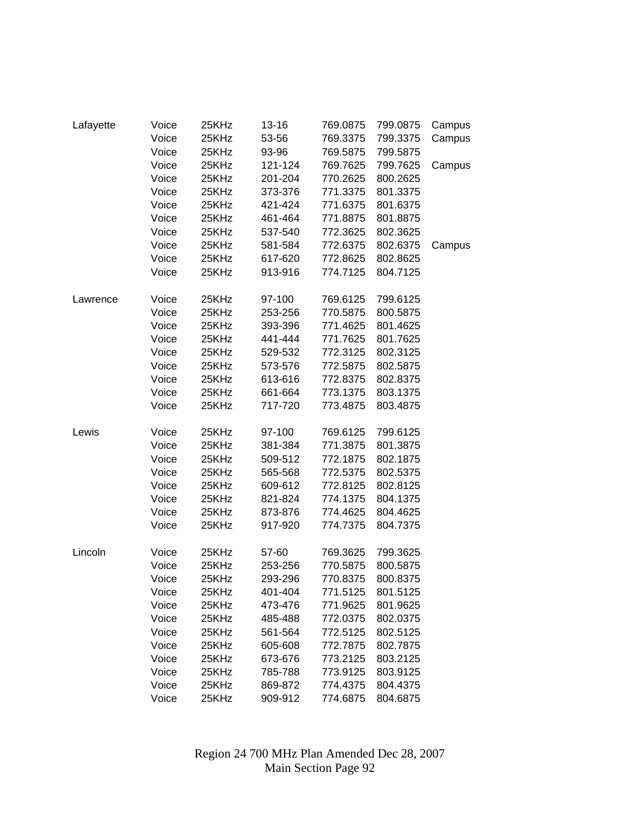| Lafayette | Voice | 25KHz | $13 - 16$ | 769.0875 | 799.0875 | Campus |
|-----------|-------|-------|-----------|----------|----------|--------|
|           | Voice | 25KHz | 53-56     | 769.3375 | 799.3375 | Campus |
|           | Voice | 25KHz | 93-96     | 769.5875 | 799.5875 |        |
|           | Voice | 25KHz | 121-124   | 769.7625 | 799.7625 | Campus |
|           | Voice | 25KHz | 201-204   | 770.2625 | 800.2625 |        |
|           | Voice | 25KHz | 373-376   | 771.3375 | 801.3375 |        |
|           | Voice | 25KHz | 421-424   | 771.6375 | 801.6375 |        |
|           | Voice | 25KHz | 461-464   | 771.8875 | 801.8875 |        |
|           | Voice | 25KHz | 537-540   | 772.3625 | 802.3625 |        |
|           | Voice | 25KHz | 581-584   | 772.6375 | 802.6375 | Campus |
|           | Voice | 25KHz | 617-620   | 772.8625 | 802.8625 |        |
|           | Voice | 25KHz | 913-916   | 774.7125 | 804.7125 |        |
| Lawrence  | Voice | 25KHz | 97-100    | 769.6125 | 799.6125 |        |
|           | Voice | 25KHz | 253-256   | 770.5875 | 800.5875 |        |
|           | Voice | 25KHz | 393-396   | 771.4625 | 801.4625 |        |
|           | Voice | 25KHz | 441-444   | 771.7625 | 801.7625 |        |
|           | Voice | 25KHz | 529-532   | 772.3125 | 802.3125 |        |
|           | Voice | 25KHz | 573-576   | 772.5875 | 802.5875 |        |
|           | Voice | 25KHz | 613-616   | 772.8375 | 802.8375 |        |
|           | Voice | 25KHz | 661-664   | 773.1375 | 803.1375 |        |
|           | Voice | 25KHz | 717-720   | 773.4875 | 803.4875 |        |
| Lewis     | Voice | 25KHz | 97-100    | 769.6125 | 799.6125 |        |
|           | Voice | 25KHz | 381-384   | 771.3875 | 801.3875 |        |
|           | Voice | 25KHz | 509-512   | 772.1875 | 802.1875 |        |
|           | Voice | 25KHz | 565-568   | 772.5375 | 802.5375 |        |
|           | Voice | 25KHz | 609-612   | 772.8125 | 802.8125 |        |
|           | Voice | 25KHz | 821-824   | 774.1375 | 804.1375 |        |
|           | Voice | 25KHz | 873-876   | 774.4625 | 804.4625 |        |
|           | Voice | 25KHz | 917-920   | 774.7375 | 804.7375 |        |
| Lincoln   | Voice | 25KHz | 57-60     | 769.3625 | 799.3625 |        |
|           | Voice | 25KHz | 253-256   | 770.5875 | 800.5875 |        |
|           | Voice | 25KHz | 293-296   | 770.8375 | 800.8375 |        |
|           | Voice | 25KHz | 401-404   | 771.5125 | 801.5125 |        |
|           | Voice | 25KHz | 473-476   | 771.9625 | 801.9625 |        |
|           | Voice | 25KHz | 485-488   | 772.0375 | 802.0375 |        |
|           | Voice | 25KHz | 561-564   | 772.5125 | 802.5125 |        |
|           | Voice | 25KHz | 605-608   | 772.7875 | 802.7875 |        |
|           | Voice | 25KHz | 673-676   | 773.2125 | 803.2125 |        |
|           | Voice | 25KHz | 785-788   | 773.9125 | 803.9125 |        |
|           | Voice | 25KHz | 869-872   | 774.4375 | 804.4375 |        |
|           | Voice | 25KHz | 909-912   | 774.6875 | 804.6875 |        |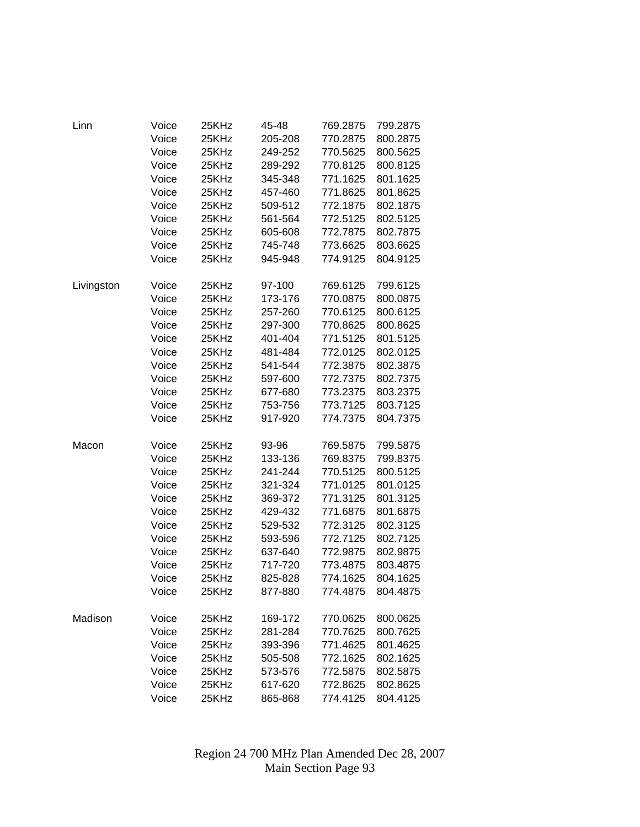| Linn       | Voice | 25KHz | 45-48   | 769.2875 | 799.2875 |
|------------|-------|-------|---------|----------|----------|
|            | Voice | 25KHz | 205-208 | 770.2875 | 800.2875 |
|            | Voice | 25KHz | 249-252 | 770.5625 | 800.5625 |
|            | Voice | 25KHz | 289-292 | 770.8125 | 800.8125 |
|            | Voice | 25KHz | 345-348 | 771.1625 | 801.1625 |
|            | Voice | 25KHz | 457-460 | 771.8625 | 801.8625 |
|            | Voice | 25KHz | 509-512 | 772.1875 | 802.1875 |
|            | Voice | 25KHz | 561-564 | 772.5125 | 802.5125 |
|            | Voice | 25KHz | 605-608 | 772.7875 | 802.7875 |
|            | Voice | 25KHz | 745-748 | 773.6625 | 803.6625 |
|            | Voice | 25KHz | 945-948 | 774.9125 | 804.9125 |
| Livingston | Voice | 25KHz | 97-100  | 769.6125 | 799.6125 |
|            | Voice | 25KHz | 173-176 | 770.0875 | 800.0875 |
|            | Voice | 25KHz | 257-260 | 770.6125 | 800.6125 |
|            | Voice | 25KHz | 297-300 | 770.8625 | 800.8625 |
|            | Voice | 25KHz | 401-404 | 771.5125 | 801.5125 |
|            | Voice | 25KHz | 481-484 | 772.0125 | 802.0125 |
|            | Voice | 25KHz | 541-544 | 772.3875 | 802.3875 |
|            | Voice | 25KHz | 597-600 | 772.7375 | 802.7375 |
|            | Voice | 25KHz | 677-680 | 773.2375 | 803.2375 |
|            | Voice | 25KHz | 753-756 | 773.7125 | 803.7125 |
|            | Voice | 25KHz | 917-920 | 774.7375 | 804.7375 |
| Macon      | Voice | 25KHz | 93-96   | 769.5875 | 799.5875 |
|            | Voice | 25KHz | 133-136 | 769.8375 | 799.8375 |
|            | Voice | 25KHz | 241-244 | 770.5125 | 800.5125 |
|            | Voice | 25KHz | 321-324 | 771.0125 | 801.0125 |
|            | Voice | 25KHz | 369-372 | 771.3125 | 801.3125 |
|            | Voice | 25KHz | 429-432 | 771.6875 | 801.6875 |
|            | Voice | 25KHz | 529-532 | 772.3125 | 802.3125 |
|            | Voice | 25KHz | 593-596 | 772.7125 | 802.7125 |
|            | Voice | 25KHz | 637-640 | 772.9875 | 802.9875 |
|            | Voice | 25KHz | 717-720 | 773.4875 | 803.4875 |
|            | Voice | 25KHz | 825-828 | 774.1625 | 804.1625 |
|            | Voice | 25KHz | 877-880 | 774.4875 | 804.4875 |
| Madison    | Voice | 25KHz | 169-172 | 770.0625 | 800.0625 |
|            | Voice | 25KHz | 281-284 | 770.7625 | 800.7625 |
|            | Voice | 25KHz | 393-396 | 771.4625 | 801.4625 |
|            | Voice | 25KHz | 505-508 | 772.1625 | 802.1625 |
|            | Voice | 25KHz | 573-576 | 772.5875 | 802.5875 |
|            | Voice | 25KHz | 617-620 | 772.8625 | 802.8625 |
|            | Voice | 25KHz | 865-868 | 774.4125 | 804.4125 |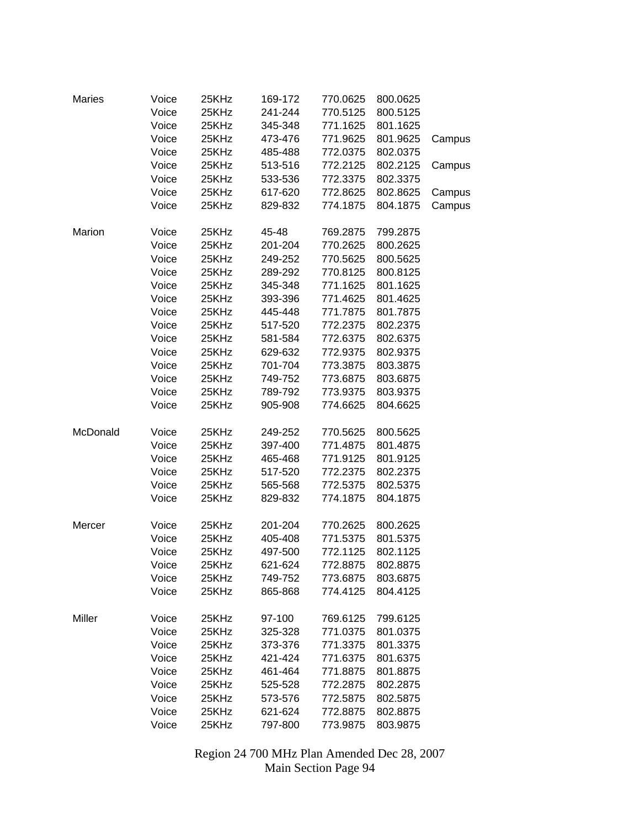| <b>Maries</b> | Voice<br>Voice<br>Voice | 25KHz<br>25KHz<br>25KHz | 169-172<br>241-244<br>345-348 | 770.0625<br>770.5125<br>771.1625 | 800.0625<br>800.5125<br>801.1625 |                  |
|---------------|-------------------------|-------------------------|-------------------------------|----------------------------------|----------------------------------|------------------|
|               | Voice<br>Voice          | 25KHz<br>25KHz          | 473-476<br>485-488            | 771.9625<br>772.0375             | 801.9625<br>802.0375             | Campus           |
|               | Voice<br>Voice          | 25KHz<br>25KHz          | 513-516<br>533-536            | 772.2125<br>772.3375             | 802.2125<br>802.3375             | Campus           |
|               | Voice<br>Voice          | 25KHz<br>25KHz          | 617-620<br>829-832            | 772.8625<br>774.1875             | 802.8625<br>804.1875             | Campus<br>Campus |
| Marion        | Voice                   | 25KHz                   | 45-48                         | 769.2875                         | 799.2875                         |                  |
|               | Voice                   | 25KHz                   | 201-204                       | 770.2625                         | 800.2625                         |                  |
|               | Voice                   | 25KHz                   | 249-252                       | 770.5625                         | 800.5625                         |                  |
|               | Voice                   | 25KHz                   | 289-292                       | 770.8125                         | 800.8125                         |                  |
|               | Voice                   | 25KHz                   | 345-348                       | 771.1625                         | 801.1625                         |                  |
|               | Voice                   | 25KHz                   | 393-396                       | 771.4625                         | 801.4625                         |                  |
|               | Voice                   | 25KHz                   | 445-448                       | 771.7875                         | 801.7875                         |                  |
|               | Voice                   | 25KHz                   | 517-520                       | 772.2375                         | 802.2375                         |                  |
|               | Voice                   | 25KHz                   | 581-584                       | 772.6375                         | 802.6375                         |                  |
|               | Voice                   | 25KHz                   | 629-632                       | 772.9375                         | 802.9375                         |                  |
|               | Voice                   | 25KHz                   | 701-704                       | 773.3875                         | 803.3875                         |                  |
|               | Voice                   | 25KHz                   | 749-752                       | 773.6875                         | 803.6875                         |                  |
|               | Voice                   | 25KHz                   | 789-792                       | 773.9375                         | 803.9375                         |                  |
|               | Voice                   | 25KHz                   | 905-908                       | 774.6625                         | 804.6625                         |                  |
| McDonald      | Voice                   | 25KHz                   | 249-252                       | 770.5625                         | 800.5625                         |                  |
|               | Voice                   | 25KHz                   | 397-400                       | 771.4875                         | 801.4875                         |                  |
|               | Voice                   | 25KHz                   | 465-468                       | 771.9125                         | 801.9125                         |                  |
|               | Voice                   | 25KHz                   | 517-520                       | 772.2375                         | 802.2375                         |                  |
|               | Voice                   | 25KHz                   | 565-568                       | 772.5375                         | 802.5375                         |                  |
|               | Voice                   | 25KHz                   | 829-832                       | 774.1875                         | 804.1875                         |                  |
| Mercer        | Voice                   | 25KHz                   | 201-204                       | 770.2625                         | 800.2625                         |                  |
|               | Voice                   | 25KHz                   | 405-408                       | 771.5375                         | 801.5375                         |                  |
|               | Voice                   | 25KHz                   | 497-500                       | 772.1125                         | 802.1125                         |                  |
|               | Voice                   | 25KHz                   | 621-624                       | 772.8875                         | 802.8875                         |                  |
|               | Voice<br>Voice          | 25KHz<br>25KHz          | 749-752<br>865-868            | 773.6875<br>774.4125             | 803.6875<br>804.4125             |                  |
|               |                         |                         |                               |                                  |                                  |                  |
| Miller        | Voice                   | 25KHz                   | 97-100                        | 769.6125                         | 799.6125                         |                  |
|               | Voice                   | 25KHz                   | 325-328                       | 771.0375                         | 801.0375                         |                  |
|               | Voice                   | 25KHz                   | 373-376                       | 771.3375                         | 801.3375                         |                  |
|               | Voice                   | 25KHz                   | 421-424                       | 771.6375                         | 801.6375                         |                  |
|               | Voice                   | 25KHz                   | 461-464                       | 771.8875                         | 801.8875                         |                  |
|               | Voice                   | 25KHz                   | 525-528                       | 772.2875                         | 802.2875                         |                  |
|               | Voice                   | 25KHz                   | 573-576                       | 772.5875                         | 802.5875                         |                  |
|               | Voice                   | 25KHz                   | 621-624                       | 772.8875                         | 802.8875                         |                  |
|               | Voice                   | 25KHz                   | 797-800                       | 773.9875                         | 803.9875                         |                  |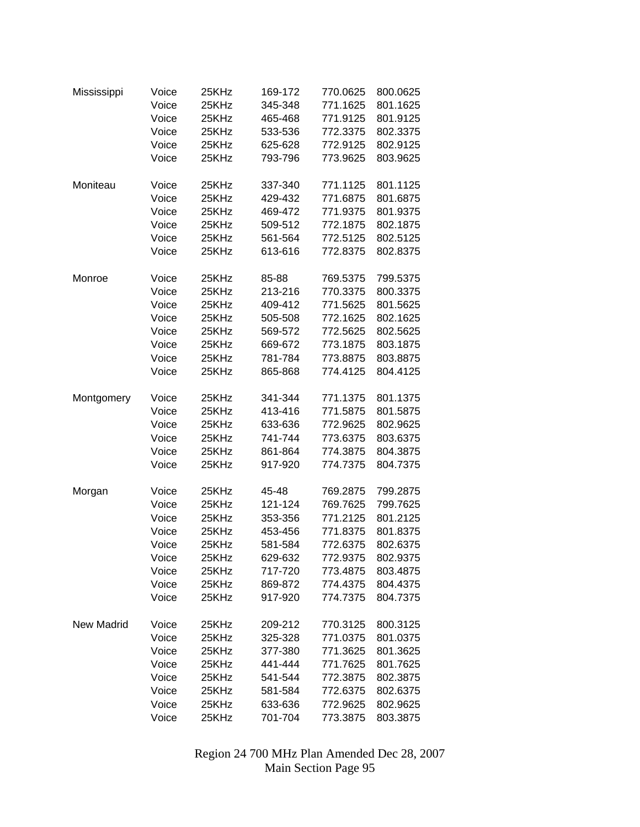| Mississippi       | Voice | 25KHz | 169-172 | 770.0625 | 800.0625 |
|-------------------|-------|-------|---------|----------|----------|
|                   | Voice | 25KHz | 345-348 | 771.1625 | 801.1625 |
|                   | Voice | 25KHz | 465-468 | 771.9125 | 801.9125 |
|                   | Voice | 25KHz | 533-536 | 772.3375 | 802.3375 |
|                   | Voice | 25KHz | 625-628 | 772.9125 | 802.9125 |
|                   | Voice | 25KHz | 793-796 | 773.9625 | 803.9625 |
|                   |       |       |         |          |          |
| Moniteau          | Voice | 25KHz | 337-340 | 771.1125 | 801.1125 |
|                   | Voice | 25KHz | 429-432 | 771.6875 | 801.6875 |
|                   | Voice | 25KHz | 469-472 | 771.9375 | 801.9375 |
|                   | Voice | 25KHz | 509-512 | 772.1875 | 802.1875 |
|                   | Voice | 25KHz | 561-564 | 772.5125 | 802.5125 |
|                   | Voice | 25KHz | 613-616 | 772.8375 | 802.8375 |
| Monroe            | Voice | 25KHz | 85-88   | 769.5375 | 799.5375 |
|                   | Voice | 25KHz | 213-216 | 770.3375 | 800.3375 |
|                   | Voice | 25KHz | 409-412 | 771.5625 | 801.5625 |
|                   | Voice | 25KHz | 505-508 | 772.1625 | 802.1625 |
|                   | Voice | 25KHz | 569-572 | 772.5625 | 802.5625 |
|                   | Voice | 25KHz | 669-672 | 773.1875 | 803.1875 |
|                   | Voice | 25KHz | 781-784 | 773.8875 | 803.8875 |
|                   | Voice | 25KHz | 865-868 | 774.4125 | 804.4125 |
|                   |       |       |         |          |          |
| Montgomery        | Voice | 25KHz | 341-344 | 771.1375 | 801.1375 |
|                   | Voice | 25KHz | 413-416 | 771.5875 | 801.5875 |
|                   | Voice | 25KHz | 633-636 | 772.9625 | 802.9625 |
|                   | Voice | 25KHz | 741-744 | 773.6375 | 803.6375 |
|                   | Voice | 25KHz | 861-864 | 774.3875 | 804.3875 |
|                   | Voice | 25KHz | 917-920 | 774.7375 | 804.7375 |
|                   |       |       |         |          |          |
| Morgan            | Voice | 25KHz | 45-48   | 769.2875 | 799.2875 |
|                   | Voice | 25KHz | 121-124 | 769.7625 | 799.7625 |
|                   | Voice | 25KHz | 353-356 | 771.2125 | 801.2125 |
|                   | Voice | 25KHz | 453-456 | 771.8375 | 801.8375 |
|                   | Voice | 25KHz | 581-584 | 772.6375 | 802.6375 |
|                   | Voice | 25KHz | 629-632 | 772.9375 | 802.9375 |
|                   | Voice | 25KHz | 717-720 | 773.4875 | 803.4875 |
|                   | Voice | 25KHz | 869-872 | 774.4375 | 804.4375 |
|                   | Voice | 25KHz | 917-920 | 774.7375 | 804.7375 |
| <b>New Madrid</b> | Voice | 25KHz | 209-212 | 770.3125 | 800.3125 |
|                   | Voice | 25KHz | 325-328 | 771.0375 | 801.0375 |
|                   | Voice | 25KHz | 377-380 | 771.3625 | 801.3625 |
|                   | Voice | 25KHz | 441-444 | 771.7625 | 801.7625 |
|                   | Voice | 25KHz | 541-544 | 772.3875 | 802.3875 |
|                   | Voice | 25KHz | 581-584 | 772.6375 | 802.6375 |
|                   | Voice | 25KHz | 633-636 | 772.9625 | 802.9625 |
|                   | Voice | 25KHz | 701-704 | 773.3875 | 803.3875 |
|                   |       |       |         |          |          |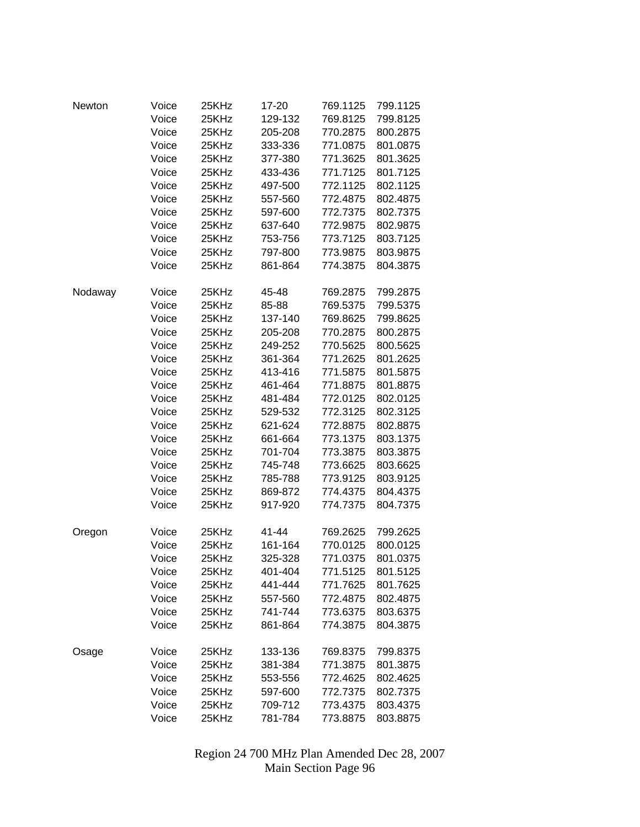| Newton  | Voice | 25KHz | 17-20   | 769.1125 | 799.1125 |
|---------|-------|-------|---------|----------|----------|
|         | Voice | 25KHz | 129-132 | 769.8125 | 799.8125 |
|         | Voice | 25KHz | 205-208 | 770.2875 | 800.2875 |
|         | Voice | 25KHz | 333-336 | 771.0875 | 801.0875 |
|         | Voice | 25KHz | 377-380 | 771.3625 | 801.3625 |
|         | Voice | 25KHz | 433-436 | 771.7125 | 801.7125 |
|         | Voice | 25KHz | 497-500 | 772.1125 | 802.1125 |
|         | Voice | 25KHz | 557-560 | 772.4875 | 802.4875 |
|         | Voice | 25KHz | 597-600 | 772.7375 | 802.7375 |
|         | Voice | 25KHz | 637-640 | 772.9875 | 802.9875 |
|         | Voice | 25KHz | 753-756 | 773.7125 | 803.7125 |
|         | Voice | 25KHz | 797-800 | 773.9875 | 803.9875 |
|         | Voice | 25KHz | 861-864 | 774.3875 | 804.3875 |
| Nodaway | Voice | 25KHz | 45-48   | 769.2875 | 799.2875 |
|         | Voice | 25KHz | 85-88   | 769.5375 | 799.5375 |
|         | Voice | 25KHz | 137-140 | 769.8625 | 799.8625 |
|         | Voice | 25KHz | 205-208 | 770.2875 | 800.2875 |
|         | Voice | 25KHz | 249-252 | 770.5625 | 800.5625 |
|         | Voice | 25KHz | 361-364 | 771.2625 | 801.2625 |
|         | Voice | 25KHz | 413-416 | 771.5875 | 801.5875 |
|         | Voice | 25KHz | 461-464 | 771.8875 | 801.8875 |
|         | Voice | 25KHz | 481-484 | 772.0125 | 802.0125 |
|         | Voice | 25KHz | 529-532 | 772.3125 | 802.3125 |
|         | Voice | 25KHz | 621-624 | 772.8875 | 802.8875 |
|         | Voice | 25KHz | 661-664 | 773.1375 | 803.1375 |
|         | Voice | 25KHz | 701-704 | 773.3875 | 803.3875 |
|         | Voice | 25KHz | 745-748 | 773.6625 | 803.6625 |
|         | Voice | 25KHz | 785-788 | 773.9125 | 803.9125 |
|         | Voice | 25KHz | 869-872 | 774.4375 | 804.4375 |
|         | Voice | 25KHz | 917-920 | 774.7375 | 804.7375 |
| Oregon  | Voice | 25KHz | 41-44   | 769.2625 | 799.2625 |
|         | Voice | 25KHz | 161-164 | 770.0125 | 800.0125 |
|         | Voice | 25KHz | 325-328 | 771.0375 | 801.0375 |
|         | Voice | 25KHz | 401-404 | 771.5125 | 801.5125 |
|         | Voice | 25KHz | 441-444 | 771.7625 | 801.7625 |
|         | Voice | 25KHz | 557-560 | 772.4875 | 802.4875 |
|         | Voice | 25KHz | 741-744 | 773.6375 | 803.6375 |
|         | Voice | 25KHz | 861-864 | 774.3875 | 804.3875 |
| Osage   | Voice | 25KHz | 133-136 | 769.8375 | 799.8375 |
|         | Voice | 25KHz | 381-384 | 771.3875 | 801.3875 |
|         | Voice | 25KHz | 553-556 | 772.4625 | 802.4625 |
|         | Voice | 25KHz | 597-600 | 772.7375 | 802.7375 |
|         | Voice | 25KHz | 709-712 | 773.4375 | 803.4375 |
|         | Voice | 25KHz | 781-784 | 773.8875 | 803.8875 |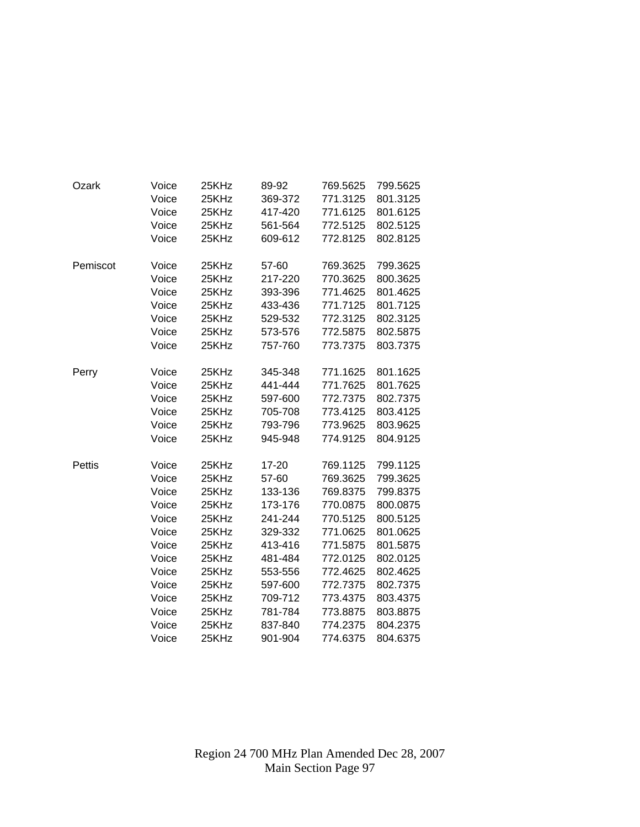| Ozark    | Voice | 25KHz | 89-92   | 769.5625 | 799.5625 |
|----------|-------|-------|---------|----------|----------|
|          | Voice | 25KHz | 369-372 | 771.3125 | 801.3125 |
|          | Voice | 25KHz | 417-420 | 771.6125 | 801.6125 |
|          | Voice | 25KHz | 561-564 | 772.5125 | 802.5125 |
|          | Voice | 25KHz | 609-612 | 772.8125 | 802.8125 |
| Pemiscot | Voice | 25KHz | 57-60   | 769.3625 | 799.3625 |
|          | Voice | 25KHz | 217-220 | 770.3625 | 800.3625 |
|          | Voice | 25KHz | 393-396 | 771.4625 | 801.4625 |
|          | Voice | 25KHz | 433-436 | 771.7125 | 801.7125 |
|          | Voice | 25KHz | 529-532 | 772.3125 | 802.3125 |
|          | Voice | 25KHz | 573-576 | 772.5875 | 802.5875 |
|          | Voice | 25KHz | 757-760 | 773.7375 | 803.7375 |
| Perry    | Voice | 25KHz | 345-348 | 771.1625 | 801.1625 |
|          | Voice | 25KHz | 441-444 | 771.7625 | 801.7625 |
|          | Voice | 25KHz | 597-600 | 772.7375 | 802.7375 |
|          | Voice | 25KHz | 705-708 | 773.4125 | 803.4125 |
|          | Voice | 25KHz | 793-796 | 773.9625 | 803.9625 |
|          | Voice | 25KHz | 945-948 | 774.9125 | 804.9125 |
| Pettis   | Voice | 25KHz | 17-20   | 769.1125 | 799.1125 |
|          | Voice | 25KHz | 57-60   | 769.3625 | 799.3625 |
|          | Voice | 25KHz | 133-136 | 769.8375 | 799.8375 |
|          | Voice | 25KHz | 173-176 | 770.0875 | 800.0875 |
|          | Voice | 25KHz | 241-244 | 770.5125 | 800.5125 |
|          | Voice | 25KHz | 329-332 | 771.0625 | 801.0625 |
|          | Voice | 25KHz | 413-416 | 771.5875 | 801.5875 |
|          | Voice | 25KHz | 481-484 | 772.0125 | 802.0125 |
|          | Voice | 25KHz | 553-556 | 772.4625 | 802.4625 |
|          | Voice | 25KHz | 597-600 | 772.7375 | 802.7375 |
|          | Voice | 25KHz | 709-712 | 773.4375 | 803.4375 |
|          | Voice | 25KHz | 781-784 | 773.8875 | 803.8875 |
|          | Voice | 25KHz | 837-840 | 774.2375 | 804.2375 |
|          | Voice | 25KHz | 901-904 | 774.6375 | 804.6375 |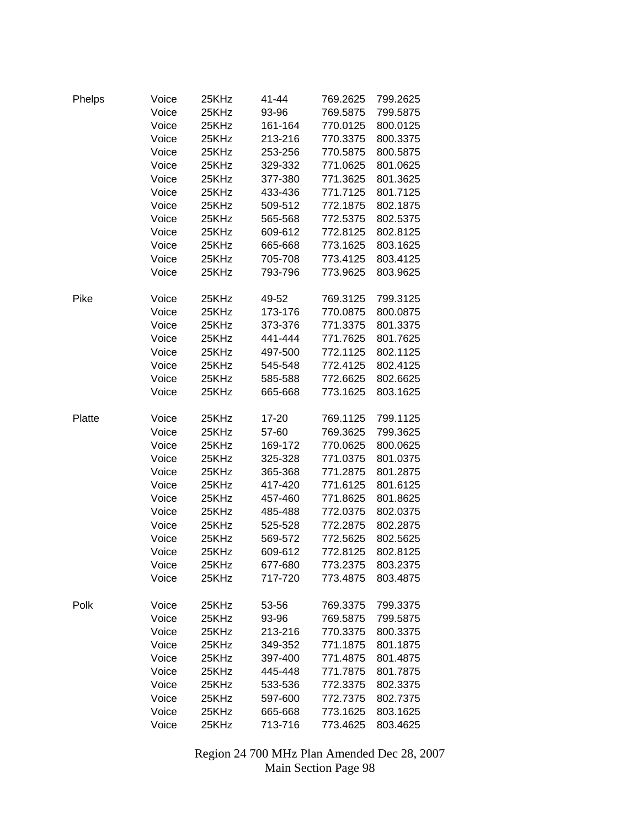| Phelps | Voice | 25KHz | 41-44   | 769.2625 | 799.2625 |
|--------|-------|-------|---------|----------|----------|
|        | Voice | 25KHz | 93-96   | 769.5875 | 799.5875 |
|        | Voice | 25KHz | 161-164 | 770.0125 | 800.0125 |
|        | Voice | 25KHz | 213-216 | 770.3375 | 800.3375 |
|        | Voice | 25KHz | 253-256 | 770.5875 | 800.5875 |
|        | Voice | 25KHz | 329-332 | 771.0625 | 801.0625 |
|        | Voice | 25KHz | 377-380 | 771.3625 | 801.3625 |
|        | Voice | 25KHz | 433-436 | 771.7125 | 801.7125 |
|        | Voice | 25KHz | 509-512 | 772.1875 | 802.1875 |
|        | Voice | 25KHz | 565-568 | 772.5375 | 802.5375 |
|        | Voice | 25KHz | 609-612 | 772.8125 | 802.8125 |
|        | Voice | 25KHz | 665-668 | 773.1625 | 803.1625 |
|        | Voice | 25KHz | 705-708 | 773.4125 | 803.4125 |
|        | Voice | 25KHz | 793-796 | 773.9625 | 803.9625 |
|        |       |       |         |          |          |
| Pike   | Voice | 25KHz | 49-52   | 769.3125 | 799.3125 |
|        | Voice | 25KHz | 173-176 | 770.0875 | 800.0875 |
|        | Voice | 25KHz | 373-376 | 771.3375 | 801.3375 |
|        | Voice | 25KHz | 441-444 | 771.7625 | 801.7625 |
|        | Voice | 25KHz | 497-500 | 772.1125 | 802.1125 |
|        | Voice | 25KHz | 545-548 | 772.4125 | 802.4125 |
|        | Voice | 25KHz | 585-588 | 772.6625 | 802.6625 |
|        | Voice | 25KHz | 665-668 | 773.1625 | 803.1625 |
|        |       |       |         |          |          |
| Platte | Voice | 25KHz | 17-20   | 769.1125 | 799.1125 |
|        | Voice | 25KHz | 57-60   | 769.3625 | 799.3625 |
|        | Voice | 25KHz | 169-172 | 770.0625 | 800.0625 |
|        | Voice | 25KHz | 325-328 | 771.0375 | 801.0375 |
|        | Voice | 25KHz | 365-368 | 771.2875 | 801.2875 |
|        | Voice | 25KHz | 417-420 | 771.6125 | 801.6125 |
|        | Voice | 25KHz | 457-460 | 771.8625 | 801.8625 |
|        | Voice | 25KHz | 485-488 | 772.0375 | 802.0375 |
|        | Voice | 25KHz | 525-528 | 772.2875 | 802.2875 |
|        | Voice | 25KHz | 569-572 | 772.5625 | 802.5625 |
|        | Voice | 25KHz | 609-612 | 772.8125 | 802.8125 |
|        | Voice | 25KHz | 677-680 | 773.2375 | 803.2375 |
|        | Voice | 25KHz | 717-720 | 773.4875 | 803.4875 |
|        |       |       |         |          |          |
| Polk   | Voice | 25KHz | 53-56   | 769.3375 | 799.3375 |
|        | Voice | 25KHz | 93-96   | 769.5875 | 799.5875 |
|        | Voice | 25KHz | 213-216 | 770.3375 | 800.3375 |
|        | Voice | 25KHz | 349-352 | 771.1875 | 801.1875 |
|        | Voice | 25KHz | 397-400 | 771.4875 | 801.4875 |
|        | Voice | 25KHz | 445-448 | 771.7875 | 801.7875 |
|        | Voice | 25KHz | 533-536 | 772.3375 | 802.3375 |
|        | Voice | 25KHz | 597-600 | 772.7375 | 802.7375 |
|        | Voice | 25KHz | 665-668 | 773.1625 | 803.1625 |
|        | Voice | 25KHz | 713-716 | 773.4625 | 803.4625 |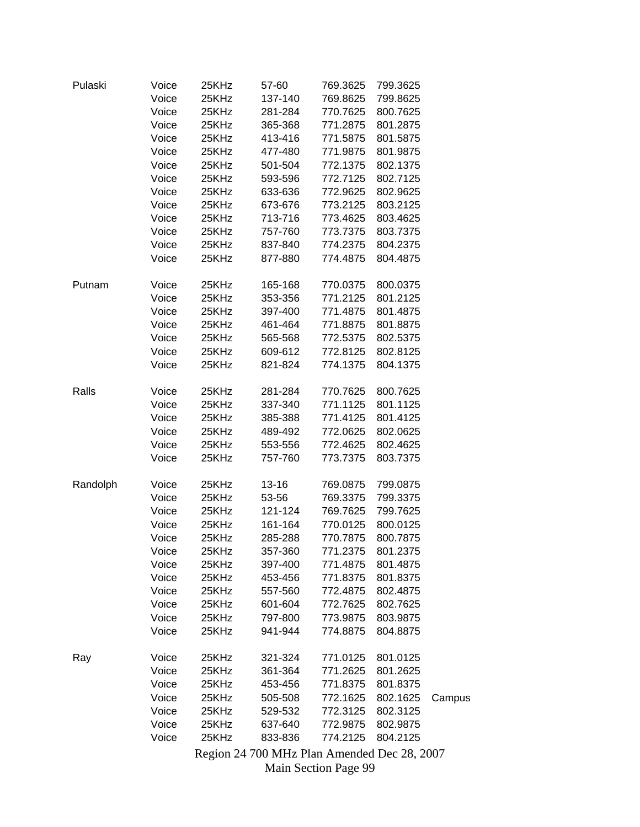| Pulaski  | Voice | 25KHz | 57-60     | 769.3625 | 799.3625 |        |
|----------|-------|-------|-----------|----------|----------|--------|
|          | Voice | 25KHz | 137-140   | 769.8625 | 799.8625 |        |
|          | Voice | 25KHz | 281-284   | 770.7625 | 800.7625 |        |
|          | Voice | 25KHz | 365-368   | 771.2875 | 801.2875 |        |
|          | Voice | 25KHz | 413-416   | 771.5875 | 801.5875 |        |
|          | Voice | 25KHz | 477-480   | 771.9875 | 801.9875 |        |
|          | Voice | 25KHz | 501-504   | 772.1375 | 802.1375 |        |
|          | Voice | 25KHz | 593-596   | 772.7125 | 802.7125 |        |
|          | Voice | 25KHz | 633-636   | 772.9625 | 802.9625 |        |
|          | Voice | 25KHz | 673-676   | 773.2125 | 803.2125 |        |
|          | Voice | 25KHz | 713-716   | 773.4625 | 803.4625 |        |
|          | Voice | 25KHz | 757-760   | 773.7375 | 803.7375 |        |
|          | Voice | 25KHz | 837-840   | 774.2375 | 804.2375 |        |
|          | Voice | 25KHz | 877-880   | 774.4875 | 804.4875 |        |
| Putnam   | Voice | 25KHz | 165-168   | 770.0375 | 800.0375 |        |
|          | Voice | 25KHz | 353-356   | 771.2125 | 801.2125 |        |
|          | Voice | 25KHz | 397-400   | 771.4875 | 801.4875 |        |
|          | Voice | 25KHz | 461-464   | 771.8875 | 801.8875 |        |
|          | Voice | 25KHz | 565-568   | 772.5375 | 802.5375 |        |
|          | Voice | 25KHz | 609-612   | 772.8125 | 802.8125 |        |
|          | Voice | 25KHz | 821-824   | 774.1375 | 804.1375 |        |
| Ralls    | Voice | 25KHz | 281-284   | 770.7625 | 800.7625 |        |
|          |       | 25KHz |           | 771.1125 |          |        |
|          | Voice |       | 337-340   |          | 801.1125 |        |
|          | Voice | 25KHz | 385-388   | 771.4125 | 801.4125 |        |
|          | Voice | 25KHz | 489-492   | 772.0625 | 802.0625 |        |
|          | Voice | 25KHz | 553-556   | 772.4625 | 802.4625 |        |
|          | Voice | 25KHz | 757-760   | 773.7375 | 803.7375 |        |
| Randolph | Voice | 25KHz | $13 - 16$ | 769.0875 | 799.0875 |        |
|          | Voice | 25KHz | 53-56     | 769.3375 | 799.3375 |        |
|          | Voice | 25KHz | 121-124   | 769.7625 | 799.7625 |        |
|          | Voice | 25KHz | 161-164   | 770.0125 | 800.0125 |        |
|          | Voice | 25KHz | 285-288   | 770.7875 | 800.7875 |        |
|          | Voice | 25KHz | 357-360   | 771.2375 | 801.2375 |        |
|          | Voice | 25KHz | 397-400   | 771.4875 | 801.4875 |        |
|          | Voice | 25KHz | 453-456   | 771.8375 | 801.8375 |        |
|          | Voice | 25KHz | 557-560   | 772.4875 | 802.4875 |        |
|          | Voice | 25KHz | 601-604   | 772.7625 | 802.7625 |        |
|          | Voice | 25KHz | 797-800   | 773.9875 | 803.9875 |        |
|          | Voice | 25KHz | 941-944   | 774.8875 | 804.8875 |        |
| Ray      | Voice | 25KHz | 321-324   | 771.0125 | 801.0125 |        |
|          | Voice | 25KHz | 361-364   | 771.2625 | 801.2625 |        |
|          | Voice | 25KHz | 453-456   | 771.8375 | 801.8375 |        |
|          | Voice | 25KHz | 505-508   | 772.1625 | 802.1625 | Campus |
|          | Voice | 25KHz | 529-532   | 772.3125 | 802.3125 |        |
|          | Voice | 25KHz | 637-640   | 772.9875 | 802.9875 |        |
|          | Voice | 25KHz | 833-836   | 774.2125 | 804.2125 |        |
|          |       |       |           |          |          |        |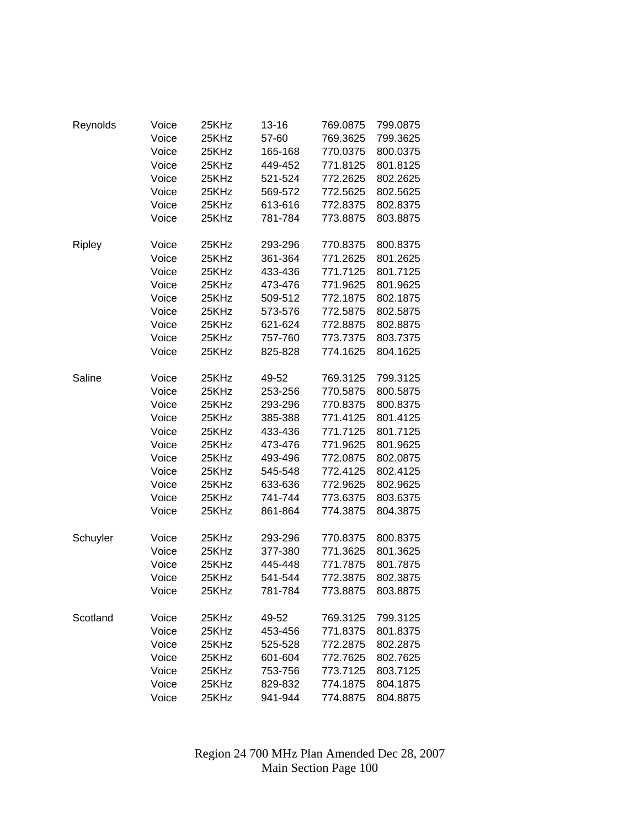| Reynolds | Voice          | 25KHz | 13-16   | 769.0875             | 799.0875             |
|----------|----------------|-------|---------|----------------------|----------------------|
|          | Voice          | 25KHz | 57-60   | 769.3625             | 799.3625             |
|          | Voice          | 25KHz | 165-168 | 770.0375             | 800.0375             |
|          | Voice          | 25KHz | 449-452 | 771.8125             | 801.8125             |
|          | Voice          | 25KHz | 521-524 | 772.2625             | 802.2625             |
|          | Voice          | 25KHz | 569-572 | 772.5625             | 802.5625             |
|          | Voice          | 25KHz | 613-616 | 772.8375             | 802.8375             |
|          | Voice          | 25KHz | 781-784 | 773.8875             | 803.8875             |
|          |                |       |         |                      |                      |
| Ripley   | Voice          | 25KHz | 293-296 | 770.8375             | 800.8375             |
|          | Voice          | 25KHz | 361-364 | 771.2625             | 801.2625             |
|          | Voice          | 25KHz | 433-436 | 771.7125             | 801.7125             |
|          | Voice          | 25KHz | 473-476 | 771.9625             | 801.9625             |
|          | Voice          | 25KHz | 509-512 | 772.1875             | 802.1875             |
|          | Voice          | 25KHz | 573-576 | 772.5875             | 802.5875             |
|          | Voice          | 25KHz | 621-624 | 772.8875             | 802.8875             |
|          | Voice          | 25KHz | 757-760 | 773.7375             | 803.7375             |
|          | Voice          | 25KHz | 825-828 | 774.1625             | 804.1625             |
| Saline   |                | 25KHz | 49-52   | 769.3125             | 799.3125             |
|          | Voice          |       |         | 770.5875             | 800.5875             |
|          | Voice          | 25KHz | 253-256 |                      |                      |
|          | Voice<br>Voice | 25KHz | 293-296 | 770.8375             | 800.8375             |
|          |                | 25KHz | 385-388 | 771.4125<br>771.7125 | 801.4125<br>801.7125 |
|          | Voice          | 25KHz | 433-436 |                      |                      |
|          | Voice          | 25KHz | 473-476 | 771.9625             | 801.9625             |
|          | Voice          | 25KHz | 493-496 | 772.0875             | 802.0875             |
|          | Voice          | 25KHz | 545-548 | 772.4125             | 802.4125             |
|          | Voice          | 25KHz | 633-636 | 772.9625             | 802.9625             |
|          | Voice          | 25KHz | 741-744 | 773.6375             | 803.6375             |
|          | Voice          | 25KHz | 861-864 | 774.3875             | 804.3875             |
| Schuyler | Voice          | 25KHz | 293-296 | 770.8375             | 800.8375             |
|          | Voice          | 25KHz | 377-380 | 771.3625             | 801.3625             |
|          | Voice          | 25KHz | 445-448 | 771.7875             | 801.7875             |
|          | Voice          | 25KHz | 541-544 | 772.3875             | 802.3875             |
|          | Voice          | 25KHz | 781-784 | 773.8875             | 803.8875             |
| Scotland | Voice          | 25KHz | 49-52   | 769.3125             | 799.3125             |
|          | Voice          | 25KHz | 453-456 | 771.8375             | 801.8375             |
|          | Voice          | 25KHz | 525-528 | 772.2875             | 802.2875             |
|          | Voice          | 25KHz | 601-604 | 772.7625             | 802.7625             |
|          | Voice          | 25KHz | 753-756 | 773.7125             | 803.7125             |
|          | Voice          | 25KHz | 829-832 | 774.1875             | 804.1875             |
|          | Voice          | 25KHz | 941-944 | 774.8875             | 804.8875             |
|          |                |       |         |                      |                      |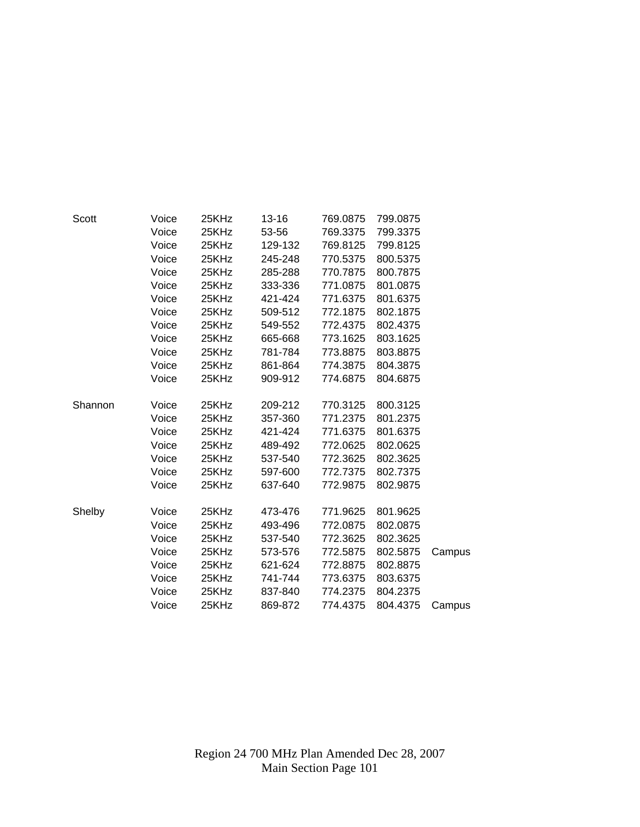| Scott   | Voice | 25KHz | $13 - 16$ | 769.0875 | 799.0875 |        |
|---------|-------|-------|-----------|----------|----------|--------|
|         | Voice | 25KHz | 53-56     | 769.3375 | 799.3375 |        |
|         | Voice | 25KHz | 129-132   | 769.8125 | 799.8125 |        |
|         | Voice | 25KHz | 245-248   | 770.5375 | 800.5375 |        |
|         | Voice | 25KHz | 285-288   | 770.7875 | 800.7875 |        |
|         | Voice | 25KHz | 333-336   | 771.0875 | 801.0875 |        |
|         | Voice | 25KHz | 421-424   | 771.6375 | 801.6375 |        |
|         | Voice | 25KHz | 509-512   | 772.1875 | 802.1875 |        |
|         | Voice | 25KHz | 549-552   | 772.4375 | 802.4375 |        |
|         | Voice | 25KHz | 665-668   | 773.1625 | 803.1625 |        |
|         | Voice | 25KHz | 781-784   | 773.8875 | 803.8875 |        |
|         | Voice | 25KHz | 861-864   | 774.3875 | 804.3875 |        |
|         | Voice | 25KHz | 909-912   | 774.6875 | 804.6875 |        |
| Shannon | Voice | 25KHz | 209-212   | 770.3125 | 800.3125 |        |
|         | Voice | 25KHz | 357-360   | 771.2375 | 801.2375 |        |
|         | Voice | 25KHz | 421-424   | 771.6375 | 801.6375 |        |
|         | Voice | 25KHz | 489-492   | 772.0625 | 802.0625 |        |
|         | Voice | 25KHz | 537-540   | 772.3625 | 802.3625 |        |
|         | Voice | 25KHz | 597-600   | 772.7375 | 802.7375 |        |
|         | Voice | 25KHz | 637-640   | 772.9875 | 802.9875 |        |
| Shelby  | Voice | 25KHz | 473-476   | 771.9625 | 801.9625 |        |
|         | Voice | 25KHz | 493-496   | 772.0875 | 802.0875 |        |
|         | Voice | 25KHz | 537-540   | 772.3625 | 802.3625 |        |
|         | Voice | 25KHz | 573-576   | 772.5875 | 802.5875 | Campus |
|         | Voice | 25KHz | 621-624   | 772.8875 | 802.8875 |        |
|         | Voice | 25KHz | 741-744   | 773.6375 | 803.6375 |        |
|         | Voice | 25KHz | 837-840   | 774.2375 | 804.2375 |        |
|         | Voice | 25KHz | 869-872   | 774.4375 | 804.4375 | Campus |
|         |       |       |           |          |          |        |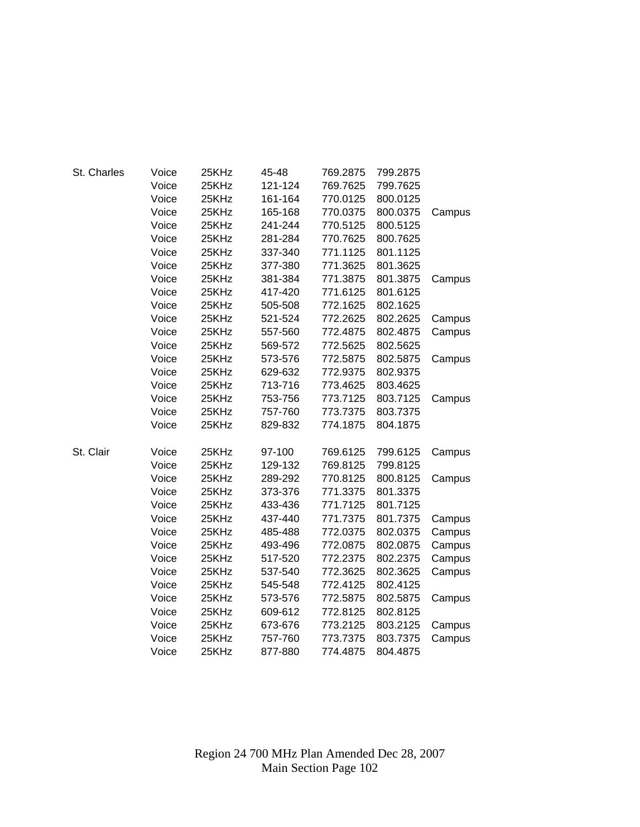| St. Charles | Voice | 25KHz | 45-48   | 769.2875 | 799.2875 |        |
|-------------|-------|-------|---------|----------|----------|--------|
|             | Voice | 25KHz | 121-124 | 769.7625 | 799.7625 |        |
|             | Voice | 25KHz | 161-164 | 770.0125 | 800.0125 |        |
|             | Voice | 25KHz | 165-168 | 770.0375 | 800.0375 | Campus |
|             | Voice | 25KHz | 241-244 | 770.5125 | 800.5125 |        |
|             | Voice | 25KHz | 281-284 | 770.7625 | 800.7625 |        |
|             | Voice | 25KHz | 337-340 | 771.1125 | 801.1125 |        |
|             | Voice | 25KHz | 377-380 | 771.3625 | 801.3625 |        |
|             | Voice | 25KHz | 381-384 | 771.3875 | 801.3875 | Campus |
|             | Voice | 25KHz | 417-420 | 771.6125 | 801.6125 |        |
|             | Voice | 25KHz | 505-508 | 772.1625 | 802.1625 |        |
|             | Voice | 25KHz | 521-524 | 772.2625 | 802.2625 | Campus |
|             | Voice | 25KHz | 557-560 | 772.4875 | 802.4875 | Campus |
|             | Voice | 25KHz | 569-572 | 772.5625 | 802.5625 |        |
|             | Voice | 25KHz | 573-576 | 772.5875 | 802.5875 | Campus |
|             | Voice | 25KHz | 629-632 | 772.9375 | 802.9375 |        |
|             | Voice | 25KHz | 713-716 | 773.4625 | 803.4625 |        |
|             | Voice | 25KHz | 753-756 | 773.7125 | 803.7125 | Campus |
|             | Voice | 25KHz | 757-760 | 773.7375 | 803.7375 |        |
|             | Voice | 25KHz | 829-832 | 774.1875 | 804.1875 |        |
| St. Clair   | Voice | 25KHz | 97-100  | 769.6125 | 799.6125 | Campus |
|             | Voice | 25KHz | 129-132 | 769.8125 | 799.8125 |        |
|             | Voice | 25KHz | 289-292 | 770.8125 | 800.8125 | Campus |
|             | Voice | 25KHz | 373-376 | 771.3375 | 801.3375 |        |
|             | Voice | 25KHz | 433-436 | 771.7125 | 801.7125 |        |
|             | Voice | 25KHz | 437-440 | 771.7375 | 801.7375 | Campus |
|             | Voice | 25KHz | 485-488 | 772.0375 | 802.0375 | Campus |
|             | Voice | 25KHz | 493-496 | 772.0875 | 802.0875 | Campus |
|             | Voice | 25KHz | 517-520 | 772.2375 | 802.2375 | Campus |
|             | Voice | 25KHz | 537-540 | 772.3625 | 802.3625 | Campus |
|             | Voice | 25KHz | 545-548 | 772.4125 | 802.4125 |        |
|             | Voice | 25KHz | 573-576 | 772.5875 | 802.5875 | Campus |
|             | Voice | 25KHz | 609-612 | 772.8125 | 802.8125 |        |
|             | Voice | 25KHz | 673-676 | 773.2125 | 803.2125 | Campus |
|             | Voice | 25KHz | 757-760 | 773.7375 | 803.7375 | Campus |
|             | Voice | 25KHz | 877-880 | 774.4875 | 804.4875 |        |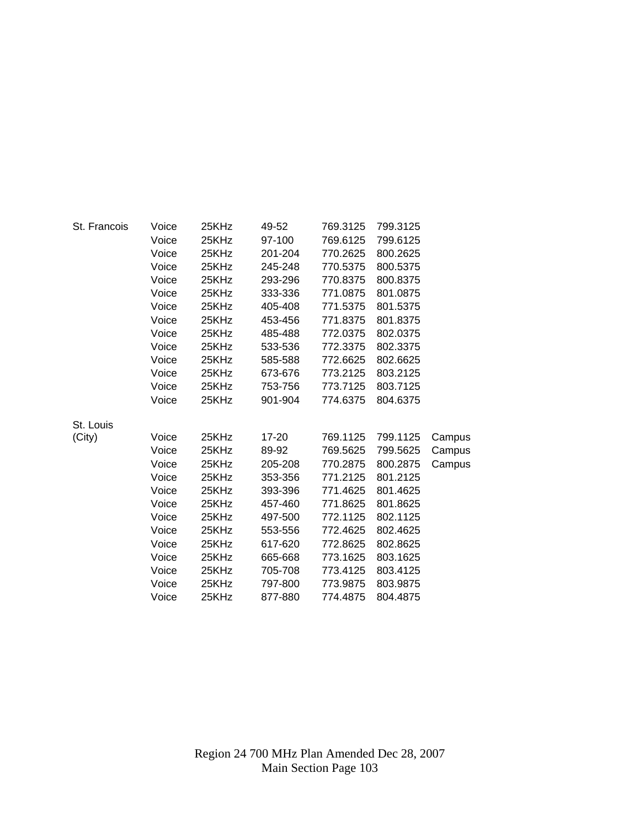| St. Francois | Voice | 25KHz | 49-52   | 769.3125 | 799.3125 |        |
|--------------|-------|-------|---------|----------|----------|--------|
|              | Voice | 25KHz | 97-100  | 769.6125 | 799.6125 |        |
|              | Voice | 25KHz | 201-204 | 770.2625 | 800.2625 |        |
|              | Voice | 25KHz | 245-248 | 770.5375 | 800.5375 |        |
|              | Voice | 25KHz | 293-296 | 770.8375 | 800.8375 |        |
|              | Voice | 25KHz | 333-336 | 771.0875 | 801.0875 |        |
|              | Voice | 25KHz | 405-408 | 771.5375 | 801.5375 |        |
|              | Voice | 25KHz | 453-456 | 771.8375 | 801.8375 |        |
|              | Voice | 25KHz | 485-488 | 772.0375 | 802.0375 |        |
|              | Voice | 25KHz | 533-536 | 772.3375 | 802.3375 |        |
|              | Voice | 25KHz | 585-588 | 772.6625 | 802.6625 |        |
|              | Voice | 25KHz | 673-676 | 773.2125 | 803.2125 |        |
|              | Voice | 25KHz | 753-756 | 773.7125 | 803.7125 |        |
|              | Voice | 25KHz | 901-904 | 774.6375 | 804.6375 |        |
| St. Louis    |       |       |         |          |          |        |
| (City)       | Voice | 25KHz | 17-20   | 769.1125 | 799.1125 | Campus |
|              | Voice | 25KHz | 89-92   | 769.5625 | 799.5625 | Campus |
|              | Voice | 25KHz | 205-208 | 770.2875 | 800.2875 | Campus |
|              | Voice | 25KHz | 353-356 | 771.2125 | 801.2125 |        |
|              | Voice | 25KHz | 393-396 | 771.4625 | 801.4625 |        |
|              | Voice | 25KHz | 457-460 | 771.8625 | 801.8625 |        |
|              | Voice | 25KHz | 497-500 | 772.1125 | 802.1125 |        |
|              | Voice | 25KHz | 553-556 | 772.4625 | 802.4625 |        |
|              | Voice | 25KHz | 617-620 | 772.8625 | 802.8625 |        |
|              | Voice | 25KHz | 665-668 | 773.1625 | 803.1625 |        |
|              | Voice | 25KHz | 705-708 | 773.4125 | 803.4125 |        |
|              | Voice | 25KHz | 797-800 | 773.9875 | 803.9875 |        |
|              | Voice | 25KHz | 877-880 | 774.4875 | 804.4875 |        |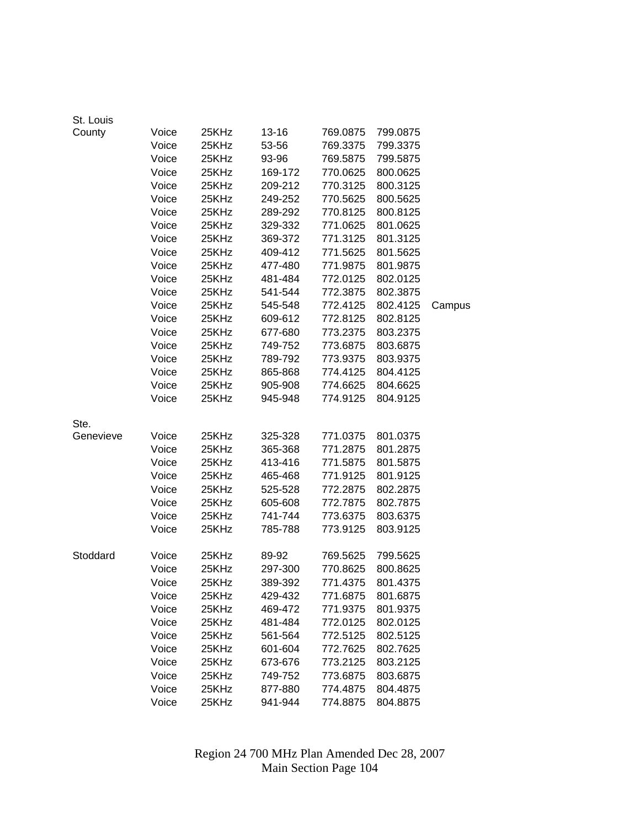| St. Louis |       |       |         |          |          |        |
|-----------|-------|-------|---------|----------|----------|--------|
| County    | Voice | 25KHz | 13-16   | 769.0875 | 799.0875 |        |
|           | Voice | 25KHz | 53-56   | 769.3375 | 799.3375 |        |
|           | Voice | 25KHz | 93-96   | 769.5875 | 799.5875 |        |
|           | Voice | 25KHz | 169-172 | 770.0625 | 800.0625 |        |
|           | Voice | 25KHz | 209-212 | 770.3125 | 800.3125 |        |
|           | Voice | 25KHz | 249-252 | 770.5625 | 800.5625 |        |
|           | Voice | 25KHz | 289-292 | 770.8125 | 800.8125 |        |
|           | Voice | 25KHz | 329-332 | 771.0625 | 801.0625 |        |
|           | Voice | 25KHz | 369-372 | 771.3125 | 801.3125 |        |
|           | Voice | 25KHz | 409-412 | 771.5625 | 801.5625 |        |
|           | Voice | 25KHz | 477-480 | 771.9875 | 801.9875 |        |
|           | Voice | 25KHz | 481-484 | 772.0125 | 802.0125 |        |
|           | Voice | 25KHz | 541-544 | 772.3875 | 802.3875 |        |
|           | Voice | 25KHz | 545-548 | 772.4125 | 802.4125 | Campus |
|           | Voice | 25KHz | 609-612 | 772.8125 | 802.8125 |        |
|           | Voice | 25KHz | 677-680 | 773.2375 | 803.2375 |        |
|           | Voice | 25KHz | 749-752 | 773.6875 | 803.6875 |        |
|           | Voice | 25KHz | 789-792 | 773.9375 | 803.9375 |        |
|           | Voice | 25KHz | 865-868 | 774.4125 | 804.4125 |        |
|           | Voice | 25KHz | 905-908 | 774.6625 | 804.6625 |        |
|           | Voice | 25KHz | 945-948 | 774.9125 | 804.9125 |        |
| Ste.      |       |       |         |          |          |        |
| Genevieve | Voice | 25KHz | 325-328 | 771.0375 | 801.0375 |        |
|           | Voice | 25KHz | 365-368 | 771.2875 | 801.2875 |        |
|           | Voice | 25KHz | 413-416 | 771.5875 | 801.5875 |        |
|           | Voice | 25KHz | 465-468 | 771.9125 | 801.9125 |        |
|           | Voice | 25KHz | 525-528 | 772.2875 | 802.2875 |        |
|           | Voice | 25KHz | 605-608 | 772.7875 | 802.7875 |        |
|           | Voice | 25KHz | 741-744 | 773.6375 | 803.6375 |        |
|           | Voice | 25KHz | 785-788 | 773.9125 | 803.9125 |        |
| Stoddard  | Voice | 25KHz | 89-92   | 769.5625 | 799.5625 |        |
|           | Voice | 25KHz | 297-300 | 770.8625 | 800.8625 |        |
|           | Voice | 25KHz | 389-392 | 771.4375 | 801.4375 |        |
|           | Voice | 25KHz | 429-432 | 771.6875 | 801.6875 |        |
|           | Voice | 25KHz | 469-472 | 771.9375 | 801.9375 |        |
|           | Voice | 25KHz | 481-484 | 772.0125 | 802.0125 |        |
|           | Voice | 25KHz | 561-564 | 772.5125 | 802.5125 |        |
|           | Voice | 25KHz | 601-604 | 772.7625 | 802.7625 |        |
|           | Voice | 25KHz | 673-676 | 773.2125 | 803.2125 |        |
|           | Voice | 25KHz | 749-752 | 773.6875 | 803.6875 |        |
|           | Voice | 25KHz | 877-880 | 774.4875 | 804.4875 |        |
|           | Voice | 25KHz | 941-944 | 774.8875 | 804.8875 |        |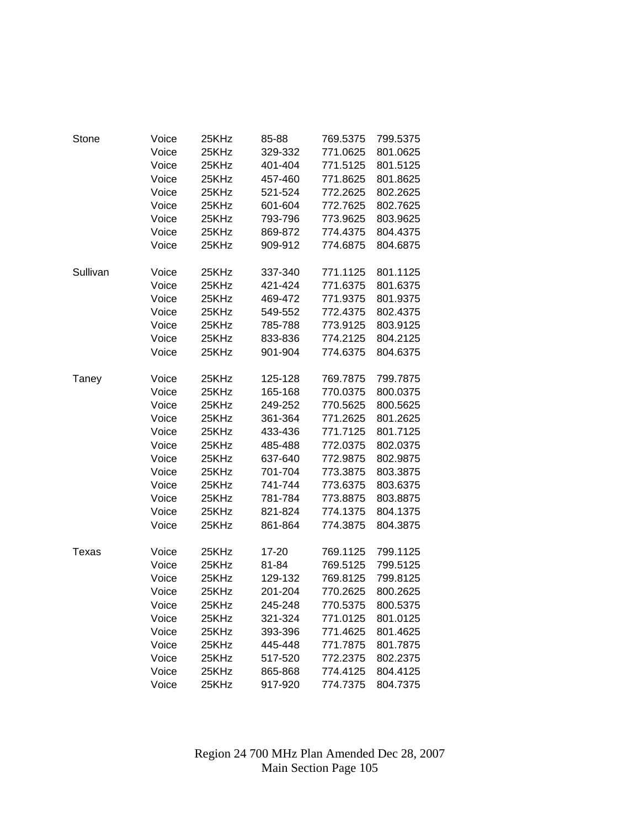| Stone    | Voice | 25KHz | 85-88   | 769.5375 | 799.5375 |
|----------|-------|-------|---------|----------|----------|
|          | Voice | 25KHz | 329-332 | 771.0625 | 801.0625 |
|          | Voice | 25KHz | 401-404 | 771.5125 | 801.5125 |
|          | Voice | 25KHz | 457-460 | 771.8625 | 801.8625 |
|          | Voice | 25KHz | 521-524 | 772.2625 | 802.2625 |
|          | Voice | 25KHz | 601-604 | 772.7625 | 802.7625 |
|          | Voice | 25KHz | 793-796 | 773.9625 | 803.9625 |
|          | Voice | 25KHz | 869-872 | 774.4375 | 804.4375 |
|          | Voice | 25KHz | 909-912 | 774.6875 | 804.6875 |
|          |       |       |         |          |          |
| Sullivan | Voice | 25KHz | 337-340 | 771.1125 | 801.1125 |
|          | Voice | 25KHz | 421-424 | 771.6375 | 801.6375 |
|          | Voice | 25KHz | 469-472 | 771.9375 | 801.9375 |
|          | Voice | 25KHz | 549-552 | 772.4375 | 802.4375 |
|          | Voice | 25KHz | 785-788 | 773.9125 | 803.9125 |
|          | Voice | 25KHz | 833-836 | 774.2125 | 804.2125 |
|          | Voice | 25KHz | 901-904 | 774.6375 | 804.6375 |
| Taney    | Voice | 25KHz | 125-128 | 769.7875 | 799.7875 |
|          | Voice | 25KHz | 165-168 | 770.0375 | 800.0375 |
|          | Voice | 25KHz | 249-252 | 770.5625 | 800.5625 |
|          | Voice | 25KHz | 361-364 | 771.2625 | 801.2625 |
|          | Voice | 25KHz | 433-436 | 771.7125 | 801.7125 |
|          | Voice | 25KHz | 485-488 | 772.0375 | 802.0375 |
|          | Voice | 25KHz | 637-640 | 772.9875 | 802.9875 |
|          | Voice | 25KHz | 701-704 | 773.3875 | 803.3875 |
|          | Voice | 25KHz | 741-744 | 773.6375 | 803.6375 |
|          | Voice | 25KHz | 781-784 | 773.8875 | 803.8875 |
|          | Voice | 25KHz | 821-824 | 774.1375 | 804.1375 |
|          | Voice | 25KHz | 861-864 | 774.3875 | 804.3875 |
|          |       |       |         |          |          |
| Texas    | Voice | 25KHz | 17-20   | 769.1125 | 799.1125 |
|          | Voice | 25KHz | 81-84   | 769.5125 | 799.5125 |
|          | Voice | 25KHz | 129-132 | 769.8125 | 799.8125 |
|          | Voice | 25KHz | 201-204 | 770.2625 | 800.2625 |
|          | Voice | 25KHz | 245-248 | 770.5375 | 800.5375 |
|          | Voice | 25KHz | 321-324 | 771.0125 | 801.0125 |
|          | Voice | 25KHz | 393-396 | 771.4625 | 801.4625 |
|          | Voice | 25KHz | 445-448 | 771.7875 | 801.7875 |
|          | Voice | 25KHz | 517-520 | 772.2375 | 802.2375 |
|          | Voice | 25KHz | 865-868 | 774.4125 | 804.4125 |
|          | Voice | 25KHz | 917-920 | 774.7375 | 804.7375 |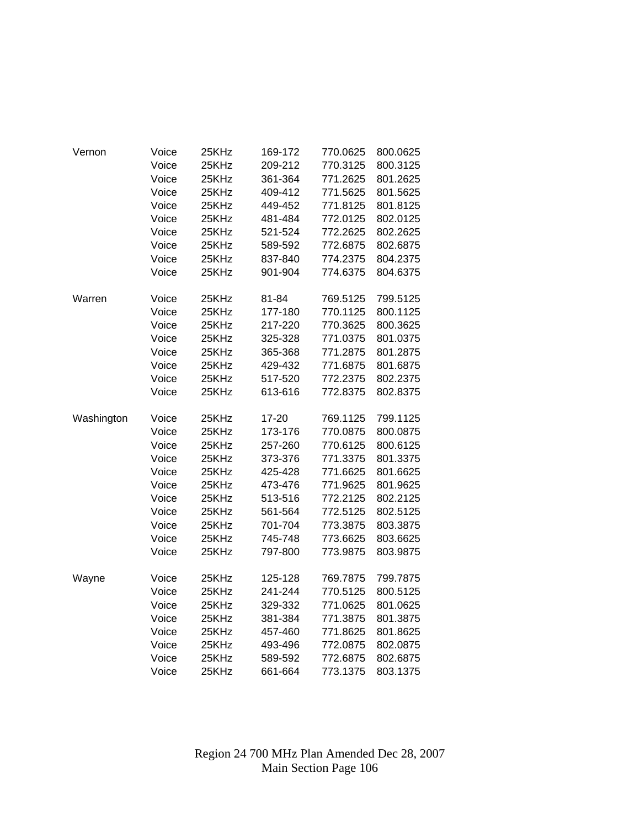| Vernon     | Voice | 25KHz | 169-172 | 770.0625 | 800.0625 |
|------------|-------|-------|---------|----------|----------|
|            | Voice | 25KHz | 209-212 | 770.3125 | 800.3125 |
|            | Voice | 25KHz | 361-364 | 771.2625 | 801.2625 |
|            | Voice | 25KHz | 409-412 | 771.5625 | 801.5625 |
|            | Voice | 25KHz | 449-452 | 771.8125 | 801.8125 |
|            | Voice | 25KHz | 481-484 | 772.0125 | 802.0125 |
|            | Voice | 25KHz | 521-524 | 772.2625 | 802.2625 |
|            | Voice | 25KHz | 589-592 | 772.6875 | 802.6875 |
|            | Voice | 25KHz | 837-840 | 774.2375 | 804.2375 |
|            | Voice | 25KHz | 901-904 | 774.6375 | 804.6375 |
| Warren     | Voice | 25KHz | 81-84   | 769.5125 | 799.5125 |
|            | Voice | 25KHz | 177-180 | 770.1125 | 800.1125 |
|            | Voice | 25KHz | 217-220 | 770.3625 | 800.3625 |
|            | Voice | 25KHz | 325-328 | 771.0375 | 801.0375 |
|            | Voice | 25KHz | 365-368 | 771.2875 | 801.2875 |
|            | Voice | 25KHz | 429-432 | 771.6875 | 801.6875 |
|            | Voice | 25KHz | 517-520 | 772.2375 | 802.2375 |
|            | Voice | 25KHz | 613-616 | 772.8375 | 802.8375 |
| Washington | Voice | 25KHz | 17-20   | 769.1125 | 799.1125 |
|            | Voice | 25KHz | 173-176 | 770.0875 | 800.0875 |
|            | Voice | 25KHz | 257-260 | 770.6125 | 800.6125 |
|            | Voice | 25KHz | 373-376 | 771.3375 | 801.3375 |
|            | Voice | 25KHz | 425-428 | 771.6625 | 801.6625 |
|            | Voice | 25KHz | 473-476 | 771.9625 | 801.9625 |
|            | Voice | 25KHz | 513-516 | 772.2125 | 802.2125 |
|            | Voice | 25KHz | 561-564 | 772.5125 | 802.5125 |
|            | Voice | 25KHz | 701-704 | 773.3875 | 803.3875 |
|            | Voice | 25KHz | 745-748 | 773.6625 | 803.6625 |
|            | Voice | 25KHz | 797-800 | 773.9875 | 803.9875 |
| Wayne      | Voice | 25KHz | 125-128 | 769.7875 | 799.7875 |
|            | Voice | 25KHz | 241-244 | 770.5125 | 800.5125 |
|            | Voice | 25KHz | 329-332 | 771.0625 | 801.0625 |
|            | Voice | 25KHz | 381-384 | 771.3875 | 801.3875 |
|            | Voice | 25KHz | 457-460 | 771.8625 | 801.8625 |
|            | Voice | 25KHz | 493-496 | 772.0875 | 802.0875 |
|            | Voice | 25KHz | 589-592 | 772.6875 | 802.6875 |
|            | Voice | 25KHz | 661-664 | 773.1375 | 803.1375 |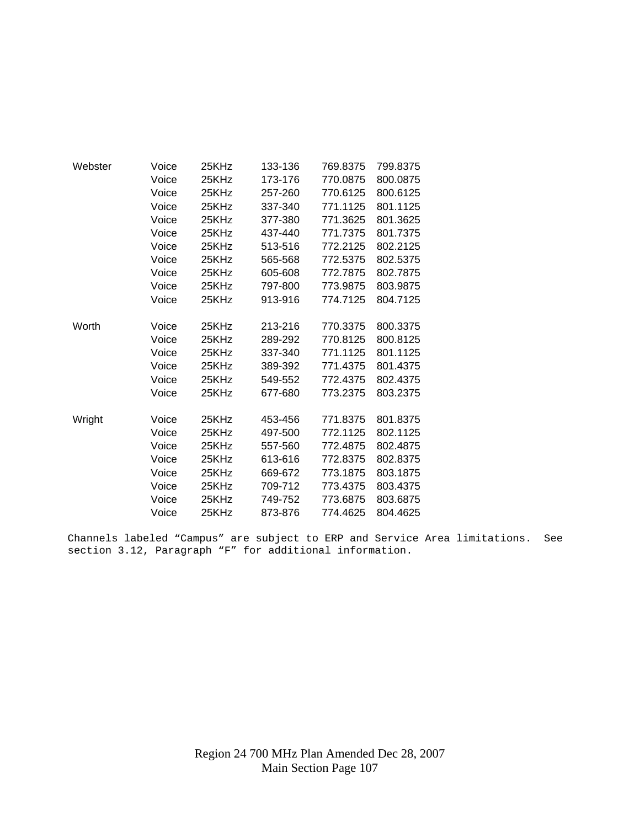| Webster | Voice | 25KHz | 133-136 | 769.8375 | 799.8375 |
|---------|-------|-------|---------|----------|----------|
|         | Voice | 25KHz | 173-176 | 770.0875 | 800.0875 |
|         | Voice | 25KHz | 257-260 | 770.6125 | 800.6125 |
|         | Voice | 25KHz | 337-340 | 771.1125 | 801.1125 |
|         | Voice | 25KHz | 377-380 | 771.3625 | 801.3625 |
|         | Voice | 25KHz | 437-440 | 771.7375 | 801.7375 |
|         | Voice | 25KHz | 513-516 | 772.2125 | 802.2125 |
|         | Voice | 25KHz | 565-568 | 772.5375 | 802.5375 |
|         | Voice | 25KHz | 605-608 | 772.7875 | 802.7875 |
|         | Voice | 25KHz | 797-800 | 773.9875 | 803.9875 |
|         | Voice | 25KHz | 913-916 | 774.7125 | 804.7125 |
|         |       |       |         |          |          |
| Worth   | Voice | 25KHz | 213-216 | 770.3375 | 800.3375 |
|         | Voice | 25KHz | 289-292 | 770.8125 | 800.8125 |
|         | Voice | 25KHz | 337-340 | 771.1125 | 801.1125 |
|         | Voice | 25KHz | 389-392 | 771.4375 | 801.4375 |
|         | Voice | 25KHz | 549-552 | 772.4375 | 802.4375 |
|         | Voice | 25KHz | 677-680 | 773.2375 | 803.2375 |
|         |       |       |         |          |          |
| Wright  | Voice | 25KHz | 453-456 | 771.8375 | 801.8375 |
|         | Voice | 25KHz | 497-500 | 772.1125 | 802.1125 |
|         | Voice | 25KHz | 557-560 | 772.4875 | 802.4875 |
|         | Voice | 25KHz | 613-616 | 772.8375 | 802.8375 |
|         | Voice | 25KHz | 669-672 | 773.1875 | 803.1875 |
|         | Voice | 25KHz | 709-712 | 773.4375 | 803.4375 |
|         | Voice | 25KHz | 749-752 | 773.6875 | 803.6875 |
|         | Voice | 25KHz | 873-876 | 774.4625 | 804.4625 |

Channels labeled "Campus" are subject to ERP and Service Area limitations. See section 3.12, Paragraph "F" for additional information.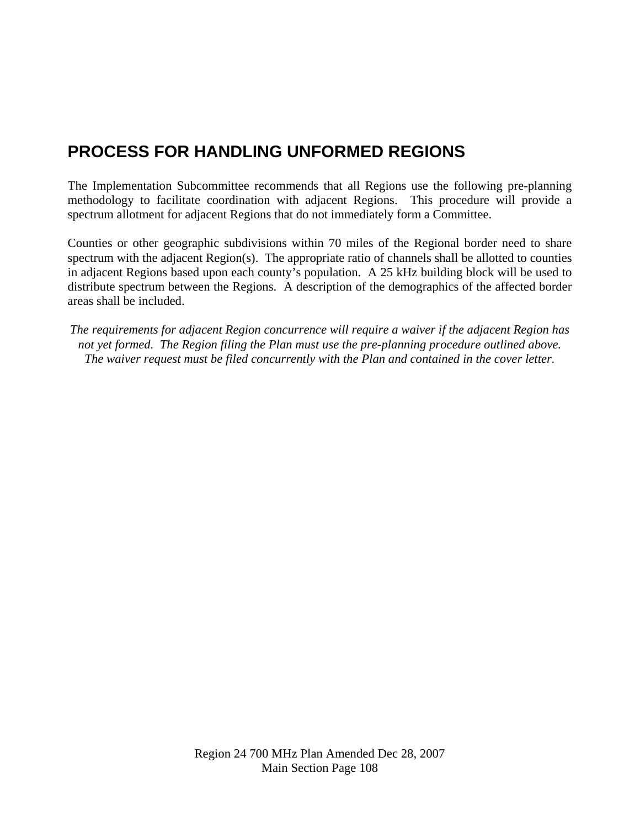## **PROCESS FOR HANDLING UNFORMED REGIONS**

The Implementation Subcommittee recommends that all Regions use the following pre-planning methodology to facilitate coordination with adjacent Regions. This procedure will provide a spectrum allotment for adjacent Regions that do not immediately form a Committee.

Counties or other geographic subdivisions within 70 miles of the Regional border need to share spectrum with the adjacent Region(s). The appropriate ratio of channels shall be allotted to counties in adjacent Regions based upon each county's population. A 25 kHz building block will be used to distribute spectrum between the Regions. A description of the demographics of the affected border areas shall be included.

*The requirements for adjacent Region concurrence will require a waiver if the adjacent Region has not yet formed. The Region filing the Plan must use the pre-planning procedure outlined above. The waiver request must be filed concurrently with the Plan and contained in the cover letter.*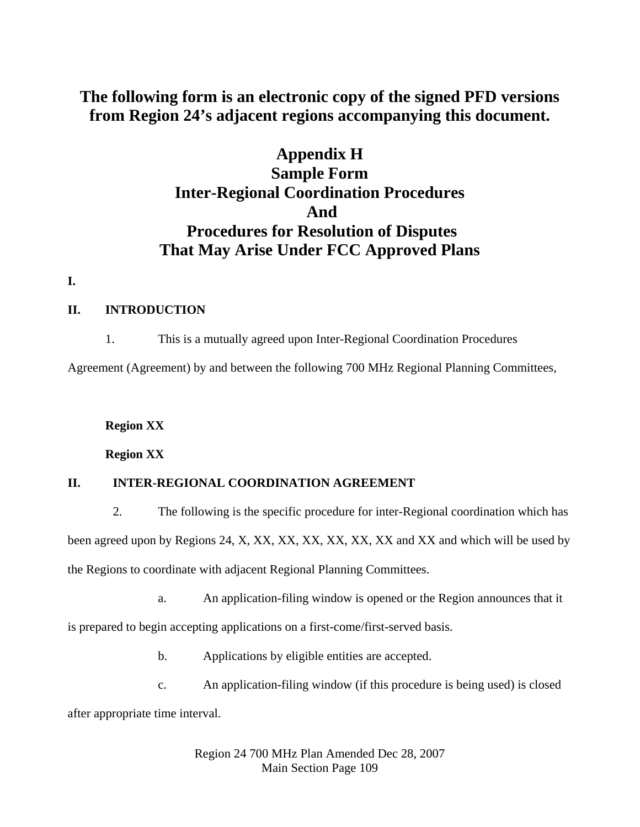# **The following form is an electronic copy of the signed PFD versions from Region 24's adjacent regions accompanying this document.**

# **Appendix H Sample Form Inter-Regional Coordination Procedures And Procedures for Resolution of Disputes That May Arise Under FCC Approved Plans**

**I.**

#### **II. INTRODUCTION**

1. This is a mutually agreed upon Inter-Regional Coordination Procedures

Agreement (Agreement) by and between the following 700 MHz Regional Planning Committees,

#### **Region XX**

**Region XX** 

### **II. INTER-REGIONAL COORDINATION AGREEMENT**

 2. The following is the specific procedure for inter-Regional coordination which has been agreed upon by Regions 24, X, XX, XX, XX, XX, XX, XX and XX and which will be used by the Regions to coordinate with adjacent Regional Planning Committees.

a. An application-filing window is opened or the Region announces that it

is prepared to begin accepting applications on a first-come/first-served basis.

- b. Applications by eligible entities are accepted.
- c. An application-filing window (if this procedure is being used) is closed after appropriate time interval.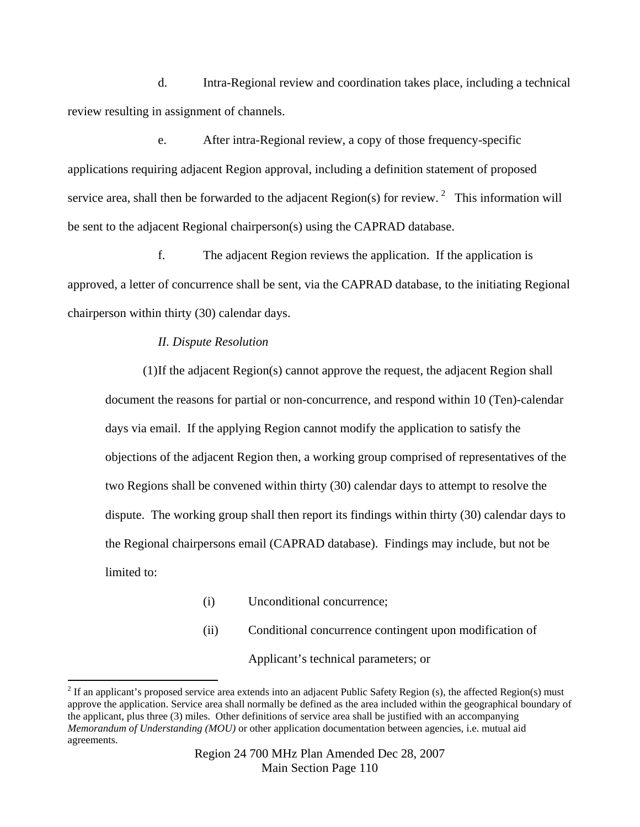d. Intra-Regional review and coordination takes place, including a technical review resulting in assignment of channels.

 e. After intra-Regional review, a copy of those frequency-specific applications requiring adjacent Region approval, including a definition statement of proposed service area, shall then be forwarded to the adjacent Region(s) for review. <sup>[2](#page-109-0)</sup> This information will be sent to the adjacent Regional chairperson(s) using the CAPRAD database.

 f. The adjacent Region reviews the application. If the application is approved, a letter of concurrence shall be sent, via the CAPRAD database, to the initiating Regional chairperson within thirty (30) calendar days.

#### *II. Dispute Resolution*

 $\overline{a}$ 

(1) If the adjacent Region(s) cannot approve the request, the adjacent Region shall document the reasons for partial or non-concurrence, and respond within 10 (Ten)-calendar days via email. If the applying Region cannot modify the application to satisfy the objections of the adjacent Region then, a working group comprised of representatives of the two Regions shall be convened within thirty (30) calendar days to attempt to resolve the dispute. The working group shall then report its findings within thirty (30) calendar days to the Regional chairpersons email (CAPRAD database). Findings may include, but not be limited to:

- (i) Unconditional concurrence;
- (ii) Conditional concurrence contingent upon modification of

Applicant's technical parameters; or

<span id="page-109-0"></span> $2^2$  If an applicant's proposed service area extends into an adjacent Public Safety Region (s), the affected Region(s) must approve the application. Service area shall normally be defined as the area included within the geographical boundary of the applicant, plus three (3) miles. Other definitions of service area shall be justified with an accompanying *Memorandum of Understanding (MOU)* or other application documentation between agencies, i.e. mutual aid agreements.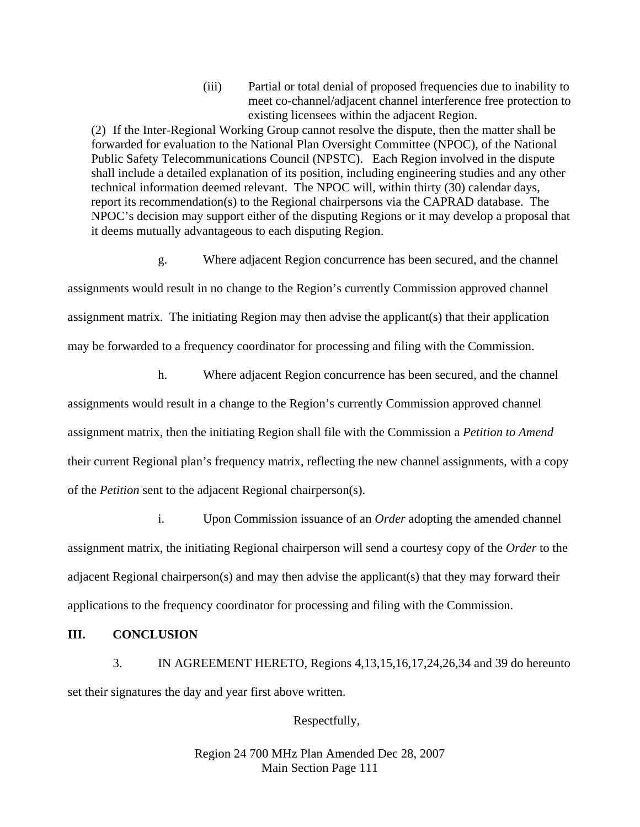(iii) Partial or total denial of proposed frequencies due to inability to meet co-channel/adjacent channel interference free protection to existing licensees within the adjacent Region.

(2) If the Inter-Regional Working Group cannot resolve the dispute, then the matter shall be forwarded for evaluation to the National Plan Oversight Committee (NPOC), of the National Public Safety Telecommunications Council (NPSTC). Each Region involved in the dispute shall include a detailed explanation of its position, including engineering studies and any other technical information deemed relevant. The NPOC will, within thirty (30) calendar days, report its recommendation(s) to the Regional chairpersons via the CAPRAD database. The NPOC's decision may support either of the disputing Regions or it may develop a proposal that it deems mutually advantageous to each disputing Region.

g. Where adjacent Region concurrence has been secured, and the channel

assignments would result in no change to the Region's currently Commission approved channel assignment matrix. The initiating Region may then advise the applicant(s) that their application may be forwarded to a frequency coordinator for processing and filing with the Commission.

 h. Where adjacent Region concurrence has been secured, and the channel assignments would result in a change to the Region's currently Commission approved channel assignment matrix, then the initiating Region shall file with the Commission a *Petition to Amend* 

their current Regional plan's frequency matrix, reflecting the new channel assignments, with a copy of the *Petition* sent to the adjacent Regional chairperson(s).

 i. Upon Commission issuance of an *Order* adopting the amended channel assignment matrix, the initiating Regional chairperson will send a courtesy copy of the *Order* to the adjacent Regional chairperson(s) and may then advise the applicant(s) that they may forward their applications to the frequency coordinator for processing and filing with the Commission.

**III. CONCLUSION**

 3. IN AGREEMENT HERETO, Regions 4,13,15,16,17,24,26,34 and 39 do hereunto set their signatures the day and year first above written.

Respectfully,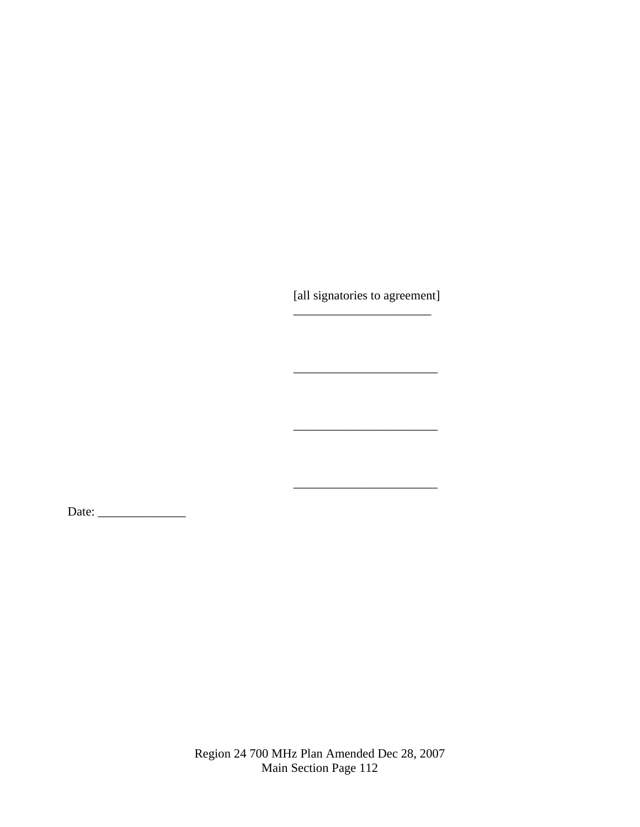[all signatories to agreement] \_\_\_\_\_\_\_\_\_\_\_\_\_\_\_\_\_\_\_\_\_\_

Date: \_\_\_\_\_\_\_\_\_\_\_\_\_\_

 $\frac{1}{2}$  , and the contract of the contract of the contract of the contract of the contract of the contract of the contract of the contract of the contract of the contract of the contract of the contract of the contract

 $\frac{1}{2}$  , and the contract of the contract of the contract of the contract of the contract of the contract of the contract of the contract of the contract of the contract of the contract of the contract of the contract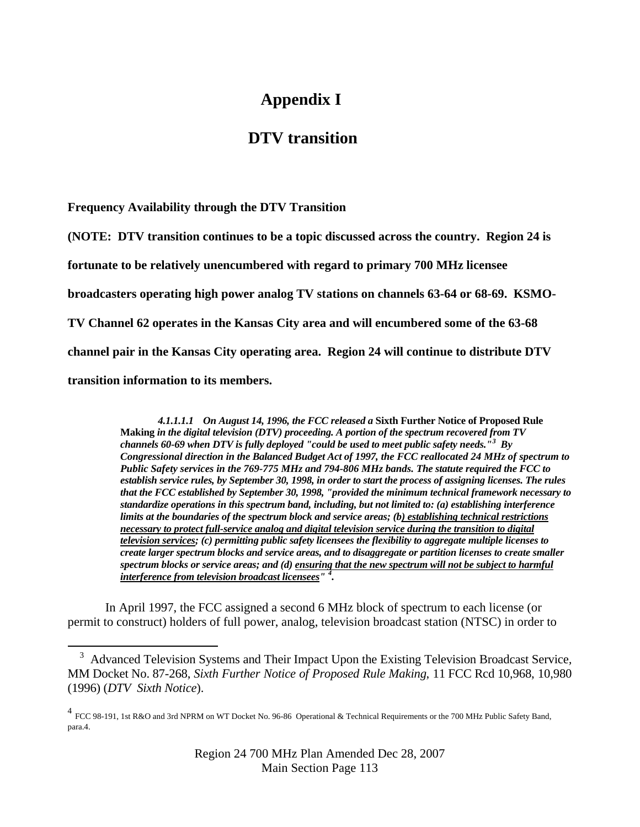# **Appendix I**

## **DTV transition**

**Frequency Availability through the DTV Transition** 

**(NOTE: DTV transition continues to be a topic discussed across the country. Region 24 is** 

**fortunate to be relatively unencumbered with regard to primary 700 MHz licensee** 

**broadcasters operating high power analog TV stations on channels 63-64 or 68-69. KSMO-**

**TV Channel 62 operates in the Kansas City area and will encumbered some of the 63-68** 

**channel pair in the Kansas City operating area. Region 24 will continue to distribute DTV** 

**transition information to its members.** 

 $\overline{a}$ 

*4.1.1.1.1 On August 14, 1996, the FCC released a* **Sixth Further Notice of Proposed Rule Making** *in the digital television (DTV) proceeding. A portion of the spectrum recovered from TV channels 60-69 when DTV is fully deployed "could be used to meet public safety needs."[3](#page-112-0) By Congressional direction in the Balanced Budget Act of 1997, the FCC reallocated 24 MHz of spectrum to Public Safety services in the 769-775 MHz and 794-806 MHz bands. The statute required the FCC to establish service rules, by September 30, 1998, in order to start the process of assigning licenses. The rules that the FCC established by September 30, 1998, "provided the minimum technical framework necessary to standardize operations in this spectrum band, including, but not limited to: (a) establishing interference limits at the boundaries of the spectrum block and service areas; (b) establishing technical restrictions necessary to protect full-service analog and digital television service during the transition to digital television services; (c) permitting public safety licensees the flexibility to aggregate multiple licenses to create larger spectrum blocks and service areas, and to disaggregate or partition licenses to create smaller spectrum blocks or service areas; and (d) ensuring that the new spectrum will not be subject to harmful interference from television broadcast licensees" [4](#page-112-1) .* 

In April 1997, the FCC assigned a second 6 MHz block of spectrum to each license (or permit to construct) holders of full power, analog, television broadcast station (NTSC) in order to

<span id="page-112-0"></span><sup>&</sup>lt;sup>3</sup> Advanced Television Systems and Their Impact Upon the Existing Television Broadcast Service, MM Docket No. 87-268, *Sixth Further Notice of Proposed Rule Making*, 11 FCC Rcd 10,968, 10,980 (1996) (*DTV Sixth Notice*).

<span id="page-112-1"></span><sup>4</sup> FCC 98-191, 1st R&O and 3rd NPRM on WT Docket No. 96-86 Operational & Technical Requirements or the 700 MHz Public Safety Band, para.4.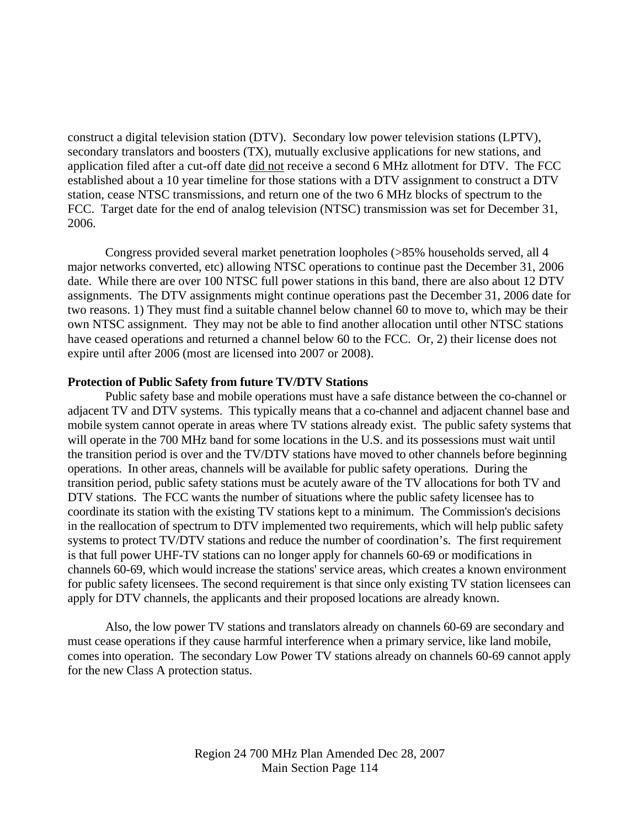construct a digital television station (DTV). Secondary low power television stations (LPTV), secondary translators and boosters (TX), mutually exclusive applications for new stations, and application filed after a cut-off date did not receive a second 6 MHz allotment for DTV. The FCC established about a 10 year timeline for those stations with a DTV assignment to construct a DTV station, cease NTSC transmissions, and return one of the two 6 MHz blocks of spectrum to the FCC. Target date for the end of analog television (NTSC) transmission was set for December 31, 2006.

Congress provided several market penetration loopholes (>85% households served, all 4 major networks converted, etc) allowing NTSC operations to continue past the December 31, 2006 date. While there are over 100 NTSC full power stations in this band, there are also about 12 DTV assignments. The DTV assignments might continue operations past the December 31, 2006 date for two reasons. 1) They must find a suitable channel below channel 60 to move to, which may be their own NTSC assignment. They may not be able to find another allocation until other NTSC stations have ceased operations and returned a channel below 60 to the FCC. Or, 2) their license does not expire until after 2006 (most are licensed into 2007 or 2008).

#### **Protection of Public Safety from future TV/DTV Stations**

Public safety base and mobile operations must have a safe distance between the co-channel or adjacent TV and DTV systems. This typically means that a co-channel and adjacent channel base and mobile system cannot operate in areas where TV stations already exist. The public safety systems that will operate in the 700 MHz band for some locations in the U.S. and its possessions must wait until the transition period is over and the TV/DTV stations have moved to other channels before beginning operations. In other areas, channels will be available for public safety operations. During the transition period, public safety stations must be acutely aware of the TV allocations for both TV and DTV stations. The FCC wants the number of situations where the public safety licensee has to coordinate its station with the existing TV stations kept to a minimum. The Commission's decisions in the reallocation of spectrum to DTV implemented two requirements, which will help public safety systems to protect TV/DTV stations and reduce the number of coordination's. The first requirement is that full power UHF-TV stations can no longer apply for channels 60-69 or modifications in channels 60-69, which would increase the stations' service areas, which creates a known environment for public safety licensees. The second requirement is that since only existing TV station licensees can apply for DTV channels, the applicants and their proposed locations are already known.

Also, the low power TV stations and translators already on channels 60-69 are secondary and must cease operations if they cause harmful interference when a primary service, like land mobile, comes into operation. The secondary Low Power TV stations already on channels 60-69 cannot apply for the new Class A protection status.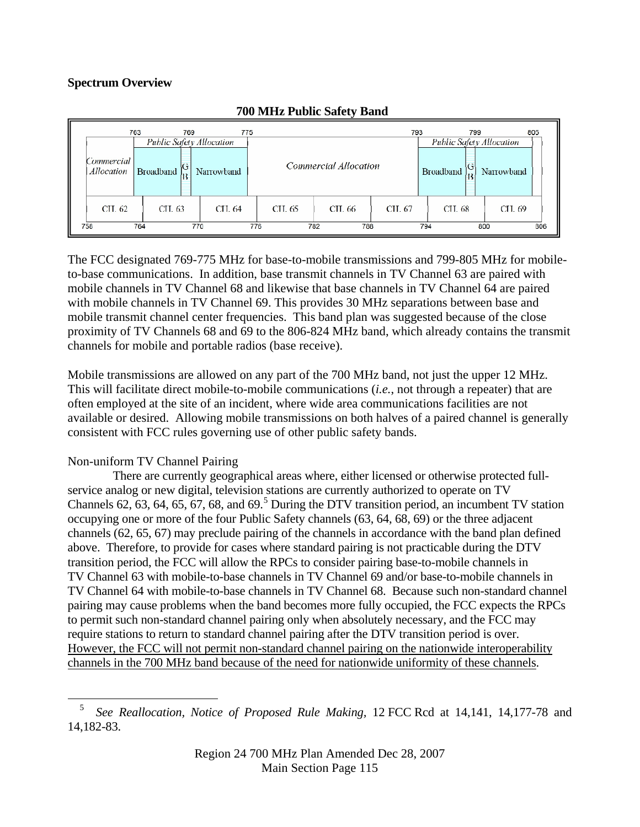## **Spectrum Overview**

|                          | 763              | 769    |                                        | 775 |                       |            |        | 793                                                | 799    |            | 805 |
|--------------------------|------------------|--------|----------------------------------------|-----|-----------------------|------------|--------|----------------------------------------------------|--------|------------|-----|
| Commercial<br>Allocation | <b>Broadband</b> |        | Public Safety Allocation<br>Narrowband |     | Commercial Allocation |            |        | Public Safety Allocation<br>V)<br><b>Broadband</b> |        | Narrowband |     |
| CH. 62                   |                  | CH. 63 | CH, 64                                 |     | CH. 65                | CH. 66     | CH. 67 |                                                    | CH. 68 | CH. 69     |     |
| 758                      | 764              |        | 770                                    | 776 |                       | 788<br>782 |        | 794                                                | 800    |            | 806 |

### **700 MHz Public Safety Band**

The FCC designated 769-775 MHz for base-to-mobile transmissions and 799-805 MHz for mobileto-base communications. In addition, base transmit channels in TV Channel 63 are paired with mobile channels in TV Channel 68 and likewise that base channels in TV Channel 64 are paired with mobile channels in TV Channel 69. This provides 30 MHz separations between base and mobile transmit channel center frequencies. This band plan was suggested because of the close proximity of TV Channels 68 and 69 to the 806-824 MHz band, which already contains the transmit channels for mobile and portable radios (base receive).

Mobile transmissions are allowed on any part of the 700 MHz band, not just the upper 12 MHz. This will facilitate direct mobile-to-mobile communications (*i.e.*, not through a repeater) that are often employed at the site of an incident, where wide area communications facilities are not available or desired. Allowing mobile transmissions on both halves of a paired channel is generally consistent with FCC rules governing use of other public safety bands.

## Non-uniform TV Channel Pairing

 $\overline{a}$ 

 There are currently geographical areas where, either licensed or otherwise protected fullservice analog or new digital, television stations are currently authorized to operate on TV Channels  $62, 63, 64, 65, 67, 68,$  $62, 63, 64, 65, 67, 68,$  $62, 63, 64, 65, 67, 68,$  and  $69<sup>5</sup>$  During the DTV transition period, an incumbent TV station occupying one or more of the four Public Safety channels (63, 64, 68, 69) or the three adjacent channels (62, 65, 67) may preclude pairing of the channels in accordance with the band plan defined above. Therefore, to provide for cases where standard pairing is not practicable during the DTV transition period, the FCC will allow the RPCs to consider pairing base-to-mobile channels in TV Channel 63 with mobile-to-base channels in TV Channel 69 and/or base-to-mobile channels in TV Channel 64 with mobile-to-base channels in TV Channel 68. Because such non-standard channel pairing may cause problems when the band becomes more fully occupied, the FCC expects the RPCs to permit such non-standard channel pairing only when absolutely necessary, and the FCC may require stations to return to standard channel pairing after the DTV transition period is over. However, the FCC will not permit non-standard channel pairing on the nationwide interoperability channels in the 700 MHz band because of the need for nationwide uniformity of these channels.

<span id="page-114-0"></span><sup>5</sup> *See Reallocation, Notice of Proposed Rule Making,* 12 FCC Rcd at 14,141, 14,177-78 and 14,182-83.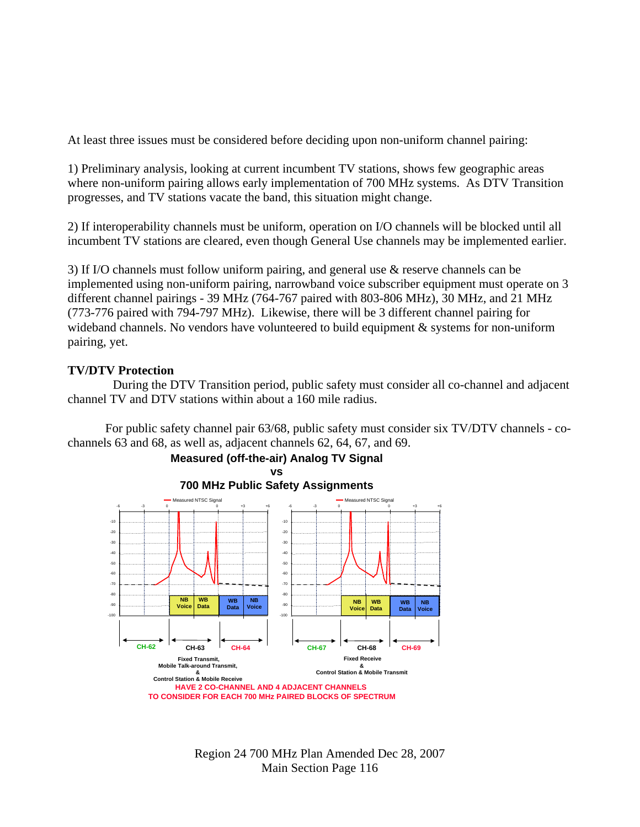At least three issues must be considered before deciding upon non-uniform channel pairing:

1) Preliminary analysis, looking at current incumbent TV stations, shows few geographic areas where non-uniform pairing allows early implementation of 700 MHz systems. As DTV Transition progresses, and TV stations vacate the band, this situation might change.

2) If interoperability channels must be uniform, operation on I/O channels will be blocked until all incumbent TV stations are cleared, even though General Use channels may be implemented earlier.

3) If I/O channels must follow uniform pairing, and general use & reserve channels can be implemented using non-uniform pairing, narrowband voice subscriber equipment must operate on 3 different channel pairings - 39 MHz (764-767 paired with 803-806 MHz), 30 MHz, and 21 MHz (773-776 paired with 794-797 MHz). Likewise, there will be 3 different channel pairing for wideband channels. No vendors have volunteered to build equipment & systems for non-uniform pairing, yet.

### **TV/DTV Protection**

 During the DTV Transition period, public safety must consider all co-channel and adjacent channel TV and DTV stations within about a 160 mile radius.

For public safety channel pair 63/68, public safety must consider six TV/DTV channels - cochannels 63 and 68, as well as, adjacent channels 62, 64, 67, and 69.

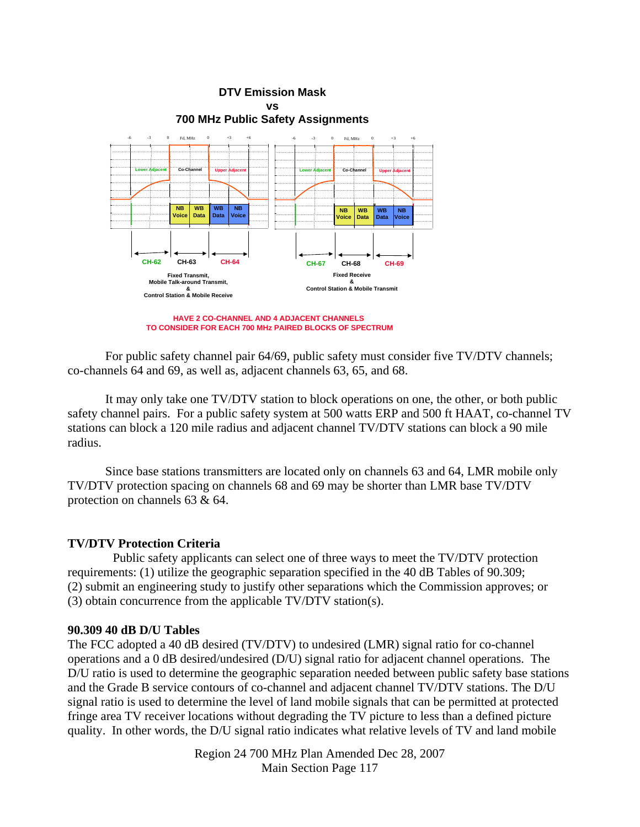

**HAVE 2 CO-CHANNEL AND 4 ADJACENT CHANNELS TO CONSIDER FOR EACH 700 MHz PAIRED BLOCKS OF SPECTRUM**

For public safety channel pair 64/69, public safety must consider five TV/DTV channels; co-channels 64 and 69, as well as, adjacent channels 63, 65, and 68.

It may only take one TV/DTV station to block operations on one, the other, or both public safety channel pairs. For a public safety system at 500 watts ERP and 500 ft HAAT, co-channel TV stations can block a 120 mile radius and adjacent channel TV/DTV stations can block a 90 mile radius.

Since base stations transmitters are located only on channels 63 and 64, LMR mobile only TV/DTV protection spacing on channels 68 and 69 may be shorter than LMR base TV/DTV protection on channels 63 & 64.

#### **TV/DTV Protection Criteria**

Public safety applicants can select one of three ways to meet the TV/DTV protection requirements: (1) utilize the geographic separation specified in the 40 dB Tables of 90.309; (2) submit an engineering study to justify other separations which the Commission approves; or (3) obtain concurrence from the applicable TV/DTV station(s).

#### **90.309 40 dB D/U Tables**

The FCC adopted a 40 dB desired (TV/DTV) to undesired (LMR) signal ratio for co-channel operations and a 0 dB desired/undesired (D/U) signal ratio for adjacent channel operations. The D/U ratio is used to determine the geographic separation needed between public safety base stations and the Grade B service contours of co-channel and adjacent channel TV/DTV stations. The D/U signal ratio is used to determine the level of land mobile signals that can be permitted at protected fringe area TV receiver locations without degrading the TV picture to less than a defined picture quality. In other words, the D/U signal ratio indicates what relative levels of TV and land mobile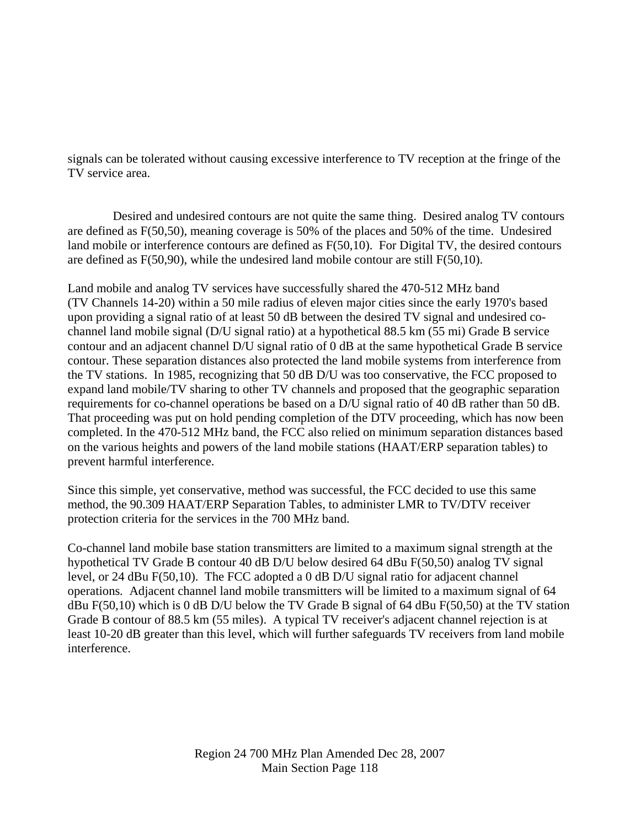signals can be tolerated without causing excessive interference to TV reception at the fringe of the TV service area.

 Desired and undesired contours are not quite the same thing. Desired analog TV contours are defined as F(50,50), meaning coverage is 50% of the places and 50% of the time. Undesired land mobile or interference contours are defined as F(50,10). For Digital TV, the desired contours are defined as F(50,90), while the undesired land mobile contour are still F(50,10).

Land mobile and analog TV services have successfully shared the 470-512 MHz band (TV Channels 14-20) within a 50 mile radius of eleven major cities since the early 1970's based upon providing a signal ratio of at least 50 dB between the desired TV signal and undesired cochannel land mobile signal (D/U signal ratio) at a hypothetical 88.5 km (55 mi) Grade B service contour and an adjacent channel D/U signal ratio of 0 dB at the same hypothetical Grade B service contour. These separation distances also protected the land mobile systems from interference from the TV stations. In 1985, recognizing that 50 dB D/U was too conservative, the FCC proposed to expand land mobile/TV sharing to other TV channels and proposed that the geographic separation requirements for co-channel operations be based on a D/U signal ratio of 40 dB rather than 50 dB. That proceeding was put on hold pending completion of the DTV proceeding, which has now been completed. In the 470-512 MHz band, the FCC also relied on minimum separation distances based on the various heights and powers of the land mobile stations (HAAT/ERP separation tables) to prevent harmful interference.

Since this simple, yet conservative, method was successful, the FCC decided to use this same method, the 90.309 HAAT/ERP Separation Tables, to administer LMR to TV/DTV receiver protection criteria for the services in the 700 MHz band.

Co-channel land mobile base station transmitters are limited to a maximum signal strength at the hypothetical TV Grade B contour 40 dB D/U below desired 64 dBu F(50,50) analog TV signal level, or 24 dBu F(50,10). The FCC adopted a 0 dB D/U signal ratio for adjacent channel operations*.* Adjacent channel land mobile transmitters will be limited to a maximum signal of 64 dBu  $F(50,10)$  which is 0 dB D/U below the TV Grade B signal of 64 dBu  $F(50,50)$  at the TV station Grade B contour of 88.5 km (55 miles). A typical TV receiver's adjacent channel rejection is at least 10-20 dB greater than this level, which will further safeguards TV receivers from land mobile interference.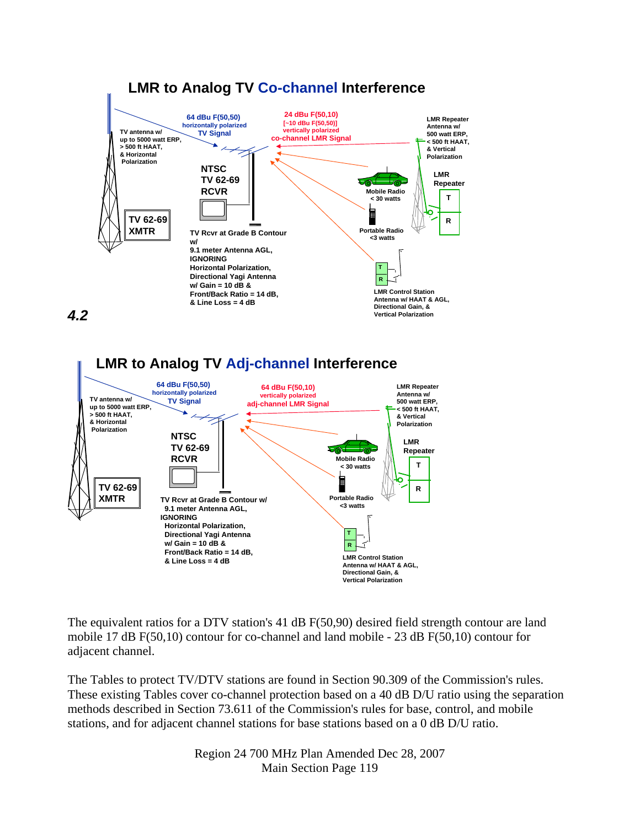

*4.2* 



The equivalent ratios for a DTV station's 41 dB F(50,90) desired field strength contour are land mobile 17 dB F(50,10) contour for co-channel and land mobile - 23 dB F(50,10) contour for adjacent channel.

The Tables to protect TV/DTV stations are found in Section 90.309 of the Commission's rules. These existing Tables cover co-channel protection based on a 40 dB D/U ratio using the separation methods described in Section 73.611 of the Commission's rules for base, control, and mobile stations, and for adjacent channel stations for base stations based on a 0 dB D/U ratio.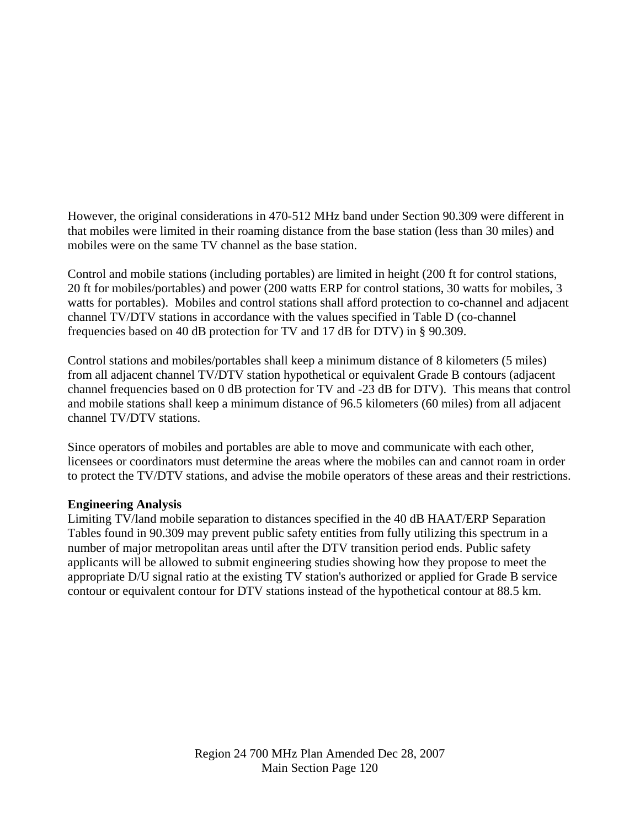However, the original considerations in 470-512 MHz band under Section 90.309 were different in that mobiles were limited in their roaming distance from the base station (less than 30 miles) and mobiles were on the same TV channel as the base station.

Control and mobile stations (including portables) are limited in height (200 ft for control stations, 20 ft for mobiles/portables) and power (200 watts ERP for control stations, 30 watts for mobiles, 3 watts for portables). Mobiles and control stations shall afford protection to co-channel and adjacent channel TV/DTV stations in accordance with the values specified in Table D (co-channel frequencies based on 40 dB protection for TV and 17 dB for DTV) in § 90.309.

Control stations and mobiles/portables shall keep a minimum distance of 8 kilometers (5 miles) from all adjacent channel TV/DTV station hypothetical or equivalent Grade B contours (adjacent channel frequencies based on 0 dB protection for TV and -23 dB for DTV). This means that control and mobile stations shall keep a minimum distance of 96.5 kilometers (60 miles) from all adjacent channel TV/DTV stations.

Since operators of mobiles and portables are able to move and communicate with each other, licensees or coordinators must determine the areas where the mobiles can and cannot roam in order to protect the TV/DTV stations, and advise the mobile operators of these areas and their restrictions.

#### **Engineering Analysis**

Limiting TV/land mobile separation to distances specified in the 40 dB HAAT/ERP Separation Tables found in 90.309 may prevent public safety entities from fully utilizing this spectrum in a number of major metropolitan areas until after the DTV transition period ends. Public safety applicants will be allowed to submit engineering studies showing how they propose to meet the appropriate D/U signal ratio at the existing TV station's authorized or applied for Grade B service contour or equivalent contour for DTV stations instead of the hypothetical contour at 88.5 km.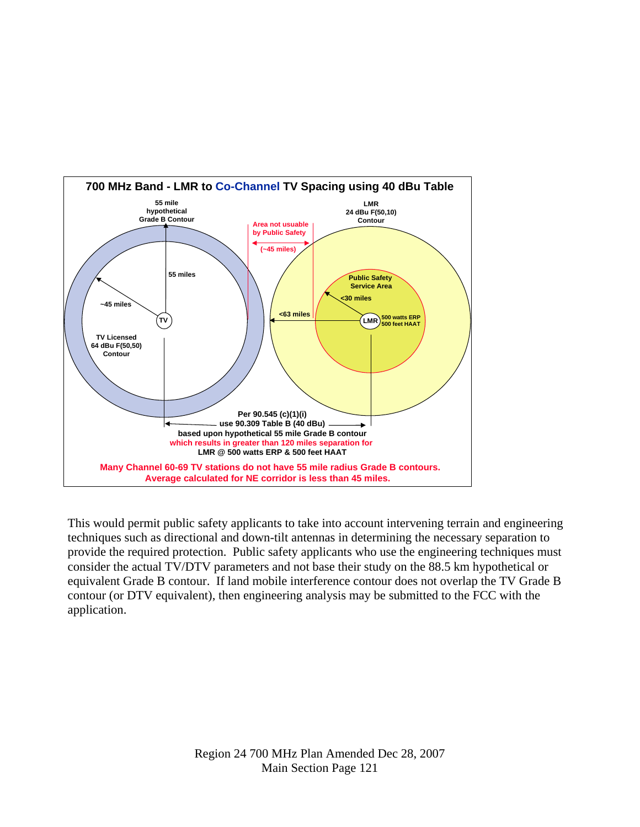

This would permit public safety applicants to take into account intervening terrain and engineering techniques such as directional and down-tilt antennas in determining the necessary separation to provide the required protection. Public safety applicants who use the engineering techniques must consider the actual TV/DTV parameters and not base their study on the 88.5 km hypothetical or equivalent Grade B contour. If land mobile interference contour does not overlap the TV Grade B contour (or DTV equivalent), then engineering analysis may be submitted to the FCC with the application.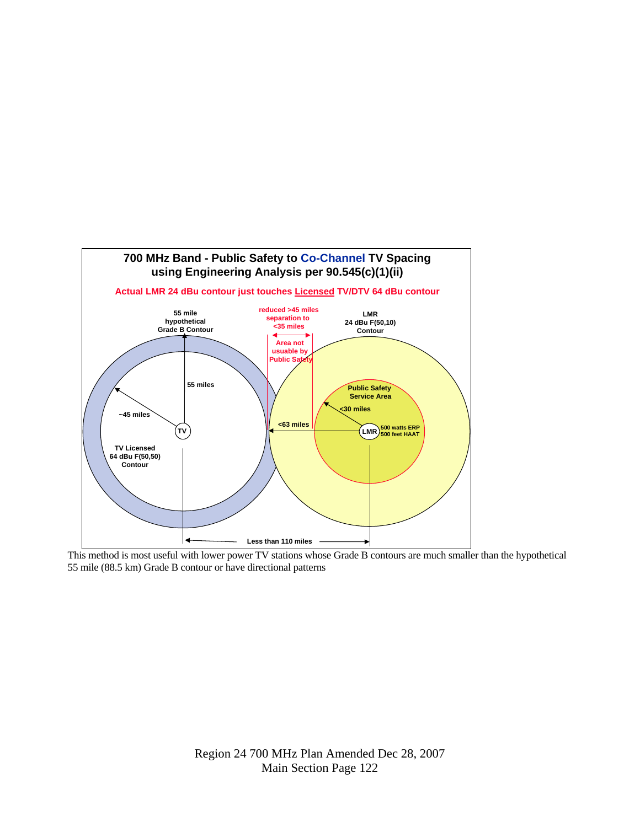

This method is most useful with lower power TV stations whose Grade B contours are much smaller than the hypothetical 55 mile (88.5 km) Grade B contour or have directional patterns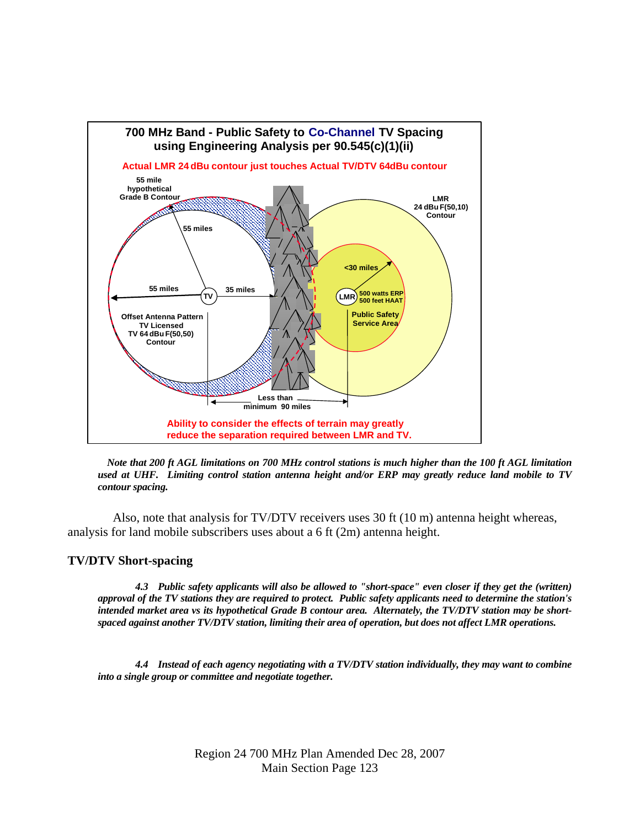

 *Note that 200 ft AGL limitations on 700 MHz control stations is much higher than the 100 ft AGL limitation used at UHF. Limiting control station antenna height and/or ERP may greatly reduce land mobile to TV contour spacing.* 

 Also, note that analysis for TV/DTV receivers uses 30 ft (10 m) antenna height whereas, analysis for land mobile subscribers uses about a 6 ft (2m) antenna height.

#### **TV/DTV Short-spacing**

*4.3 Public safety applicants will also be allowed to "short-space" even closer if they get the (written) approval of the TV stations they are required to protect. Public safety applicants need to determine the station's intended market area vs its hypothetical Grade B contour area. Alternately, the TV/DTV station may be shortspaced against another TV/DTV station, limiting their area of operation, but does not affect LMR operations.* 

*4.4 Instead of each agency negotiating with a TV/DTV station individually, they may want to combine into a single group or committee and negotiate together.*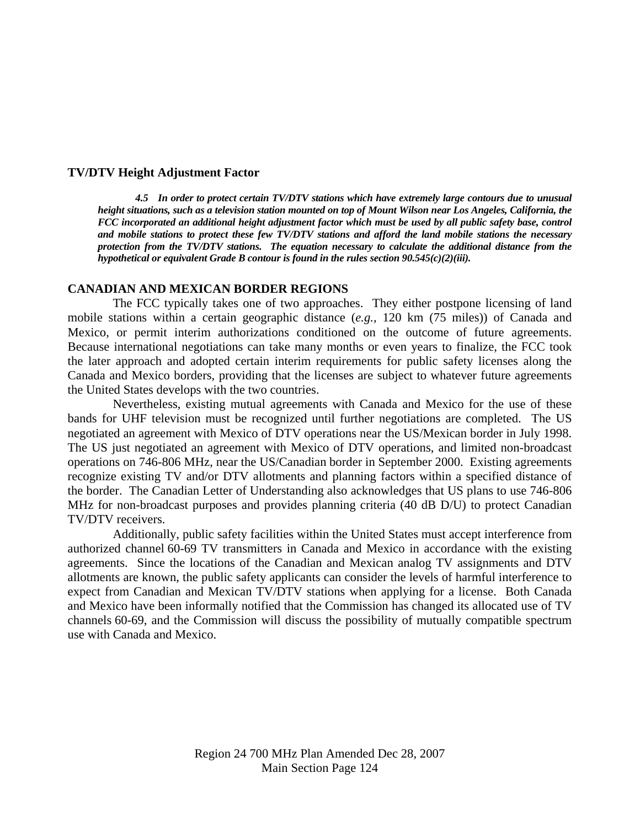#### **TV/DTV Height Adjustment Factor**

*4.5 In order to protect certain TV/DTV stations which have extremely large contours due to unusual height situations, such as a television station mounted on top of Mount Wilson near Los Angeles, California, the FCC incorporated an additional height adjustment factor which must be used by all public safety base, control and mobile stations to protect these few TV/DTV stations and afford the land mobile stations the necessary protection from the TV/DTV stations. The equation necessary to calculate the additional distance from the hypothetical or equivalent Grade B contour is found in the rules section 90.545(c)(2)(iii).* 

#### **CANADIAN AND MEXICAN BORDER REGIONS**

 The FCC typically takes one of two approaches. They either postpone licensing of land mobile stations within a certain geographic distance (*e.g.,* 120 km (75 miles)) of Canada and Mexico, or permit interim authorizations conditioned on the outcome of future agreements. Because international negotiations can take many months or even years to finalize, the FCC took the later approach and adopted certain interim requirements for public safety licenses along the Canada and Mexico borders, providing that the licenses are subject to whatever future agreements the United States develops with the two countries.

 Nevertheless, existing mutual agreements with Canada and Mexico for the use of these bands for UHF television must be recognized until further negotiations are completed. The US negotiated an agreement with Mexico of DTV operations near the US/Mexican border in July 1998. The US just negotiated an agreement with Mexico of DTV operations, and limited non-broadcast operations on 746-806 MHz, near the US/Canadian border in September 2000. Existing agreements recognize existing TV and/or DTV allotments and planning factors within a specified distance of the border. The Canadian Letter of Understanding also acknowledges that US plans to use 746-806 MHz for non-broadcast purposes and provides planning criteria (40 dB D/U) to protect Canadian TV/DTV receivers.

 Additionally, public safety facilities within the United States must accept interference from authorized channel 60-69 TV transmitters in Canada and Mexico in accordance with the existing agreements. Since the locations of the Canadian and Mexican analog TV assignments and DTV allotments are known, the public safety applicants can consider the levels of harmful interference to expect from Canadian and Mexican TV/DTV stations when applying for a license. Both Canada and Mexico have been informally notified that the Commission has changed its allocated use of TV channels 60-69, and the Commission will discuss the possibility of mutually compatible spectrum use with Canada and Mexico.